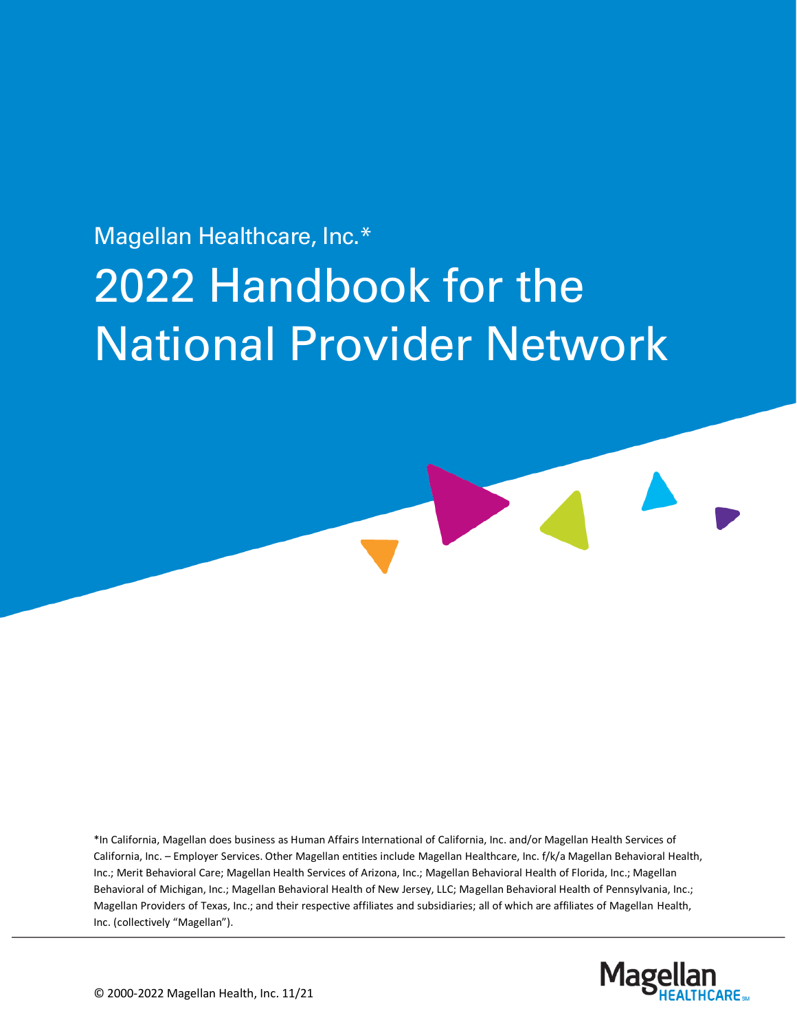# Magellan Healthcare, Inc.\* 2022 Handbook for the National Provider Network

\*In California, Magellan does business as Human Affairs International of California, Inc. and/or Magellan Health Services of California, Inc. – Employer Services. Other Magellan entities include Magellan Healthcare, Inc. f/k/a Magellan Behavioral Health, Inc.; Merit Behavioral Care; Magellan Health Services of Arizona, Inc.; Magellan Behavioral Health of Florida, Inc.; Magellan Behavioral of Michigan, Inc.; Magellan Behavioral Health of New Jersey, LLC; Magellan Behavioral Health of Pennsylvania, Inc.; Magellan Providers of Texas, Inc.; and their respective affiliates and subsidiaries; all of which are affiliates of Magellan Health, Inc. (collectively "Magellan").

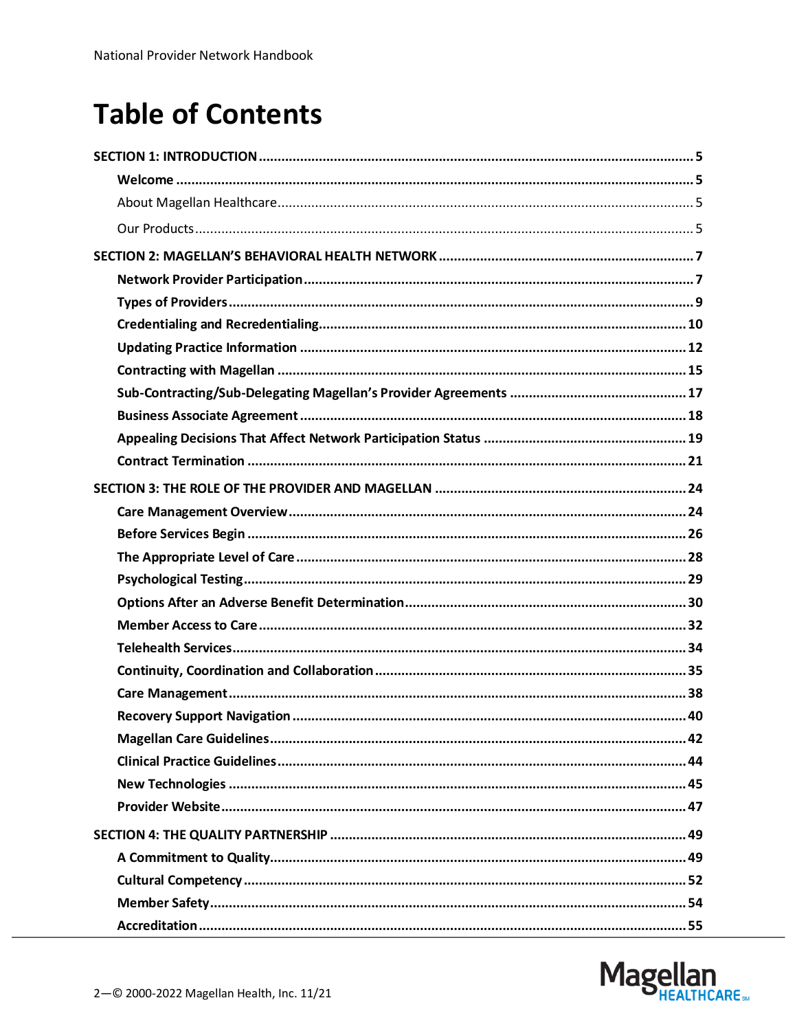### **Table of Contents**

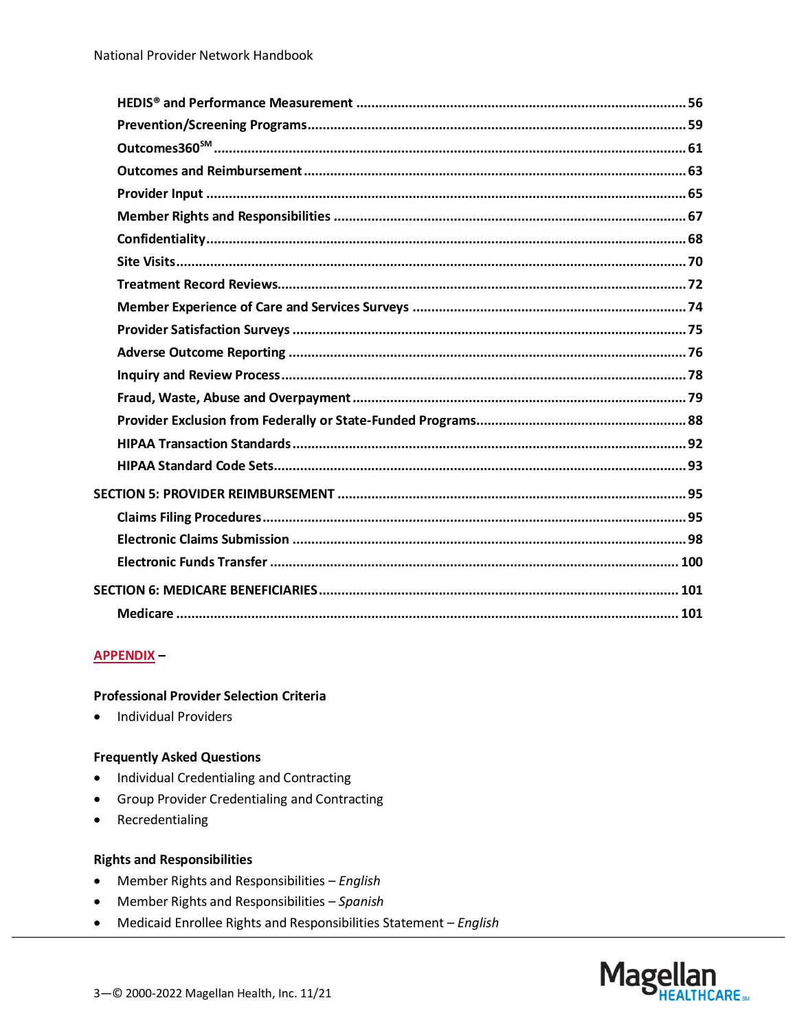#### **APPENDIX-**

#### **Professional Provider Selection Criteria**

**Individual Providers**  $\bullet$ 

#### **Frequently Asked Questions**

- Individual Credentialing and Contracting  $\bullet$
- **Group Provider Credentialing and Contracting**  $\bullet$
- Recredentialing  $\bullet$

#### **Rights and Responsibilities**

- Member Rights and Responsibilities English  $\bullet$
- Member Rights and Responsibilities Spanish  $\bullet$
- Medicaid Enrollee Rights and Responsibilities Statement English  $\bullet$

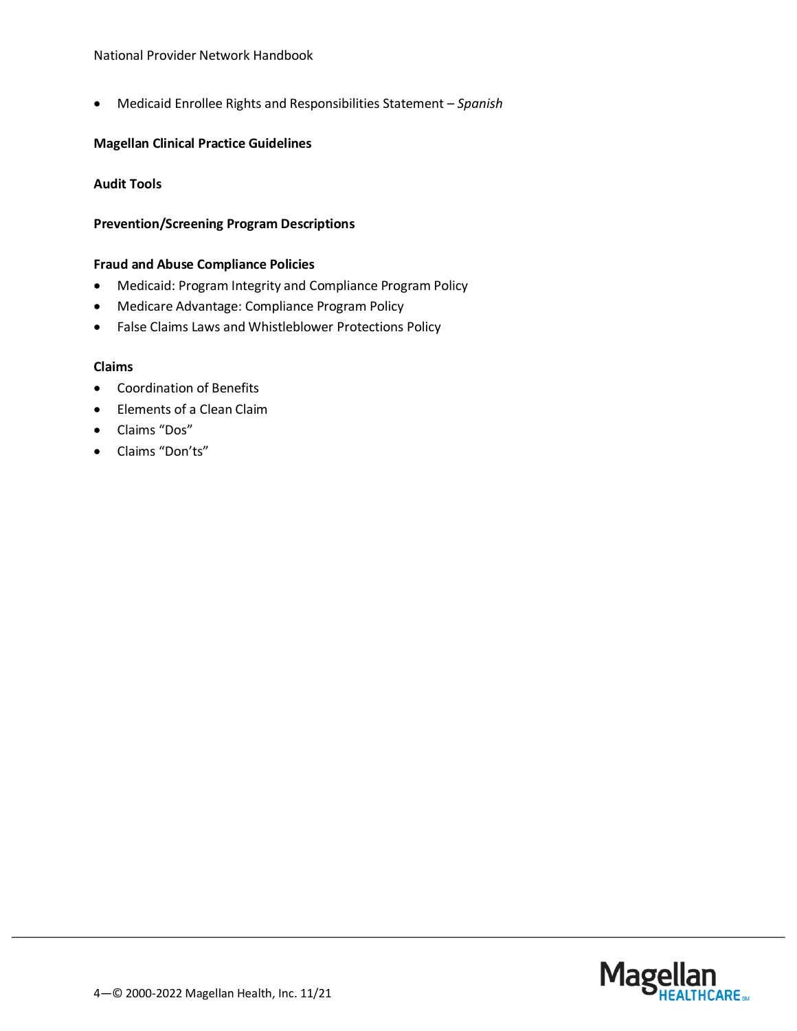#### National Provider Network Handbook

• Medicaid Enrollee Rights and Responsibilities Statement – *Spanish*

#### **Magellan Clinical Practice Guidelines**

#### **Audit Tools**

#### **Prevention/Screening Program Descriptions**

#### **Fraud and Abuse Compliance Policies**

- Medicaid: Program Integrity and Compliance Program Policy
- Medicare Advantage: Compliance Program Policy
- False Claims Laws and Whistleblower Protections Policy

#### **Claims**

- Coordination of Benefits
- Elements of a Clean Claim
- Claims "Dos"
- Claims "Don'ts"

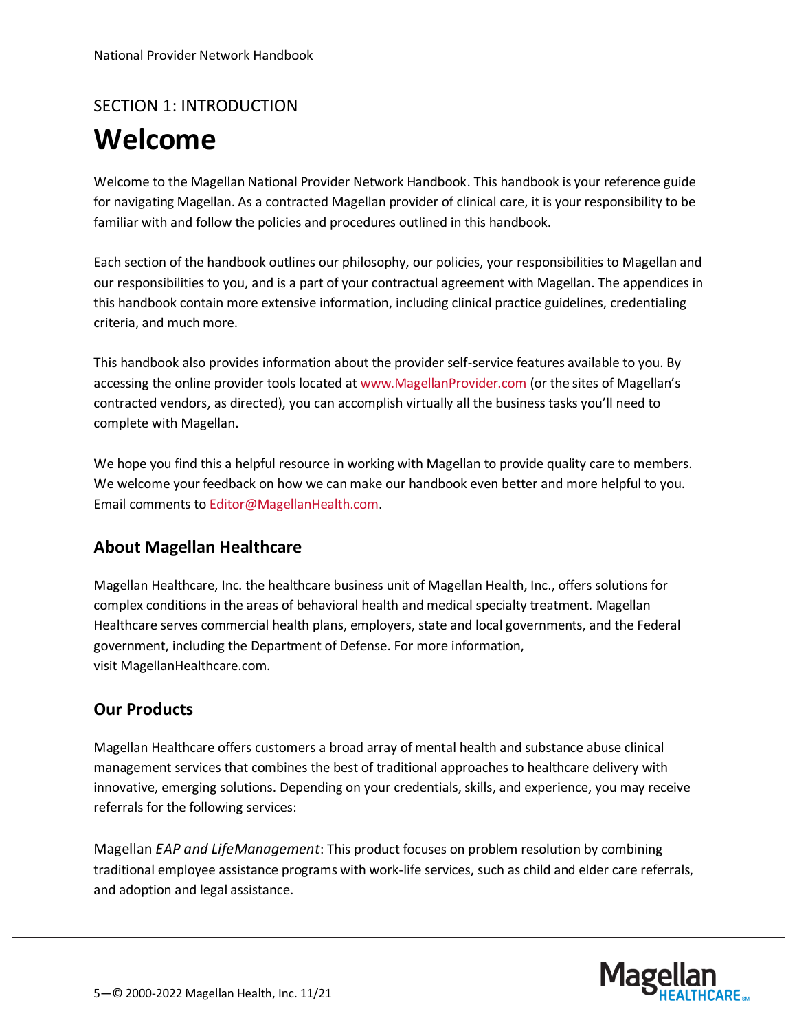### <span id="page-4-0"></span>SECTION 1: INTRODUCTION

### <span id="page-4-1"></span>**Welcome**

Welcome to the Magellan National Provider Network Handbook. This handbook is your reference guide for navigating Magellan. As a contracted Magellan provider of clinical care, it is your responsibility to be familiar with and follow the policies and procedures outlined in this handbook.

Each section of the handbook outlines our philosophy, our policies, your responsibilities to Magellan and our responsibilities to you, and is a part of your contractual agreement with Magellan. The appendices in this handbook contain more extensive information, including clinical practice guidelines, credentialing criteria, and much more.

This handbook also provides information about the provider self-service features available to you. By accessing the online provider tools located a[t www.MagellanProvider.com](http://www.magellanprovider.com/) (or the sites of Magellan's contracted vendors, as directed), you can accomplish virtually all the business tasks you'll need to complete with Magellan.

We hope you find this a helpful resource in working with Magellan to provide quality care to members. We welcome your feedback on how we can make our handbook even better and more helpful to you. Email comments t[o Editor@MagellanHealth.com.](mailto:editor@magellanhealth.com)

#### <span id="page-4-2"></span>**About Magellan Healthcare**

[Magellan Healthcare, Inc.](https://cts.businesswire.com/ct/CT?id=smartlink&url=https%3A%2F%2Fwww.magellanhealthcare.com%2F&esheet=52499405&newsitemid=20210928005242&lan=en-US&anchor=Magellan+Healthcare%2C+Inc.&index=11&md5=1a791029b4a987a8376e0b9bb4e45861) the healthcare business unit of Magellan Health, Inc., offers solutions for complex conditions in the areas of behavioral health and medical specialty treatment. Magellan Healthcare serves commercial health plans, employers, state and local governments, and the Federal government, including the Department of Defense. For more information, visit [MagellanHealthcare.com.](https://cts.businesswire.com/ct/CT?id=smartlink&url=https%3A%2F%2Fwww.magellanhealthcare.com%2F&esheet=52499405&newsitemid=20210928005242&lan=en-US&anchor=MagellanHealthcare.com&index=12&md5=7d8efc69f32251bfca564de79f58b115)

#### <span id="page-4-3"></span>**Our Products**

Magellan Healthcare offers customers a broad array of mental health and substance abuse clinical management services that combines the best of traditional approaches to healthcare delivery with innovative, emerging solutions. Depending on your credentials, skills, and experience, you may receive referrals for the following services:

Magellan *EAP and LifeManagement*: This product focuses on problem resolution by combining traditional employee assistance programs with work-life services, such as child and elder care referrals, and adoption and legal assistance.

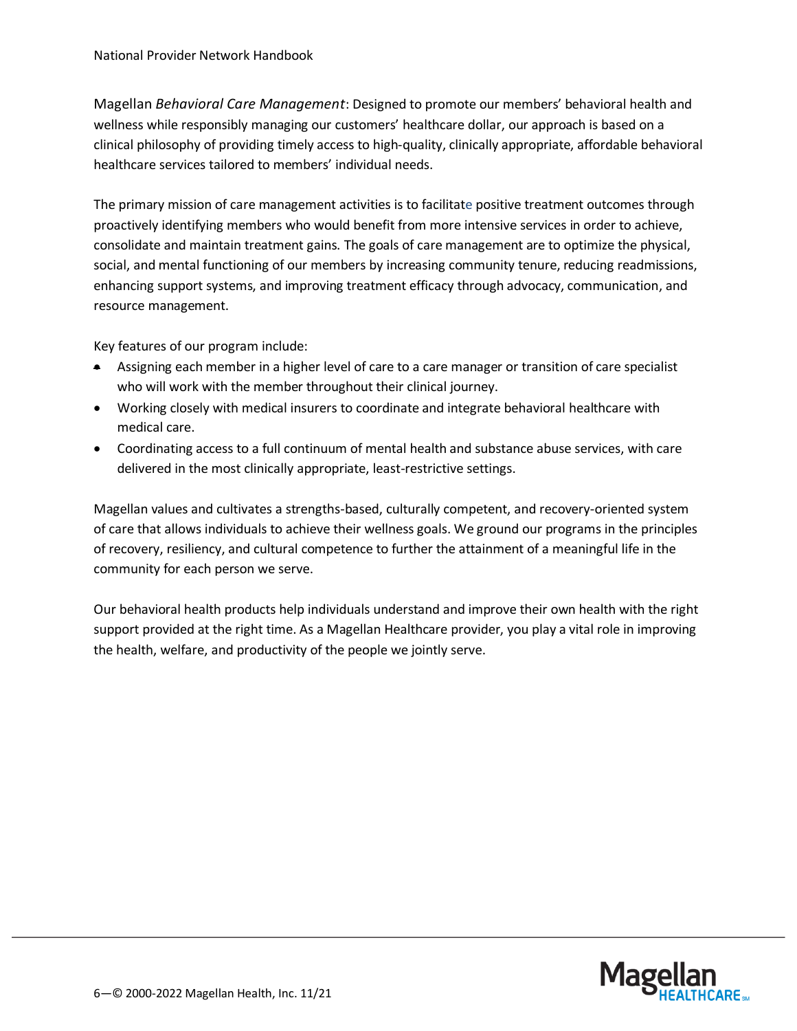Magellan *Behavioral Care Management*: Designed to promote our members' behavioral health and wellness while responsibly managing our customers' healthcare dollar, our approach is based on a clinical philosophy of providing timely access to high-quality, clinically appropriate, affordable behavioral healthcare services tailored to members' individual needs.

The primary mission of care management activities is to facilitate positive treatment outcomes through proactively identifying members who would benefit from more intensive services in order to achieve, consolidate and maintain treatment gains. The goals of care management are to optimize the physical, social, and mental functioning of our members by increasing community tenure, reducing readmissions, enhancing support systems, and improving treatment efficacy through advocacy, communication, and resource management.

Key features of our program include:

- Assigning each member in a higher level of care to a care manager or transition of care specialist who will work with the member throughout their clinical journey.
- Working closely with medical insurers to coordinate and integrate behavioral healthcare with medical care.
- Coordinating access to a full continuum of mental health and substance abuse services, with care delivered in the most clinically appropriate, least-restrictive settings.

Magellan values and cultivates a strengths-based, culturally competent, and recovery-oriented system of care that allows individuals to achieve their wellness goals. We ground our programs in the principles of recovery, resiliency, and cultural competence to further the attainment of a meaningful life in the community for each person we serve.

Our behavioral health products help individuals understand and improve their own health with the right support provided at the right time. As a Magellan Healthcare provider, you play a vital role in improving the health, welfare, and productivity of the people we jointly serve.

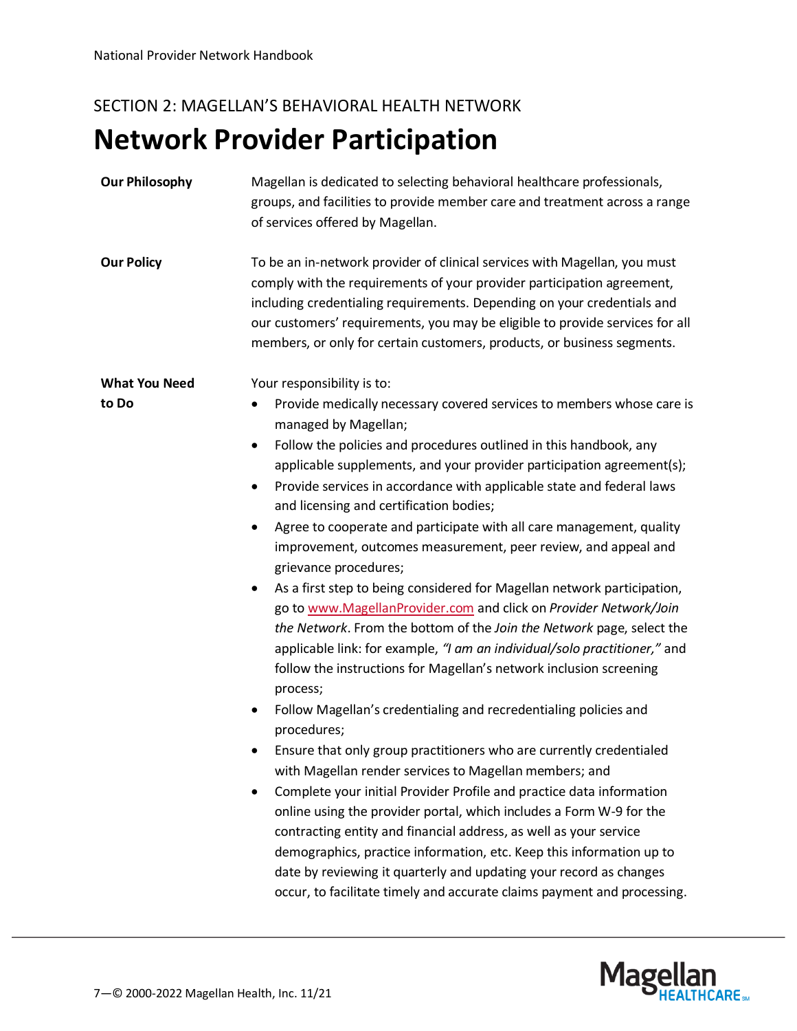### <span id="page-6-1"></span><span id="page-6-0"></span>**Network Provider Participation**

| <b>Our Philosophy</b>         | Magellan is dedicated to selecting behavioral healthcare professionals,<br>groups, and facilities to provide member care and treatment across a range<br>of services offered by Magellan.                                                                                                                                                                                                                                                                                                                                                                                                                                                                                                                                                                                                                                                                                                                                                                                                                                                                                                                                                                                                                                                                                                                                                                                                                                                                                                                                                                                                                                                                                                       |
|-------------------------------|-------------------------------------------------------------------------------------------------------------------------------------------------------------------------------------------------------------------------------------------------------------------------------------------------------------------------------------------------------------------------------------------------------------------------------------------------------------------------------------------------------------------------------------------------------------------------------------------------------------------------------------------------------------------------------------------------------------------------------------------------------------------------------------------------------------------------------------------------------------------------------------------------------------------------------------------------------------------------------------------------------------------------------------------------------------------------------------------------------------------------------------------------------------------------------------------------------------------------------------------------------------------------------------------------------------------------------------------------------------------------------------------------------------------------------------------------------------------------------------------------------------------------------------------------------------------------------------------------------------------------------------------------------------------------------------------------|
| <b>Our Policy</b>             | To be an in-network provider of clinical services with Magellan, you must<br>comply with the requirements of your provider participation agreement,<br>including credentialing requirements. Depending on your credentials and<br>our customers' requirements, you may be eligible to provide services for all<br>members, or only for certain customers, products, or business segments.                                                                                                                                                                                                                                                                                                                                                                                                                                                                                                                                                                                                                                                                                                                                                                                                                                                                                                                                                                                                                                                                                                                                                                                                                                                                                                       |
| <b>What You Need</b><br>to Do | Your responsibility is to:<br>Provide medically necessary covered services to members whose care is<br>$\bullet$<br>managed by Magellan;<br>Follow the policies and procedures outlined in this handbook, any<br>$\bullet$<br>applicable supplements, and your provider participation agreement(s);<br>Provide services in accordance with applicable state and federal laws<br>٠<br>and licensing and certification bodies;<br>Agree to cooperate and participate with all care management, quality<br>$\bullet$<br>improvement, outcomes measurement, peer review, and appeal and<br>grievance procedures;<br>As a first step to being considered for Magellan network participation,<br>$\bullet$<br>go to www.MagellanProvider.com and click on Provider Network/Join<br>the Network. From the bottom of the Join the Network page, select the<br>applicable link: for example, "I am an individual/solo practitioner," and<br>follow the instructions for Magellan's network inclusion screening<br>process;<br>Follow Magellan's credentialing and recredentialing policies and<br>$\bullet$<br>procedures;<br>Ensure that only group practitioners who are currently credentialed<br>with Magellan render services to Magellan members; and<br>Complete your initial Provider Profile and practice data information<br>online using the provider portal, which includes a Form W-9 for the<br>contracting entity and financial address, as well as your service<br>demographics, practice information, etc. Keep this information up to<br>date by reviewing it quarterly and updating your record as changes<br>occur, to facilitate timely and accurate claims payment and processing. |
|                               |                                                                                                                                                                                                                                                                                                                                                                                                                                                                                                                                                                                                                                                                                                                                                                                                                                                                                                                                                                                                                                                                                                                                                                                                                                                                                                                                                                                                                                                                                                                                                                                                                                                                                                 |

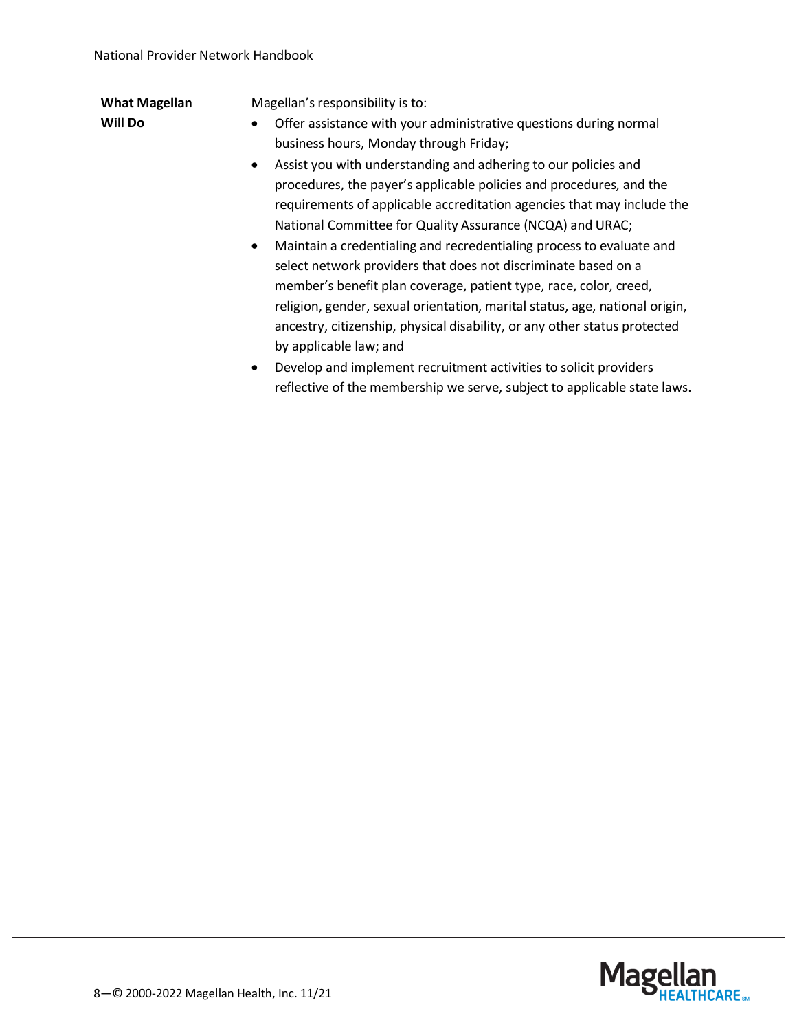| <b>What Magellan</b> | Magellan's responsibility is to:                                                                                                                                                                                                                                                                                                                                                                                                                                                                                                                                                                                                                                                                                                                                                                                                                                          |
|----------------------|---------------------------------------------------------------------------------------------------------------------------------------------------------------------------------------------------------------------------------------------------------------------------------------------------------------------------------------------------------------------------------------------------------------------------------------------------------------------------------------------------------------------------------------------------------------------------------------------------------------------------------------------------------------------------------------------------------------------------------------------------------------------------------------------------------------------------------------------------------------------------|
| <b>Will Do</b>       | Offer assistance with your administrative questions during normal<br>$\bullet$<br>business hours, Monday through Friday;                                                                                                                                                                                                                                                                                                                                                                                                                                                                                                                                                                                                                                                                                                                                                  |
|                      | Assist you with understanding and adhering to our policies and<br>$\bullet$<br>procedures, the payer's applicable policies and procedures, and the<br>requirements of applicable accreditation agencies that may include the<br>National Committee for Quality Assurance (NCQA) and URAC;<br>Maintain a credentialing and recredentialing process to evaluate and<br>$\bullet$<br>select network providers that does not discriminate based on a<br>member's benefit plan coverage, patient type, race, color, creed,<br>religion, gender, sexual orientation, marital status, age, national origin,<br>ancestry, citizenship, physical disability, or any other status protected<br>by applicable law; and<br>Develop and implement recruitment activities to solicit providers<br>$\bullet$<br>reflective of the membership we serve, subject to applicable state laws. |

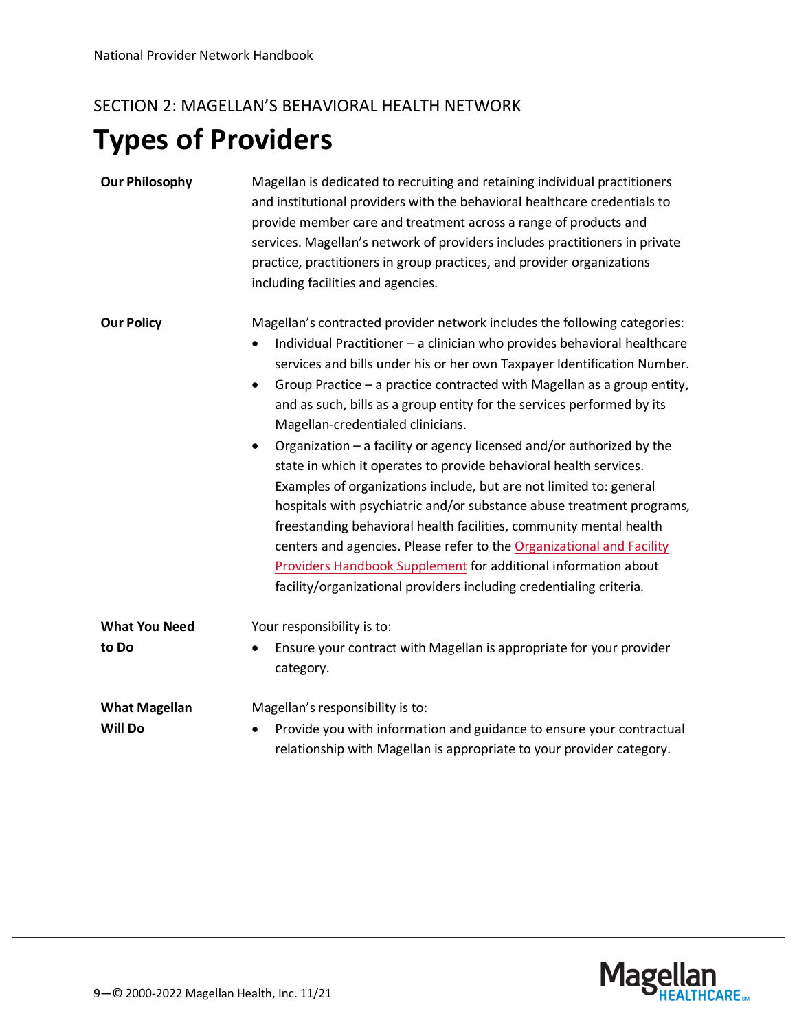### <span id="page-8-0"></span>**Types of Providers**

| <b>Our Philosophy</b> | Magellan is dedicated to recruiting and retaining individual practitioners<br>and institutional providers with the behavioral healthcare credentials to<br>provide member care and treatment across a range of products and<br>services. Magellan's network of providers includes practitioners in private<br>practice, practitioners in group practices, and provider organizations<br>including facilities and agencies.                                                                                                                                                                                                                                                                                                                                                                                                                                                                                                                                                                                                                |
|-----------------------|-------------------------------------------------------------------------------------------------------------------------------------------------------------------------------------------------------------------------------------------------------------------------------------------------------------------------------------------------------------------------------------------------------------------------------------------------------------------------------------------------------------------------------------------------------------------------------------------------------------------------------------------------------------------------------------------------------------------------------------------------------------------------------------------------------------------------------------------------------------------------------------------------------------------------------------------------------------------------------------------------------------------------------------------|
| <b>Our Policy</b>     | Magellan's contracted provider network includes the following categories:<br>Individual Practitioner - a clinician who provides behavioral healthcare<br>services and bills under his or her own Taxpayer Identification Number.<br>Group Practice - a practice contracted with Magellan as a group entity,<br>$\bullet$<br>and as such, bills as a group entity for the services performed by its<br>Magellan-credentialed clinicians.<br>Organization - a facility or agency licensed and/or authorized by the<br>$\bullet$<br>state in which it operates to provide behavioral health services.<br>Examples of organizations include, but are not limited to: general<br>hospitals with psychiatric and/or substance abuse treatment programs,<br>freestanding behavioral health facilities, community mental health<br>centers and agencies. Please refer to the Organizational and Facility<br>Providers Handbook Supplement for additional information about<br>facility/organizational providers including credentialing criteria. |
| <b>What You Need</b>  | Your responsibility is to:                                                                                                                                                                                                                                                                                                                                                                                                                                                                                                                                                                                                                                                                                                                                                                                                                                                                                                                                                                                                                |
| to Do                 | Ensure your contract with Magellan is appropriate for your provider<br>category.                                                                                                                                                                                                                                                                                                                                                                                                                                                                                                                                                                                                                                                                                                                                                                                                                                                                                                                                                          |
| <b>What Magellan</b>  | Magellan's responsibility is to:                                                                                                                                                                                                                                                                                                                                                                                                                                                                                                                                                                                                                                                                                                                                                                                                                                                                                                                                                                                                          |
| <b>Will Do</b>        | Provide you with information and guidance to ensure your contractual<br>relationship with Magellan is appropriate to your provider category.                                                                                                                                                                                                                                                                                                                                                                                                                                                                                                                                                                                                                                                                                                                                                                                                                                                                                              |

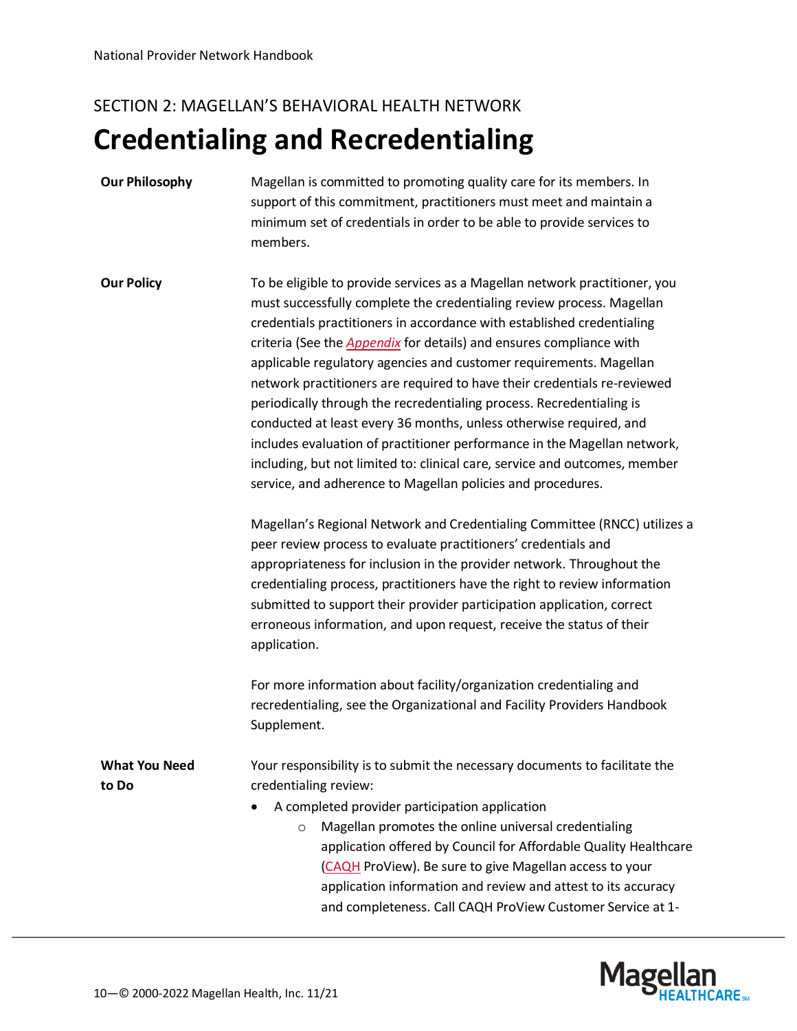### <span id="page-9-0"></span>SECTION 2: MAGELLAN'S BEHAVIORAL HEALTH NETWORK **Credentialing and Recredentialing**

#### **Our Philosophy** Magellan is committed to promoting quality care for its members. In support of this commitment, practitioners must meet and maintain a minimum set of credentials in order to be able to provide services to members.

**Our Policy** To be eligible to provide services as a Magellan network practitioner, you must successfully complete the credentialing review process. Magellan credentials practitioners in accordance with established credentialing criteria (See the *[Appendix](http://www.magellanprovider.com/news-publications/handbooks/appendices.aspx)* for details) and ensures compliance with applicable regulatory agencies and customer requirements. Magellan network practitioners are required to have their credentials re-reviewed periodically through the recredentialing process. Recredentialing is conducted at least every 36 months, unless otherwise required, and includes evaluation of practitioner performance in the Magellan network, including, but not limited to: clinical care, service and outcomes, member service, and adherence to Magellan policies and procedures.

> Magellan's Regional Network and Credentialing Committee (RNCC) utilizes a peer review process to evaluate practitioners' credentials and appropriateness for inclusion in the provider network. Throughout the credentialing process, practitioners have the right to review information submitted to support their provider participation application, correct erroneous information, and upon request, receive the status of their application.

For more information about facility/organization credentialing and recredentialing, see the Organizational and Facility Providers Handbook Supplement.

**What You Need to Do** Your responsibility is to submit the necessary documents to facilitate the credentialing review:

- A completed provider participation application
	- o Magellan promotes the online universal credentialing application offered by Council for Affordable Quality Healthcare [\(CAQH](http://www.caqh.org/) ProView). Be sure to give Magellan access to your application information and review and attest to its accuracy and completeness. Call CAQH ProView Customer Service at 1-

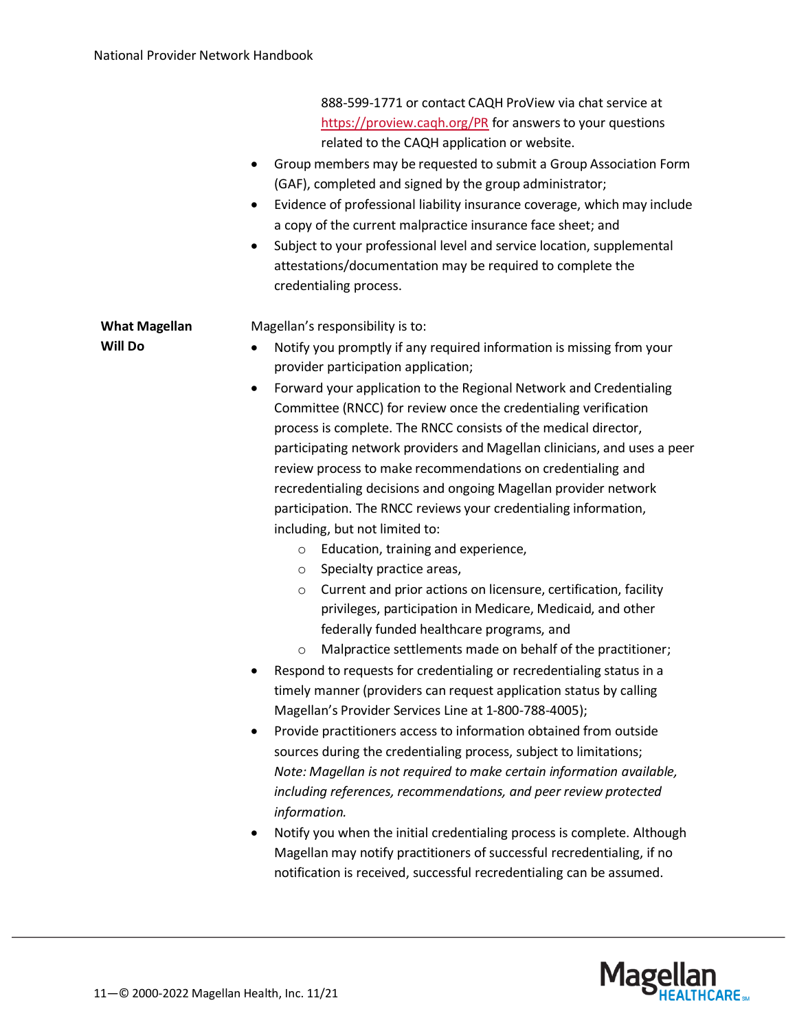|                                        | 888-599-1771 or contact CAQH ProView via chat service at<br>https://proview.cagh.org/PR for answers to your questions<br>related to the CAQH application or website.<br>Group members may be requested to submit a Group Association Form<br>٠<br>(GAF), completed and signed by the group administrator;<br>Evidence of professional liability insurance coverage, which may include<br>٠<br>a copy of the current malpractice insurance face sheet; and<br>Subject to your professional level and service location, supplemental<br>٠<br>attestations/documentation may be required to complete the<br>credentialing process.                                                                                                                                                                                                                                                                                                                                                                                                                                                                                                                                                                                                                                                                                                                                                                                                                                                                                                                                                                                                                                                                                                                                                                       |
|----------------------------------------|-------------------------------------------------------------------------------------------------------------------------------------------------------------------------------------------------------------------------------------------------------------------------------------------------------------------------------------------------------------------------------------------------------------------------------------------------------------------------------------------------------------------------------------------------------------------------------------------------------------------------------------------------------------------------------------------------------------------------------------------------------------------------------------------------------------------------------------------------------------------------------------------------------------------------------------------------------------------------------------------------------------------------------------------------------------------------------------------------------------------------------------------------------------------------------------------------------------------------------------------------------------------------------------------------------------------------------------------------------------------------------------------------------------------------------------------------------------------------------------------------------------------------------------------------------------------------------------------------------------------------------------------------------------------------------------------------------------------------------------------------------------------------------------------------------|
| <b>What Magellan</b><br><b>Will Do</b> | Magellan's responsibility is to:<br>Notify you promptly if any required information is missing from your<br>provider participation application;<br>Forward your application to the Regional Network and Credentialing<br>٠<br>Committee (RNCC) for review once the credentialing verification<br>process is complete. The RNCC consists of the medical director,<br>participating network providers and Magellan clinicians, and uses a peer<br>review process to make recommendations on credentialing and<br>recredentialing decisions and ongoing Magellan provider network<br>participation. The RNCC reviews your credentialing information,<br>including, but not limited to:<br>Education, training and experience,<br>$\circ$<br>Specialty practice areas,<br>$\circ$<br>Current and prior actions on licensure, certification, facility<br>$\circ$<br>privileges, participation in Medicare, Medicaid, and other<br>federally funded healthcare programs, and<br>Malpractice settlements made on behalf of the practitioner;<br>$\circ$<br>Respond to requests for credentialing or recredentialing status in a<br>timely manner (providers can request application status by calling<br>Magellan's Provider Services Line at 1-800-788-4005);<br>Provide practitioners access to information obtained from outside<br>٠<br>sources during the credentialing process, subject to limitations;<br>Note: Magellan is not required to make certain information available,<br>including references, recommendations, and peer review protected<br>information.<br>Notify you when the initial credentialing process is complete. Although<br>٠<br>Magellan may notify practitioners of successful recredentialing, if no<br>notification is received, successful recredentialing can be assumed. |
|                                        |                                                                                                                                                                                                                                                                                                                                                                                                                                                                                                                                                                                                                                                                                                                                                                                                                                                                                                                                                                                                                                                                                                                                                                                                                                                                                                                                                                                                                                                                                                                                                                                                                                                                                                                                                                                                       |

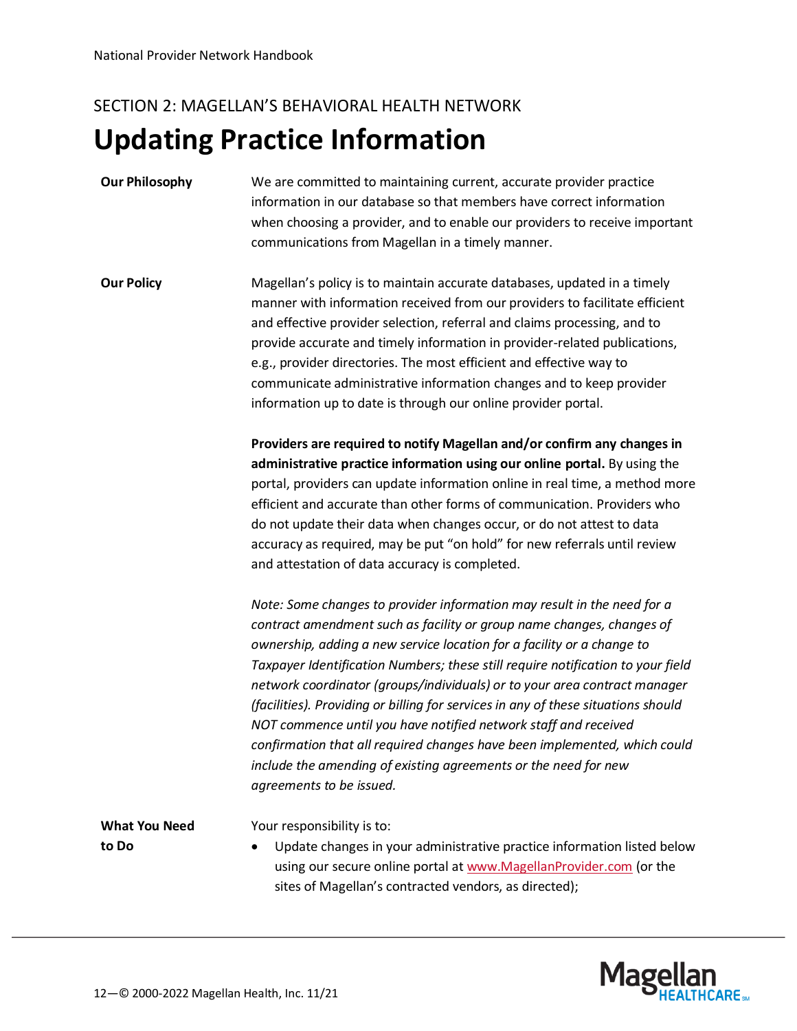### <span id="page-11-0"></span>SECTION 2: MAGELLAN'S BEHAVIORAL HEALTH NETWORK **Updating Practice Information**

- **Our Philosophy** We are committed to maintaining current, accurate provider practice information in our database so that members have correct information when choosing a provider, and to enable our providers to receive important communications from Magellan in a timely manner.
- **Our Policy** Magellan's policy is to maintain accurate databases, updated in a timely manner with information received from our providers to facilitate efficient and effective provider selection, referral and claims processing, and to provide accurate and timely information in provider-related publications, e.g., provider directories. The most efficient and effective way to communicate administrative information changes and to keep provider information up to date is through our online provider portal.

**Providers are required to notify Magellan and/or confirm any changes in administrative practice information using our online portal.** By using the portal, providers can update information online in real time, a method more efficient and accurate than other forms of communication. Providers who do not update their data when changes occur, or do not attest to data accuracy as required, may be put "on hold" for new referrals until review and attestation of data accuracy is completed.

*Note: Some changes to provider information may result in the need for a contract amendment such as facility or group name changes, changes of ownership, adding a new service location for a facility or a change to Taxpayer Identification Numbers; these still require notification to your field network coordinator (groups/individuals) or to your area contract manager (facilities). Providing or billing for services in any of these situations should NOT commence until you have notified network staff and received confirmation that all required changes have been implemented, which could include the amending of existing agreements or the need for new agreements to be issued.*

**What You Need to Do**

Your responsibility is to:

• Update changes in your administrative practice information listed below using our secure online portal a[t www.MagellanProvider.com](http://www.magellanprovider.com/) (or the sites of Magellan's contracted vendors, as directed);

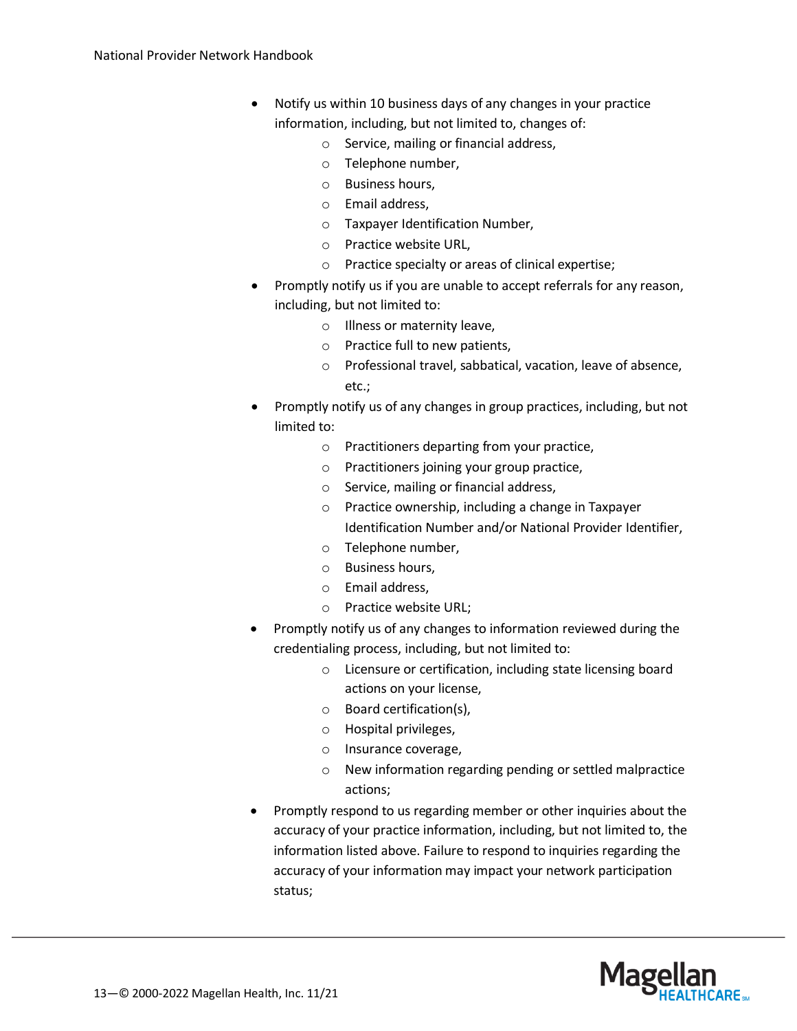- Notify us within 10 business days of any changes in your practice information, including, but not limited to, changes of:
	- o Service, mailing or financial address,
	- o Telephone number,
	- o Business hours,
	- o Email address,
	- o Taxpayer Identification Number,
	- o Practice website URL,
	- o Practice specialty or areas of clinical expertise;
- Promptly notify us if you are unable to accept referrals for any reason, including, but not limited to:
	- o Illness or maternity leave,
	- o Practice full to new patients,
	- o Professional travel, sabbatical, vacation, leave of absence, etc.;
- Promptly notify us of any changes in group practices, including, but not limited to:
	- o Practitioners departing from your practice,
	- o Practitioners joining your group practice,
	- o Service, mailing or financial address,
	- o Practice ownership, including a change in Taxpayer Identification Number and/or National Provider Identifier,
	- o Telephone number,
	- o Business hours,
	- o Email address,
	- o Practice website URL;
- Promptly notify us of any changes to information reviewed during the credentialing process, including, but not limited to:
	- o Licensure or certification, including state licensing board actions on your license,
	- o Board certification(s),
	- o Hospital privileges,
	- o Insurance coverage,
	- o New information regarding pending or settled malpractice actions;
- Promptly respond to us regarding member or other inquiries about the accuracy of your practice information, including, but not limited to, the information listed above. Failure to respond to inquiries regarding the accuracy of your information may impact your network participation status;

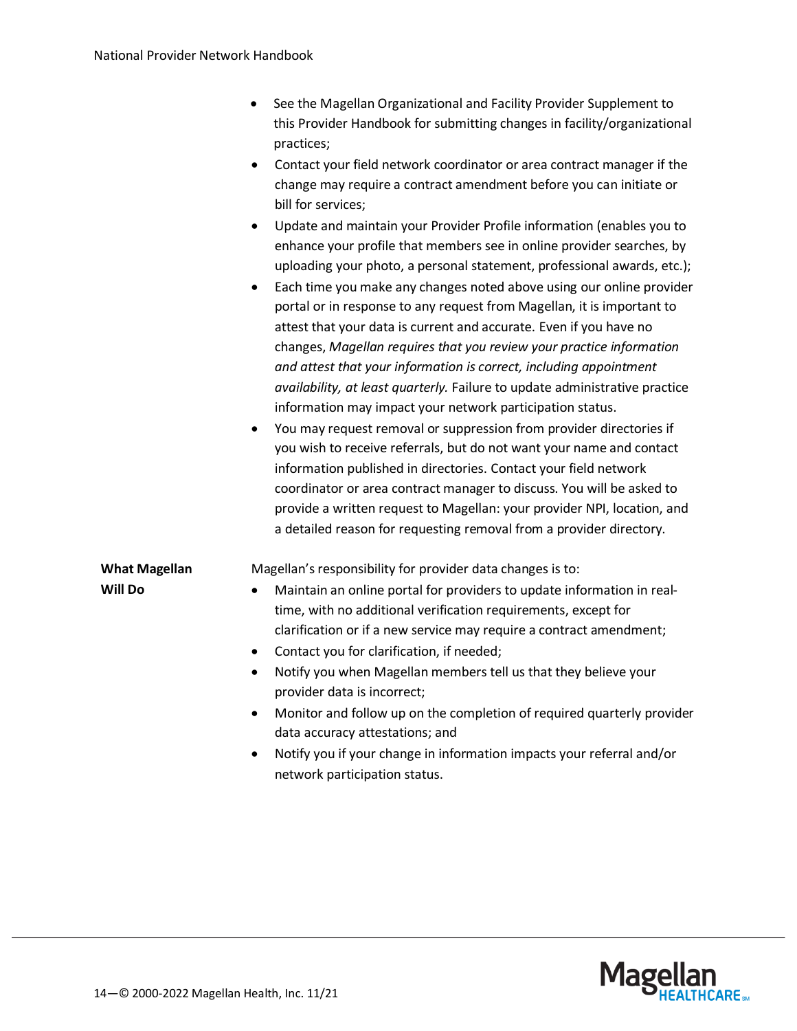| See the Magellan Organizational and Facility Provider Supplement to      |  |
|--------------------------------------------------------------------------|--|
| this Provider Handbook for submitting changes in facility/organizational |  |
| practices;                                                               |  |

- Contact your field network coordinator or area contract manager if the change may require a contract amendment before you can initiate or bill for services;
- Update and maintain your Provider Profile information (enables you to enhance your profile that members see in online provider searches, by uploading your photo, a personal statement, professional awards, etc.);
- Each time you make any changes noted above using our online provider portal or in response to any request from Magellan, it is important to attest that your data is current and accurate. Even if you have no changes, *Magellan requires that you review your practice information and attest that your information is correct, including appointment availability, at least quarterly.* Failure to update administrative practice information may impact your network participation status.
- You may request removal or suppression from provider directories if you wish to receive referrals, but do not want your name and contact information published in directories. Contact your field network coordinator or area contract manager to discuss. You will be asked to provide a written request to Magellan: your provider NPI, location, and a detailed reason for requesting removal from a provider directory.

| <b>What Magellan</b> | Magellan's responsibility for provider data changes is to:             |
|----------------------|------------------------------------------------------------------------|
| Will Do              | Maintain an online portal for providers to update information in real- |
|                      | time, with no additional verification requirements, except for         |
|                      | clarification or if a new service may require a contract amendment;    |
|                      | Contact you for clarification, if needed;<br>$\bullet$                 |
|                      | Notify you when Magellan members tell us that they believe your        |

- Notify you when Magellan members tell us that they believe your provider data is incorrect;
- Monitor and follow up on the completion of required quarterly provider data accuracy attestations; and
- Notify you if your change in information impacts your referral and/or network participation status.

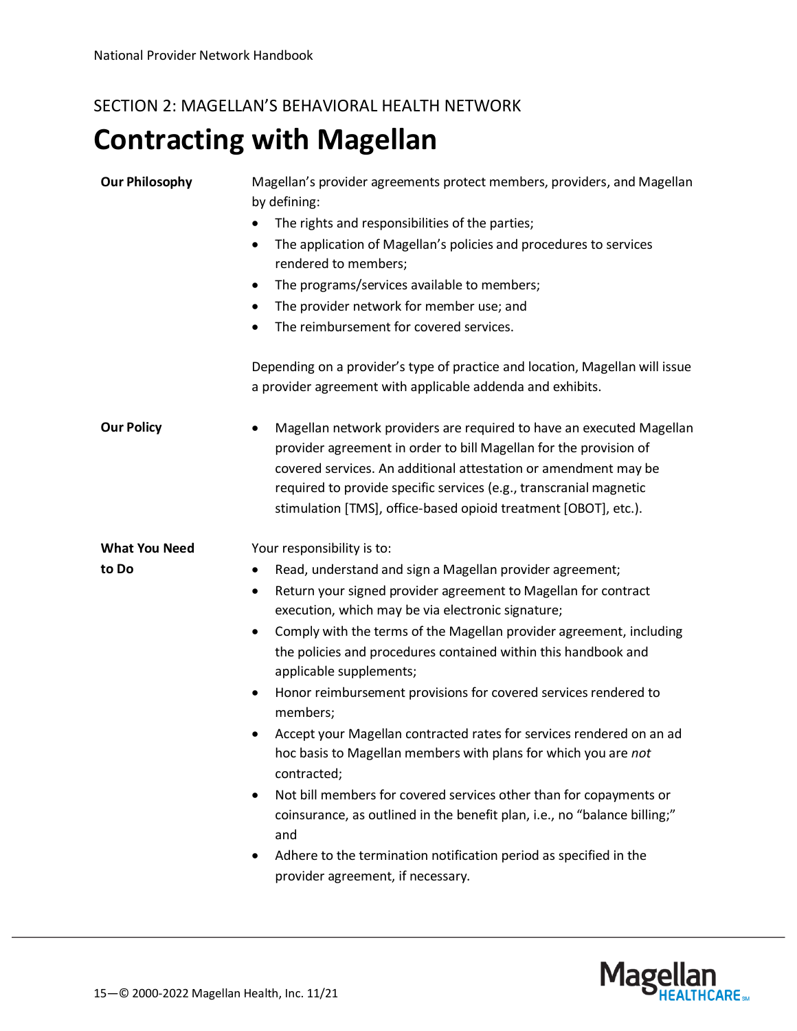### <span id="page-14-0"></span>**Contracting with Magellan**

| <b>Our Philosophy</b>         | Magellan's provider agreements protect members, providers, and Magellan<br>by defining:<br>The rights and responsibilities of the parties;<br>٠<br>The application of Magellan's policies and procedures to services<br>$\bullet$<br>rendered to members;<br>The programs/services available to members;<br>$\bullet$<br>The provider network for member use; and<br>The reimbursement for covered services.<br>٠<br>Depending on a provider's type of practice and location, Magellan will issue<br>a provider agreement with applicable addenda and exhibits.                                                                                                                                                                                                                                                                                                                                                                                     |
|-------------------------------|-----------------------------------------------------------------------------------------------------------------------------------------------------------------------------------------------------------------------------------------------------------------------------------------------------------------------------------------------------------------------------------------------------------------------------------------------------------------------------------------------------------------------------------------------------------------------------------------------------------------------------------------------------------------------------------------------------------------------------------------------------------------------------------------------------------------------------------------------------------------------------------------------------------------------------------------------------|
| <b>Our Policy</b>             | Magellan network providers are required to have an executed Magellan<br>$\bullet$<br>provider agreement in order to bill Magellan for the provision of<br>covered services. An additional attestation or amendment may be<br>required to provide specific services (e.g., transcranial magnetic<br>stimulation [TMS], office-based opioid treatment [OBOT], etc.).                                                                                                                                                                                                                                                                                                                                                                                                                                                                                                                                                                                  |
| <b>What You Need</b><br>to Do | Your responsibility is to:<br>Read, understand and sign a Magellan provider agreement;<br>٠<br>Return your signed provider agreement to Magellan for contract<br>$\bullet$<br>execution, which may be via electronic signature;<br>Comply with the terms of the Magellan provider agreement, including<br>٠<br>the policies and procedures contained within this handbook and<br>applicable supplements;<br>Honor reimbursement provisions for covered services rendered to<br>$\bullet$<br>members;<br>Accept your Magellan contracted rates for services rendered on an ad<br>hoc basis to Magellan members with plans for which you are not<br>contracted;<br>Not bill members for covered services other than for copayments or<br>$\bullet$<br>coinsurance, as outlined in the benefit plan, i.e., no "balance billing;"<br>and<br>Adhere to the termination notification period as specified in the<br>٠<br>provider agreement, if necessary. |

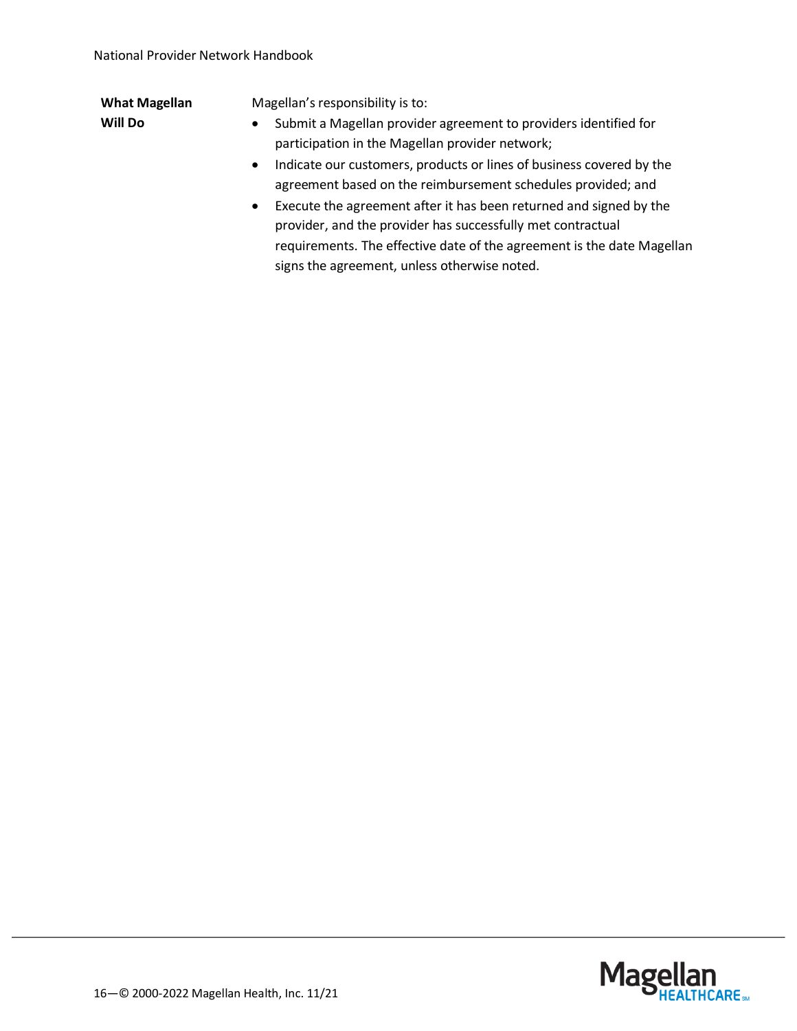| <b>What Magellan</b> | Magellan's responsibility is to:                                                                                                                                                                                         |
|----------------------|--------------------------------------------------------------------------------------------------------------------------------------------------------------------------------------------------------------------------|
| <b>Will Do</b>       | Submit a Magellan provider agreement to providers identified for<br>$\bullet$<br>participation in the Magellan provider network;                                                                                         |
|                      | Indicate our customers, products or lines of business covered by the<br>$\bullet$<br>agreement based on the reimbursement schedules provided; and                                                                        |
|                      | Execute the agreement after it has been returned and signed by the<br>$\bullet$<br>provider, and the provider has successfully met contractual<br>requirements. The effective date of the agreement is the date Magellan |

signs the agreement, unless otherwise noted.

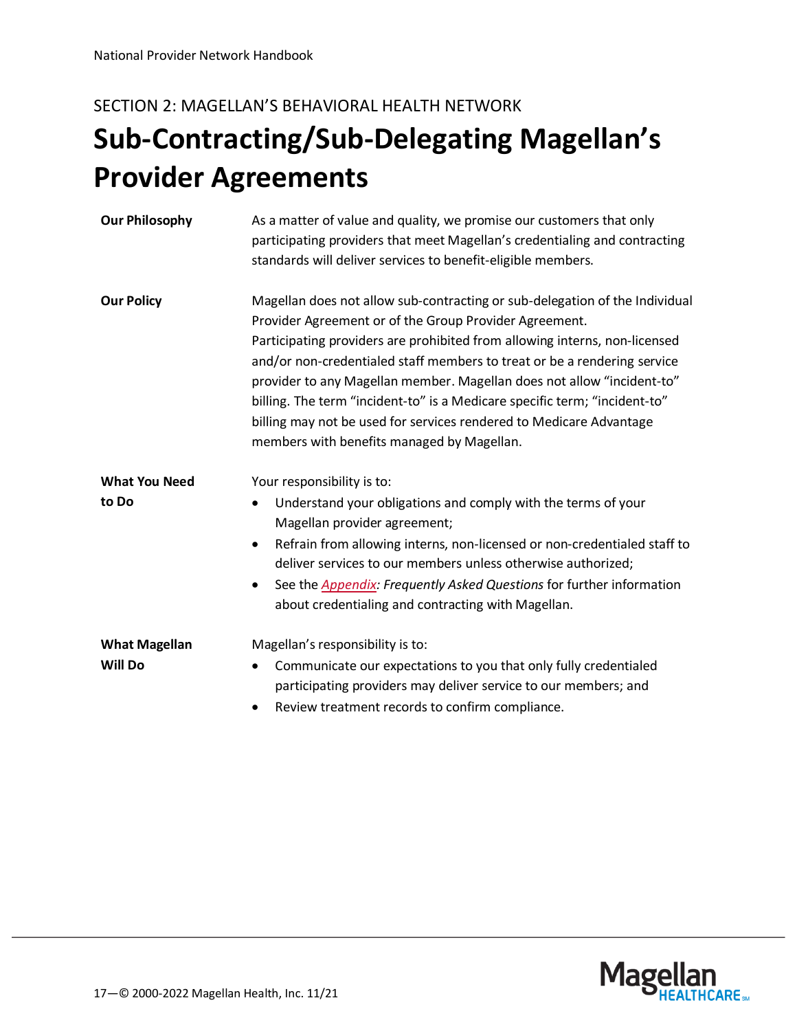## <span id="page-16-0"></span>**Sub-Contracting/Sub-Delegating Magellan's Provider Agreements**

| <b>Our Philosophy</b>                  | As a matter of value and quality, we promise our customers that only<br>participating providers that meet Magellan's credentialing and contracting<br>standards will deliver services to benefit-eligible members.                                                                                                                                                                                                                                                                                                                                                           |
|----------------------------------------|------------------------------------------------------------------------------------------------------------------------------------------------------------------------------------------------------------------------------------------------------------------------------------------------------------------------------------------------------------------------------------------------------------------------------------------------------------------------------------------------------------------------------------------------------------------------------|
| <b>Our Policy</b>                      | Magellan does not allow sub-contracting or sub-delegation of the Individual<br>Provider Agreement or of the Group Provider Agreement.<br>Participating providers are prohibited from allowing interns, non-licensed<br>and/or non-credentialed staff members to treat or be a rendering service<br>provider to any Magellan member. Magellan does not allow "incident-to"<br>billing. The term "incident-to" is a Medicare specific term; "incident-to"<br>billing may not be used for services rendered to Medicare Advantage<br>members with benefits managed by Magellan. |
| <b>What You Need</b>                   | Your responsibility is to:                                                                                                                                                                                                                                                                                                                                                                                                                                                                                                                                                   |
| to Do                                  | Understand your obligations and comply with the terms of your<br>$\bullet$<br>Magellan provider agreement;<br>Refrain from allowing interns, non-licensed or non-credentialed staff to<br>$\bullet$<br>deliver services to our members unless otherwise authorized;<br>See the Appendix: Frequently Asked Questions for further information<br>about credentialing and contracting with Magellan.                                                                                                                                                                            |
| <b>What Magellan</b><br><b>Will Do</b> | Magellan's responsibility is to:<br>Communicate our expectations to you that only fully credentialed<br>٠<br>participating providers may deliver service to our members; and<br>Review treatment records to confirm compliance.                                                                                                                                                                                                                                                                                                                                              |

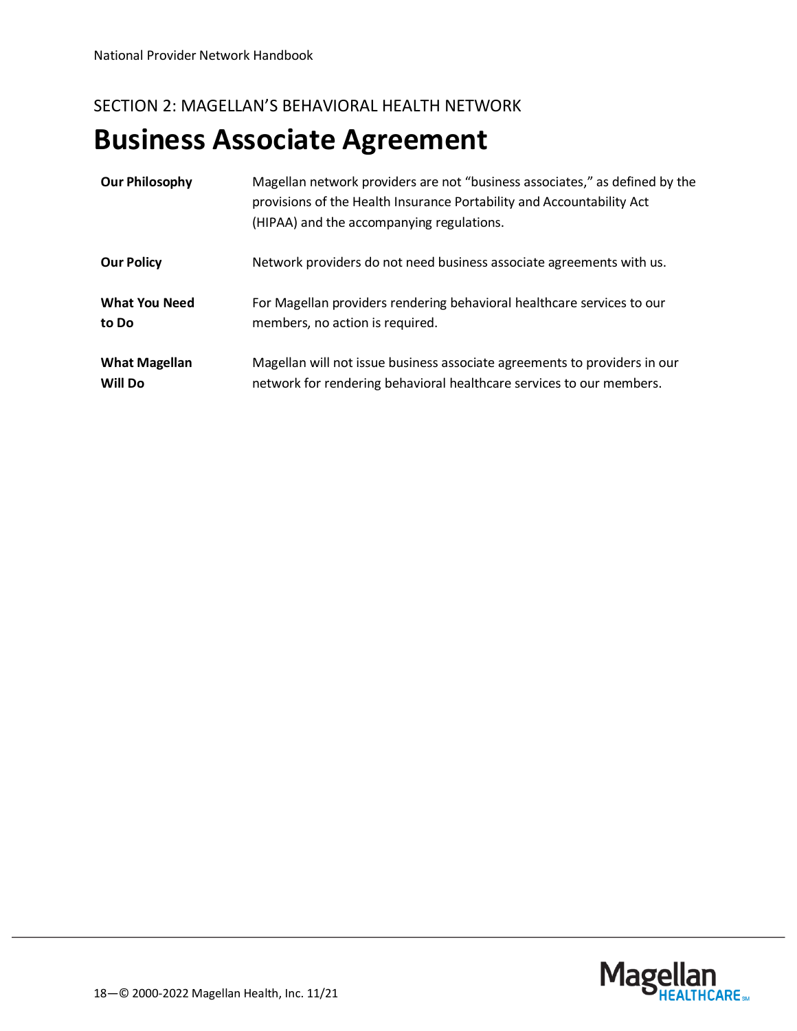### <span id="page-17-0"></span>**Business Associate Agreement**

| <b>Our Philosophy</b> | Magellan network providers are not "business associates," as defined by the<br>provisions of the Health Insurance Portability and Accountability Act<br>(HIPAA) and the accompanying regulations. |
|-----------------------|---------------------------------------------------------------------------------------------------------------------------------------------------------------------------------------------------|
| <b>Our Policy</b>     | Network providers do not need business associate agreements with us.                                                                                                                              |
| <b>What You Need</b>  | For Magellan providers rendering behavioral healthcare services to our                                                                                                                            |
| to Do                 | members, no action is required.                                                                                                                                                                   |
| <b>What Magellan</b>  | Magellan will not issue business associate agreements to providers in our                                                                                                                         |
| <b>Will Do</b>        | network for rendering behavioral healthcare services to our members.                                                                                                                              |

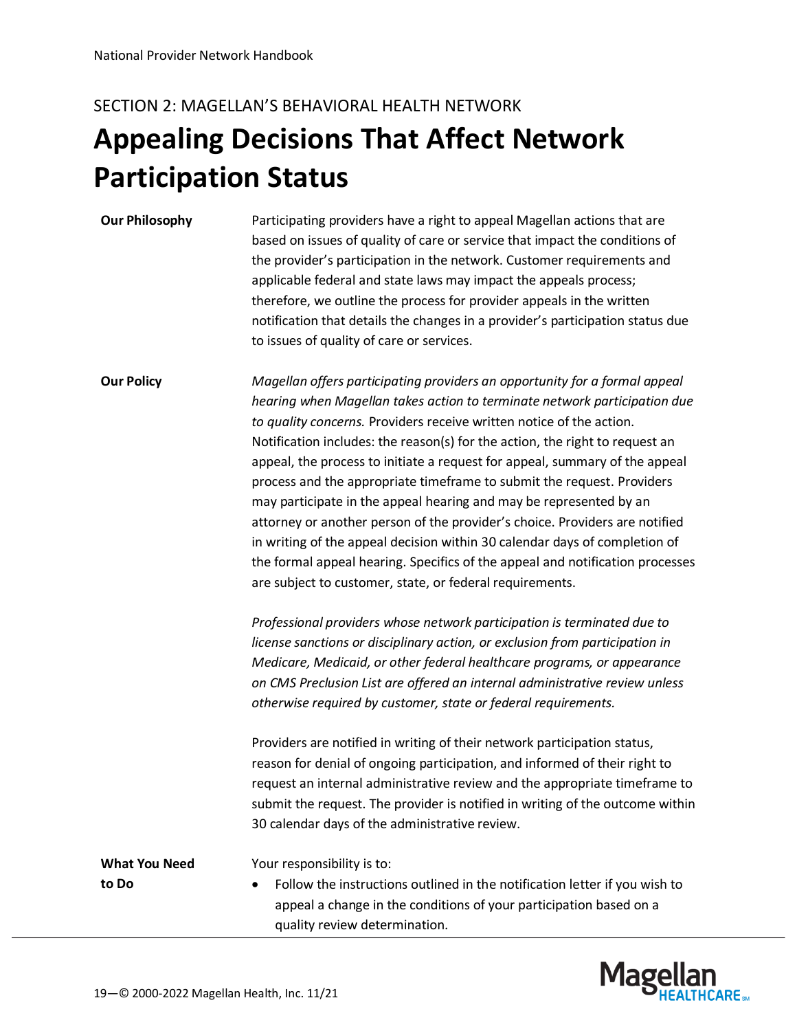### <span id="page-18-0"></span>**Appealing Decisions That Affect Network Participation Status**

**Our Philosophy** Participating providers have a right to appeal Magellan actions that are based on issues of quality of care or service that impact the conditions of the provider's participation in the network. Customer requirements and applicable federal and state laws may impact the appeals process; therefore, we outline the process for provider appeals in the written notification that details the changes in a provider's participation status due to issues of quality of care or services.

**Our Policy** *Magellan offers participating providers an opportunity for a formal appeal hearing when Magellan takes action to terminate network participation due to quality concerns.* Providers receive written notice of the action. Notification includes: the reason(s) for the action, the right to request an appeal, the process to initiate a request for appeal, summary of the appeal process and the appropriate timeframe to submit the request. Providers may participate in the appeal hearing and may be represented by an attorney or another person of the provider's choice. Providers are notified in writing of the appeal decision within 30 calendar days of completion of the formal appeal hearing. Specifics of the appeal and notification processes are subject to customer, state, or federal requirements.

> *Professional providers whose network participation is terminated due to license sanctions or disciplinary action, or exclusion from participation in Medicare, Medicaid, or other federal healthcare programs, or appearance on CMS Preclusion List are offered an internal administrative review unless otherwise required by customer, state or federal requirements.*

Providers are notified in writing of their network participation status, reason for denial of ongoing participation, and informed of their right to request an internal administrative review and the appropriate timeframe to submit the request. The provider is notified in writing of the outcome within 30 calendar days of the administrative review.

**What You Need to Do**

Your responsibility is to:

• Follow the instructions outlined in the notification letter if you wish to appeal a change in the conditions of your participation based on a quality review determination.

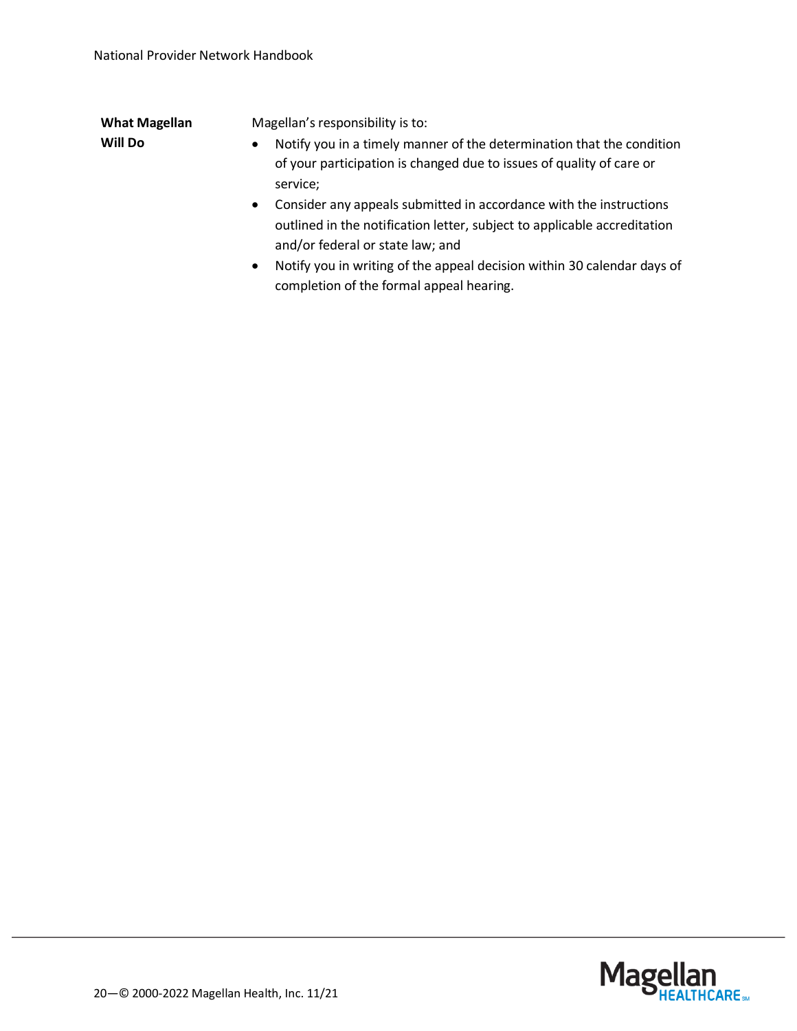| <b>What Magellan</b> | Magellan's responsibility is to:                                                                                                                                                                |
|----------------------|-------------------------------------------------------------------------------------------------------------------------------------------------------------------------------------------------|
| <b>Will Do</b>       | Notify you in a timely manner of the determination that the condition<br>$\bullet$<br>of your participation is changed due to issues of quality of care or<br>service;                          |
|                      | Consider any appeals submitted in accordance with the instructions<br>$\bullet$<br>outlined in the notification letter, subject to applicable accreditation<br>and/or federal or state law; and |

• Notify you in writing of the appeal decision within 30 calendar days of completion of the formal appeal hearing.

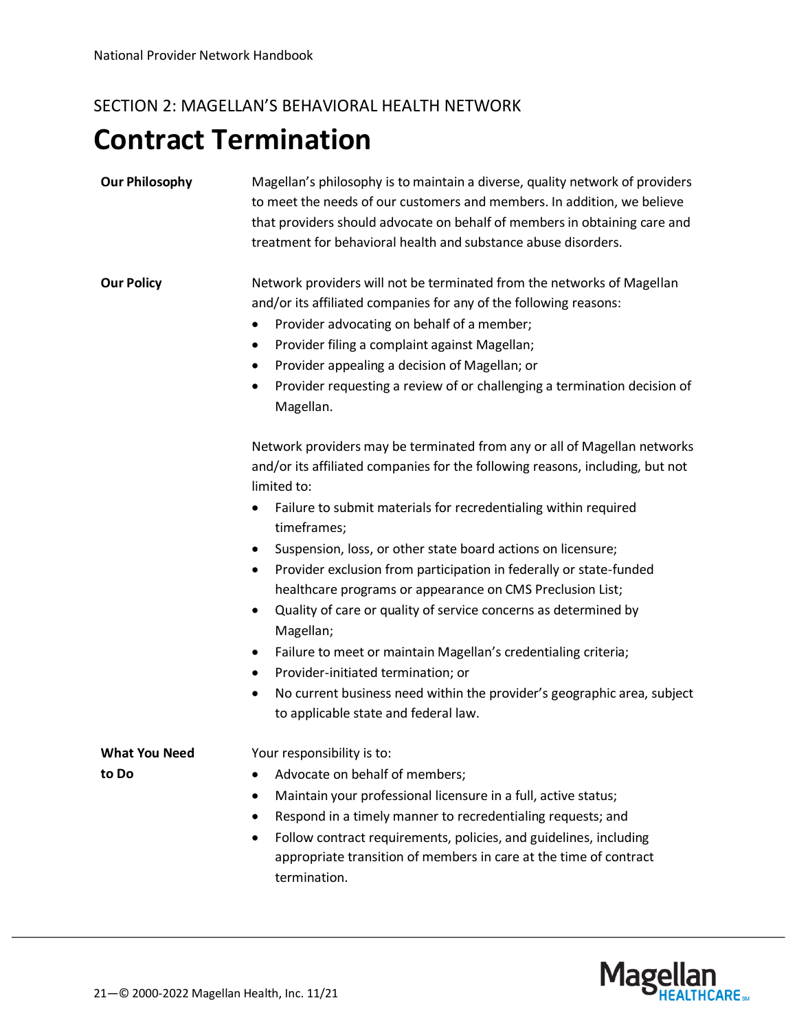### <span id="page-20-0"></span>**Contract Termination**

| <b>Our Philosophy</b>         | Magellan's philosophy is to maintain a diverse, quality network of providers<br>to meet the needs of our customers and members. In addition, we believe<br>that providers should advocate on behalf of members in obtaining care and<br>treatment for behavioral health and substance abuse disorders.                                                                                                                                                                                                                                                                                                                                                                                                                                                                                                                                      |
|-------------------------------|---------------------------------------------------------------------------------------------------------------------------------------------------------------------------------------------------------------------------------------------------------------------------------------------------------------------------------------------------------------------------------------------------------------------------------------------------------------------------------------------------------------------------------------------------------------------------------------------------------------------------------------------------------------------------------------------------------------------------------------------------------------------------------------------------------------------------------------------|
| <b>Our Policy</b>             | Network providers will not be terminated from the networks of Magellan<br>and/or its affiliated companies for any of the following reasons:<br>Provider advocating on behalf of a member;<br>$\bullet$<br>Provider filing a complaint against Magellan;<br>٠<br>Provider appealing a decision of Magellan; or<br>٠<br>Provider requesting a review of or challenging a termination decision of<br>٠<br>Magellan.                                                                                                                                                                                                                                                                                                                                                                                                                            |
|                               | Network providers may be terminated from any or all of Magellan networks<br>and/or its affiliated companies for the following reasons, including, but not<br>limited to:<br>Failure to submit materials for recredentialing within required<br>٠<br>timeframes;<br>Suspension, loss, or other state board actions on licensure;<br>$\bullet$<br>Provider exclusion from participation in federally or state-funded<br>٠<br>healthcare programs or appearance on CMS Preclusion List;<br>Quality of care or quality of service concerns as determined by<br>٠<br>Magellan;<br>Failure to meet or maintain Magellan's credentialing criteria;<br>$\bullet$<br>Provider-initiated termination; or<br>$\bullet$<br>No current business need within the provider's geographic area, subject<br>$\bullet$<br>to applicable state and federal law. |
| <b>What You Need</b><br>to Do | Your responsibility is to:<br>Advocate on behalf of members;<br>Maintain your professional licensure in a full, active status;<br>$\bullet$<br>Respond in a timely manner to recredentialing requests; and<br>Follow contract requirements, policies, and guidelines, including<br>٠<br>appropriate transition of members in care at the time of contract<br>termination.                                                                                                                                                                                                                                                                                                                                                                                                                                                                   |

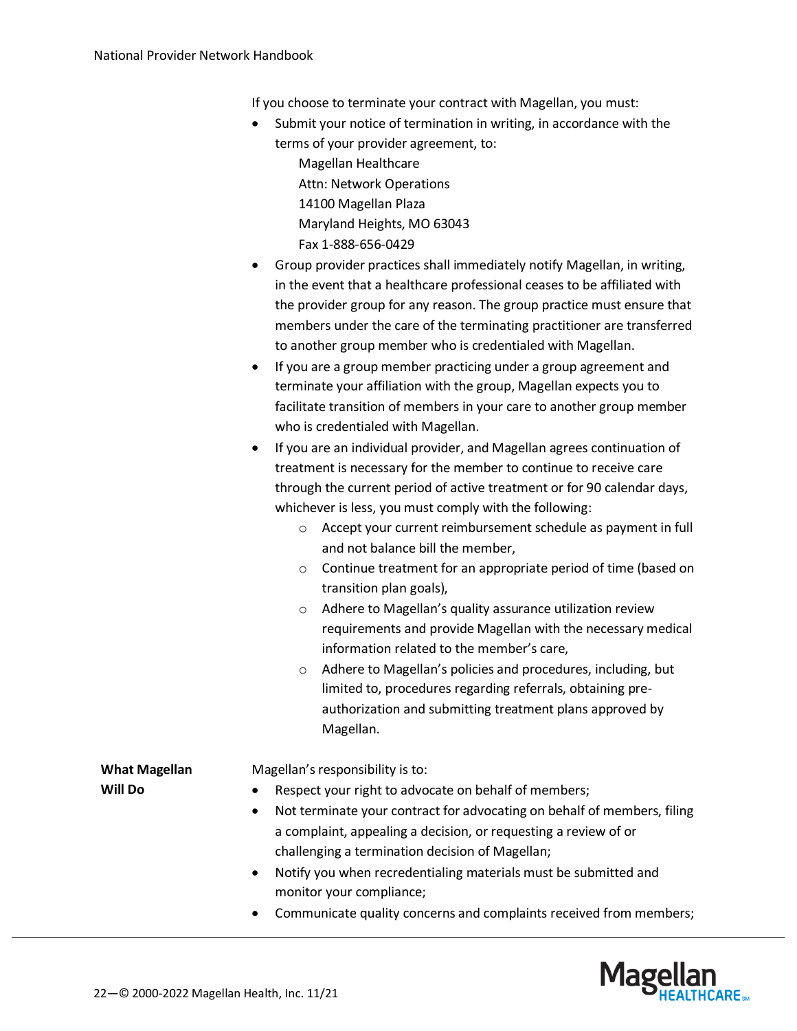If you choose to terminate your contract with Magellan, you must:

- Submit your notice of termination in writing, in accordance with the terms of your provider agreement, to: Magellan Healthcare Attn: Network Operations 14100 Magellan Plaza Maryland Heights, MO 63043 Fax 1-888-656-0429 • Group provider practices shall immediately notify Magellan, in writing, in the event that a healthcare professional ceases to be affiliated with the provider group for any reason. The group practice must ensure that members under the care of the terminating practitioner are transferred to another group member who is credentialed with Magellan. • If you are a group member practicing under a group agreement and terminate your affiliation with the group, Magellan expects you to facilitate transition of members in your care to another group member who is credentialed with Magellan. • If you are an individual provider, and Magellan agrees continuation of treatment is necessary for the member to continue to receive care through the current period of active treatment or for 90 calendar days, whichever is less, you must comply with the following: o Accept your current reimbursement schedule as payment in full and not balance bill the member, o Continue treatment for an appropriate period of time (based on transition plan goals), o Adhere to Magellan's quality assurance utilization review requirements and provide Magellan with the necessary medical information related to the member's care, o Adhere to Magellan's policies and procedures, including, but limited to, procedures regarding referrals, obtaining preauthorization and submitting treatment plans approved by Magellan. **What Magellan**  Magellan's responsibility is to: Respect your right to advocate on behalf of members; • Not terminate your contract for advocating on behalf of members, filing a complaint, appealing a decision, or requesting a review of or challenging a termination decision of Magellan; • Notify you when recredentialing materials must be submitted and monitor your compliance;
	- Communicate quality concerns and complaints received from members;



**Will Do**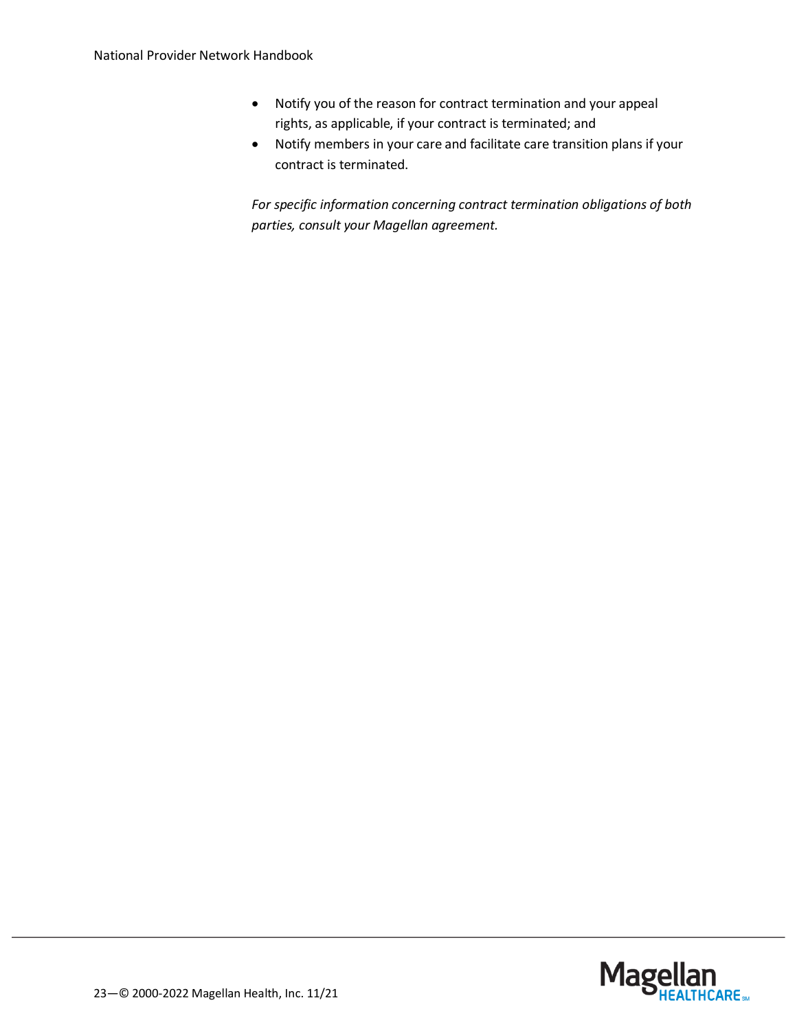- Notify you of the reason for contract termination and your appeal rights, as applicable, if your contract is terminated; and
- Notify members in your care and facilitate care transition plans if your contract is terminated.

*For specific information concerning contract termination obligations of both parties, consult your Magellan agreement.*

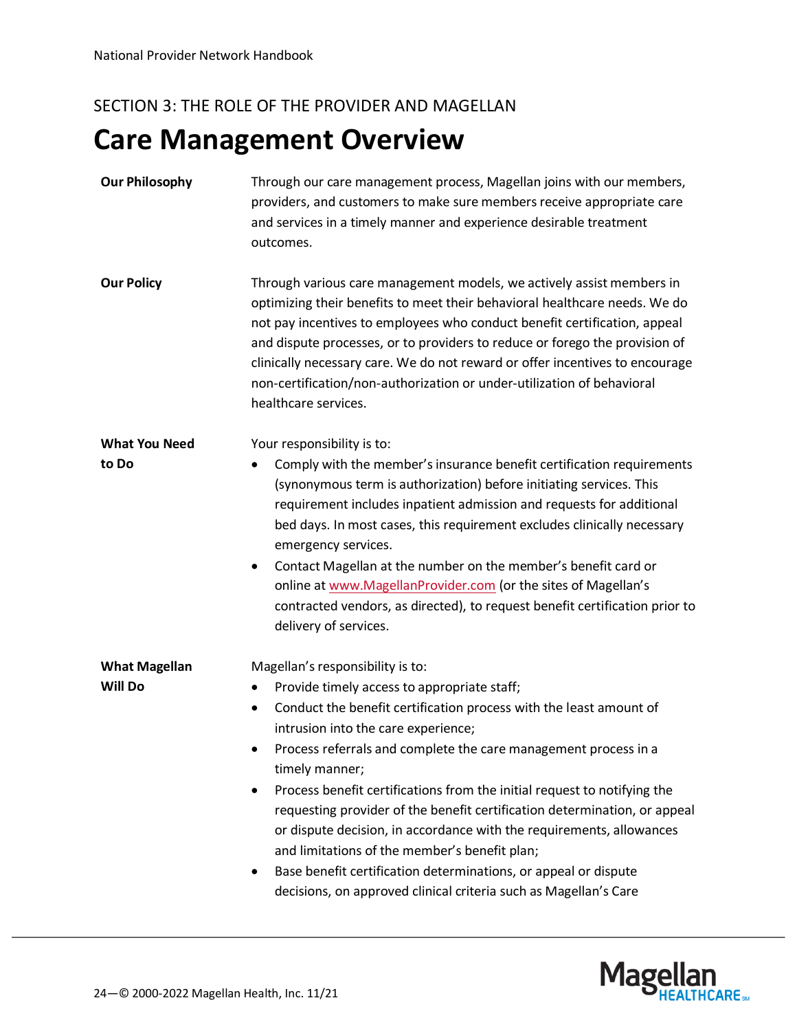### <span id="page-23-1"></span><span id="page-23-0"></span>**Care Management Overview**

| <b>Our Philosophy</b> | Through our care management process, Magellan joins with our members,<br>providers, and customers to make sure members receive appropriate care<br>and services in a timely manner and experience desirable treatment<br>outcomes.                                                                                                                                                                                                                                                                |
|-----------------------|---------------------------------------------------------------------------------------------------------------------------------------------------------------------------------------------------------------------------------------------------------------------------------------------------------------------------------------------------------------------------------------------------------------------------------------------------------------------------------------------------|
| <b>Our Policy</b>     | Through various care management models, we actively assist members in<br>optimizing their benefits to meet their behavioral healthcare needs. We do<br>not pay incentives to employees who conduct benefit certification, appeal<br>and dispute processes, or to providers to reduce or forego the provision of<br>clinically necessary care. We do not reward or offer incentives to encourage<br>non-certification/non-authorization or under-utilization of behavioral<br>healthcare services. |
| <b>What You Need</b>  | Your responsibility is to:                                                                                                                                                                                                                                                                                                                                                                                                                                                                        |
| to Do                 | Comply with the member's insurance benefit certification requirements<br>(synonymous term is authorization) before initiating services. This<br>requirement includes inpatient admission and requests for additional<br>bed days. In most cases, this requirement excludes clinically necessary<br>emergency services.                                                                                                                                                                            |
|                       | Contact Magellan at the number on the member's benefit card or<br>٠<br>online at www.MagellanProvider.com (or the sites of Magellan's<br>contracted vendors, as directed), to request benefit certification prior to<br>delivery of services.                                                                                                                                                                                                                                                     |
| <b>What Magellan</b>  | Magellan's responsibility is to:                                                                                                                                                                                                                                                                                                                                                                                                                                                                  |
| <b>Will Do</b>        | Provide timely access to appropriate staff;<br>٠                                                                                                                                                                                                                                                                                                                                                                                                                                                  |
|                       | Conduct the benefit certification process with the least amount of<br>٠<br>intrusion into the care experience;                                                                                                                                                                                                                                                                                                                                                                                    |
|                       | Process referrals and complete the care management process in a<br>٠<br>timely manner;                                                                                                                                                                                                                                                                                                                                                                                                            |
|                       | Process benefit certifications from the initial request to notifying the<br>requesting provider of the benefit certification determination, or appeal<br>or dispute decision, in accordance with the requirements, allowances<br>and limitations of the member's benefit plan;                                                                                                                                                                                                                    |
|                       | Base benefit certification determinations, or appeal or dispute                                                                                                                                                                                                                                                                                                                                                                                                                                   |
|                       | decisions, on approved clinical criteria such as Magellan's Care                                                                                                                                                                                                                                                                                                                                                                                                                                  |

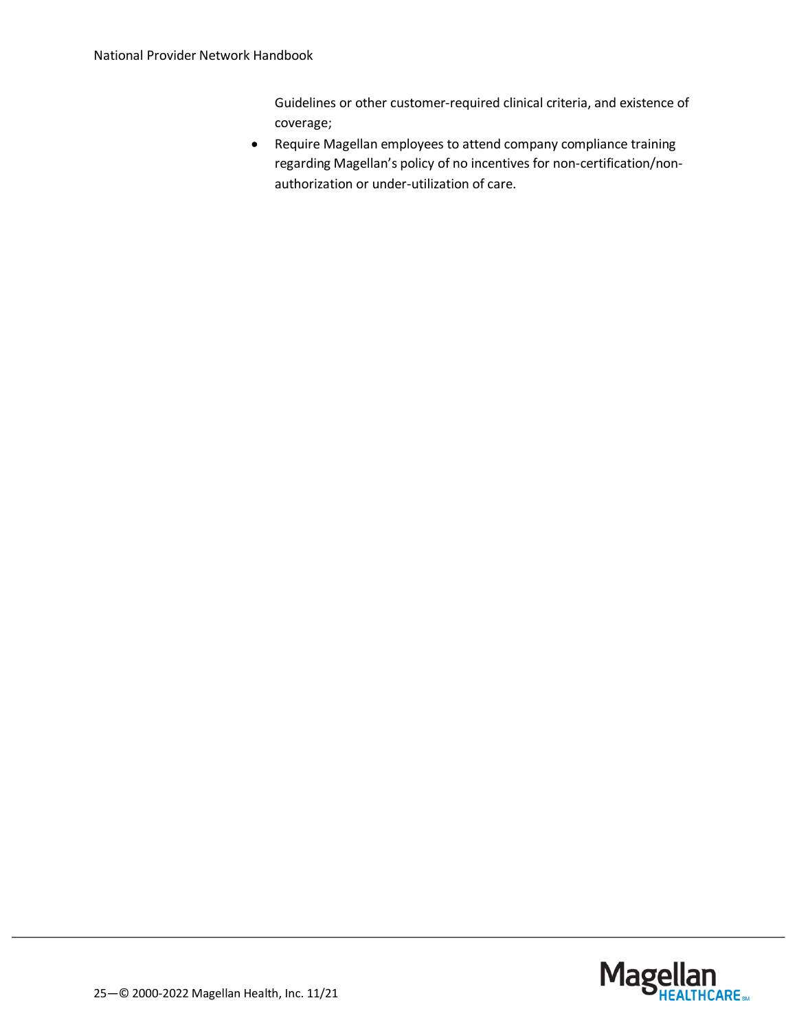Guidelines or other customer-required clinical criteria, and existence of coverage;

• Require Magellan employees to attend company compliance training regarding Magellan's policy of no incentives for non-certification/nonauthorization or under-utilization of care.

Magellan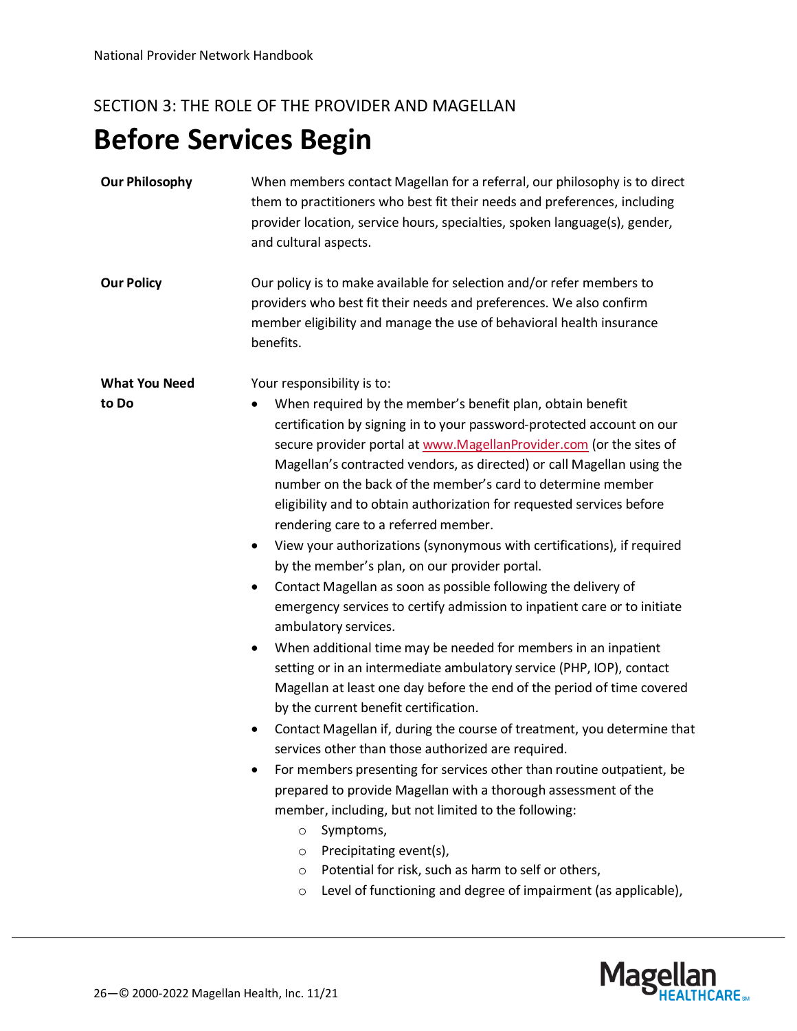### <span id="page-25-0"></span>**Before Services Begin**

| <b>Our Philosophy</b>         | When members contact Magellan for a referral, our philosophy is to direct<br>them to practitioners who best fit their needs and preferences, including<br>provider location, service hours, specialties, spoken language(s), gender,<br>and cultural aspects.                                                                                                                                                                                                                                                                                                                                                                                                                                                                                                                                                                                                                                                                                                                                                                                                                                                                                                                                                                                                                                                                                                                                                                                                                                                                                             |
|-------------------------------|-----------------------------------------------------------------------------------------------------------------------------------------------------------------------------------------------------------------------------------------------------------------------------------------------------------------------------------------------------------------------------------------------------------------------------------------------------------------------------------------------------------------------------------------------------------------------------------------------------------------------------------------------------------------------------------------------------------------------------------------------------------------------------------------------------------------------------------------------------------------------------------------------------------------------------------------------------------------------------------------------------------------------------------------------------------------------------------------------------------------------------------------------------------------------------------------------------------------------------------------------------------------------------------------------------------------------------------------------------------------------------------------------------------------------------------------------------------------------------------------------------------------------------------------------------------|
| <b>Our Policy</b>             | Our policy is to make available for selection and/or refer members to<br>providers who best fit their needs and preferences. We also confirm<br>member eligibility and manage the use of behavioral health insurance<br>benefits.                                                                                                                                                                                                                                                                                                                                                                                                                                                                                                                                                                                                                                                                                                                                                                                                                                                                                                                                                                                                                                                                                                                                                                                                                                                                                                                         |
| <b>What You Need</b><br>to Do | Your responsibility is to:<br>When required by the member's benefit plan, obtain benefit                                                                                                                                                                                                                                                                                                                                                                                                                                                                                                                                                                                                                                                                                                                                                                                                                                                                                                                                                                                                                                                                                                                                                                                                                                                                                                                                                                                                                                                                  |
|                               | certification by signing in to your password-protected account on our<br>secure provider portal at www.MagellanProvider.com (or the sites of<br>Magellan's contracted vendors, as directed) or call Magellan using the<br>number on the back of the member's card to determine member<br>eligibility and to obtain authorization for requested services before<br>rendering care to a referred member.<br>View your authorizations (synonymous with certifications), if required<br>$\bullet$<br>by the member's plan, on our provider portal.<br>Contact Magellan as soon as possible following the delivery of<br>$\bullet$<br>emergency services to certify admission to inpatient care or to initiate<br>ambulatory services.<br>When additional time may be needed for members in an inpatient<br>٠<br>setting or in an intermediate ambulatory service (PHP, IOP), contact<br>Magellan at least one day before the end of the period of time covered<br>by the current benefit certification.<br>Contact Magellan if, during the course of treatment, you determine that<br>٠<br>services other than those authorized are required.<br>For members presenting for services other than routine outpatient, be<br>prepared to provide Magellan with a thorough assessment of the<br>member, including, but not limited to the following:<br>Symptoms,<br>$\circ$<br>Precipitating event(s),<br>$\circ$<br>Potential for risk, such as harm to self or others,<br>$\circ$<br>Level of functioning and degree of impairment (as applicable),<br>$\circ$ |

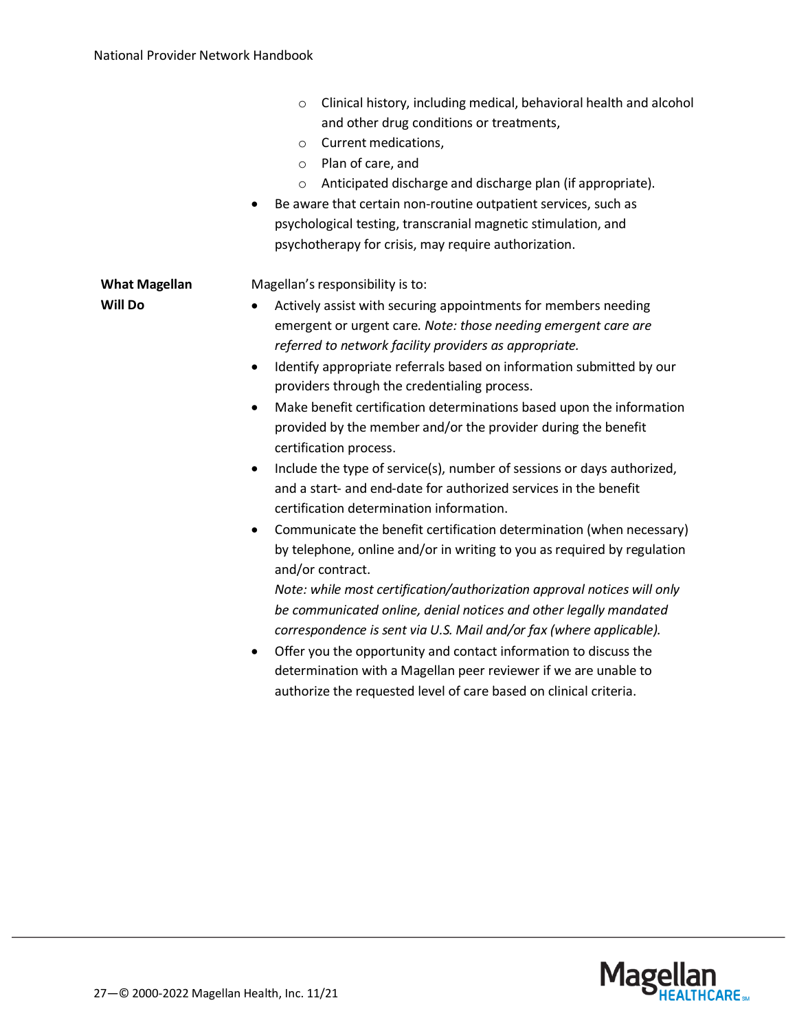|                                        | Clinical history, including medical, behavioral health and alcohol<br>$\circ$<br>and other drug conditions or treatments,<br>Current medications,<br>$\circ$<br>Plan of care, and<br>$\circ$<br>Anticipated discharge and discharge plan (if appropriate).<br>$\circ$<br>Be aware that certain non-routine outpatient services, such as<br>٠<br>psychological testing, transcranial magnetic stimulation, and<br>psychotherapy for crisis, may require authorization.                                                                                                                                                                                                                                                                                                                                                                                                                                                                                                                                                                                                                                                                                                                                                                                                                                                                                                                          |
|----------------------------------------|------------------------------------------------------------------------------------------------------------------------------------------------------------------------------------------------------------------------------------------------------------------------------------------------------------------------------------------------------------------------------------------------------------------------------------------------------------------------------------------------------------------------------------------------------------------------------------------------------------------------------------------------------------------------------------------------------------------------------------------------------------------------------------------------------------------------------------------------------------------------------------------------------------------------------------------------------------------------------------------------------------------------------------------------------------------------------------------------------------------------------------------------------------------------------------------------------------------------------------------------------------------------------------------------------------------------------------------------------------------------------------------------|
| <b>What Magellan</b><br><b>Will Do</b> | Magellan's responsibility is to:<br>Actively assist with securing appointments for members needing<br>$\bullet$<br>emergent or urgent care. Note: those needing emergent care are<br>referred to network facility providers as appropriate.<br>Identify appropriate referrals based on information submitted by our<br>$\bullet$<br>providers through the credentialing process.<br>Make benefit certification determinations based upon the information<br>$\bullet$<br>provided by the member and/or the provider during the benefit<br>certification process.<br>Include the type of service(s), number of sessions or days authorized,<br>$\bullet$<br>and a start- and end-date for authorized services in the benefit<br>certification determination information.<br>Communicate the benefit certification determination (when necessary)<br>$\bullet$<br>by telephone, online and/or in writing to you as required by regulation<br>and/or contract.<br>Note: while most certification/authorization approval notices will only<br>be communicated online, denial notices and other legally mandated<br>correspondence is sent via U.S. Mail and/or fax (where applicable).<br>Offer you the opportunity and contact information to discuss the<br>determination with a Magellan peer reviewer if we are unable to<br>authorize the requested level of care based on clinical criteria. |

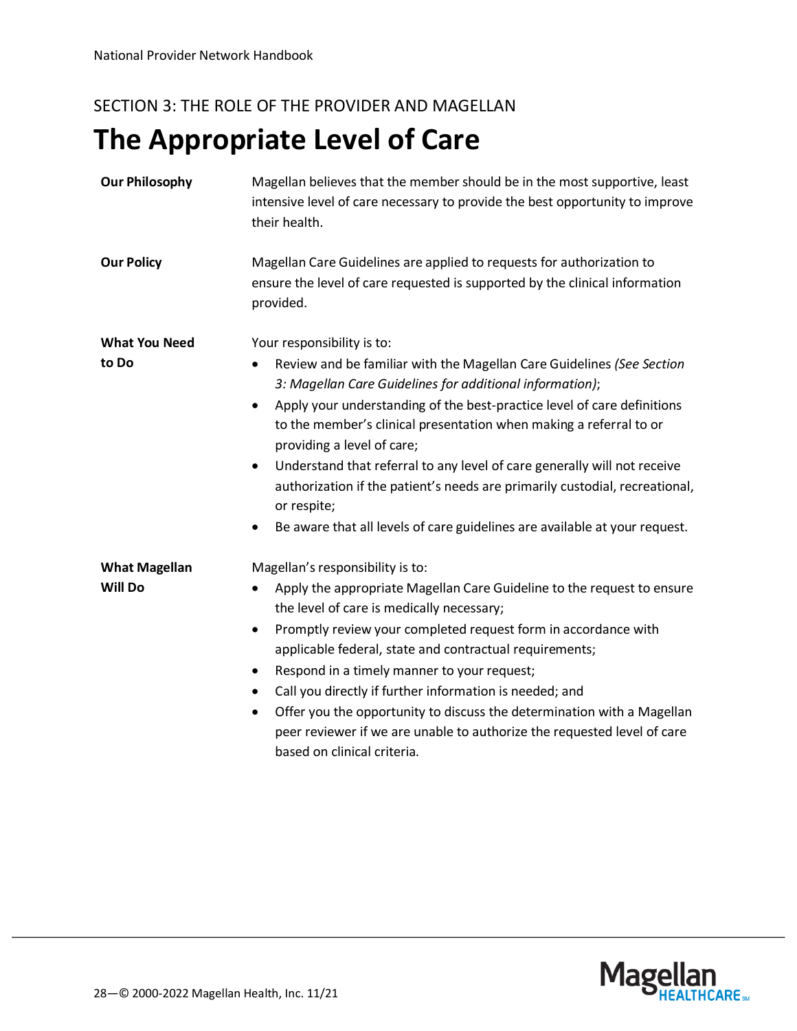### <span id="page-27-0"></span>**The Appropriate Level of Care**

| <b>Our Philosophy</b> | Magellan believes that the member should be in the most supportive, least<br>intensive level of care necessary to provide the best opportunity to improve<br>their health.                    |
|-----------------------|-----------------------------------------------------------------------------------------------------------------------------------------------------------------------------------------------|
| <b>Our Policy</b>     | Magellan Care Guidelines are applied to requests for authorization to<br>ensure the level of care requested is supported by the clinical information<br>provided.                             |
| <b>What You Need</b>  | Your responsibility is to:                                                                                                                                                                    |
| to Do                 | Review and be familiar with the Magellan Care Guidelines (See Section<br>3: Magellan Care Guidelines for additional information);                                                             |
|                       | Apply your understanding of the best-practice level of care definitions<br>$\bullet$<br>to the member's clinical presentation when making a referral to or<br>providing a level of care;      |
|                       | Understand that referral to any level of care generally will not receive<br>$\bullet$<br>authorization if the patient's needs are primarily custodial, recreational,<br>or respite;           |
|                       | Be aware that all levels of care guidelines are available at your request.<br>٠                                                                                                               |
| <b>What Magellan</b>  | Magellan's responsibility is to:                                                                                                                                                              |
| <b>Will Do</b>        | Apply the appropriate Magellan Care Guideline to the request to ensure<br>$\bullet$<br>the level of care is medically necessary;                                                              |
|                       | Promptly review your completed request form in accordance with<br>$\bullet$<br>applicable federal, state and contractual requirements;                                                        |
|                       | Respond in a timely manner to your request;<br>$\bullet$                                                                                                                                      |
|                       | Call you directly if further information is needed; and<br>$\bullet$                                                                                                                          |
|                       | Offer you the opportunity to discuss the determination with a Magellan<br>$\bullet$<br>peer reviewer if we are unable to authorize the requested level of care<br>based on clinical criteria. |
|                       |                                                                                                                                                                                               |

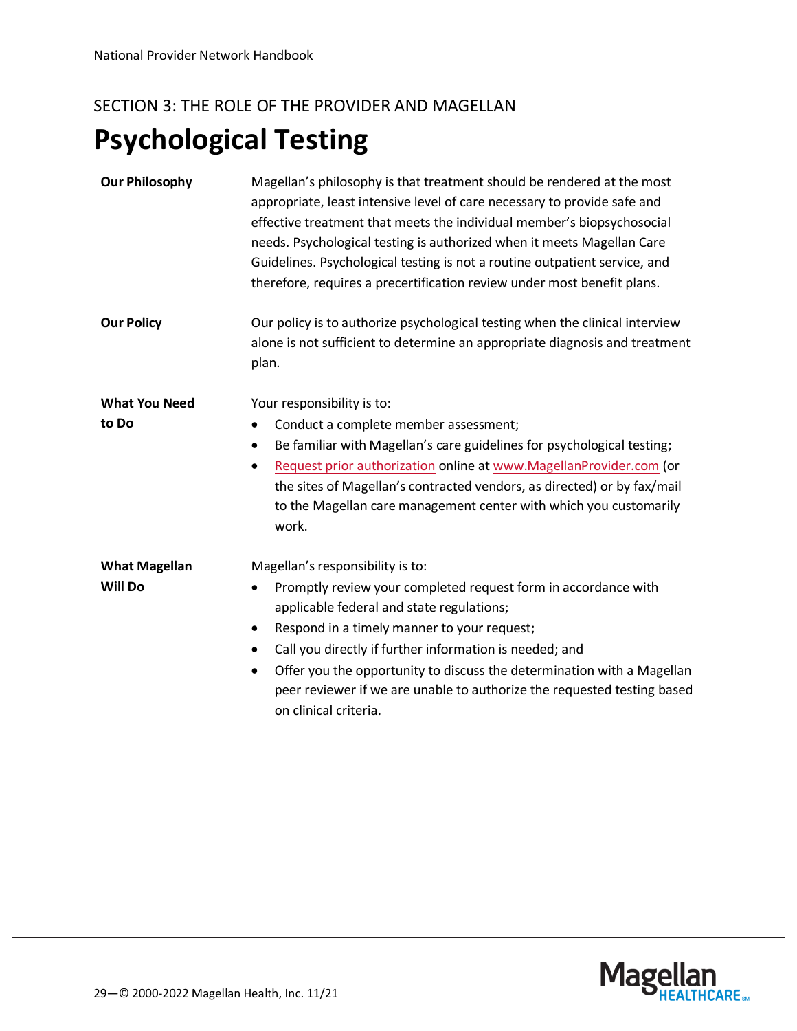### <span id="page-28-0"></span>**Psychological Testing**

| <b>Our Philosophy</b> | Magellan's philosophy is that treatment should be rendered at the most<br>appropriate, least intensive level of care necessary to provide safe and<br>effective treatment that meets the individual member's biopsychosocial<br>needs. Psychological testing is authorized when it meets Magellan Care<br>Guidelines. Psychological testing is not a routine outpatient service, and<br>therefore, requires a precertification review under most benefit plans. |
|-----------------------|-----------------------------------------------------------------------------------------------------------------------------------------------------------------------------------------------------------------------------------------------------------------------------------------------------------------------------------------------------------------------------------------------------------------------------------------------------------------|
| <b>Our Policy</b>     | Our policy is to authorize psychological testing when the clinical interview<br>alone is not sufficient to determine an appropriate diagnosis and treatment<br>plan.                                                                                                                                                                                                                                                                                            |
| <b>What You Need</b>  | Your responsibility is to:                                                                                                                                                                                                                                                                                                                                                                                                                                      |
| to Do                 | Conduct a complete member assessment;<br>$\bullet$                                                                                                                                                                                                                                                                                                                                                                                                              |
|                       | Be familiar with Magellan's care guidelines for psychological testing;<br>$\bullet$                                                                                                                                                                                                                                                                                                                                                                             |
|                       | Request prior authorization online at www.MagellanProvider.com (or<br>$\bullet$                                                                                                                                                                                                                                                                                                                                                                                 |
|                       | the sites of Magellan's contracted vendors, as directed) or by fax/mail                                                                                                                                                                                                                                                                                                                                                                                         |
|                       | to the Magellan care management center with which you customarily                                                                                                                                                                                                                                                                                                                                                                                               |
|                       | work.                                                                                                                                                                                                                                                                                                                                                                                                                                                           |
| <b>What Magellan</b>  | Magellan's responsibility is to:                                                                                                                                                                                                                                                                                                                                                                                                                                |
| <b>Will Do</b>        | Promptly review your completed request form in accordance with                                                                                                                                                                                                                                                                                                                                                                                                  |
|                       | applicable federal and state regulations;                                                                                                                                                                                                                                                                                                                                                                                                                       |
|                       | Respond in a timely manner to your request;<br>$\bullet$                                                                                                                                                                                                                                                                                                                                                                                                        |
|                       | Call you directly if further information is needed; and<br>$\bullet$                                                                                                                                                                                                                                                                                                                                                                                            |
|                       | Offer you the opportunity to discuss the determination with a Magellan<br>$\bullet$<br>peer reviewer if we are unable to authorize the requested testing based<br>on clinical criteria.                                                                                                                                                                                                                                                                         |

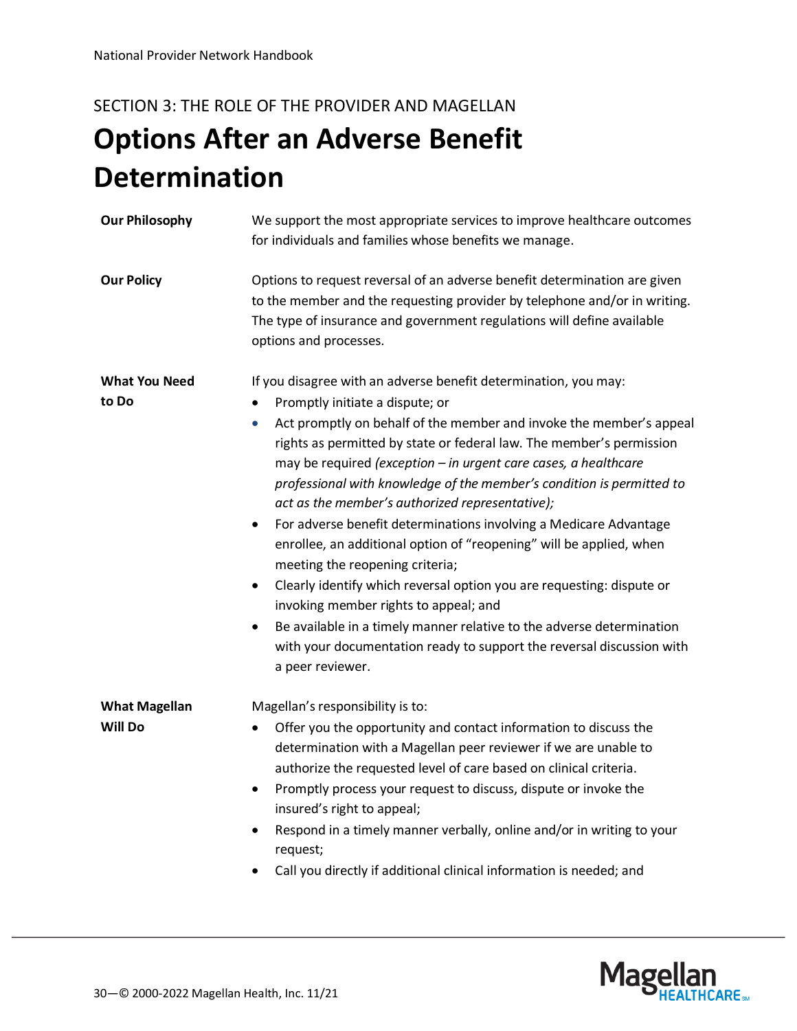## <span id="page-29-0"></span>**Options After an Adverse Benefit Determination**

| <b>Our Philosophy</b>                  | We support the most appropriate services to improve healthcare outcomes<br>for individuals and families whose benefits we manage.                                                                                                                                                                                                                                                                                                                                                                                                                                                                                                                                                                                                                                                                                                                                                                                                                                           |
|----------------------------------------|-----------------------------------------------------------------------------------------------------------------------------------------------------------------------------------------------------------------------------------------------------------------------------------------------------------------------------------------------------------------------------------------------------------------------------------------------------------------------------------------------------------------------------------------------------------------------------------------------------------------------------------------------------------------------------------------------------------------------------------------------------------------------------------------------------------------------------------------------------------------------------------------------------------------------------------------------------------------------------|
| <b>Our Policy</b>                      | Options to request reversal of an adverse benefit determination are given<br>to the member and the requesting provider by telephone and/or in writing.<br>The type of insurance and government regulations will define available<br>options and processes.                                                                                                                                                                                                                                                                                                                                                                                                                                                                                                                                                                                                                                                                                                                  |
| <b>What You Need</b><br>to Do          | If you disagree with an adverse benefit determination, you may:<br>Promptly initiate a dispute; or<br>Act promptly on behalf of the member and invoke the member's appeal<br>$\bullet$<br>rights as permitted by state or federal law. The member's permission<br>may be required (exception - in urgent care cases, a healthcare<br>professional with knowledge of the member's condition is permitted to<br>act as the member's authorized representative);<br>For adverse benefit determinations involving a Medicare Advantage<br>$\bullet$<br>enrollee, an additional option of "reopening" will be applied, when<br>meeting the reopening criteria;<br>Clearly identify which reversal option you are requesting: dispute or<br>$\bullet$<br>invoking member rights to appeal; and<br>Be available in a timely manner relative to the adverse determination<br>$\bullet$<br>with your documentation ready to support the reversal discussion with<br>a peer reviewer. |
| <b>What Magellan</b><br><b>Will Do</b> | Magellan's responsibility is to:<br>Offer you the opportunity and contact information to discuss the<br>determination with a Magellan peer reviewer if we are unable to<br>authorize the requested level of care based on clinical criteria.<br>Promptly process your request to discuss, dispute or invoke the<br>٠<br>insured's right to appeal;<br>Respond in a timely manner verbally, online and/or in writing to your<br>request;<br>Call you directly if additional clinical information is needed; and                                                                                                                                                                                                                                                                                                                                                                                                                                                              |

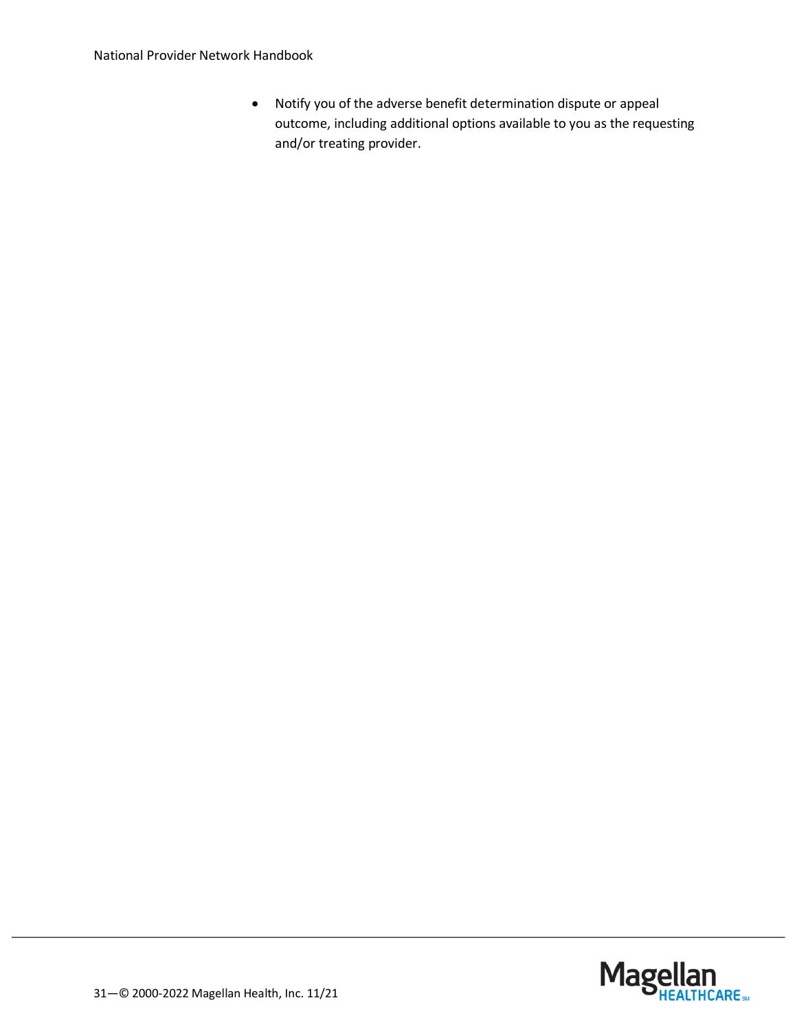• Notify you of the adverse benefit determination dispute or appeal outcome, including additional options available to you as the requesting and/or treating provider.

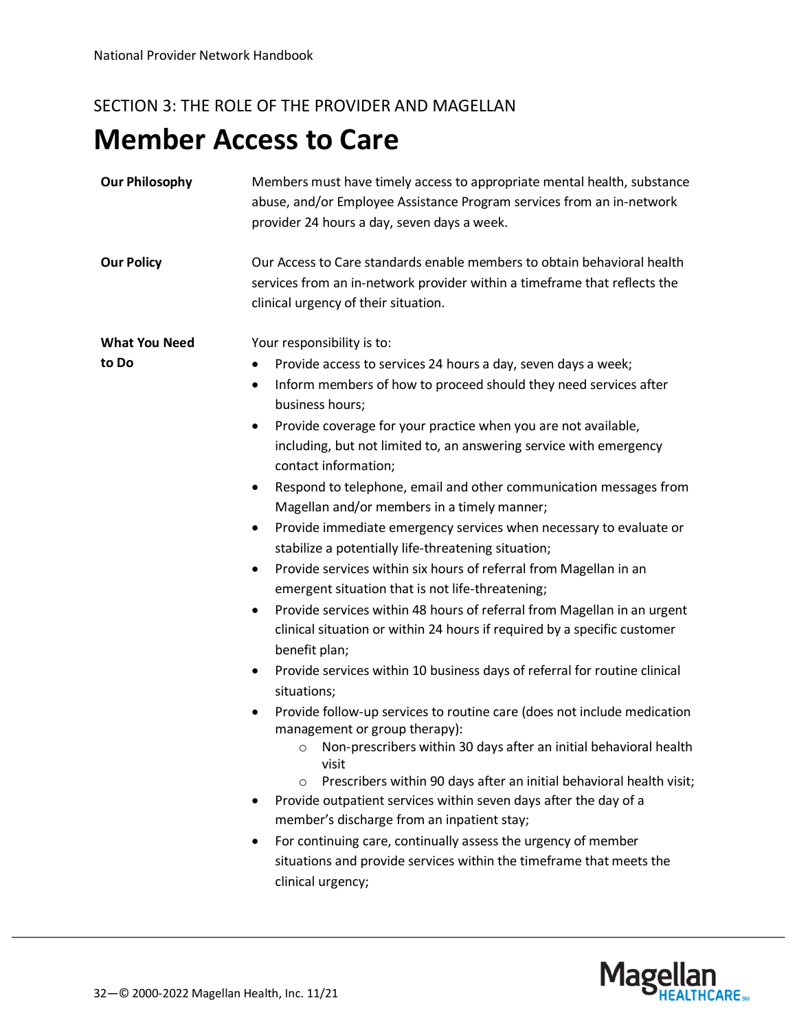### <span id="page-31-0"></span>**Member Access to Care**

| <b>Our Philosophy</b>         | Members must have timely access to appropriate mental health, substance<br>abuse, and/or Employee Assistance Program services from an in-network<br>provider 24 hours a day, seven days a week.                                                                                                                                                                                                                                                                                                                                                                                                                                                                                                                                                                                                                                                                                                                                                                                                                                                                                                                                                                                                                                                                                                                                                                                                                                                                                                                                                                                                                                                        |
|-------------------------------|--------------------------------------------------------------------------------------------------------------------------------------------------------------------------------------------------------------------------------------------------------------------------------------------------------------------------------------------------------------------------------------------------------------------------------------------------------------------------------------------------------------------------------------------------------------------------------------------------------------------------------------------------------------------------------------------------------------------------------------------------------------------------------------------------------------------------------------------------------------------------------------------------------------------------------------------------------------------------------------------------------------------------------------------------------------------------------------------------------------------------------------------------------------------------------------------------------------------------------------------------------------------------------------------------------------------------------------------------------------------------------------------------------------------------------------------------------------------------------------------------------------------------------------------------------------------------------------------------------------------------------------------------------|
| <b>Our Policy</b>             | Our Access to Care standards enable members to obtain behavioral health<br>services from an in-network provider within a timeframe that reflects the<br>clinical urgency of their situation.                                                                                                                                                                                                                                                                                                                                                                                                                                                                                                                                                                                                                                                                                                                                                                                                                                                                                                                                                                                                                                                                                                                                                                                                                                                                                                                                                                                                                                                           |
| <b>What You Need</b><br>to Do | Your responsibility is to:<br>Provide access to services 24 hours a day, seven days a week;<br>$\bullet$<br>Inform members of how to proceed should they need services after<br>$\bullet$<br>business hours;<br>Provide coverage for your practice when you are not available,<br>$\bullet$<br>including, but not limited to, an answering service with emergency<br>contact information;<br>Respond to telephone, email and other communication messages from<br>$\bullet$<br>Magellan and/or members in a timely manner;<br>Provide immediate emergency services when necessary to evaluate or<br>$\bullet$<br>stabilize a potentially life-threatening situation;<br>Provide services within six hours of referral from Magellan in an<br>$\bullet$<br>emergent situation that is not life-threatening;<br>Provide services within 48 hours of referral from Magellan in an urgent<br>$\bullet$<br>clinical situation or within 24 hours if required by a specific customer<br>benefit plan;<br>Provide services within 10 business days of referral for routine clinical<br>٠<br>situations;<br>Provide follow-up services to routine care (does not include medication<br>٠<br>management or group therapy):<br>Non-prescribers within 30 days after an initial behavioral health<br>O<br>visit<br>Prescribers within 90 days after an initial behavioral health visit;<br>$\circ$<br>Provide outpatient services within seven days after the day of a<br>member's discharge from an inpatient stay;<br>For continuing care, continually assess the urgency of member<br>٠<br>situations and provide services within the timeframe that meets the |
|                               | clinical urgency;                                                                                                                                                                                                                                                                                                                                                                                                                                                                                                                                                                                                                                                                                                                                                                                                                                                                                                                                                                                                                                                                                                                                                                                                                                                                                                                                                                                                                                                                                                                                                                                                                                      |

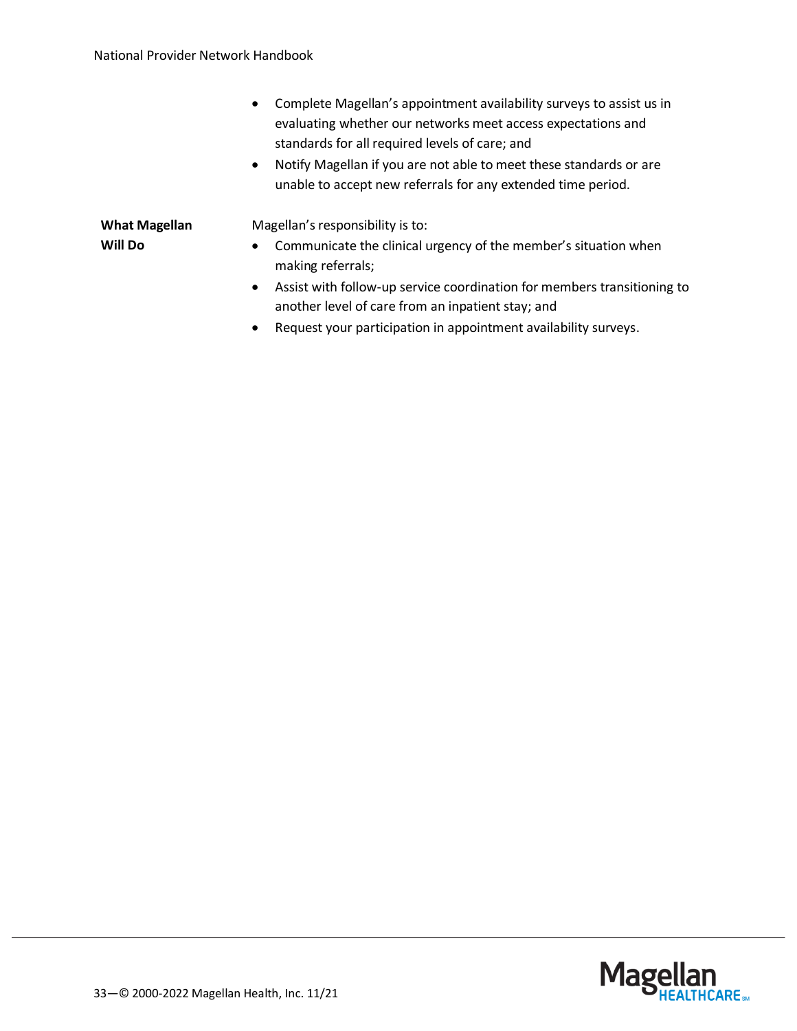|                      | Complete Magellan's appointment availability surveys to assist us in<br>$\bullet$<br>evaluating whether our networks meet access expectations and<br>standards for all required levels of care; and<br>Notify Magellan if you are not able to meet these standards or are<br>$\bullet$<br>unable to accept new referrals for any extended time period. |
|----------------------|--------------------------------------------------------------------------------------------------------------------------------------------------------------------------------------------------------------------------------------------------------------------------------------------------------------------------------------------------------|
| <b>What Magellan</b> | Magellan's responsibility is to:                                                                                                                                                                                                                                                                                                                       |
| <b>Will Do</b>       | Communicate the clinical urgency of the member's situation when<br>$\bullet$<br>making referrals;                                                                                                                                                                                                                                                      |
|                      | Assist with follow-up service coordination for members transitioning to<br>$\bullet$                                                                                                                                                                                                                                                                   |
|                      | another level of care from an inpatient stay; and                                                                                                                                                                                                                                                                                                      |
|                      | Request your participation in appointment availability surveys.<br>$\bullet$                                                                                                                                                                                                                                                                           |

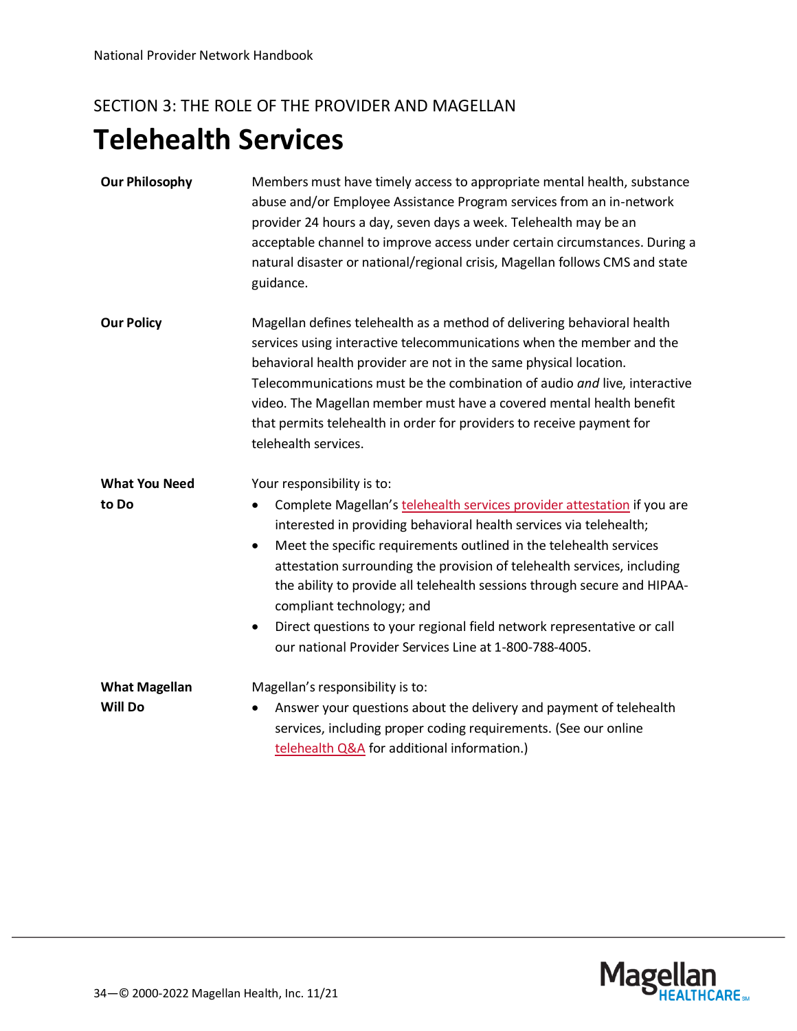### <span id="page-33-0"></span>**Telehealth Services**

| <b>Our Philosophy</b> | Members must have timely access to appropriate mental health, substance<br>abuse and/or Employee Assistance Program services from an in-network<br>provider 24 hours a day, seven days a week. Telehealth may be an<br>acceptable channel to improve access under certain circumstances. During a<br>natural disaster or national/regional crisis, Magellan follows CMS and state<br>guidance.                                                                                                                                                                             |
|-----------------------|----------------------------------------------------------------------------------------------------------------------------------------------------------------------------------------------------------------------------------------------------------------------------------------------------------------------------------------------------------------------------------------------------------------------------------------------------------------------------------------------------------------------------------------------------------------------------|
| <b>Our Policy</b>     | Magellan defines telehealth as a method of delivering behavioral health<br>services using interactive telecommunications when the member and the<br>behavioral health provider are not in the same physical location.<br>Telecommunications must be the combination of audio and live, interactive<br>video. The Magellan member must have a covered mental health benefit<br>that permits telehealth in order for providers to receive payment for<br>telehealth services.                                                                                                |
| <b>What You Need</b>  | Your responsibility is to:                                                                                                                                                                                                                                                                                                                                                                                                                                                                                                                                                 |
| to Do                 | Complete Magellan's telehealth services provider attestation if you are<br>$\bullet$<br>interested in providing behavioral health services via telehealth;<br>Meet the specific requirements outlined in the telehealth services<br>$\bullet$<br>attestation surrounding the provision of telehealth services, including<br>the ability to provide all telehealth sessions through secure and HIPAA-<br>compliant technology; and<br>Direct questions to your regional field network representative or call<br>٠<br>our national Provider Services Line at 1-800-788-4005. |
| <b>What Magellan</b>  | Magellan's responsibility is to:                                                                                                                                                                                                                                                                                                                                                                                                                                                                                                                                           |
| <b>Will Do</b>        | Answer your questions about the delivery and payment of telehealth<br>$\bullet$<br>services, including proper coding requirements. (See our online<br>telehealth Q&A for additional information.)                                                                                                                                                                                                                                                                                                                                                                          |

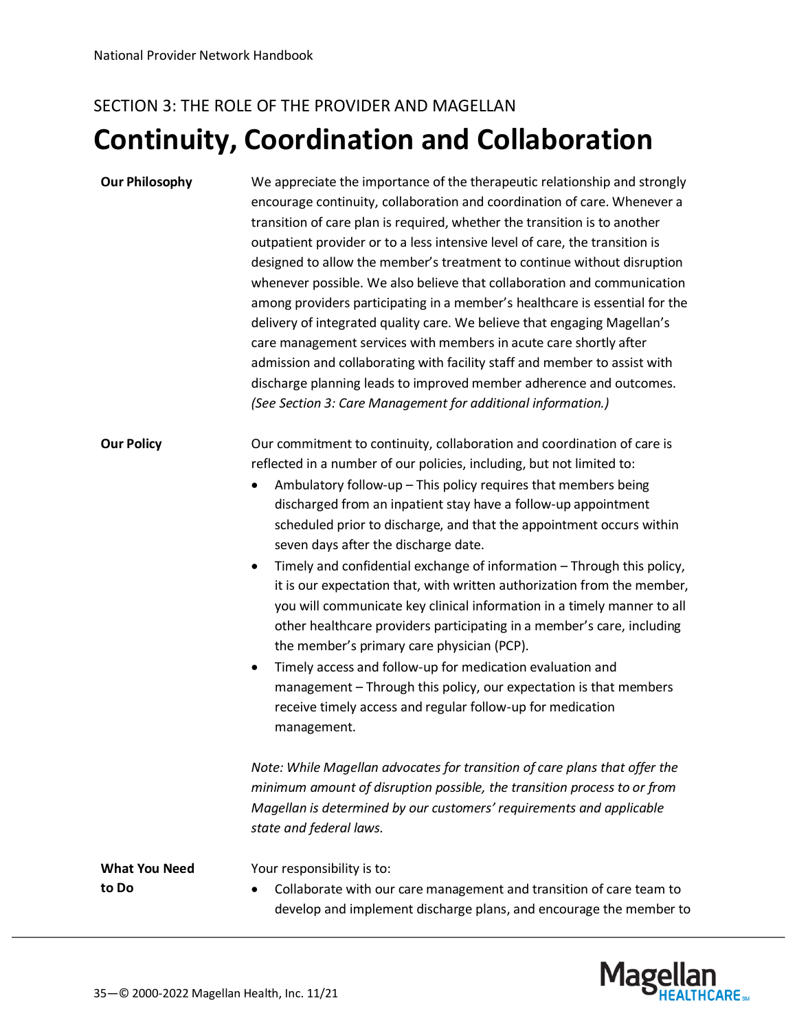### <span id="page-34-0"></span>SECTION 3: THE ROLE OF THE PROVIDER AND MAGELLAN **Continuity, Coordination and Collaboration**

**Our Philosophy** We appreciate the importance of the therapeutic relationship and strongly encourage continuity, collaboration and coordination of care. Whenever a transition of care plan is required, whether the transition is to another outpatient provider or to a less intensive level of care, the transition is designed to allow the member's treatment to continue without disruption whenever possible. We also believe that collaboration and communication among providers participating in a member's healthcare is essential for the delivery of integrated quality care. We believe that engaging Magellan's care management services with members in acute care shortly after admission and collaborating with facility staff and member to assist with discharge planning leads to improved member adherence and outcomes. *(See Section 3: Care Management for additional information.)*

| <b>Our Policy</b> | Our commitment to continuity, collaboration and coordination of care is |
|-------------------|-------------------------------------------------------------------------|
|                   | reflected in a number of our policies, including, but not limited to:   |

- Ambulatory follow-up This policy requires that members being discharged from an inpatient stay have a follow-up appointment scheduled prior to discharge, and that the appointment occurs within seven days after the discharge date.
- Timely and confidential exchange of information Through this policy, it is our expectation that, with written authorization from the member, you will communicate key clinical information in a timely manner to all other healthcare providers participating in a member's care, including the member's primary care physician (PCP).
- Timely access and follow-up for medication evaluation and management – Through this policy, our expectation is that members receive timely access and regular follow-up for medication management.

*Note: While Magellan advocates for transition of care plans that offer the minimum amount of disruption possible, the transition process to or from Magellan is determined by our customers' requirements and applicable state and federal laws.*

**What You Need to Do**

Your responsibility is to:

• Collaborate with our care management and transition of care team to develop and implement discharge plans, and encourage the member to

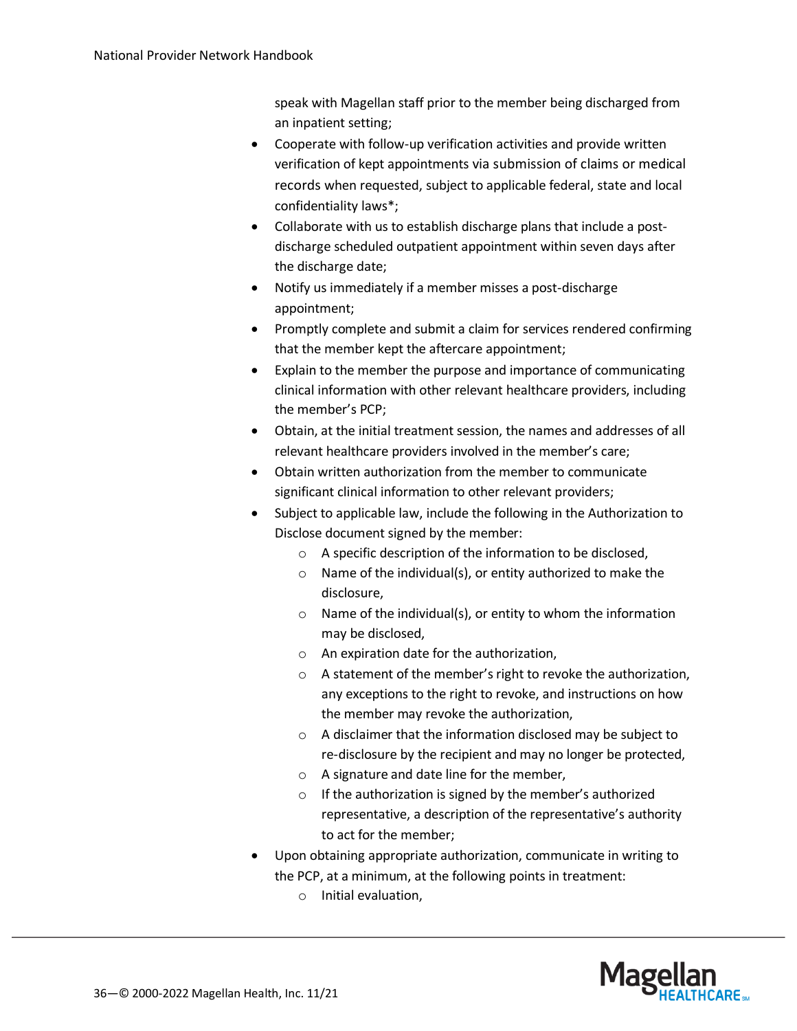speak with Magellan staff prior to the member being discharged from an inpatient setting;

- Cooperate with follow-up verification activities and provide written verification of kept appointments via submission of claims or medical records when requested, subject to applicable federal, state and local confidentiality laws\*;
- Collaborate with us to establish discharge plans that include a postdischarge scheduled outpatient appointment within seven days after the discharge date;
- Notify us immediately if a member misses a post-discharge appointment;
- Promptly complete and submit a claim for services rendered confirming that the member kept the aftercare appointment;
- Explain to the member the purpose and importance of communicating clinical information with other relevant healthcare providers, including the member's PCP;
- Obtain, at the initial treatment session, the names and addresses of all relevant healthcare providers involved in the member's care;
- Obtain written authorization from the member to communicate significant clinical information to other relevant providers;
- Subject to applicable law, include the following in the Authorization to Disclose document signed by the member:
	- o A specific description of the information to be disclosed,
	- o Name of the individual(s), or entity authorized to make the disclosure,
	- o Name of the individual(s), or entity to whom the information may be disclosed,
	- o An expiration date for the authorization,
	- o A statement of the member's right to revoke the authorization, any exceptions to the right to revoke, and instructions on how the member may revoke the authorization,
	- o A disclaimer that the information disclosed may be subject to re-disclosure by the recipient and may no longer be protected,
	- o A signature and date line for the member,
	- o If the authorization is signed by the member's authorized representative, a description of the representative's authority to act for the member;
- Upon obtaining appropriate authorization, communicate in writing to the PCP, at a minimum, at the following points in treatment:
	- o Initial evaluation,

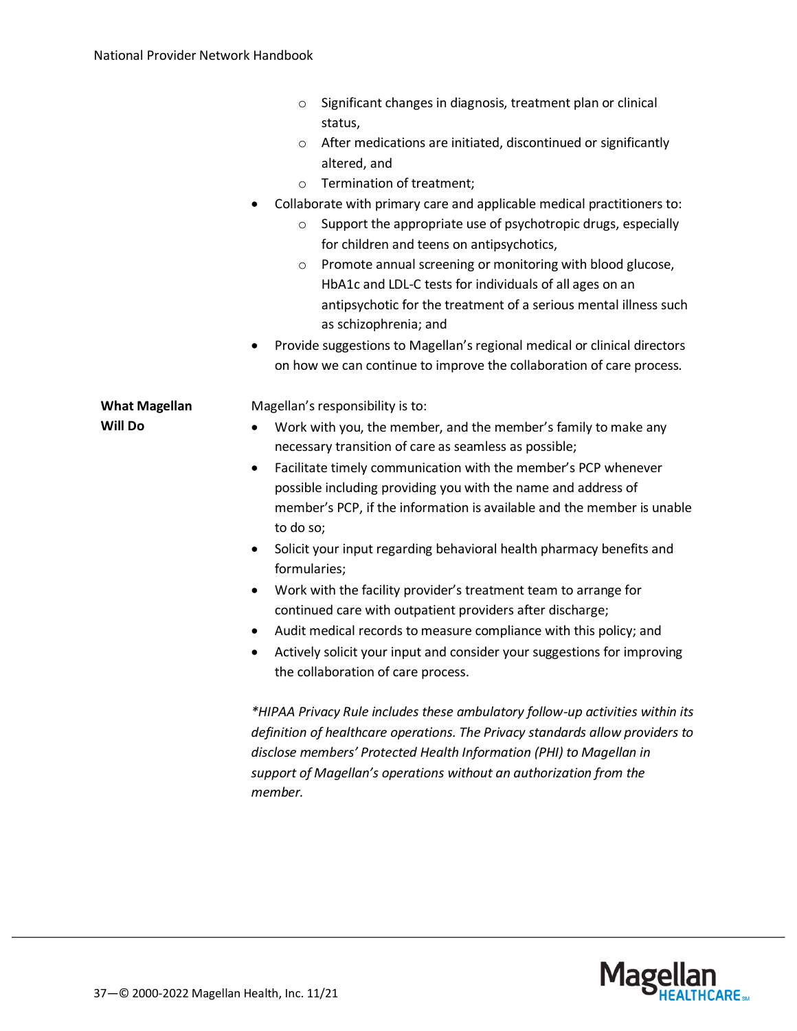|                      | Significant changes in diagnosis, treatment plan or clinical<br>$\circ$                                                                                                                                                                                                                                                |
|----------------------|------------------------------------------------------------------------------------------------------------------------------------------------------------------------------------------------------------------------------------------------------------------------------------------------------------------------|
|                      | status,                                                                                                                                                                                                                                                                                                                |
|                      | After medications are initiated, discontinued or significantly<br>$\circ$<br>altered, and                                                                                                                                                                                                                              |
|                      | Termination of treatment;<br>$\circ$                                                                                                                                                                                                                                                                                   |
|                      | Collaborate with primary care and applicable medical practitioners to:                                                                                                                                                                                                                                                 |
|                      | Support the appropriate use of psychotropic drugs, especially<br>$\circ$                                                                                                                                                                                                                                               |
|                      | for children and teens on antipsychotics,                                                                                                                                                                                                                                                                              |
|                      | Promote annual screening or monitoring with blood glucose,<br>$\circ$                                                                                                                                                                                                                                                  |
|                      | HbA1c and LDL-C tests for individuals of all ages on an                                                                                                                                                                                                                                                                |
|                      | antipsychotic for the treatment of a serious mental illness such<br>as schizophrenia; and                                                                                                                                                                                                                              |
|                      | Provide suggestions to Magellan's regional medical or clinical directors                                                                                                                                                                                                                                               |
|                      | on how we can continue to improve the collaboration of care process.                                                                                                                                                                                                                                                   |
| <b>What Magellan</b> | Magellan's responsibility is to:                                                                                                                                                                                                                                                                                       |
| <b>Will Do</b>       | Work with you, the member, and the member's family to make any<br>$\bullet$                                                                                                                                                                                                                                            |
|                      | necessary transition of care as seamless as possible;                                                                                                                                                                                                                                                                  |
|                      | Facilitate timely communication with the member's PCP whenever<br>٠                                                                                                                                                                                                                                                    |
|                      | possible including providing you with the name and address of                                                                                                                                                                                                                                                          |
|                      | member's PCP, if the information is available and the member is unable                                                                                                                                                                                                                                                 |
|                      | to do so;                                                                                                                                                                                                                                                                                                              |
|                      | Solicit your input regarding behavioral health pharmacy benefits and<br>٠<br>formularies;                                                                                                                                                                                                                              |
|                      | Work with the facility provider's treatment team to arrange for<br>$\bullet$                                                                                                                                                                                                                                           |
|                      | continued care with outpatient providers after discharge;                                                                                                                                                                                                                                                              |
|                      | Audit medical records to measure compliance with this policy; and<br>٠                                                                                                                                                                                                                                                 |
|                      | Actively solicit your input and consider your suggestions for improving<br>٠                                                                                                                                                                                                                                           |
|                      | the collaboration of care process.                                                                                                                                                                                                                                                                                     |
|                      | *HIPAA Privacy Rule includes these ambulatory follow-up activities within its<br>definition of healthcare operations. The Privacy standards allow providers to<br>disclose members' Protected Health Information (PHI) to Magellan in<br>support of Magellan's operations without an authorization from the<br>member. |

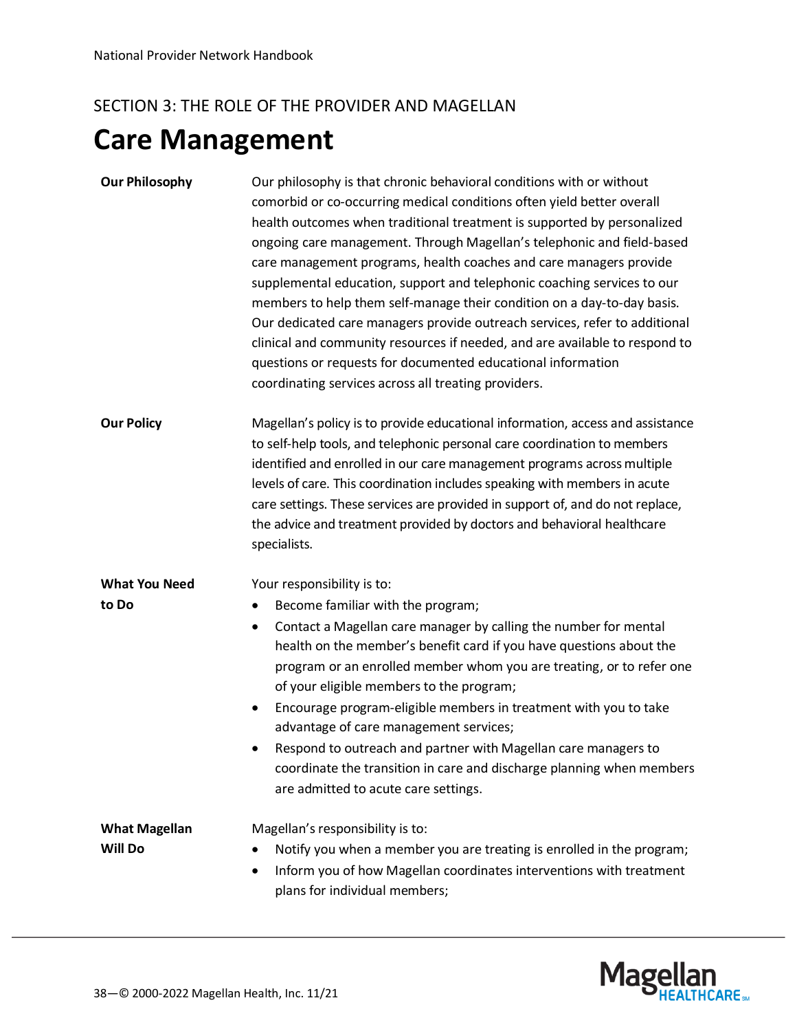## **Care Management**

**Our Philosophy Our philosophy is that chronic behavioral conditions with or without** comorbid or co-occurring medical conditions often yield better overall health outcomes when traditional treatment is supported by personalized ongoing care management. Through Magellan's telephonic and field-based care management programs, health coaches and care managers provide supplemental education, support and telephonic coaching services to our members to help them self-manage their condition on a day-to-day basis. Our dedicated care managers provide outreach services, refer to additional clinical and community resources if needed, and are available to respond to questions or requests for documented educational information coordinating services across all treating providers.

**Our Policy** Magellan's policy is to provide educational information, access and assistance to self-help tools, and telephonic personal care coordination to members identified and enrolled in our care management programs across multiple levels of care. This coordination includes speaking with members in acute care settings. These services are provided in support of, and do not replace, the advice and treatment provided by doctors and behavioral healthcare specialists.

**What You Need**  Your responsibility is to:

- Become familiar with the program;
- Contact a Magellan care manager by calling the number for mental health on the member's benefit card if you have questions about the program or an enrolled member whom you are treating, or to refer one of your eligible members to the program;
- Encourage program-eligible members in treatment with you to take advantage of care management services;
- Respond to outreach and partner with Magellan care managers to coordinate the transition in care and discharge planning when members are admitted to acute care settings.

**What Magellan**  Magellan's responsibility is to:

**Will Do**

**to Do**

• Notify you when a member you are treating is enrolled in the program;

• Inform you of how Magellan coordinates interventions with treatment plans for individual members;

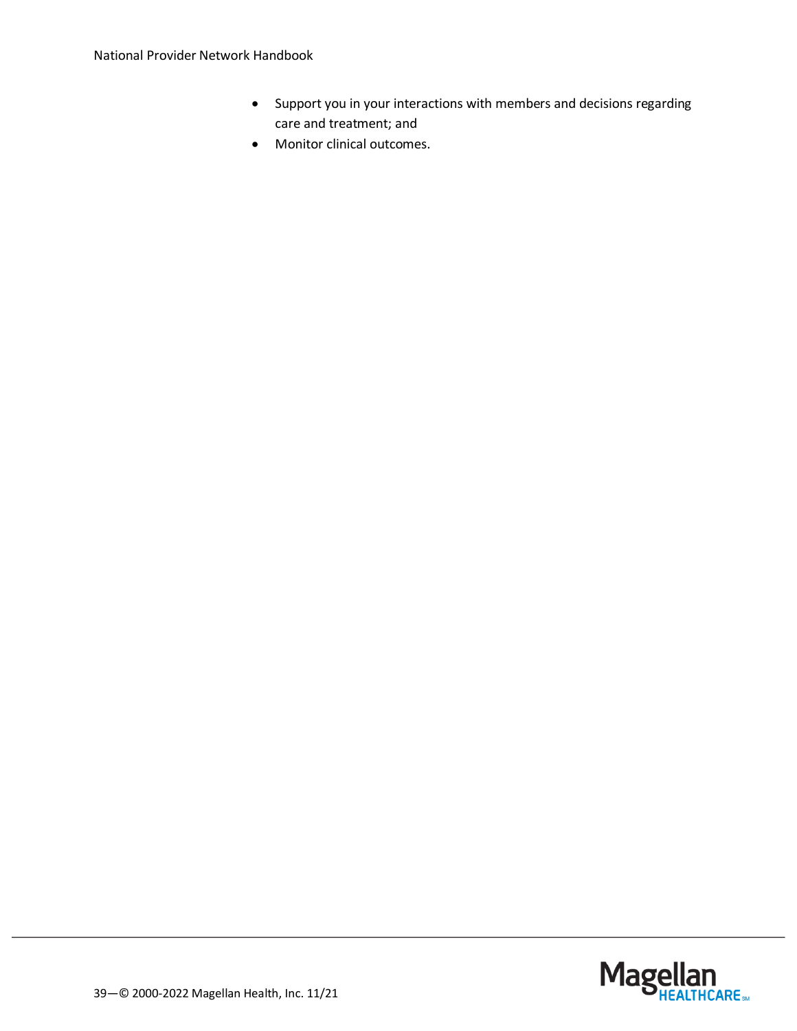- Support you in your interactions with members and decisions regarding care and treatment; and
- Monitor clinical outcomes.

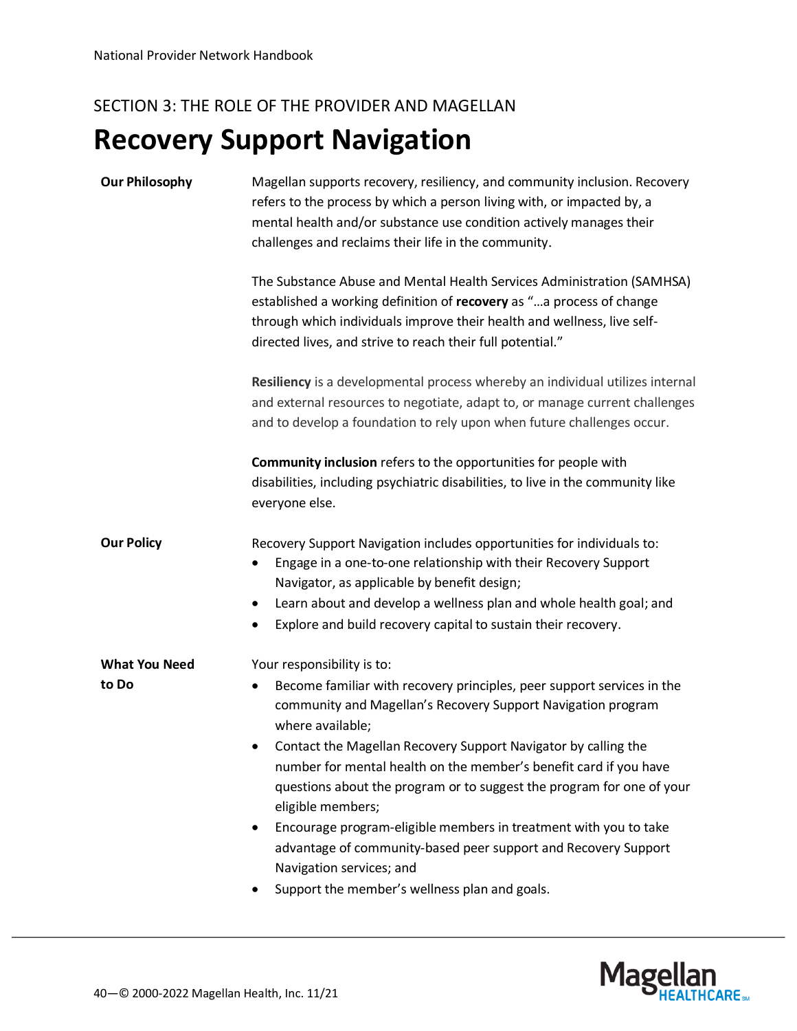## **Recovery Support Navigation**

| <b>Our Philosophy</b>         | Magellan supports recovery, resiliency, and community inclusion. Recovery<br>refers to the process by which a person living with, or impacted by, a<br>mental health and/or substance use condition actively manages their<br>challenges and reclaims their life in the community.<br>The Substance Abuse and Mental Health Services Administration (SAMHSA)<br>established a working definition of recovery as " a process of change<br>through which individuals improve their health and wellness, live self-<br>directed lives, and strive to reach their full potential."<br>Resiliency is a developmental process whereby an individual utilizes internal<br>and external resources to negotiate, adapt to, or manage current challenges<br>and to develop a foundation to rely upon when future challenges occur. |
|-------------------------------|--------------------------------------------------------------------------------------------------------------------------------------------------------------------------------------------------------------------------------------------------------------------------------------------------------------------------------------------------------------------------------------------------------------------------------------------------------------------------------------------------------------------------------------------------------------------------------------------------------------------------------------------------------------------------------------------------------------------------------------------------------------------------------------------------------------------------|
|                               | Community inclusion refers to the opportunities for people with<br>disabilities, including psychiatric disabilities, to live in the community like<br>everyone else.                                                                                                                                                                                                                                                                                                                                                                                                                                                                                                                                                                                                                                                     |
| <b>Our Policy</b>             | Recovery Support Navigation includes opportunities for individuals to:<br>Engage in a one-to-one relationship with their Recovery Support<br>Navigator, as applicable by benefit design;<br>Learn about and develop a wellness plan and whole health goal; and<br>٠<br>Explore and build recovery capital to sustain their recovery.                                                                                                                                                                                                                                                                                                                                                                                                                                                                                     |
| <b>What You Need</b><br>to Do | Your responsibility is to:<br>Become familiar with recovery principles, peer support services in the<br>٠<br>community and Magellan's Recovery Support Navigation program<br>where available;<br>Contact the Magellan Recovery Support Navigator by calling the<br>$\bullet$<br>number for mental health on the member's benefit card if you have<br>questions about the program or to suggest the program for one of your<br>eligible members;<br>Encourage program-eligible members in treatment with you to take<br>advantage of community-based peer support and Recovery Support<br>Navigation services; and<br>Support the member's wellness plan and goals.                                                                                                                                                       |

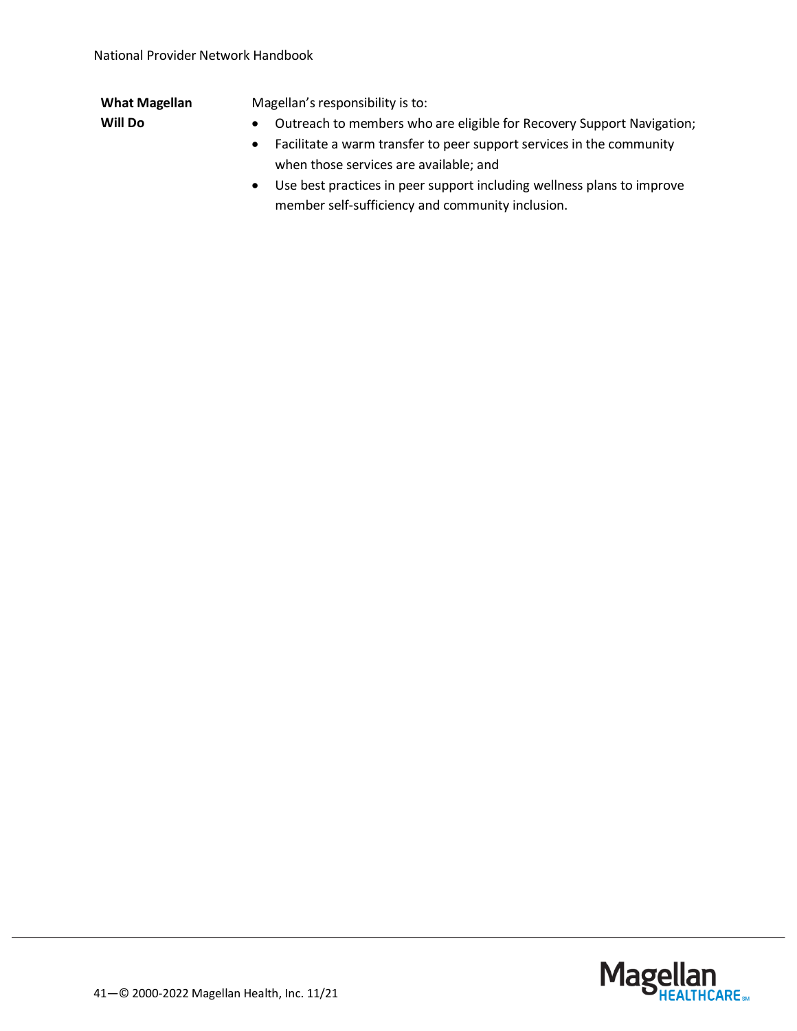### **What Magellan**

**Will Do**

Magellan's responsibility is to:

- Outreach to members who are eligible for Recovery Support Navigation;
- Facilitate a warm transfer to peer support services in the community when those services are available; and
- Use best practices in peer support including wellness plans to improve member self-sufficiency and community inclusion.

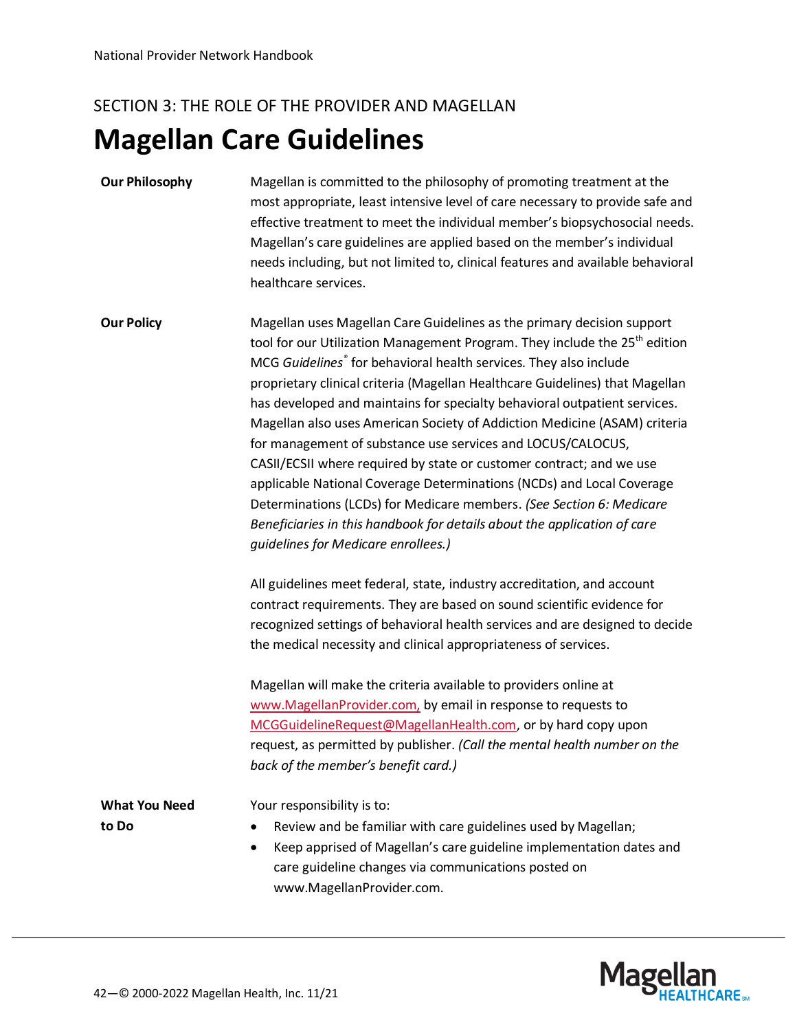### **Magellan Care Guidelines**

#### **Our Philosophy** Magellan is committed to the philosophy of promoting treatment at the most appropriate, least intensive level of care necessary to provide safe and effective treatment to meet the individual member's biopsychosocial needs. Magellan's care guidelines are applied based on the member's individual needs including, but not limited to, clinical features and available behavioral healthcare services.

**Our Policy** Magellan uses Magellan Care Guidelines as the primary decision support tool for our Utilization Management Program. They include the 25<sup>th</sup> edition MCG *Guidelines®* for behavioral health services. They also include proprietary clinical criteria (Magellan Healthcare Guidelines) that Magellan has developed and maintains for specialty behavioral outpatient services. Magellan also uses American Society of Addiction Medicine (ASAM) criteria for management of substance use services and LOCUS/CALOCUS, CASII/ECSII where required by state or customer contract; and we use applicable National Coverage Determinations (NCDs) and Local Coverage Determinations (LCDs) for Medicare members. *(See Section 6: Medicare Beneficiaries in this handbook for details about the application of care guidelines for Medicare enrollees.)*

> All guidelines meet federal, state, industry accreditation, and account contract requirements. They are based on sound scientific evidence for recognized settings of behavioral health services and are designed to decide the medical necessity and clinical appropriateness of services.

Magellan will make the criteria available to providers online at [www.MagellanProvider.com,](http://www.magellanprovider.com/) by email in response to requests to [MCGGuidelineRequest@MagellanHealth.com,](mailto:MCGGuidelineRequest@MagellanHealth.com) or by hard copy upon request, as permitted by publisher. *(Call the mental health number on the back of the member's benefit card.)*

**What You Need to Do**

Your responsibility is to:

- Review and be familiar with care guidelines used by Magellan;
- Keep apprised of Magellan's care guideline implementation dates and care guideline changes via communications posted on www.MagellanProvider.com.

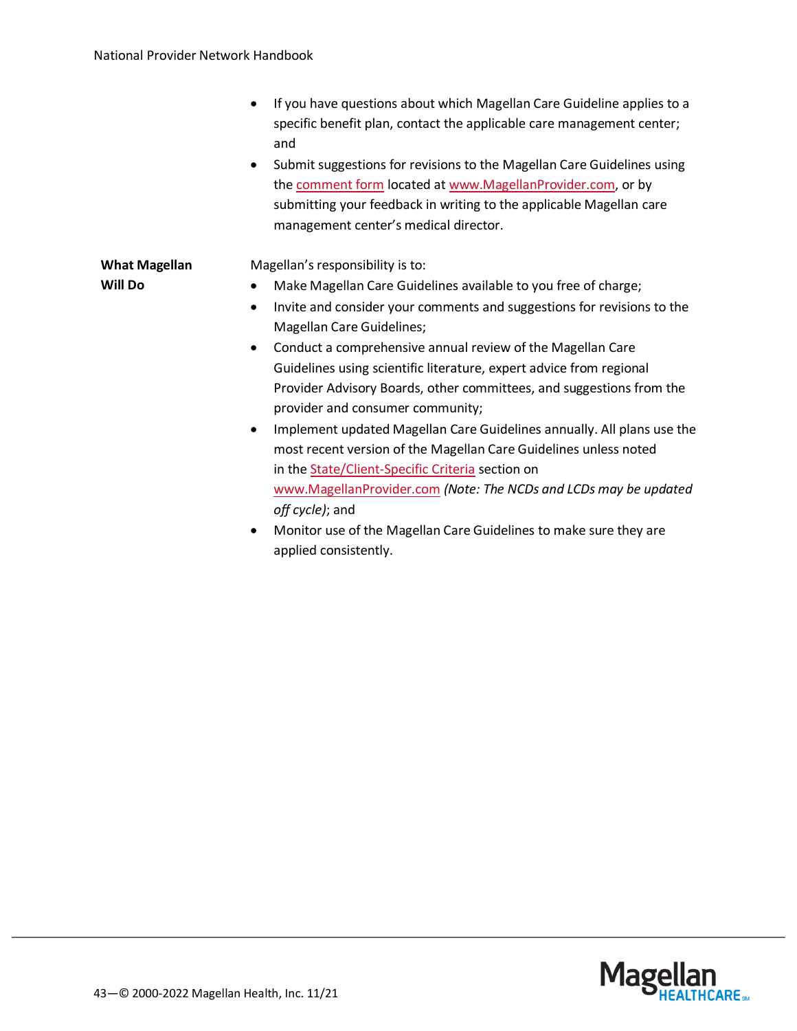- If you have questions about which Magellan Care Guideline applies to a specific benefit plan, contact the applicable care management center; and
- Submit suggestions for revisions to the Magellan Care Guidelines using th[e comment form](http://www.magellanprovider.com/media/11764/mnc_comment.pdf) located at [www.MagellanProvider.com,](http://www.magellanprovider.com/) or by submitting your feedback in writing to the applicable Magellan care management center's medical director.

#### **What Magellan Will Do**

Magellan's responsibility is to:

- Make Magellan Care Guidelines available to you free of charge;
- Invite and consider your comments and suggestions for revisions to the Magellan Care Guidelines;
- Conduct a comprehensive annual review of the Magellan Care Guidelines using scientific literature, expert advice from regional Provider Advisory Boards, other committees, and suggestions from the provider and consumer community;
- Implement updated Magellan Care Guidelines annually. All plans use the most recent version of the Magellan Care Guidelines unless noted in the [State/Client-Specific Criteria](http://www.magellanprovider.com/providing-care/clinical-guidelines/medical-necessity-criteria.aspx) section on [www.MagellanProvider.com](http://www.magellanprovider.com/) *(Note: The NCDs and LCDs may be updated off cycle)*; and
- Monitor use of the Magellan Care Guidelines to make sure they are applied consistently.

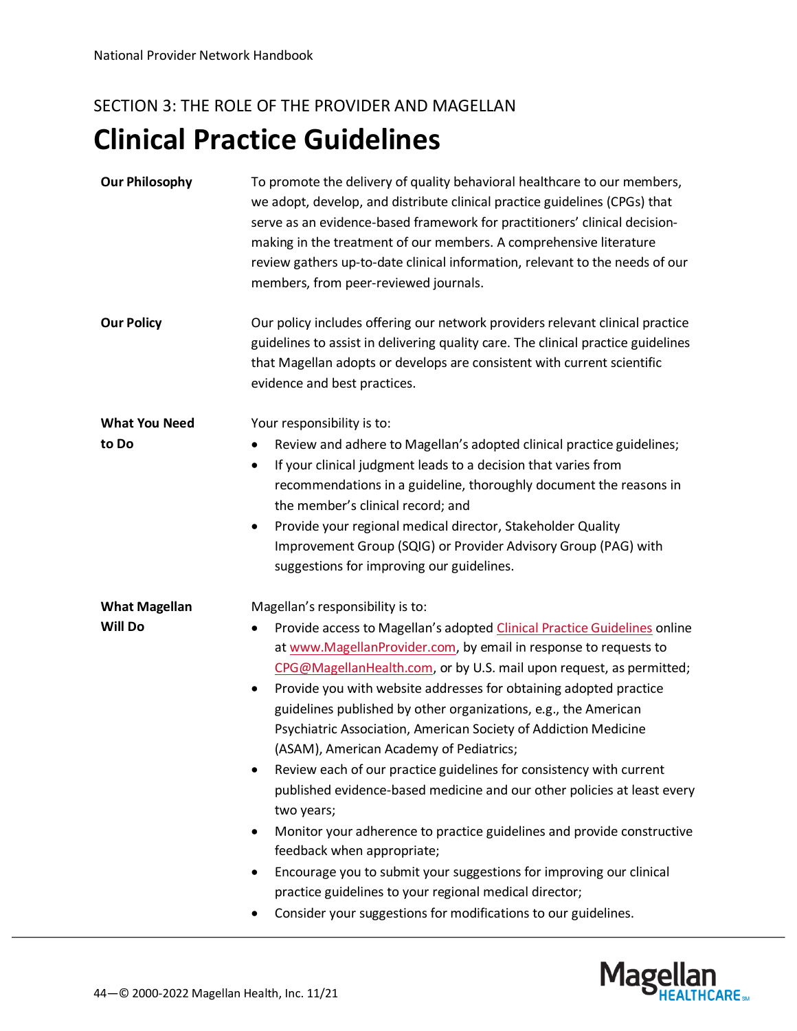## **Clinical Practice Guidelines**

| <b>Our Philosophy</b> | To promote the delivery of quality behavioral healthcare to our members,<br>we adopt, develop, and distribute clinical practice guidelines (CPGs) that<br>serve as an evidence-based framework for practitioners' clinical decision-<br>making in the treatment of our members. A comprehensive literature<br>review gathers up-to-date clinical information, relevant to the needs of our<br>members, from peer-reviewed journals.                                                                                                                                                                                                                                                                                                                                                                                                                                                                                                                                      |
|-----------------------|--------------------------------------------------------------------------------------------------------------------------------------------------------------------------------------------------------------------------------------------------------------------------------------------------------------------------------------------------------------------------------------------------------------------------------------------------------------------------------------------------------------------------------------------------------------------------------------------------------------------------------------------------------------------------------------------------------------------------------------------------------------------------------------------------------------------------------------------------------------------------------------------------------------------------------------------------------------------------|
| <b>Our Policy</b>     | Our policy includes offering our network providers relevant clinical practice<br>guidelines to assist in delivering quality care. The clinical practice guidelines<br>that Magellan adopts or develops are consistent with current scientific<br>evidence and best practices.                                                                                                                                                                                                                                                                                                                                                                                                                                                                                                                                                                                                                                                                                            |
| <b>What You Need</b>  | Your responsibility is to:                                                                                                                                                                                                                                                                                                                                                                                                                                                                                                                                                                                                                                                                                                                                                                                                                                                                                                                                               |
| to Do                 | Review and adhere to Magellan's adopted clinical practice guidelines;<br>If your clinical judgment leads to a decision that varies from<br>$\bullet$<br>recommendations in a guideline, thoroughly document the reasons in<br>the member's clinical record; and<br>Provide your regional medical director, Stakeholder Quality<br>$\bullet$<br>Improvement Group (SQIG) or Provider Advisory Group (PAG) with<br>suggestions for improving our guidelines.                                                                                                                                                                                                                                                                                                                                                                                                                                                                                                               |
| <b>What Magellan</b>  | Magellan's responsibility is to:                                                                                                                                                                                                                                                                                                                                                                                                                                                                                                                                                                                                                                                                                                                                                                                                                                                                                                                                         |
| <b>Will Do</b>        | Provide access to Magellan's adopted Clinical Practice Guidelines online<br>٠<br>at www.MagellanProvider.com, by email in response to requests to<br>CPG@MagellanHealth.com, or by U.S. mail upon request, as permitted;<br>Provide you with website addresses for obtaining adopted practice<br>٠<br>guidelines published by other organizations, e.g., the American<br>Psychiatric Association, American Society of Addiction Medicine<br>(ASAM), American Academy of Pediatrics;<br>Review each of our practice guidelines for consistency with current<br>published evidence-based medicine and our other policies at least every<br>two years;<br>Monitor your adherence to practice guidelines and provide constructive<br>٠<br>feedback when appropriate;<br>Encourage you to submit your suggestions for improving our clinical<br>٠<br>practice guidelines to your regional medical director;<br>Consider your suggestions for modifications to our guidelines. |

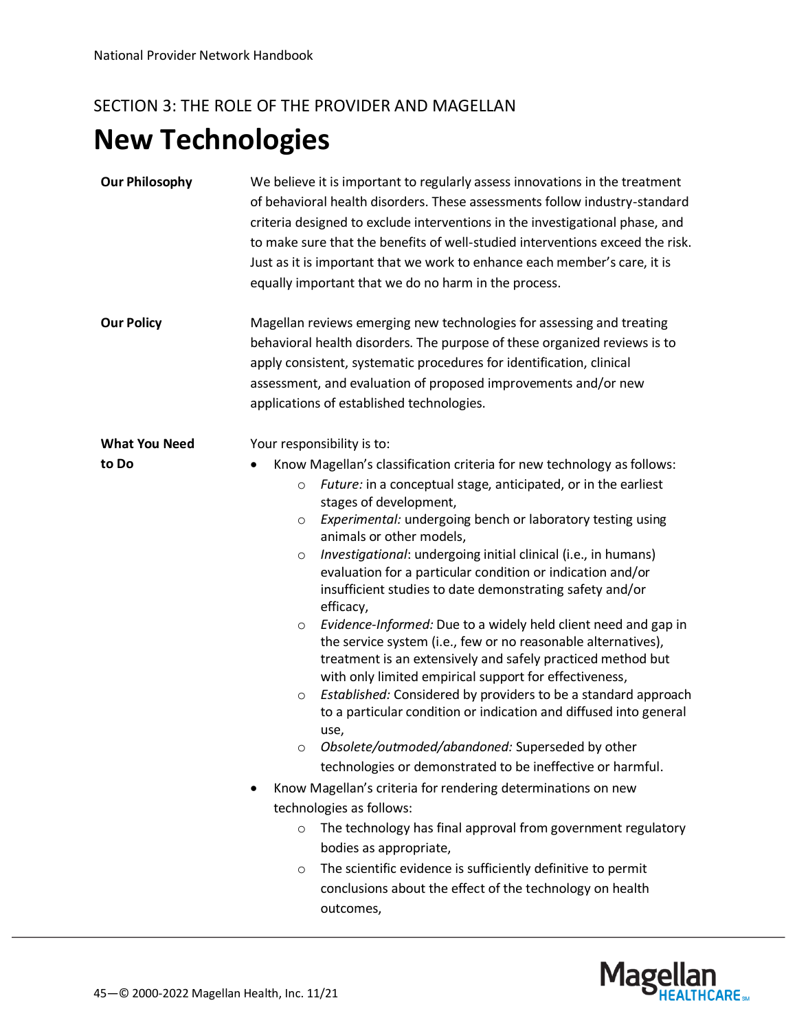# **New Technologies**

| <b>Our Philosophy</b> | We believe it is important to regularly assess innovations in the treatment<br>of behavioral health disorders. These assessments follow industry-standard<br>criteria designed to exclude interventions in the investigational phase, and<br>to make sure that the benefits of well-studied interventions exceed the risk.<br>Just as it is important that we work to enhance each member's care, it is<br>equally important that we do no harm in the process.                                                                                                                                                                                                                                                                                                                                                                                                                                                                                                                                                                                          |
|-----------------------|----------------------------------------------------------------------------------------------------------------------------------------------------------------------------------------------------------------------------------------------------------------------------------------------------------------------------------------------------------------------------------------------------------------------------------------------------------------------------------------------------------------------------------------------------------------------------------------------------------------------------------------------------------------------------------------------------------------------------------------------------------------------------------------------------------------------------------------------------------------------------------------------------------------------------------------------------------------------------------------------------------------------------------------------------------|
| <b>Our Policy</b>     | Magellan reviews emerging new technologies for assessing and treating<br>behavioral health disorders. The purpose of these organized reviews is to<br>apply consistent, systematic procedures for identification, clinical<br>assessment, and evaluation of proposed improvements and/or new<br>applications of established technologies.                                                                                                                                                                                                                                                                                                                                                                                                                                                                                                                                                                                                                                                                                                                |
| <b>What You Need</b>  | Your responsibility is to:                                                                                                                                                                                                                                                                                                                                                                                                                                                                                                                                                                                                                                                                                                                                                                                                                                                                                                                                                                                                                               |
| to Do                 | Know Magellan's classification criteria for new technology as follows:<br>Future: in a conceptual stage, anticipated, or in the earliest<br>$\circ$<br>stages of development,<br>Experimental: undergoing bench or laboratory testing using<br>O<br>animals or other models,<br>Investigational: undergoing initial clinical (i.e., in humans)<br>$\circ$<br>evaluation for a particular condition or indication and/or<br>insufficient studies to date demonstrating safety and/or<br>efficacy,<br>Evidence-Informed: Due to a widely held client need and gap in<br>$\circ$<br>the service system (i.e., few or no reasonable alternatives),<br>treatment is an extensively and safely practiced method but<br>with only limited empirical support for effectiveness,<br>Established: Considered by providers to be a standard approach<br>$\circ$<br>to a particular condition or indication and diffused into general<br>use,<br>Obsolete/outmoded/abandoned: Superseded by other<br>O<br>technologies or demonstrated to be ineffective or harmful. |
|                       | Know Magellan's criteria for rendering determinations on new                                                                                                                                                                                                                                                                                                                                                                                                                                                                                                                                                                                                                                                                                                                                                                                                                                                                                                                                                                                             |
|                       | technologies as follows:                                                                                                                                                                                                                                                                                                                                                                                                                                                                                                                                                                                                                                                                                                                                                                                                                                                                                                                                                                                                                                 |
|                       | The technology has final approval from government regulatory<br>$\circ$<br>bodies as appropriate,<br>The scientific evidence is sufficiently definitive to permit<br>$\circ$<br>conclusions about the effect of the technology on health<br>outcomes,                                                                                                                                                                                                                                                                                                                                                                                                                                                                                                                                                                                                                                                                                                                                                                                                    |

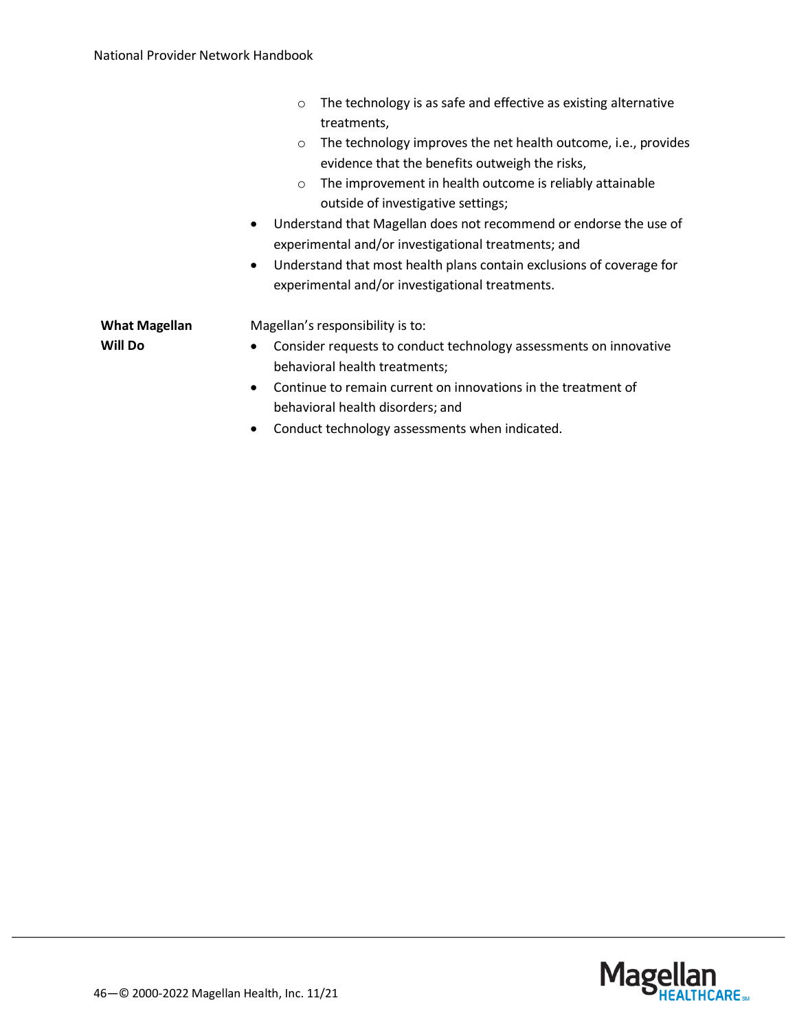|                      | The technology is as safe and effective as existing alternative<br>$\circ$        |
|----------------------|-----------------------------------------------------------------------------------|
|                      | treatments,                                                                       |
|                      | The technology improves the net health outcome, <i>i.e.</i> , provides<br>$\circ$ |
|                      | evidence that the benefits outweigh the risks,                                    |
|                      | The improvement in health outcome is reliably attainable<br>$\circ$               |
|                      | outside of investigative settings;                                                |
|                      | Understand that Magellan does not recommend or endorse the use of<br>$\bullet$    |
|                      | experimental and/or investigational treatments; and                               |
|                      | Understand that most health plans contain exclusions of coverage for<br>$\bullet$ |
|                      | experimental and/or investigational treatments.                                   |
| <b>What Magellan</b> | Magellan's responsibility is to:                                                  |
| <b>Will Do</b>       | Consider requests to conduct technology assessments on innovative<br>$\bullet$    |
|                      | behavioral health treatments;                                                     |
|                      | Continue to remain current on innovations in the treatment of<br>$\bullet$        |
|                      | behavioral health disorders; and                                                  |
|                      | Conduct technology assessments when indicated.<br>$\bullet$                       |

Magellan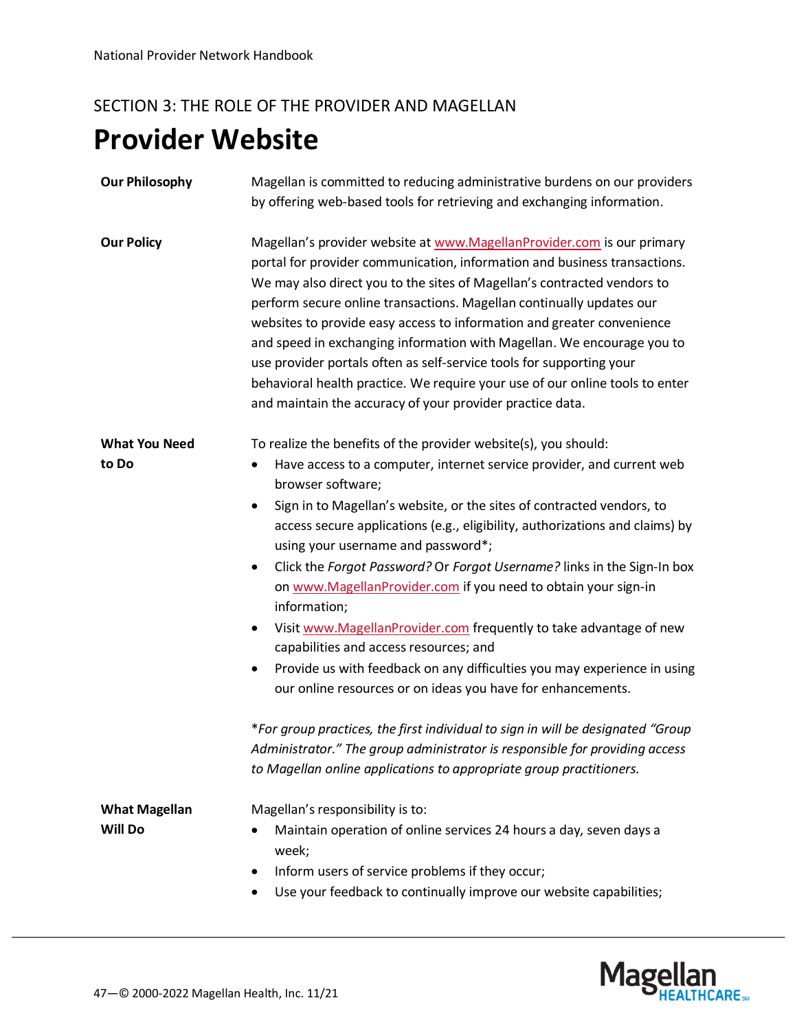## **Provider Website**

| <b>Our Philosophy</b> | Magellan is committed to reducing administrative burdens on our providers<br>by offering web-based tools for retrieving and exchanging information.                                                                                                                                                                                                                                                                                                                                                                                                                                                                                                                             |
|-----------------------|---------------------------------------------------------------------------------------------------------------------------------------------------------------------------------------------------------------------------------------------------------------------------------------------------------------------------------------------------------------------------------------------------------------------------------------------------------------------------------------------------------------------------------------------------------------------------------------------------------------------------------------------------------------------------------|
| <b>Our Policy</b>     | Magellan's provider website at www.MagellanProvider.com is our primary<br>portal for provider communication, information and business transactions.<br>We may also direct you to the sites of Magellan's contracted vendors to<br>perform secure online transactions. Magellan continually updates our<br>websites to provide easy access to information and greater convenience<br>and speed in exchanging information with Magellan. We encourage you to<br>use provider portals often as self-service tools for supporting your<br>behavioral health practice. We require your use of our online tools to enter<br>and maintain the accuracy of your provider practice data. |
| <b>What You Need</b>  | To realize the benefits of the provider website(s), you should:                                                                                                                                                                                                                                                                                                                                                                                                                                                                                                                                                                                                                 |
| to Do                 | Have access to a computer, internet service provider, and current web<br>browser software;                                                                                                                                                                                                                                                                                                                                                                                                                                                                                                                                                                                      |
|                       | Sign in to Magellan's website, or the sites of contracted vendors, to<br>٠<br>access secure applications (e.g., eligibility, authorizations and claims) by<br>using your username and password*;                                                                                                                                                                                                                                                                                                                                                                                                                                                                                |
|                       | Click the Forgot Password? Or Forgot Username? links in the Sign-In box<br>$\bullet$<br>on www.MagellanProvider.com if you need to obtain your sign-in<br>information;                                                                                                                                                                                                                                                                                                                                                                                                                                                                                                          |
|                       | Visit www.MagellanProvider.com frequently to take advantage of new<br>capabilities and access resources; and                                                                                                                                                                                                                                                                                                                                                                                                                                                                                                                                                                    |
|                       | Provide us with feedback on any difficulties you may experience in using<br>$\bullet$<br>our online resources or on ideas you have for enhancements.                                                                                                                                                                                                                                                                                                                                                                                                                                                                                                                            |
|                       | *For group practices, the first individual to sign in will be designated "Group<br>Administrator." The group administrator is responsible for providing access<br>to Magellan online applications to appropriate group practitioners.                                                                                                                                                                                                                                                                                                                                                                                                                                           |
| <b>What Magellan</b>  | Magellan's responsibility is to:                                                                                                                                                                                                                                                                                                                                                                                                                                                                                                                                                                                                                                                |
| <b>Will Do</b>        | Maintain operation of online services 24 hours a day, seven days a<br>week;                                                                                                                                                                                                                                                                                                                                                                                                                                                                                                                                                                                                     |
|                       | Inform users of service problems if they occur;<br>٠                                                                                                                                                                                                                                                                                                                                                                                                                                                                                                                                                                                                                            |
|                       | Use your feedback to continually improve our website capabilities;                                                                                                                                                                                                                                                                                                                                                                                                                                                                                                                                                                                                              |

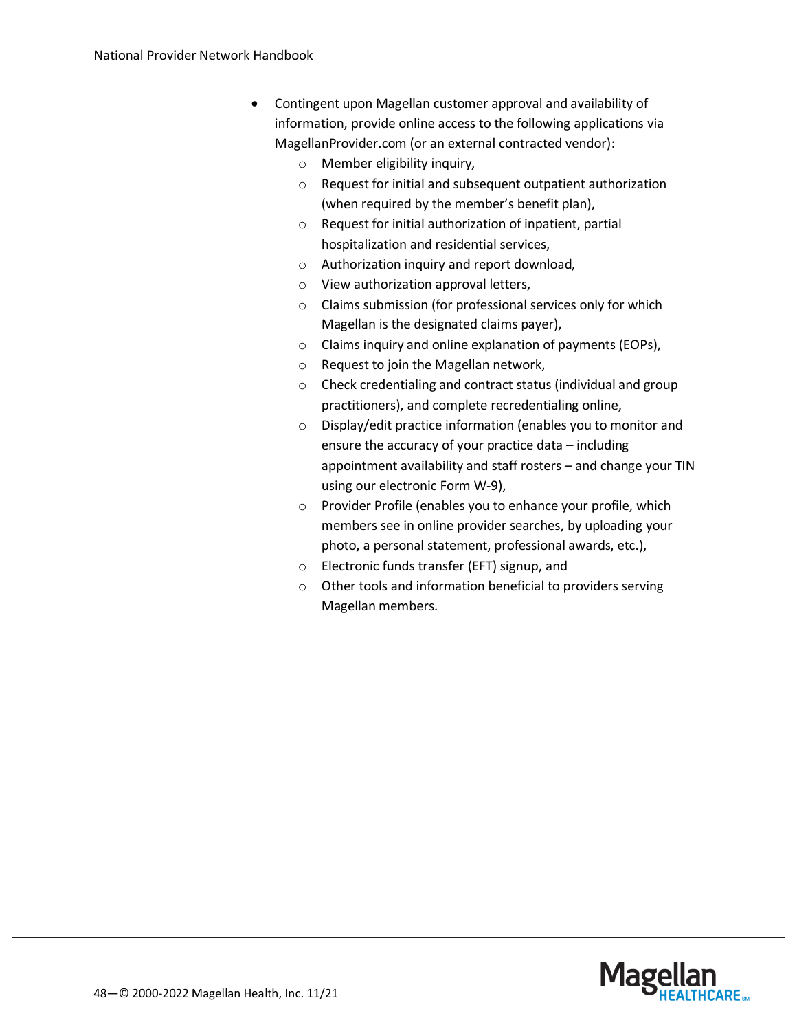- Contingent upon Magellan customer approval and availability of information, provide online access to the following applications via MagellanProvider.com (or an external contracted vendor):
	- o Member eligibility inquiry,
	- o Request for initial and subsequent outpatient authorization (when required by the member's benefit plan),
	- o Request for initial authorization of inpatient, partial hospitalization and residential services,
	- o Authorization inquiry and report download,
	- o View authorization approval letters,
	- o Claims submission (for professional services only for which Magellan is the designated claims payer),
	- o Claims inquiry and online explanation of payments (EOPs),
	- o Request to join the Magellan network,
	- o Check credentialing and contract status (individual and group practitioners), and complete recredentialing online,
	- o Display/edit practice information (enables you to monitor and ensure the accuracy of your practice data – including appointment availability and staff rosters – and change your TIN using our electronic Form W-9),
	- o Provider Profile (enables you to enhance your profile, which members see in online provider searches, by uploading your photo, a personal statement, professional awards, etc.),
	- o Electronic funds transfer (EFT) signup, and
	- o Other tools and information beneficial to providers serving Magellan members.

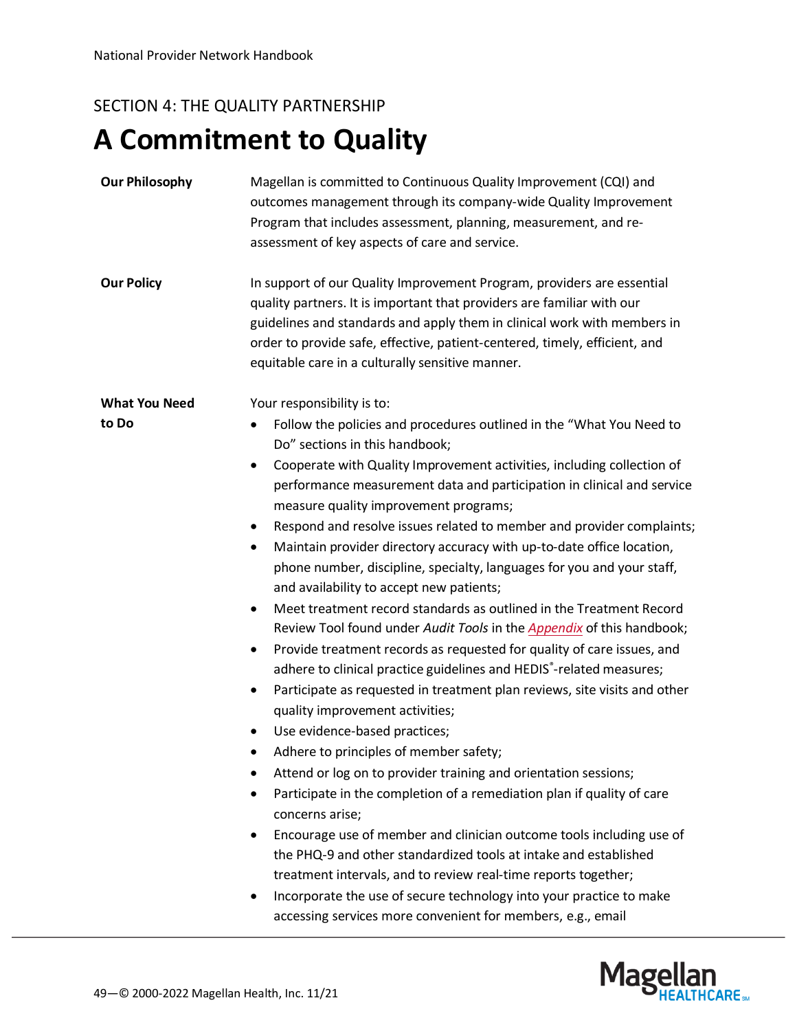# **A Commitment to Quality**

| <b>Our Philosophy</b> | Magellan is committed to Continuous Quality Improvement (CQI) and<br>outcomes management through its company-wide Quality Improvement<br>Program that includes assessment, planning, measurement, and re-<br>assessment of key aspects of care and service.                                                                                                                                                                                                                                                                                                                                                                           |
|-----------------------|---------------------------------------------------------------------------------------------------------------------------------------------------------------------------------------------------------------------------------------------------------------------------------------------------------------------------------------------------------------------------------------------------------------------------------------------------------------------------------------------------------------------------------------------------------------------------------------------------------------------------------------|
| <b>Our Policy</b>     | In support of our Quality Improvement Program, providers are essential<br>quality partners. It is important that providers are familiar with our<br>guidelines and standards and apply them in clinical work with members in<br>order to provide safe, effective, patient-centered, timely, efficient, and<br>equitable care in a culturally sensitive manner.                                                                                                                                                                                                                                                                        |
| <b>What You Need</b>  | Your responsibility is to:                                                                                                                                                                                                                                                                                                                                                                                                                                                                                                                                                                                                            |
| to Do                 | Follow the policies and procedures outlined in the "What You Need to<br>٠<br>Do" sections in this handbook;                                                                                                                                                                                                                                                                                                                                                                                                                                                                                                                           |
|                       | Cooperate with Quality Improvement activities, including collection of<br>٠<br>performance measurement data and participation in clinical and service<br>measure quality improvement programs;<br>Respond and resolve issues related to member and provider complaints;<br>٠<br>Maintain provider directory accuracy with up-to-date office location,<br>٠<br>phone number, discipline, specialty, languages for you and your staff,<br>and availability to accept new patients;<br>Meet treatment record standards as outlined in the Treatment Record<br>٠<br>Review Tool found under Audit Tools in the Appendix of this handbook; |
|                       | Provide treatment records as requested for quality of care issues, and<br>٠<br>adhere to clinical practice guidelines and HEDIS®-related measures;                                                                                                                                                                                                                                                                                                                                                                                                                                                                                    |
|                       | Participate as requested in treatment plan reviews, site visits and other<br>٠<br>quality improvement activities;                                                                                                                                                                                                                                                                                                                                                                                                                                                                                                                     |
|                       | Use evidence-based practices;                                                                                                                                                                                                                                                                                                                                                                                                                                                                                                                                                                                                         |
|                       | Adhere to principles of member safety;<br>$\bullet$<br>Attend or log on to provider training and orientation sessions;                                                                                                                                                                                                                                                                                                                                                                                                                                                                                                                |
|                       | Participate in the completion of a remediation plan if quality of care<br>concerns arise;                                                                                                                                                                                                                                                                                                                                                                                                                                                                                                                                             |
|                       | Encourage use of member and clinician outcome tools including use of<br>the PHQ-9 and other standardized tools at intake and established<br>treatment intervals, and to review real-time reports together;                                                                                                                                                                                                                                                                                                                                                                                                                            |
|                       | Incorporate the use of secure technology into your practice to make<br>accessing services more convenient for members, e.g., email                                                                                                                                                                                                                                                                                                                                                                                                                                                                                                    |

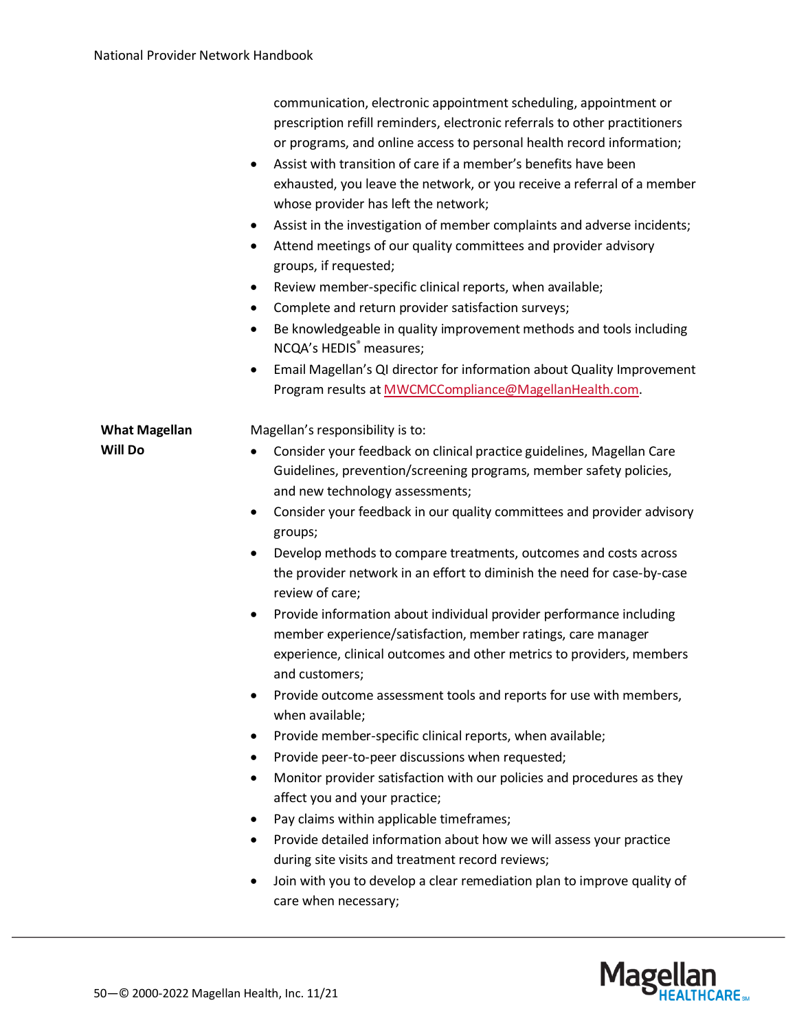|                                        | communication, electronic appointment scheduling, appointment or<br>prescription refill reminders, electronic referrals to other practitioners<br>or programs, and online access to personal health record information;<br>Assist with transition of care if a member's benefits have been<br>$\bullet$<br>exhausted, you leave the network, or you receive a referral of a member<br>whose provider has left the network;<br>Assist in the investigation of member complaints and adverse incidents;<br>٠<br>Attend meetings of our quality committees and provider advisory<br>٠<br>groups, if requested;<br>Review member-specific clinical reports, when available;<br>٠<br>Complete and return provider satisfaction surveys;<br>Be knowledgeable in quality improvement methods and tools including<br>$\bullet$<br>NCQA's HEDIS® measures;<br>Email Magellan's QI director for information about Quality Improvement<br>٠<br>Program results at MWCMCCompliance@MagellanHealth.com.                                                                                                                                                                                                                                                                                                                                                                    |
|----------------------------------------|---------------------------------------------------------------------------------------------------------------------------------------------------------------------------------------------------------------------------------------------------------------------------------------------------------------------------------------------------------------------------------------------------------------------------------------------------------------------------------------------------------------------------------------------------------------------------------------------------------------------------------------------------------------------------------------------------------------------------------------------------------------------------------------------------------------------------------------------------------------------------------------------------------------------------------------------------------------------------------------------------------------------------------------------------------------------------------------------------------------------------------------------------------------------------------------------------------------------------------------------------------------------------------------------------------------------------------------------------------------|
| <b>What Magellan</b><br><b>Will Do</b> | Magellan's responsibility is to:<br>Consider your feedback on clinical practice guidelines, Magellan Care<br>Guidelines, prevention/screening programs, member safety policies,<br>and new technology assessments;<br>Consider your feedback in our quality committees and provider advisory<br>٠<br>groups;<br>Develop methods to compare treatments, outcomes and costs across<br>the provider network in an effort to diminish the need for case-by-case<br>review of care;<br>Provide information about individual provider performance including<br>٠<br>member experience/satisfaction, member ratings, care manager<br>experience, clinical outcomes and other metrics to providers, members<br>and customers;<br>Provide outcome assessment tools and reports for use with members,<br>$\bullet$<br>when available;<br>Provide member-specific clinical reports, when available;<br>٠<br>Provide peer-to-peer discussions when requested;<br>٠<br>Monitor provider satisfaction with our policies and procedures as they<br>affect you and your practice;<br>Pay claims within applicable timeframes;<br>٠<br>Provide detailed information about how we will assess your practice<br>during site visits and treatment record reviews;<br>Join with you to develop a clear remediation plan to improve quality of<br>$\bullet$<br>care when necessary; |

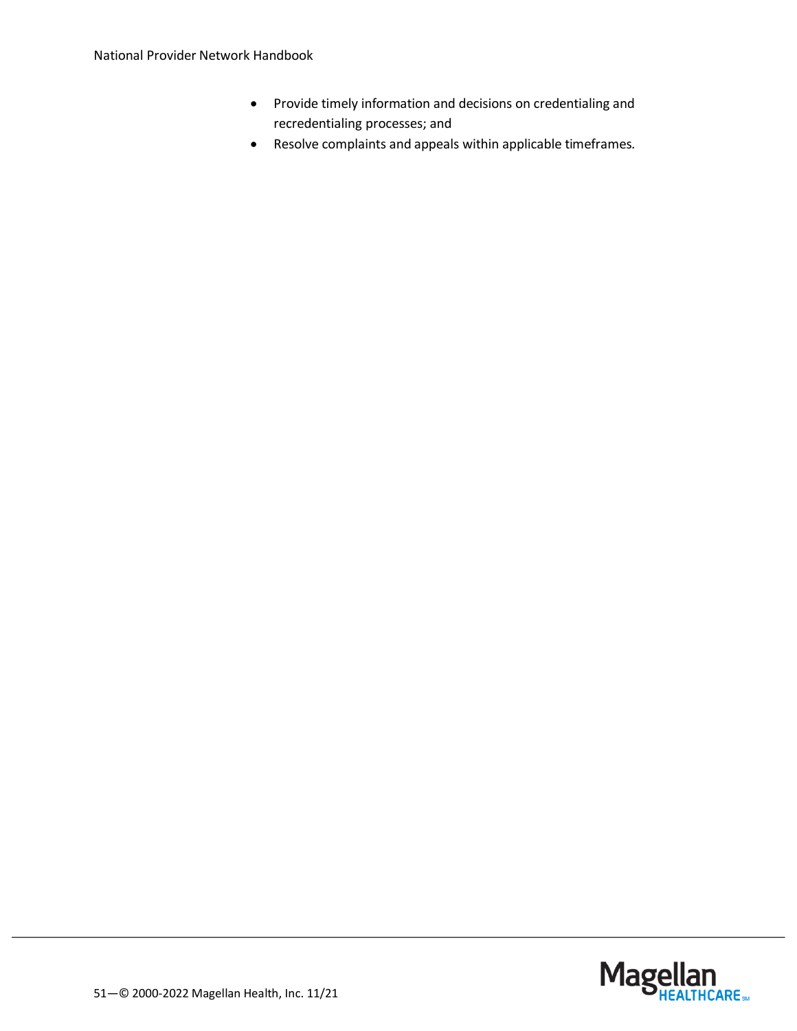- Provide timely information and decisions on credentialing and recredentialing processes; and
- Resolve complaints and appeals within applicable timeframes.

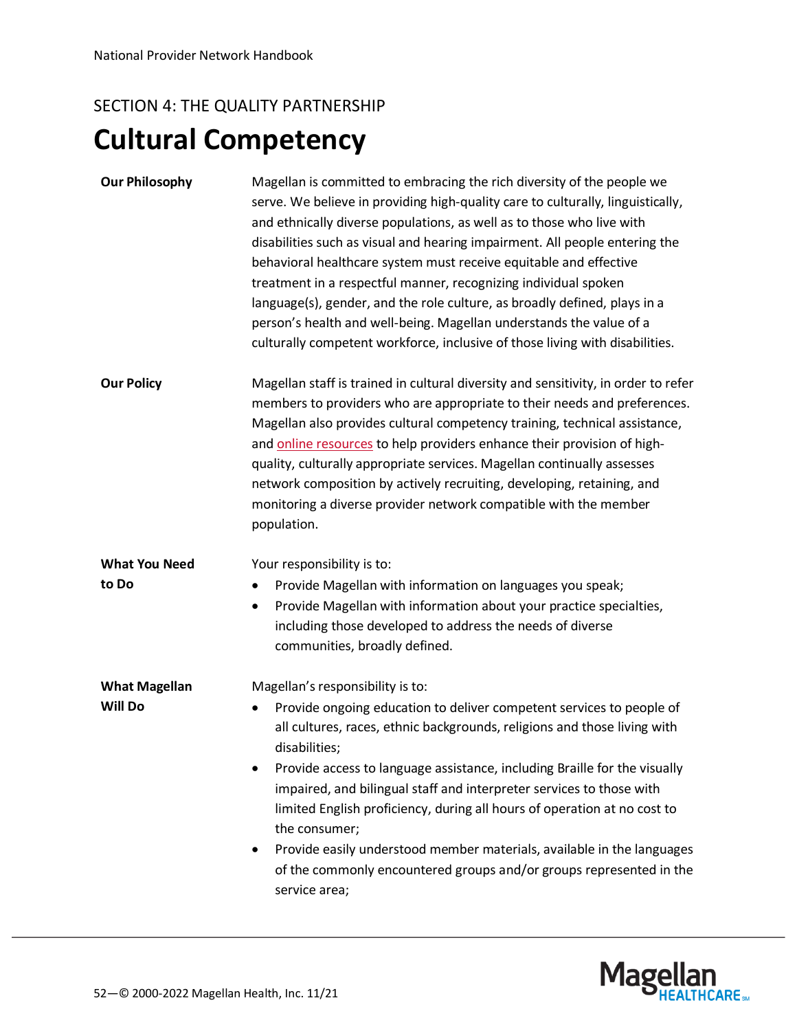# **Cultural Competency**

| <b>Our Philosophy</b> | Magellan is committed to embracing the rich diversity of the people we<br>serve. We believe in providing high-quality care to culturally, linguistically,<br>and ethnically diverse populations, as well as to those who live with<br>disabilities such as visual and hearing impairment. All people entering the<br>behavioral healthcare system must receive equitable and effective<br>treatment in a respectful manner, recognizing individual spoken<br>language(s), gender, and the role culture, as broadly defined, plays in a<br>person's health and well-being. Magellan understands the value of a<br>culturally competent workforce, inclusive of those living with disabilities. |
|-----------------------|-----------------------------------------------------------------------------------------------------------------------------------------------------------------------------------------------------------------------------------------------------------------------------------------------------------------------------------------------------------------------------------------------------------------------------------------------------------------------------------------------------------------------------------------------------------------------------------------------------------------------------------------------------------------------------------------------|
| <b>Our Policy</b>     | Magellan staff is trained in cultural diversity and sensitivity, in order to refer<br>members to providers who are appropriate to their needs and preferences.<br>Magellan also provides cultural competency training, technical assistance,<br>and online resources to help providers enhance their provision of high-<br>quality, culturally appropriate services. Magellan continually assesses<br>network composition by actively recruiting, developing, retaining, and<br>monitoring a diverse provider network compatible with the member<br>population.                                                                                                                               |
| <b>What You Need</b>  | Your responsibility is to:                                                                                                                                                                                                                                                                                                                                                                                                                                                                                                                                                                                                                                                                    |
| to Do                 | Provide Magellan with information on languages you speak;<br>٠<br>Provide Magellan with information about your practice specialties,<br>٠<br>including those developed to address the needs of diverse<br>communities, broadly defined.                                                                                                                                                                                                                                                                                                                                                                                                                                                       |
| <b>What Magellan</b>  | Magellan's responsibility is to:                                                                                                                                                                                                                                                                                                                                                                                                                                                                                                                                                                                                                                                              |
| <b>Will Do</b>        | Provide ongoing education to deliver competent services to people of<br>all cultures, races, ethnic backgrounds, religions and those living with<br>disabilities;<br>Provide access to language assistance, including Braille for the visually<br>impaired, and bilingual staff and interpreter services to those with<br>limited English proficiency, during all hours of operation at no cost to<br>the consumer;<br>Provide easily understood member materials, available in the languages<br>of the commonly encountered groups and/or groups represented in the<br>service area;                                                                                                         |

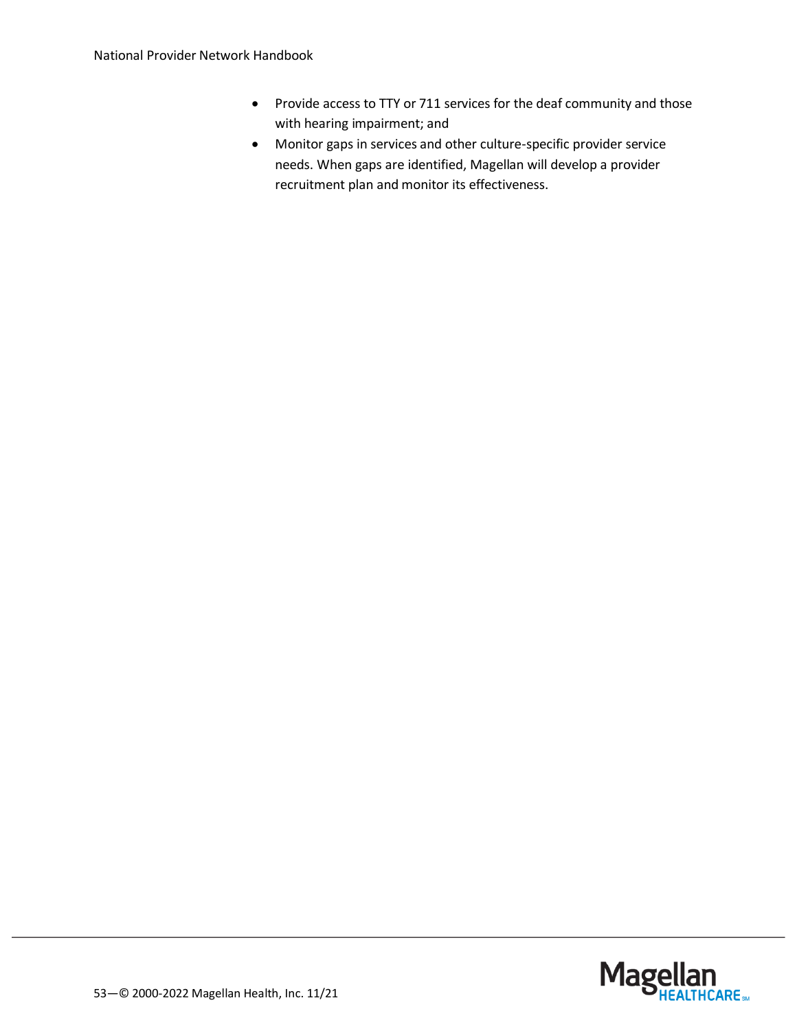- Provide access to TTY or 711 services for the deaf community and those with hearing impairment; and
- Monitor gaps in services and other culture-specific provider service needs. When gaps are identified, Magellan will develop a provider recruitment plan and monitor its effectiveness.

Magellan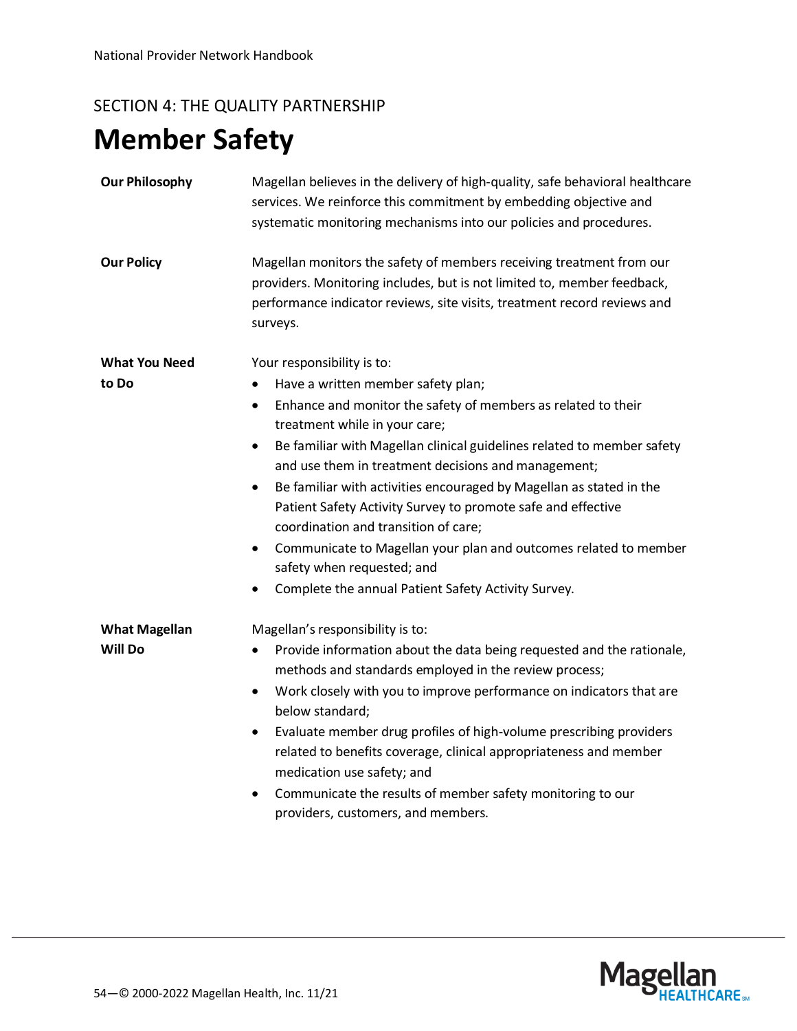# **Member Safety**

| <b>Our Philosophy</b>                  | Magellan believes in the delivery of high-quality, safe behavioral healthcare<br>services. We reinforce this commitment by embedding objective and<br>systematic monitoring mechanisms into our policies and procedures.                                                                                                                                                                                                                                                                                                                                                                                                                                             |
|----------------------------------------|----------------------------------------------------------------------------------------------------------------------------------------------------------------------------------------------------------------------------------------------------------------------------------------------------------------------------------------------------------------------------------------------------------------------------------------------------------------------------------------------------------------------------------------------------------------------------------------------------------------------------------------------------------------------|
| <b>Our Policy</b>                      | Magellan monitors the safety of members receiving treatment from our<br>providers. Monitoring includes, but is not limited to, member feedback,<br>performance indicator reviews, site visits, treatment record reviews and<br>surveys.                                                                                                                                                                                                                                                                                                                                                                                                                              |
| <b>What You Need</b><br>to Do          | Your responsibility is to:<br>Have a written member safety plan;<br>٠<br>Enhance and monitor the safety of members as related to their<br>٠<br>treatment while in your care;<br>Be familiar with Magellan clinical guidelines related to member safety<br>٠<br>and use them in treatment decisions and management;<br>Be familiar with activities encouraged by Magellan as stated in the<br>٠<br>Patient Safety Activity Survey to promote safe and effective<br>coordination and transition of care;<br>Communicate to Magellan your plan and outcomes related to member<br>٠<br>safety when requested; and<br>Complete the annual Patient Safety Activity Survey. |
| <b>What Magellan</b><br><b>Will Do</b> | Magellan's responsibility is to:<br>Provide information about the data being requested and the rationale,<br>٠<br>methods and standards employed in the review process;<br>Work closely with you to improve performance on indicators that are<br>$\bullet$<br>below standard;<br>Evaluate member drug profiles of high-volume prescribing providers<br>$\bullet$<br>related to benefits coverage, clinical appropriateness and member<br>medication use safety; and<br>Communicate the results of member safety monitoring to our<br>providers, customers, and members.                                                                                             |

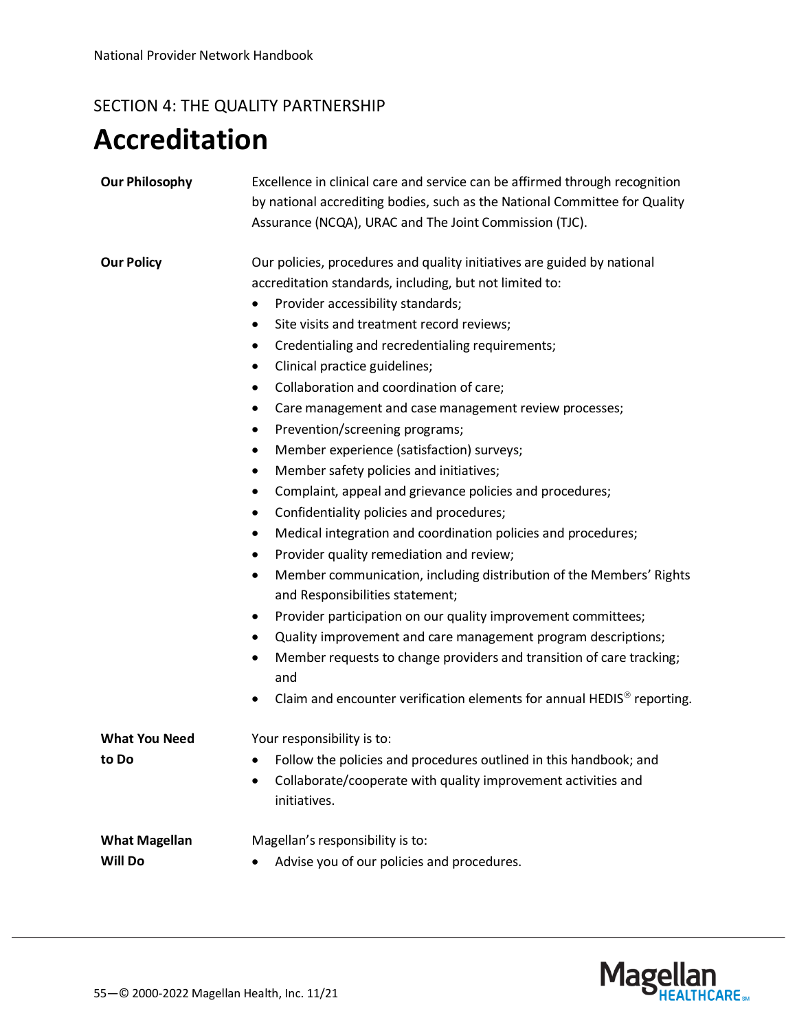## **Accreditation**

#### **Our Philosophy** Excellence in clinical care and service can be affirmed through recognition by national accrediting bodies, such as the National Committee for Quality Assurance (NCQA), URAC and The Joint Commission (TJC). **Our Policy** Our policies, procedures and quality initiatives are guided by national accreditation standards, including, but not limited to: • Provider accessibility standards; • Site visits and treatment record reviews; • Credentialing and recredentialing requirements; • Clinical practice guidelines; • Collaboration and coordination of care; • Care management and case management review processes; • Prevention/screening programs; • Member experience (satisfaction) surveys; • Member safety policies and initiatives; • Complaint, appeal and grievance policies and procedures; • Confidentiality policies and procedures; • Medical integration and coordination policies and procedures; • Provider quality remediation and review; • Member communication, including distribution of the Members' Rights and Responsibilities statement; Provider participation on our quality improvement committees; • Quality improvement and care management program descriptions; • Member requests to change providers and transition of care tracking; and • Claim and encounter verification elements for annual HEDIS<sup>®</sup> reporting. **What You Need to Do** Your responsibility is to: • Follow the policies and procedures outlined in this handbook; and • Collaborate/cooperate with quality improvement activities and initiatives. **What Magellan Will Do** Magellan's responsibility is to: • Advise you of our policies and procedures.

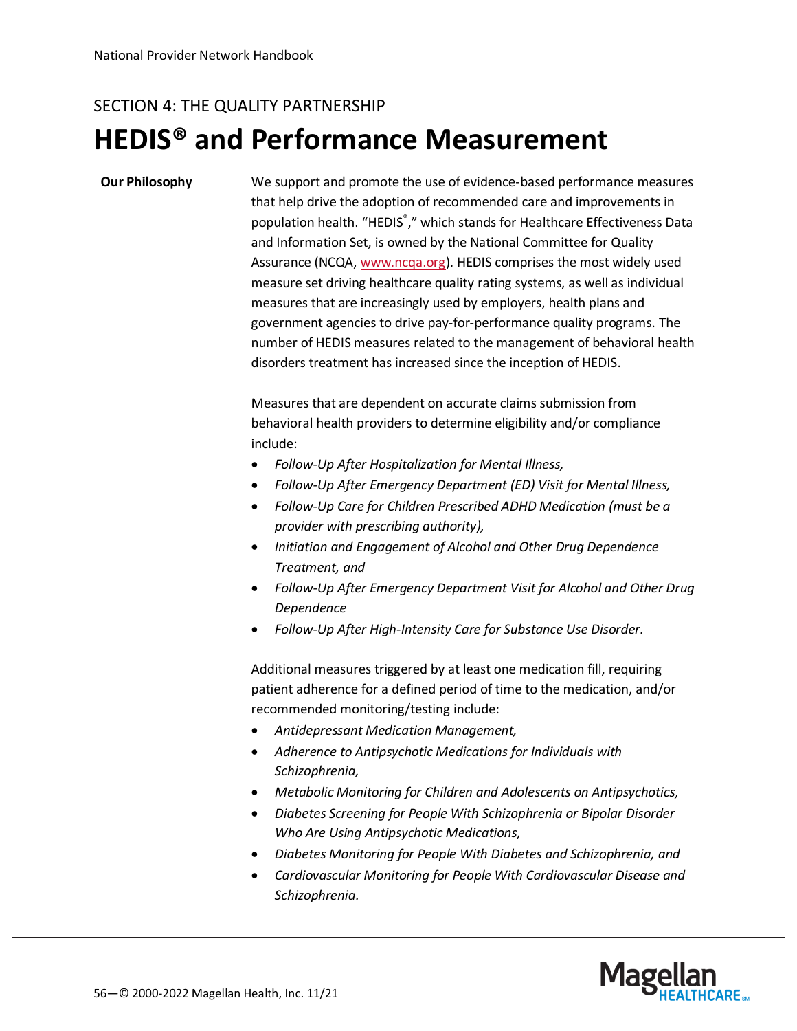### **HEDIS® and Performance Measurement**

**Our Philosophy** We support and promote the use of evidence-based performance measures that help drive the adoption of recommended care and improvements in population health. "HEDIS<sup>®</sup>," which stands for Healthcare Effectiveness Data and Information Set, is owned by the National Committee for Quality Assurance (NCQA, [www.ncqa.org\)](http://www.ncqa.org/). HEDIS comprises the most widely used measure set driving healthcare quality rating systems, as well as individual measures that are increasingly used by employers, health plans and government agencies to drive pay-for-performance quality programs. The number of HEDIS measures related to the management of behavioral health disorders treatment has increased since the inception of HEDIS.

> Measures that are dependent on accurate claims submission from behavioral health providers to determine eligibility and/or compliance include:

- *Follow-Up After Hospitalization for Mental Illness,*
- *Follow-Up After Emergency Department (ED) Visit for Mental Illness,*
- *Follow-Up Care for Children Prescribed ADHD Medication (must be a provider with prescribing authority),*
- *Initiation and Engagement of Alcohol and Other Drug Dependence Treatment, and*
- *Follow-Up After Emergency Department Visit for Alcohol and Other Drug Dependence*
- *Follow-Up After High-Intensity Care for Substance Use Disorder.*

Additional measures triggered by at least one medication fill, requiring patient adherence for a defined period of time to the medication, and/or recommended monitoring/testing include:

- *Antidepressant Medication Management,*
- *Adherence to Antipsychotic Medications for Individuals with Schizophrenia,*
- *Metabolic Monitoring for Children and Adolescents on Antipsychotics,*
- *Diabetes Screening for People With Schizophrenia or Bipolar Disorder Who Are Using Antipsychotic Medications,*
- *Diabetes Monitoring for People With Diabetes and Schizophrenia, and*
- *Cardiovascular Monitoring for People With Cardiovascular Disease and Schizophrenia.*

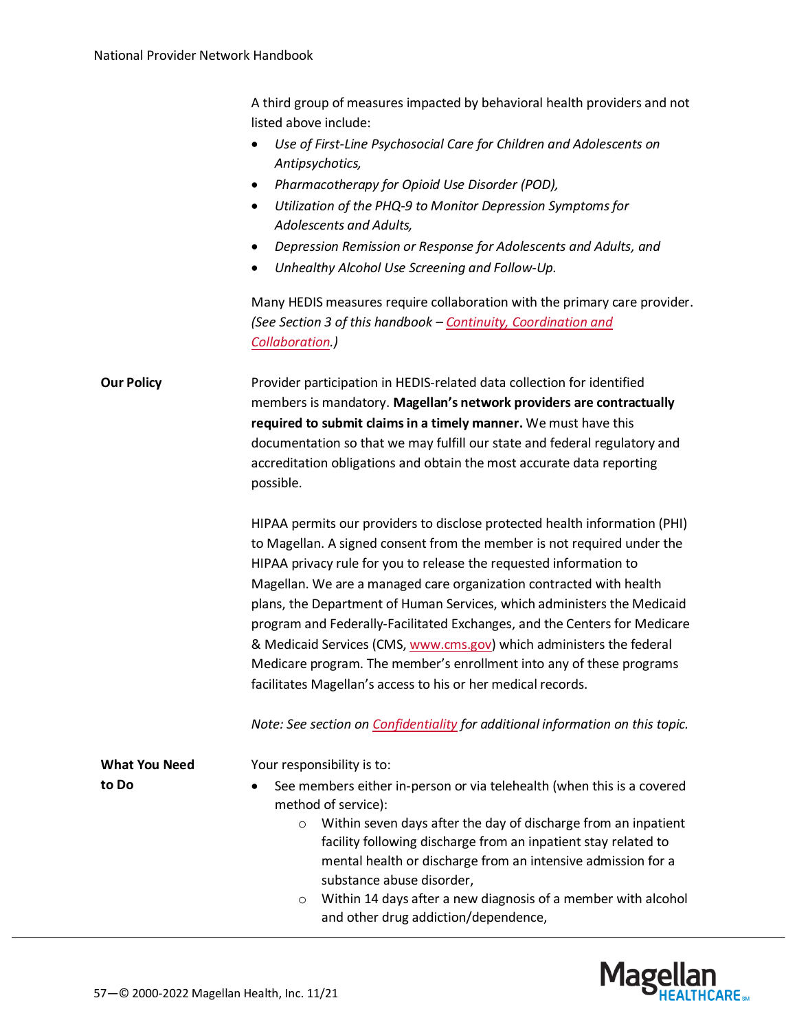|                      | A third group of measures impacted by behavioral health providers and not<br>listed above include:                                                                                                                                                                                                                   |
|----------------------|----------------------------------------------------------------------------------------------------------------------------------------------------------------------------------------------------------------------------------------------------------------------------------------------------------------------|
|                      | Use of First-Line Psychosocial Care for Children and Adolescents on<br>Antipsychotics,                                                                                                                                                                                                                               |
|                      | Pharmacotherapy for Opioid Use Disorder (POD),<br>٠                                                                                                                                                                                                                                                                  |
|                      | Utilization of the PHQ-9 to Monitor Depression Symptoms for<br>٠<br>Adolescents and Adults,                                                                                                                                                                                                                          |
|                      | Depression Remission or Response for Adolescents and Adults, and<br>٠                                                                                                                                                                                                                                                |
|                      | Unhealthy Alcohol Use Screening and Follow-Up.                                                                                                                                                                                                                                                                       |
|                      | Many HEDIS measures require collaboration with the primary care provider.<br>(See Section 3 of this handbook - Continuity, Coordination and<br>Collaboration.)                                                                                                                                                       |
| <b>Our Policy</b>    | Provider participation in HEDIS-related data collection for identified                                                                                                                                                                                                                                               |
|                      | members is mandatory. Magellan's network providers are contractually                                                                                                                                                                                                                                                 |
|                      | required to submit claims in a timely manner. We must have this                                                                                                                                                                                                                                                      |
|                      | documentation so that we may fulfill our state and federal regulatory and                                                                                                                                                                                                                                            |
|                      | accreditation obligations and obtain the most accurate data reporting<br>possible.                                                                                                                                                                                                                                   |
|                      | HIPAA permits our providers to disclose protected health information (PHI)<br>to Magellan. A signed consent from the member is not required under the                                                                                                                                                                |
|                      | HIPAA privacy rule for you to release the requested information to                                                                                                                                                                                                                                                   |
|                      | Magellan. We are a managed care organization contracted with health                                                                                                                                                                                                                                                  |
|                      | plans, the Department of Human Services, which administers the Medicaid                                                                                                                                                                                                                                              |
|                      | program and Federally-Facilitated Exchanges, and the Centers for Medicare                                                                                                                                                                                                                                            |
|                      | & Medicaid Services (CMS, www.cms.gov) which administers the federal                                                                                                                                                                                                                                                 |
|                      | Medicare program. The member's enrollment into any of these programs<br>facilitates Magellan's access to his or her medical records.                                                                                                                                                                                 |
|                      | Note: See section on Confidentiality for additional information on this topic.                                                                                                                                                                                                                                       |
| <b>What You Need</b> | Your responsibility is to:                                                                                                                                                                                                                                                                                           |
| to Do                | See members either in-person or via telehealth (when this is a covered                                                                                                                                                                                                                                               |
|                      | method of service):                                                                                                                                                                                                                                                                                                  |
|                      | Within seven days after the day of discharge from an inpatient<br>$\circ$<br>facility following discharge from an inpatient stay related to<br>mental health or discharge from an intensive admission for a<br>substance abuse disorder,<br>Within 14 days after a new diagnosis of a member with alcohol<br>$\circ$ |
|                      | and other drug addiction/dependence,                                                                                                                                                                                                                                                                                 |

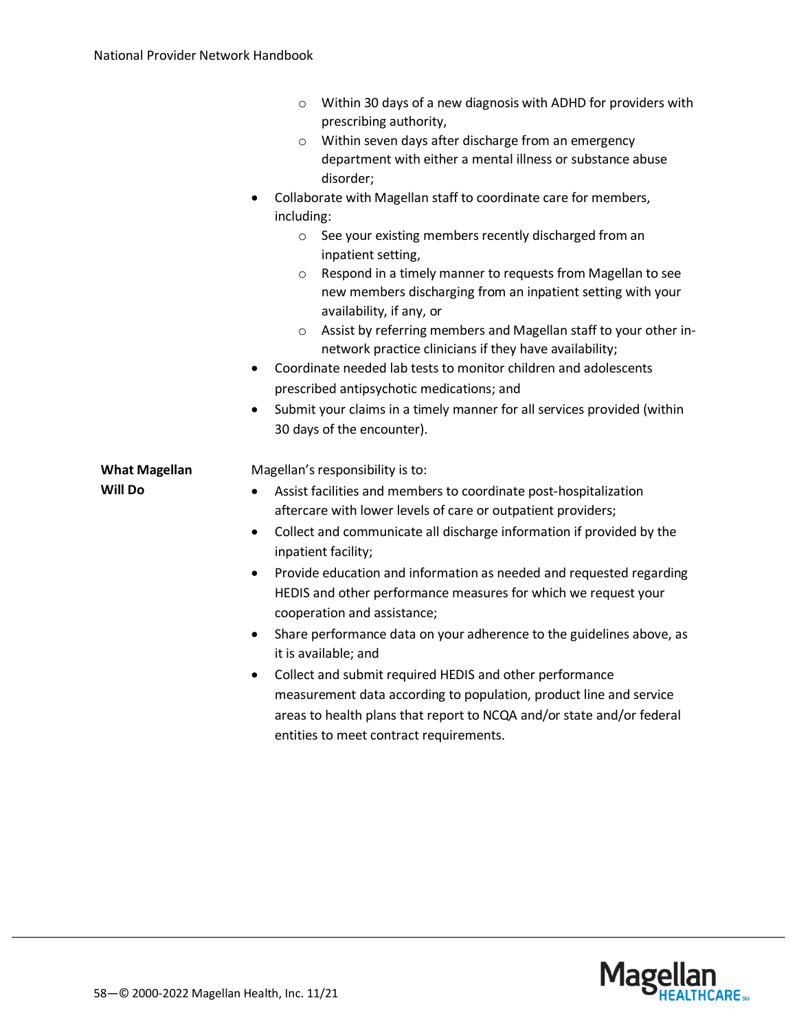|                                 | Within 30 days of a new diagnosis with ADHD for providers with<br>$\circ$<br>prescribing authority,<br>Within seven days after discharge from an emergency<br>$\circ$<br>department with either a mental illness or substance abuse<br>disorder;                                                                                                                                                                                                                                                                                                                                                                                                                                                                                                                                                                                                          |
|---------------------------------|-----------------------------------------------------------------------------------------------------------------------------------------------------------------------------------------------------------------------------------------------------------------------------------------------------------------------------------------------------------------------------------------------------------------------------------------------------------------------------------------------------------------------------------------------------------------------------------------------------------------------------------------------------------------------------------------------------------------------------------------------------------------------------------------------------------------------------------------------------------|
|                                 | Collaborate with Magellan staff to coordinate care for members,<br>$\bullet$<br>including:<br>See your existing members recently discharged from an<br>$\circ$<br>inpatient setting,<br>Respond in a timely manner to requests from Magellan to see<br>$\circ$<br>new members discharging from an inpatient setting with your<br>availability, if any, or<br>Assist by referring members and Magellan staff to your other in-<br>$\circ$<br>network practice clinicians if they have availability;<br>Coordinate needed lab tests to monitor children and adolescents<br>$\bullet$<br>prescribed antipsychotic medications; and<br>Submit your claims in a timely manner for all services provided (within<br>$\bullet$<br>30 days of the encounter).                                                                                                     |
| <b>What Magellan</b><br>Will Do | Magellan's responsibility is to:<br>Assist facilities and members to coordinate post-hospitalization<br>$\bullet$<br>aftercare with lower levels of care or outpatient providers;<br>Collect and communicate all discharge information if provided by the<br>٠<br>inpatient facility;<br>Provide education and information as needed and requested regarding<br>$\bullet$<br>HEDIS and other performance measures for which we request your<br>cooperation and assistance;<br>Share performance data on your adherence to the guidelines above, as<br>$\bullet$<br>it is available; and<br>Collect and submit required HEDIS and other performance<br>$\bullet$<br>measurement data according to population, product line and service<br>areas to health plans that report to NCQA and/or state and/or federal<br>entities to meet contract requirements. |

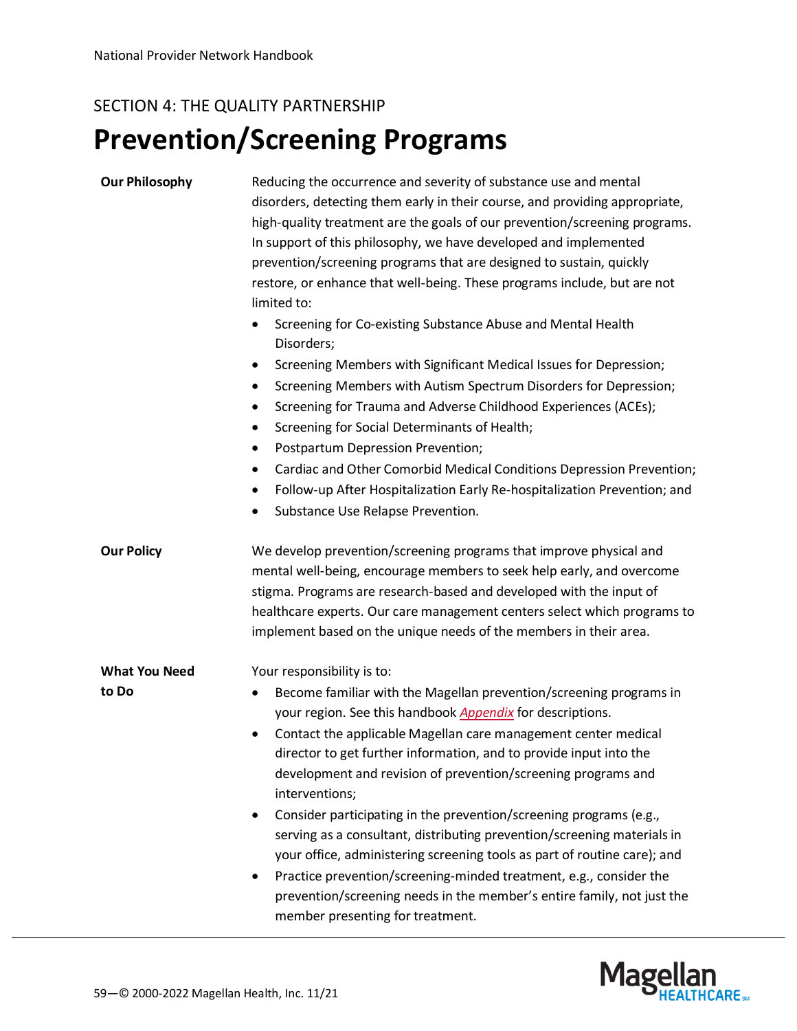### **Prevention/Screening Programs**

#### **Our Philosophy** Reducing the occurrence and severity of substance use and mental disorders, detecting them early in their course, and providing appropriate, high-quality treatment are the goals of our prevention/screening programs. In support of this philosophy, we have developed and implemented prevention/screening programs that are designed to sustain, quickly restore, or enhance that well-being. These programs include, but are not limited to: • Screening for Co-existing Substance Abuse and Mental Health Disorders; • Screening Members with Significant Medical Issues for Depression; • Screening Members with Autism Spectrum Disorders for Depression; • Screening for Trauma and Adverse Childhood Experiences (ACEs); • Screening for Social Determinants of Health; • Postpartum Depression Prevention; • Cardiac and Other Comorbid Medical Conditions Depression Prevention; • Follow-up After Hospitalization Early Re-hospitalization Prevention; and • Substance Use Relapse Prevention. **Our Policy** We develop prevention/screening programs that improve physical and mental well-being, encourage members to seek help early, and overcome stigma. Programs are research-based and developed with the input of healthcare experts. Our care management centers select which programs to implement based on the unique needs of the members in their area. **What You Need to Do** Your responsibility is to: • Become familiar with the Magellan prevention/screening programs in your region. See this handbook *[Appendix](https://www.magellanprovider.com/media/11901/app_i_prevention-programs.pdf)* for descriptions. • Contact the applicable Magellan care management center medical director to get further information, and to provide input into the development and revision of prevention/screening programs and interventions; • Consider participating in the prevention/screening programs (e.g., serving as a consultant, distributing prevention/screening materials in your office, administering screening tools as part of routine care); and • Practice prevention/screening-minded treatment, e.g., consider the prevention/screening needs in the member's entire family, not just the member presenting for treatment.

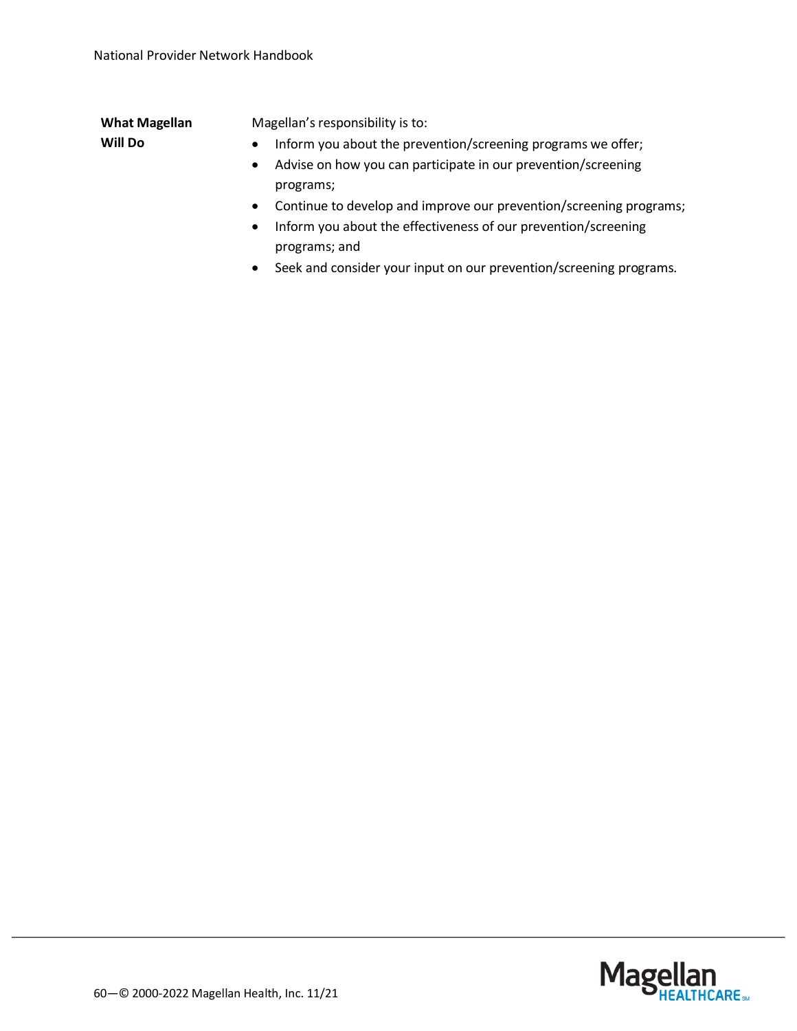| <b>What Magellan</b> |  |  |
|----------------------|--|--|
| Will Do              |  |  |

Magellan's responsibility is to:

- Inform you about the prevention/screening programs we offer;
- Advise on how you can participate in our prevention/screening programs;
- Continue to develop and improve our prevention/screening programs;
- Inform you about the effectiveness of our prevention/screening programs; and
- Seek and consider your input on our prevention/screening programs.

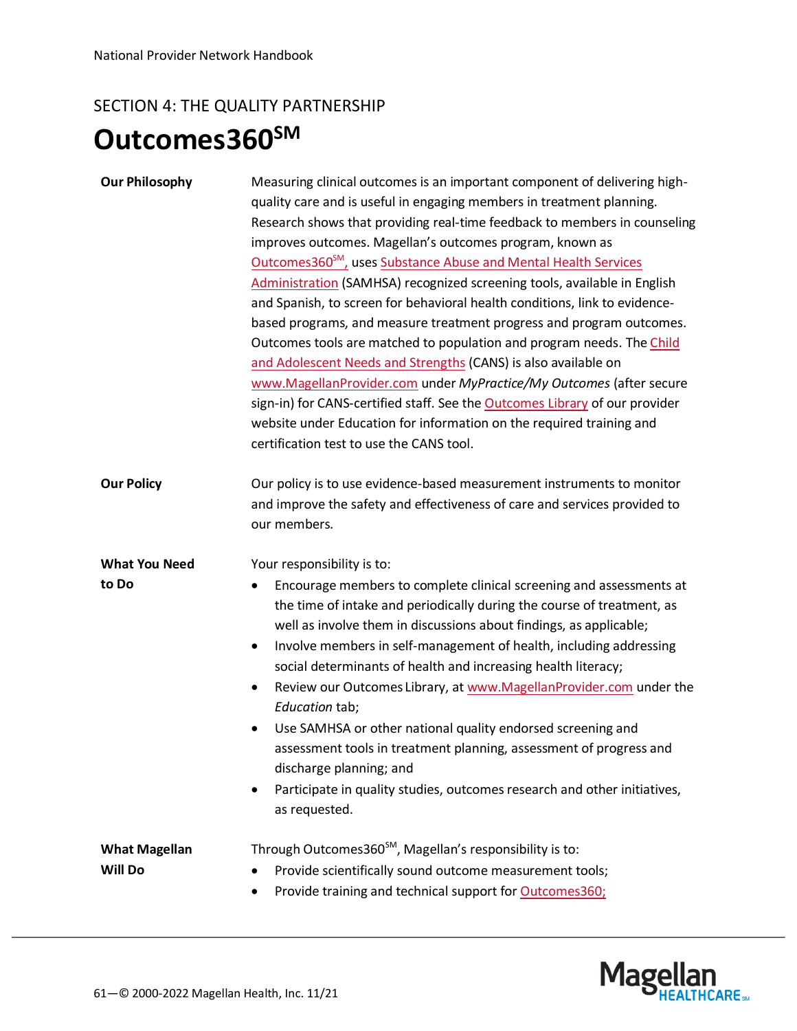# <span id="page-60-0"></span>**Outcomes360SM**

| <b>Our Philosophy</b>                  | Measuring clinical outcomes is an important component of delivering high-<br>quality care and is useful in engaging members in treatment planning.<br>Research shows that providing real-time feedback to members in counseling<br>improves outcomes. Magellan's outcomes program, known as<br>Outcomes360 <sup>SM</sup> , uses Substance Abuse and Mental Health Services<br>Administration (SAMHSA) recognized screening tools, available in English<br>and Spanish, to screen for behavioral health conditions, link to evidence-<br>based programs, and measure treatment progress and program outcomes.<br>Outcomes tools are matched to population and program needs. The Child<br>and Adolescent Needs and Strengths (CANS) is also available on<br>www.MagellanProvider.com under MyPractice/My Outcomes (after secure<br>sign-in) for CANS-certified staff. See the Outcomes Library of our provider<br>website under Education for information on the required training and<br>certification test to use the CANS tool. |
|----------------------------------------|-----------------------------------------------------------------------------------------------------------------------------------------------------------------------------------------------------------------------------------------------------------------------------------------------------------------------------------------------------------------------------------------------------------------------------------------------------------------------------------------------------------------------------------------------------------------------------------------------------------------------------------------------------------------------------------------------------------------------------------------------------------------------------------------------------------------------------------------------------------------------------------------------------------------------------------------------------------------------------------------------------------------------------------|
| <b>Our Policy</b>                      | Our policy is to use evidence-based measurement instruments to monitor<br>and improve the safety and effectiveness of care and services provided to<br>our members.                                                                                                                                                                                                                                                                                                                                                                                                                                                                                                                                                                                                                                                                                                                                                                                                                                                               |
| <b>What You Need</b><br>to Do          | Your responsibility is to:<br>Encourage members to complete clinical screening and assessments at<br>the time of intake and periodically during the course of treatment, as<br>well as involve them in discussions about findings, as applicable;<br>Involve members in self-management of health, including addressing<br>$\bullet$<br>social determinants of health and increasing health literacy;<br>Review our Outcomes Library, at www.MagellanProvider.com under the<br>٠<br>Education tab;<br>Use SAMHSA or other national quality endorsed screening and<br>assessment tools in treatment planning, assessment of progress and<br>discharge planning; and<br>Participate in quality studies, outcomes research and other initiatives,<br>٠<br>as requested.                                                                                                                                                                                                                                                              |
| <b>What Magellan</b><br><b>Will Do</b> | Through Outcomes360 <sup>SM</sup> , Magellan's responsibility is to:<br>Provide scientifically sound outcome measurement tools;<br>Provide training and technical support for Outcomes360;                                                                                                                                                                                                                                                                                                                                                                                                                                                                                                                                                                                                                                                                                                                                                                                                                                        |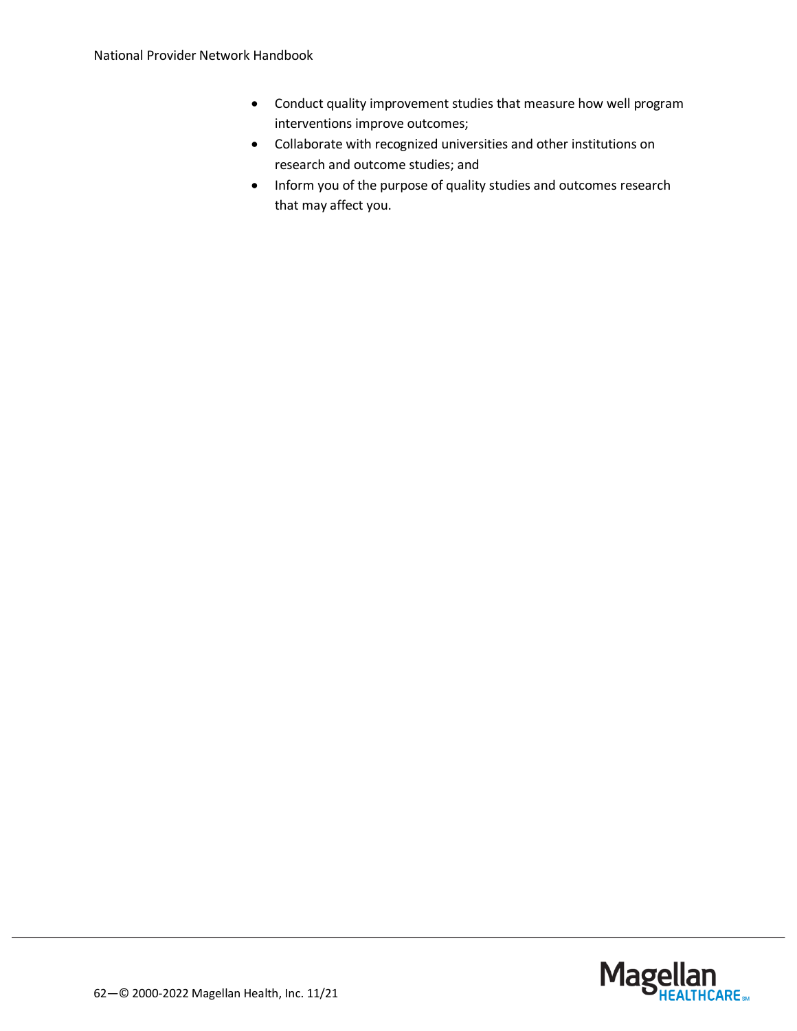- Conduct quality improvement studies that measure how well program interventions improve outcomes;
- Collaborate with recognized universities and other institutions on research and outcome studies; and
- Inform you of the purpose of quality studies and outcomes research that may affect you.

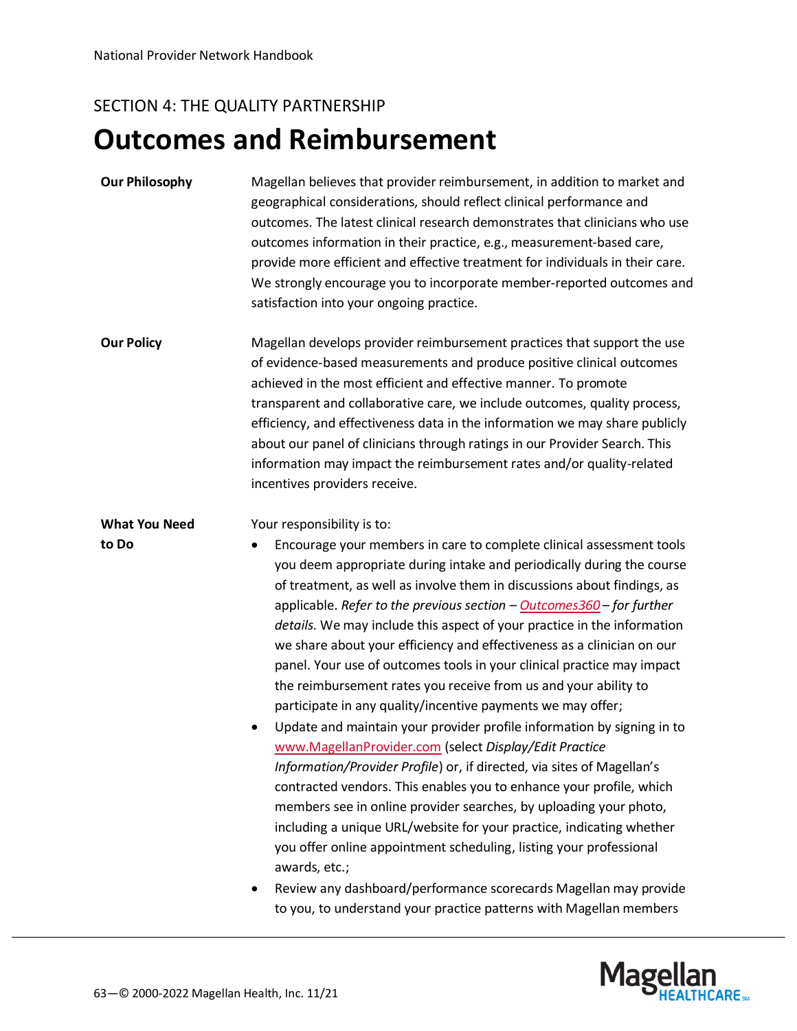### **Outcomes and Reimbursement**

#### **Our Philosophy** Magellan believes that provider reimbursement, in addition to market and geographical considerations, should reflect clinical performance and outcomes. The latest clinical research demonstrates that clinicians who use outcomes information in their practice, e.g., measurement-based care, provide more efficient and effective treatment for individuals in their care. We strongly encourage you to incorporate member-reported outcomes and satisfaction into your ongoing practice.

**Our Policy** Magellan develops provider reimbursement practices that support the use of evidence-based measurements and produce positive clinical outcomes achieved in the most efficient and effective manner. To promote transparent and collaborative care, we include outcomes, quality process, efficiency, and effectiveness data in the information we may share publicly about our panel of clinicians through ratings in our Provider Search. This information may impact the reimbursement rates and/or quality-related incentives providers receive.

**What You Need**  Your responsibility is to:

**to Do**

- Encourage your members in care to complete clinical assessment tools you deem appropriate during intake and periodically during the course of treatment, as well as involve them in discussions about findings, as applicable. *Refer to the previous section – [Outcomes360](#page-60-0) – for further details.* We may include this aspect of your practice in the information we share about your efficiency and effectiveness as a clinician on our panel. Your use of outcomes tools in your clinical practice may impact the reimbursement rates you receive from us and your ability to participate in any quality/incentive payments we may offer;
	- Update and maintain your provider profile information by signing in to [www.MagellanProvider.com](http://www.magellanprovider.com/) (select *Display/Edit Practice Information/Provider Profile*) or, if directed, via sites of Magellan's contracted vendors. This enables you to enhance your profile, which members see in online provider searches, by uploading your photo, including a unique URL/website for your practice, indicating whether you offer online appointment scheduling, listing your professional awards, etc.;
	- Review any dashboard/performance scorecards Magellan may provide to you, to understand your practice patterns with Magellan members

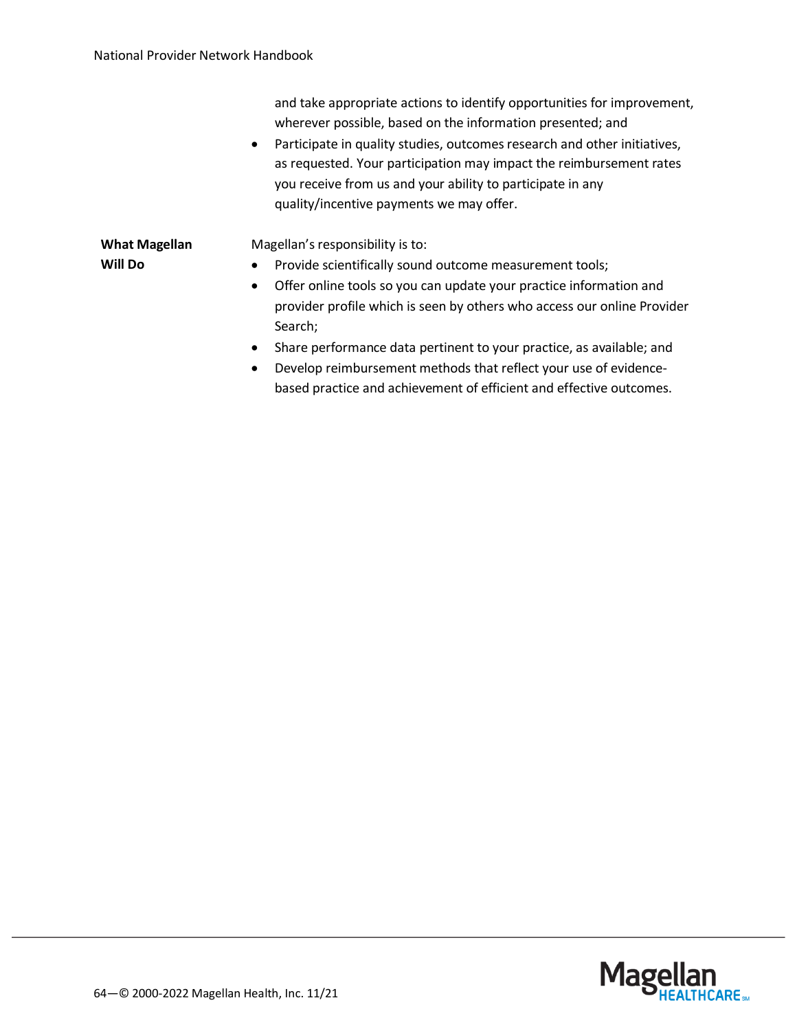|                      | and take appropriate actions to identify opportunities for improvement,<br>wherever possible, based on the information presented; and<br>Participate in quality studies, outcomes research and other initiatives,<br>$\bullet$<br>as requested. Your participation may impact the reimbursement rates<br>you receive from us and your ability to participate in any<br>quality/incentive payments we may offer. |
|----------------------|-----------------------------------------------------------------------------------------------------------------------------------------------------------------------------------------------------------------------------------------------------------------------------------------------------------------------------------------------------------------------------------------------------------------|
| <b>What Magellan</b> | Magellan's responsibility is to:                                                                                                                                                                                                                                                                                                                                                                                |
| <b>Will Do</b>       | Provide scientifically sound outcome measurement tools;<br>٠                                                                                                                                                                                                                                                                                                                                                    |
|                      | Offer online tools so you can update your practice information and<br>$\bullet$                                                                                                                                                                                                                                                                                                                                 |
|                      | provider profile which is seen by others who access our online Provider                                                                                                                                                                                                                                                                                                                                         |
|                      | Search;                                                                                                                                                                                                                                                                                                                                                                                                         |
|                      | Share performance data pertinent to your practice, as available; and<br>$\bullet$                                                                                                                                                                                                                                                                                                                               |

• Develop reimbursement methods that reflect your use of evidencebased practice and achievement of efficient and effective outcomes.

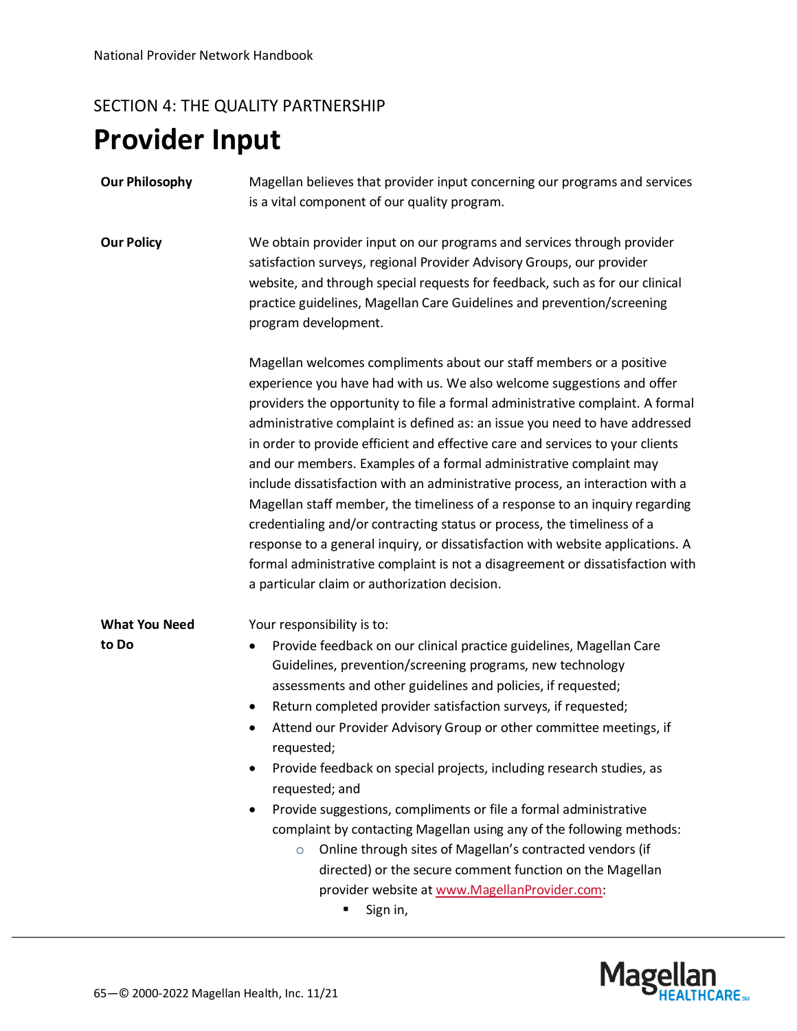### SECTION 4: THE QUALITY PARTNERSHIP **Provider Input**

| <b>Our Philosophy</b> | Magellan believes that provider input concerning our programs and services<br>is a vital component of our quality program. |
|-----------------------|----------------------------------------------------------------------------------------------------------------------------|
|                       |                                                                                                                            |
| <b>Our Policy</b>     | We obtain provider input on our programs and services through provider                                                     |
|                       | satisfaction surveys, regional Provider Advisory Groups, our provider                                                      |
|                       | website, and through special requests for feedback, such as for our clinical                                               |
|                       | practice guidelines, Magellan Care Guidelines and prevention/screening                                                     |
|                       | program development.                                                                                                       |

Magellan welcomes compliments about our staff members or a positive experience you have had with us. We also welcome suggestions and offer providers the opportunity to file a formal administrative complaint. A formal administrative complaint is defined as: an issue you need to have addressed in order to provide efficient and effective care and services to your clients and our members. Examples of a formal administrative complaint may include dissatisfaction with an administrative process, an interaction with a Magellan staff member, the timeliness of a response to an inquiry regarding credentialing and/or contracting status or process, the timeliness of a response to a general inquiry, or dissatisfaction with website applications. A formal administrative complaint is not a disagreement or dissatisfaction with a particular claim or authorization decision.

- **What You Need to Do** Your responsibility is to: • Provide feedback on our clinical practice guidelines, Magellan Care Guidelines, prevention/screening programs, new technology assessments and other guidelines and policies, if requested; • Return completed provider satisfaction surveys, if requested; • Attend our Provider Advisory Group or other committee meetings, if requested; • Provide feedback on special projects, including research studies, as requested; and • Provide suggestions, compliments or file a formal administrative complaint by contacting Magellan using any of the following methods: o Online through sites of Magellan's contracted vendors (if directed) or the secure comment function on the Magellan
	- provider website a[t www.MagellanProvider.com:](http://www.magellanprovider.com/)
		- Sign in,

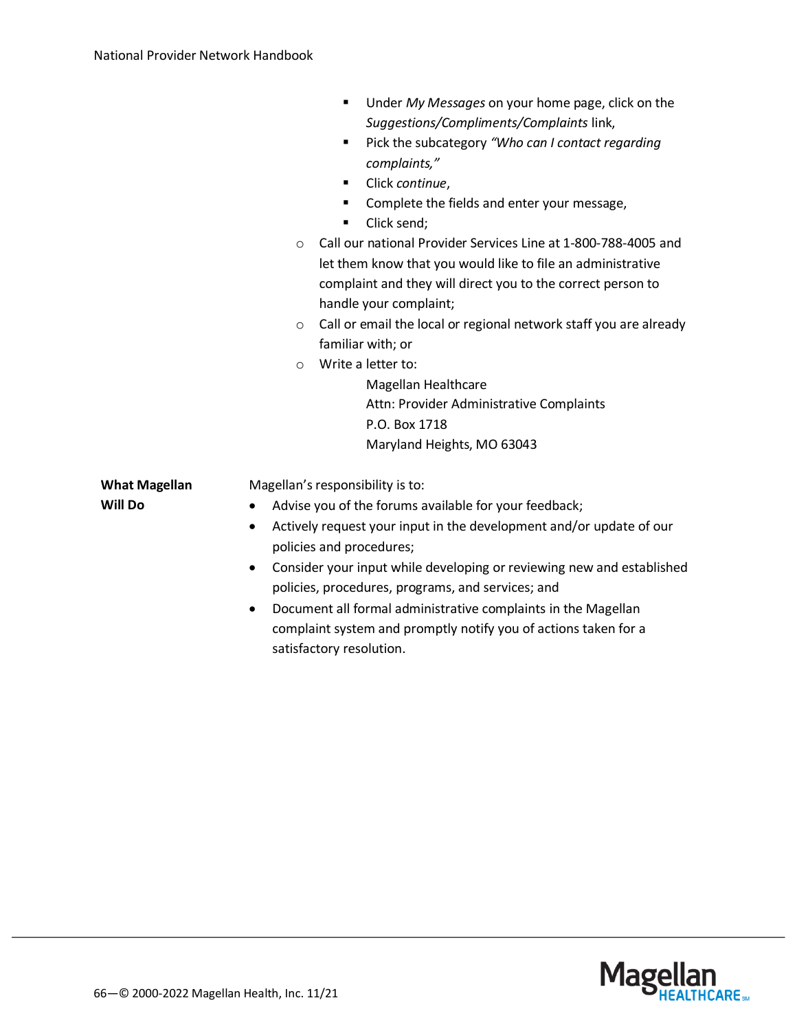|                      | Under My Messages on your home page, click on the                                  |
|----------------------|------------------------------------------------------------------------------------|
|                      | Suggestions/Compliments/Complaints link,                                           |
|                      | Pick the subcategory "Who can I contact regarding<br>٠                             |
|                      | complaints,"                                                                       |
|                      | Click continue,<br>٠                                                               |
|                      | Complete the fields and enter your message,<br>٠                                   |
|                      | Click send;<br>٠                                                                   |
|                      | Call our national Provider Services Line at 1-800-788-4005 and<br>$\circ$          |
|                      | let them know that you would like to file an administrative                        |
|                      | complaint and they will direct you to the correct person to                        |
|                      | handle your complaint;                                                             |
|                      | Call or email the local or regional network staff you are already<br>$\circ$       |
|                      | familiar with; or                                                                  |
|                      | Write a letter to:<br>$\circ$                                                      |
|                      | Magellan Healthcare                                                                |
|                      | Attn: Provider Administrative Complaints                                           |
|                      | P.O. Box 1718                                                                      |
|                      | Maryland Heights, MO 63043                                                         |
| <b>What Magellan</b> | Magellan's responsibility is to:                                                   |
| Will Do              | Advise you of the forums available for your feedback;                              |
|                      | Actively request your input in the development and/or update of our<br>$\bullet$   |
|                      | policies and procedures;                                                           |
|                      | Consider your input while developing or reviewing new and established<br>$\bullet$ |
|                      | policies, procedures, programs, and services; and                                  |
|                      | Document all formal administrative complaints in the Magellan<br>$\bullet$         |
|                      | complaint system and promptly notify you of actions taken for a                    |
|                      | satisfactory resolution.                                                           |
|                      |                                                                                    |
|                      |                                                                                    |

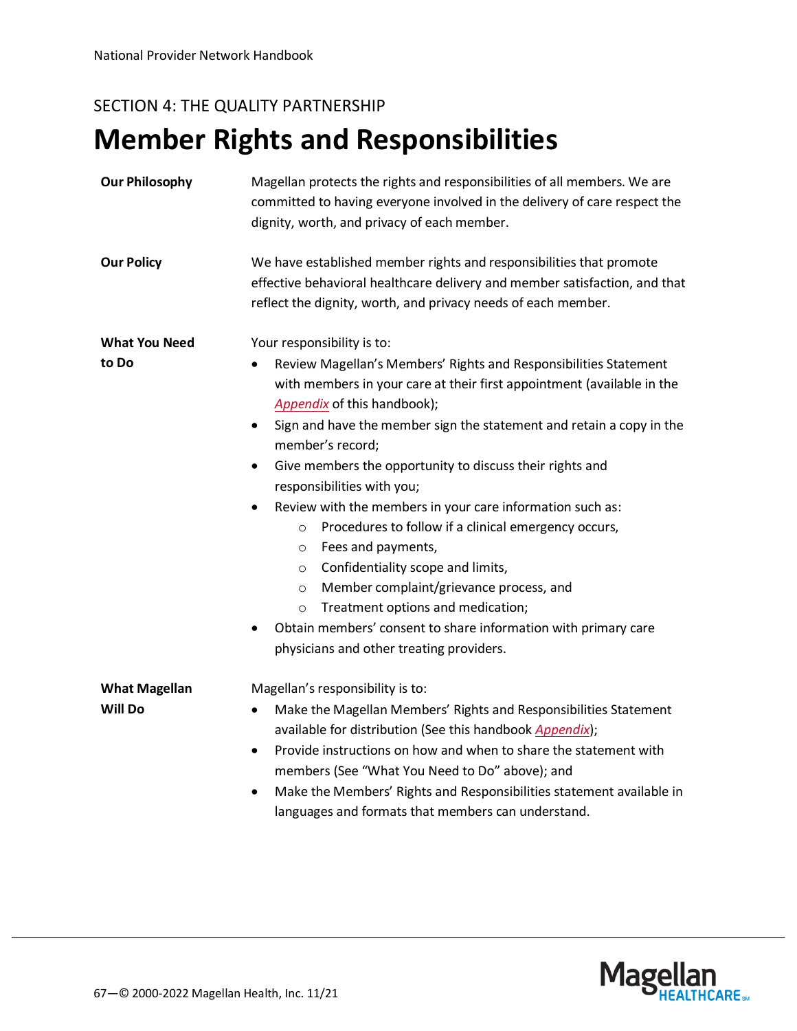# **Member Rights and Responsibilities**

| <b>Our Philosophy</b> | Magellan protects the rights and responsibilities of all members. We are<br>committed to having everyone involved in the delivery of care respect the<br>dignity, worth, and privacy of each member.                                                                                                                                                                                                                    |
|-----------------------|-------------------------------------------------------------------------------------------------------------------------------------------------------------------------------------------------------------------------------------------------------------------------------------------------------------------------------------------------------------------------------------------------------------------------|
| <b>Our Policy</b>     | We have established member rights and responsibilities that promote<br>effective behavioral healthcare delivery and member satisfaction, and that<br>reflect the dignity, worth, and privacy needs of each member.                                                                                                                                                                                                      |
| <b>What You Need</b>  | Your responsibility is to:                                                                                                                                                                                                                                                                                                                                                                                              |
| to Do                 | Review Magellan's Members' Rights and Responsibilities Statement<br>$\bullet$<br>with members in your care at their first appointment (available in the<br>Appendix of this handbook);<br>Sign and have the member sign the statement and retain a copy in the<br>$\bullet$<br>member's record;                                                                                                                         |
|                       | Give members the opportunity to discuss their rights and<br>$\bullet$                                                                                                                                                                                                                                                                                                                                                   |
|                       | responsibilities with you;                                                                                                                                                                                                                                                                                                                                                                                              |
|                       | Review with the members in your care information such as:                                                                                                                                                                                                                                                                                                                                                               |
|                       | Procedures to follow if a clinical emergency occurs,<br>$\circ$                                                                                                                                                                                                                                                                                                                                                         |
|                       | Fees and payments,<br>$\circ$                                                                                                                                                                                                                                                                                                                                                                                           |
|                       | Confidentiality scope and limits,<br>$\circ$<br>Member complaint/grievance process, and<br>$\circ$                                                                                                                                                                                                                                                                                                                      |
|                       | Treatment options and medication;<br>$\circ$                                                                                                                                                                                                                                                                                                                                                                            |
|                       | Obtain members' consent to share information with primary care<br>physicians and other treating providers.                                                                                                                                                                                                                                                                                                              |
| <b>What Magellan</b>  | Magellan's responsibility is to:                                                                                                                                                                                                                                                                                                                                                                                        |
| <b>Will Do</b>        | Make the Magellan Members' Rights and Responsibilities Statement<br>$\bullet$<br>available for distribution (See this handbook Appendix);<br>Provide instructions on how and when to share the statement with<br>$\bullet$<br>members (See "What You Need to Do" above); and<br>Make the Members' Rights and Responsibilities statement available in<br>$\bullet$<br>languages and formats that members can understand. |

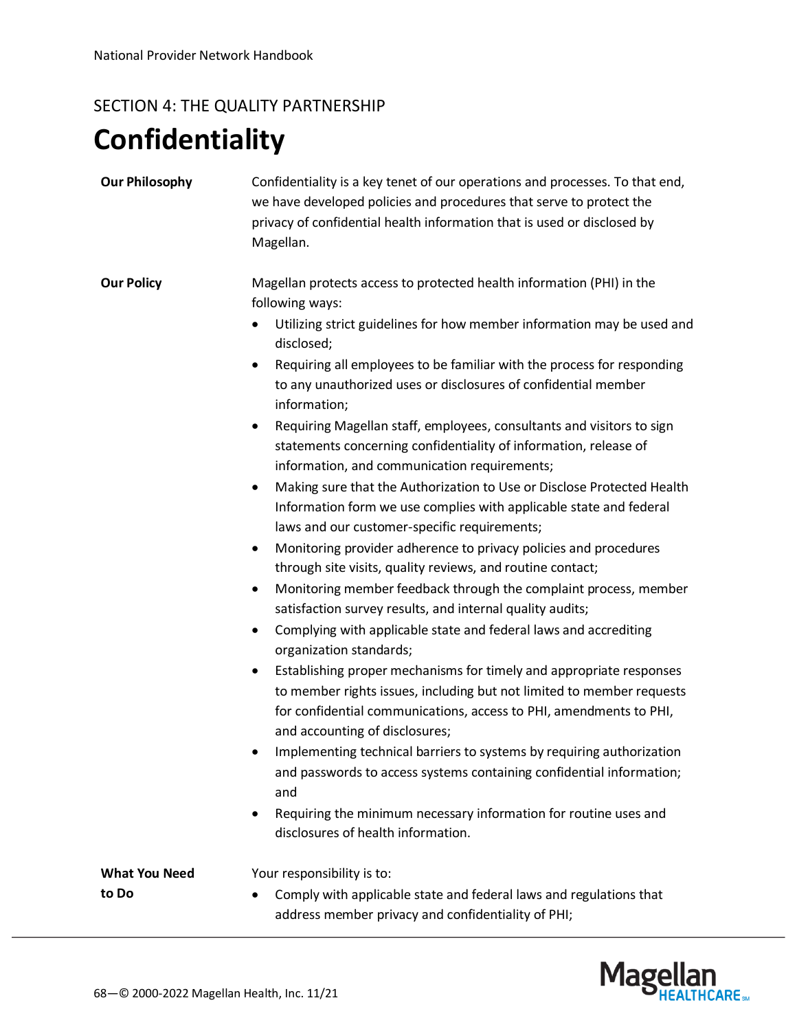# <span id="page-67-0"></span>**Confidentiality**

| <b>Our Philosophy</b> | Confidentiality is a key tenet of our operations and processes. To that end, |
|-----------------------|------------------------------------------------------------------------------|
|                       | we have developed policies and procedures that serve to protect the          |
|                       | privacy of confidential health information that is used or disclosed by      |
|                       | Magellan.                                                                    |
|                       |                                                                              |

**Our Policy** Magellan protects access to protected health information (PHI) in the following ways:

- Utilizing strict guidelines for how member information may be used and disclosed;
- Requiring all employees to be familiar with the process for responding to any unauthorized uses or disclosures of confidential member information;
- Requiring Magellan staff, employees, consultants and visitors to sign statements concerning confidentiality of information, release of information, and communication requirements;
- Making sure that the Authorization to Use or Disclose Protected Health Information form we use complies with applicable state and federal laws and our customer-specific requirements;
- Monitoring provider adherence to privacy policies and procedures through site visits, quality reviews, and routine contact;
- Monitoring member feedback through the complaint process, member satisfaction survey results, and internal quality audits;
- Complying with applicable state and federal laws and accrediting organization standards;
- Establishing proper mechanisms for timely and appropriate responses to member rights issues, including but not limited to member requests for confidential communications, access to PHI, amendments to PHI, and accounting of disclosures;
- Implementing technical barriers to systems by requiring authorization and passwords to access systems containing confidential information; and
- Requiring the minimum necessary information for routine uses and disclosures of health information.

**What You Need to Do** Your responsibility is to: • Comply with applicable state and federal laws and regulations that address member privacy and confidentiality of PHI;

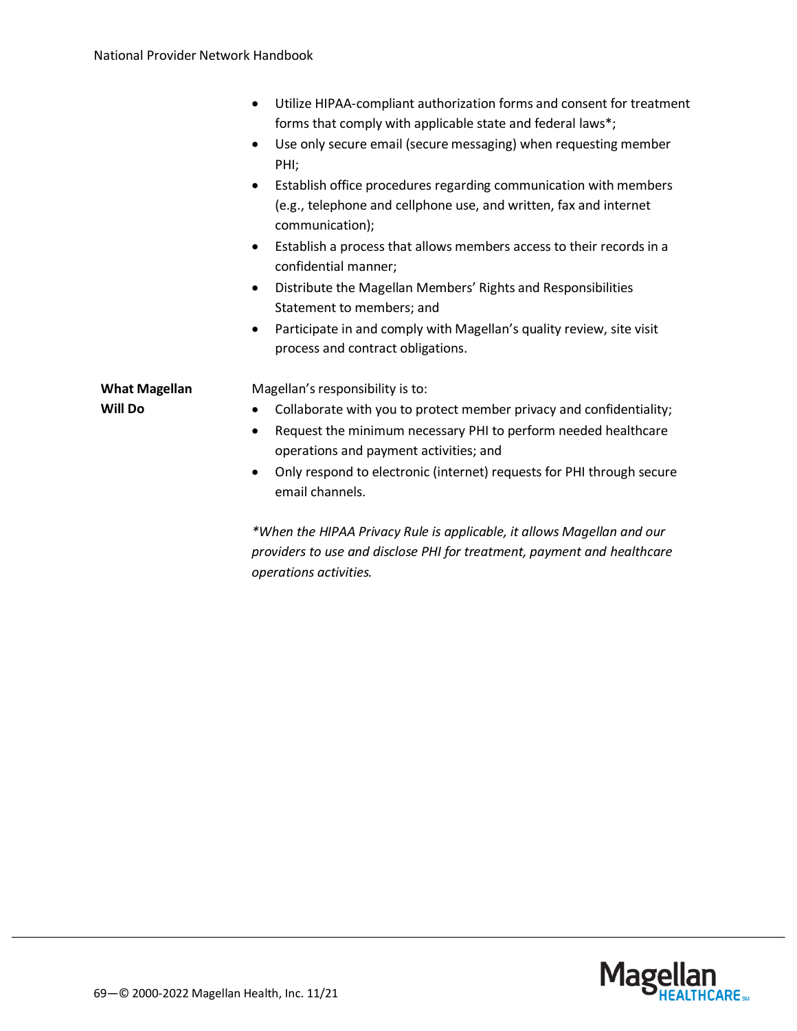|                                        | Utilize HIPAA-compliant authorization forms and consent for treatment<br>$\bullet$<br>forms that comply with applicable state and federal laws*;<br>Use only secure email (secure messaging) when requesting member<br>$\bullet$<br>PHI;<br>Establish office procedures regarding communication with members<br>$\bullet$<br>(e.g., telephone and cellphone use, and written, fax and internet |
|----------------------------------------|------------------------------------------------------------------------------------------------------------------------------------------------------------------------------------------------------------------------------------------------------------------------------------------------------------------------------------------------------------------------------------------------|
|                                        | communication);<br>Establish a process that allows members access to their records in a<br>$\bullet$<br>confidential manner;<br>Distribute the Magellan Members' Rights and Responsibilities<br>$\bullet$<br>Statement to members; and<br>Participate in and comply with Magellan's quality review, site visit<br>$\bullet$<br>process and contract obligations.                               |
| <b>What Magellan</b><br><b>Will Do</b> | Magellan's responsibility is to:<br>Collaborate with you to protect member privacy and confidentiality;<br>٠<br>Request the minimum necessary PHI to perform needed healthcare<br>$\bullet$<br>operations and payment activities; and<br>Only respond to electronic (internet) requests for PHI through secure<br>email channels.                                                              |

*\*When the HIPAA Privacy Rule is applicable, it allows Magellan and our providers to use and disclose PHI for treatment, payment and healthcare operations activities.*

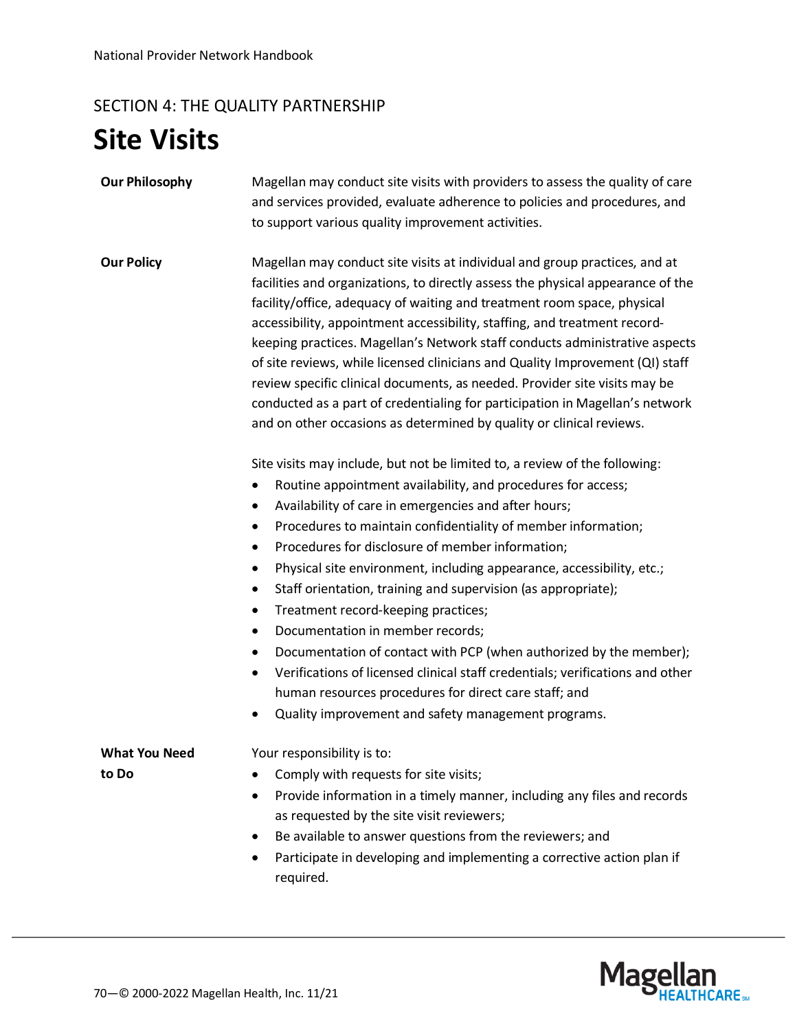### **Site Visits**

| <b>Our Philosophy</b>         | Magellan may conduct site visits with providers to assess the quality of care<br>and services provided, evaluate adherence to policies and procedures, and<br>to support various quality improvement activities.                                                                                                                                                                                                                                                                                                                                                                                                                                                                                                                                                                                                                                                                                      |
|-------------------------------|-------------------------------------------------------------------------------------------------------------------------------------------------------------------------------------------------------------------------------------------------------------------------------------------------------------------------------------------------------------------------------------------------------------------------------------------------------------------------------------------------------------------------------------------------------------------------------------------------------------------------------------------------------------------------------------------------------------------------------------------------------------------------------------------------------------------------------------------------------------------------------------------------------|
| <b>Our Policy</b>             | Magellan may conduct site visits at individual and group practices, and at<br>facilities and organizations, to directly assess the physical appearance of the<br>facility/office, adequacy of waiting and treatment room space, physical<br>accessibility, appointment accessibility, staffing, and treatment record-<br>keeping practices. Magellan's Network staff conducts administrative aspects<br>of site reviews, while licensed clinicians and Quality Improvement (QI) staff<br>review specific clinical documents, as needed. Provider site visits may be<br>conducted as a part of credentialing for participation in Magellan's network<br>and on other occasions as determined by quality or clinical reviews.                                                                                                                                                                           |
|                               | Site visits may include, but not be limited to, a review of the following:<br>Routine appointment availability, and procedures for access;<br>$\bullet$<br>Availability of care in emergencies and after hours;<br>$\bullet$<br>Procedures to maintain confidentiality of member information;<br>٠<br>Procedures for disclosure of member information;<br>٠<br>Physical site environment, including appearance, accessibility, etc.;<br>٠<br>Staff orientation, training and supervision (as appropriate);<br>$\bullet$<br>Treatment record-keeping practices;<br>٠<br>Documentation in member records;<br>٠<br>Documentation of contact with PCP (when authorized by the member);<br>٠<br>Verifications of licensed clinical staff credentials; verifications and other<br>$\bullet$<br>human resources procedures for direct care staff; and<br>Quality improvement and safety management programs. |
| <b>What You Need</b><br>to Do | Your responsibility is to:<br>Comply with requests for site visits;<br>Provide information in a timely manner, including any files and records<br>as requested by the site visit reviewers;<br>Be available to answer questions from the reviewers; and<br>٠<br>Participate in developing and implementing a corrective action plan if<br>required.                                                                                                                                                                                                                                                                                                                                                                                                                                                                                                                                                   |

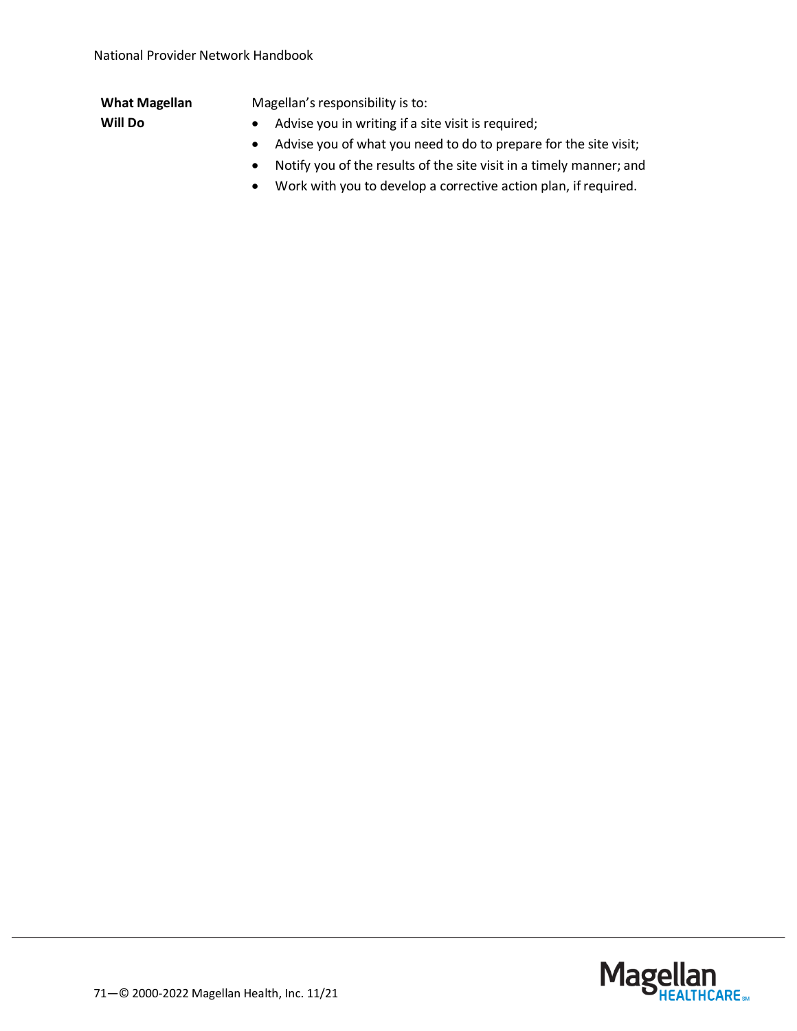#### **What Magellan**

**Will Do**

Magellan's responsibility is to:

- Advise you in writing if a site visit is required;
- Advise you of what you need to do to prepare for the site visit;
- Notify you of the results of the site visit in a timely manner; and
- Work with you to develop a corrective action plan, if required.

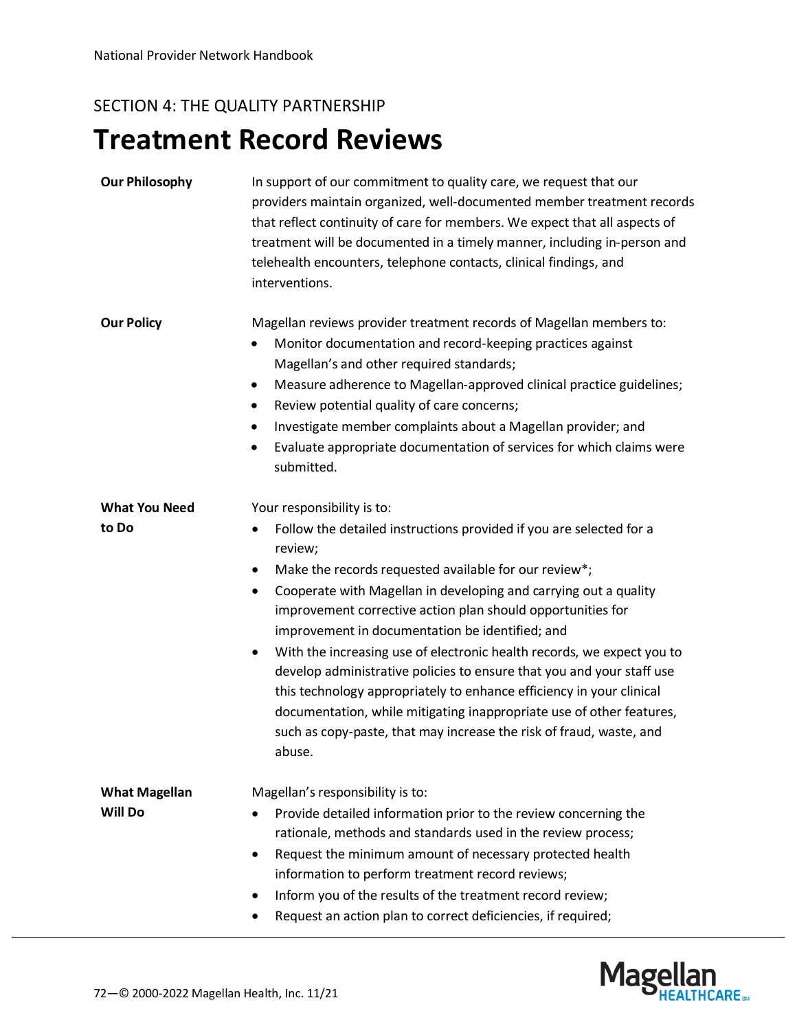### **Treatment Record Reviews**

| <b>Our Philosophy</b>                  | In support of our commitment to quality care, we request that our<br>providers maintain organized, well-documented member treatment records<br>that reflect continuity of care for members. We expect that all aspects of<br>treatment will be documented in a timely manner, including in-person and<br>telehealth encounters, telephone contacts, clinical findings, and<br>interventions.                                                                                                                                                                                                                                                                                                                                                                                        |
|----------------------------------------|-------------------------------------------------------------------------------------------------------------------------------------------------------------------------------------------------------------------------------------------------------------------------------------------------------------------------------------------------------------------------------------------------------------------------------------------------------------------------------------------------------------------------------------------------------------------------------------------------------------------------------------------------------------------------------------------------------------------------------------------------------------------------------------|
| <b>Our Policy</b>                      | Magellan reviews provider treatment records of Magellan members to:<br>Monitor documentation and record-keeping practices against<br>Magellan's and other required standards;<br>Measure adherence to Magellan-approved clinical practice guidelines;<br>٠<br>Review potential quality of care concerns;<br>٠<br>Investigate member complaints about a Magellan provider; and<br>$\bullet$<br>Evaluate appropriate documentation of services for which claims were<br>٠<br>submitted.                                                                                                                                                                                                                                                                                               |
| <b>What You Need</b><br>to Do          | Your responsibility is to:<br>Follow the detailed instructions provided if you are selected for a<br>٠<br>review;<br>Make the records requested available for our review*;<br>٠<br>Cooperate with Magellan in developing and carrying out a quality<br>$\bullet$<br>improvement corrective action plan should opportunities for<br>improvement in documentation be identified; and<br>With the increasing use of electronic health records, we expect you to<br>$\bullet$<br>develop administrative policies to ensure that you and your staff use<br>this technology appropriately to enhance efficiency in your clinical<br>documentation, while mitigating inappropriate use of other features,<br>such as copy-paste, that may increase the risk of fraud, waste, and<br>abuse. |
| <b>What Magellan</b><br><b>Will Do</b> | Magellan's responsibility is to:<br>Provide detailed information prior to the review concerning the<br>rationale, methods and standards used in the review process;<br>Request the minimum amount of necessary protected health<br>٠<br>information to perform treatment record reviews;<br>Inform you of the results of the treatment record review;<br>٠<br>Request an action plan to correct deficiencies, if required;                                                                                                                                                                                                                                                                                                                                                          |

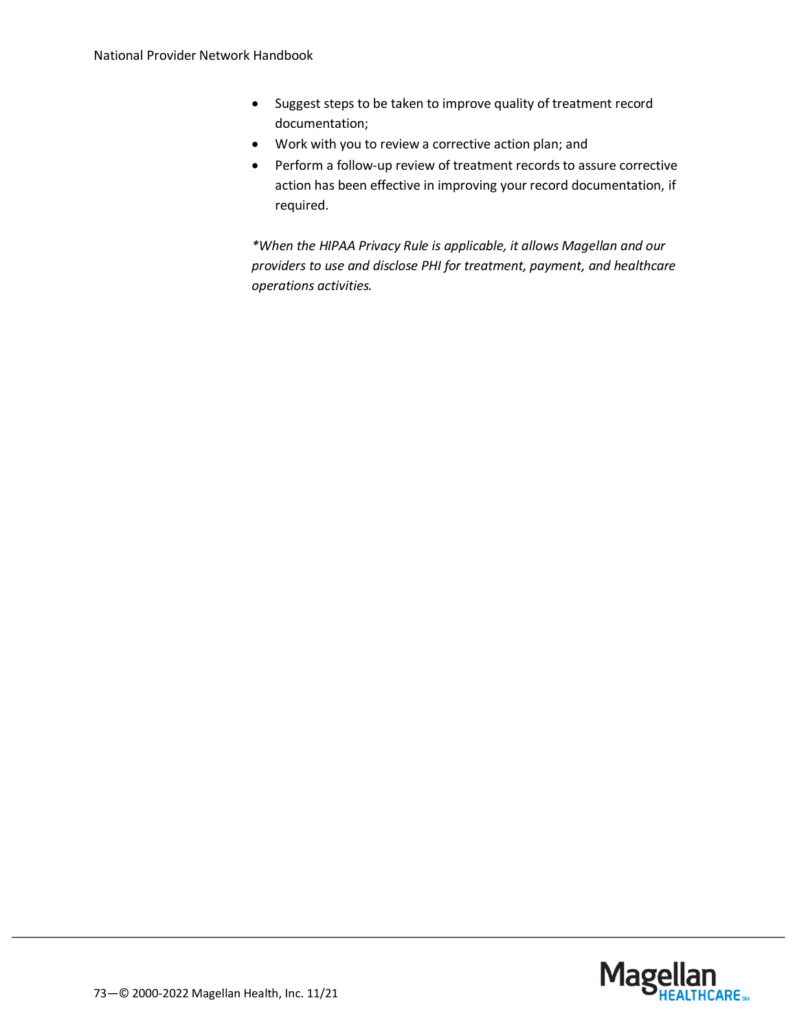- Suggest steps to be taken to improve quality of treatment record documentation;
- Work with you to review a corrective action plan; and
- Perform a follow-up review of treatment records to assure corrective action has been effective in improving your record documentation, if required.

*\*When the HIPAA Privacy Rule is applicable, it allows Magellan and our providers to use and disclose PHI for treatment, payment, and healthcare operations activities.*

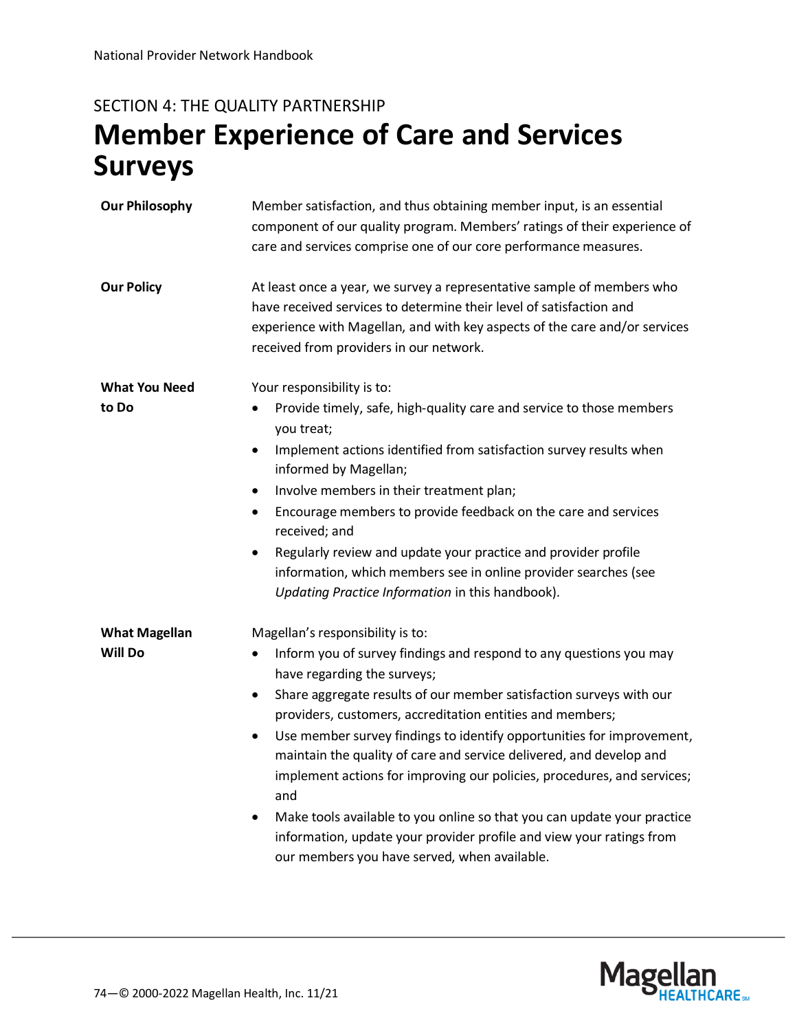## SECTION 4: THE QUALITY PARTNERSHIP **Member Experience of Care and Services Surveys**

| <b>Our Philosophy</b>                  | Member satisfaction, and thus obtaining member input, is an essential<br>component of our quality program. Members' ratings of their experience of<br>care and services comprise one of our core performance measures.                                                                                                                                                                                                                                                                                                                                                                                                                                                                                                           |
|----------------------------------------|----------------------------------------------------------------------------------------------------------------------------------------------------------------------------------------------------------------------------------------------------------------------------------------------------------------------------------------------------------------------------------------------------------------------------------------------------------------------------------------------------------------------------------------------------------------------------------------------------------------------------------------------------------------------------------------------------------------------------------|
| <b>Our Policy</b>                      | At least once a year, we survey a representative sample of members who<br>have received services to determine their level of satisfaction and<br>experience with Magellan, and with key aspects of the care and/or services<br>received from providers in our network.                                                                                                                                                                                                                                                                                                                                                                                                                                                           |
| <b>What You Need</b><br>to Do          | Your responsibility is to:<br>Provide timely, safe, high-quality care and service to those members<br>you treat;<br>Implement actions identified from satisfaction survey results when<br>٠<br>informed by Magellan;<br>Involve members in their treatment plan;<br>٠<br>Encourage members to provide feedback on the care and services<br>٠<br>received; and<br>Regularly review and update your practice and provider profile<br>$\bullet$<br>information, which members see in online provider searches (see<br>Updating Practice Information in this handbook).                                                                                                                                                              |
| <b>What Magellan</b><br><b>Will Do</b> | Magellan's responsibility is to:<br>Inform you of survey findings and respond to any questions you may<br>have regarding the surveys;<br>Share aggregate results of our member satisfaction surveys with our<br>٠<br>providers, customers, accreditation entities and members;<br>Use member survey findings to identify opportunities for improvement,<br>$\bullet$<br>maintain the quality of care and service delivered, and develop and<br>implement actions for improving our policies, procedures, and services;<br>and<br>Make tools available to you online so that you can update your practice<br>information, update your provider profile and view your ratings from<br>our members you have served, when available. |

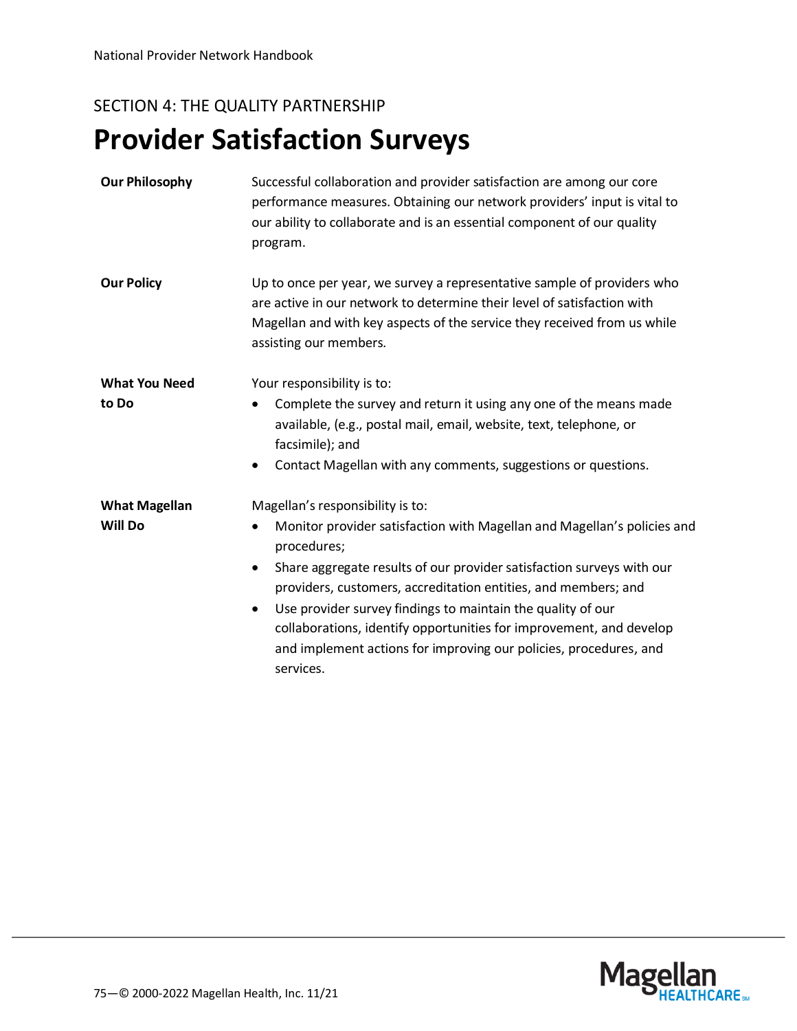#### SECTION 4: THE QUALITY PARTNERSHIP

# **Provider Satisfaction Surveys**

| <b>Our Philosophy</b> | Successful collaboration and provider satisfaction are among our core<br>performance measures. Obtaining our network providers' input is vital to<br>our ability to collaborate and is an essential component of our quality<br>program.                                                                                                                                          |
|-----------------------|-----------------------------------------------------------------------------------------------------------------------------------------------------------------------------------------------------------------------------------------------------------------------------------------------------------------------------------------------------------------------------------|
| <b>Our Policy</b>     | Up to once per year, we survey a representative sample of providers who<br>are active in our network to determine their level of satisfaction with<br>Magellan and with key aspects of the service they received from us while<br>assisting our members.                                                                                                                          |
| <b>What You Need</b>  | Your responsibility is to:                                                                                                                                                                                                                                                                                                                                                        |
| to Do                 | Complete the survey and return it using any one of the means made<br>٠<br>available, (e.g., postal mail, email, website, text, telephone, or<br>facsimile); and<br>Contact Magellan with any comments, suggestions or questions.<br>٠                                                                                                                                             |
| <b>What Magellan</b>  | Magellan's responsibility is to:                                                                                                                                                                                                                                                                                                                                                  |
| <b>Will Do</b>        | Monitor provider satisfaction with Magellan and Magellan's policies and<br>$\bullet$<br>procedures;                                                                                                                                                                                                                                                                               |
|                       | Share aggregate results of our provider satisfaction surveys with our<br>٠<br>providers, customers, accreditation entities, and members; and<br>Use provider survey findings to maintain the quality of our<br>$\bullet$<br>collaborations, identify opportunities for improvement, and develop<br>and implement actions for improving our policies, procedures, and<br>services. |

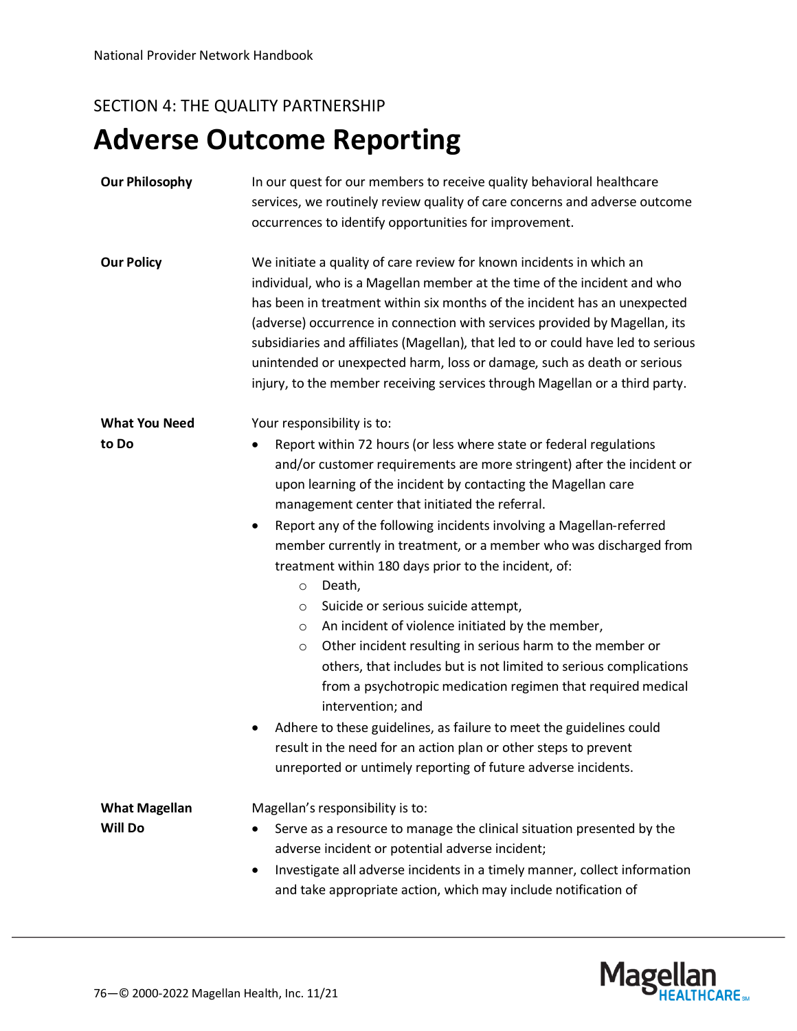#### SECTION 4: THE QUALITY PARTNERSHIP

# **Adverse Outcome Reporting**

| <b>Our Philosophy</b> | In our quest for our members to receive quality behavioral healthcare<br>services, we routinely review quality of care concerns and adverse outcome                                                                                                                                                                                                                                                                                                                                                                                                                                                                                                                                                                                                                                                                                                                                                                                                                                                                                                                  |
|-----------------------|----------------------------------------------------------------------------------------------------------------------------------------------------------------------------------------------------------------------------------------------------------------------------------------------------------------------------------------------------------------------------------------------------------------------------------------------------------------------------------------------------------------------------------------------------------------------------------------------------------------------------------------------------------------------------------------------------------------------------------------------------------------------------------------------------------------------------------------------------------------------------------------------------------------------------------------------------------------------------------------------------------------------------------------------------------------------|
|                       | occurrences to identify opportunities for improvement.                                                                                                                                                                                                                                                                                                                                                                                                                                                                                                                                                                                                                                                                                                                                                                                                                                                                                                                                                                                                               |
| <b>Our Policy</b>     | We initiate a quality of care review for known incidents in which an<br>individual, who is a Magellan member at the time of the incident and who<br>has been in treatment within six months of the incident has an unexpected<br>(adverse) occurrence in connection with services provided by Magellan, its<br>subsidiaries and affiliates (Magellan), that led to or could have led to serious<br>unintended or unexpected harm, loss or damage, such as death or serious<br>injury, to the member receiving services through Magellan or a third party.                                                                                                                                                                                                                                                                                                                                                                                                                                                                                                            |
| <b>What You Need</b>  | Your responsibility is to:                                                                                                                                                                                                                                                                                                                                                                                                                                                                                                                                                                                                                                                                                                                                                                                                                                                                                                                                                                                                                                           |
| to Do                 | Report within 72 hours (or less where state or federal regulations<br>and/or customer requirements are more stringent) after the incident or<br>upon learning of the incident by contacting the Magellan care<br>management center that initiated the referral.<br>Report any of the following incidents involving a Magellan-referred<br>$\bullet$<br>member currently in treatment, or a member who was discharged from<br>treatment within 180 days prior to the incident, of:<br>Death,<br>$\circ$<br>Suicide or serious suicide attempt,<br>$\circ$<br>An incident of violence initiated by the member,<br>$\circ$<br>Other incident resulting in serious harm to the member or<br>$\circ$<br>others, that includes but is not limited to serious complications<br>from a psychotropic medication regimen that required medical<br>intervention; and<br>Adhere to these guidelines, as failure to meet the guidelines could<br>result in the need for an action plan or other steps to prevent<br>unreported or untimely reporting of future adverse incidents. |
| <b>What Magellan</b>  | Magellan's responsibility is to:                                                                                                                                                                                                                                                                                                                                                                                                                                                                                                                                                                                                                                                                                                                                                                                                                                                                                                                                                                                                                                     |
| <b>Will Do</b>        | Serve as a resource to manage the clinical situation presented by the<br>adverse incident or potential adverse incident;<br>Investigate all adverse incidents in a timely manner, collect information<br>٠<br>and take appropriate action, which may include notification of                                                                                                                                                                                                                                                                                                                                                                                                                                                                                                                                                                                                                                                                                                                                                                                         |

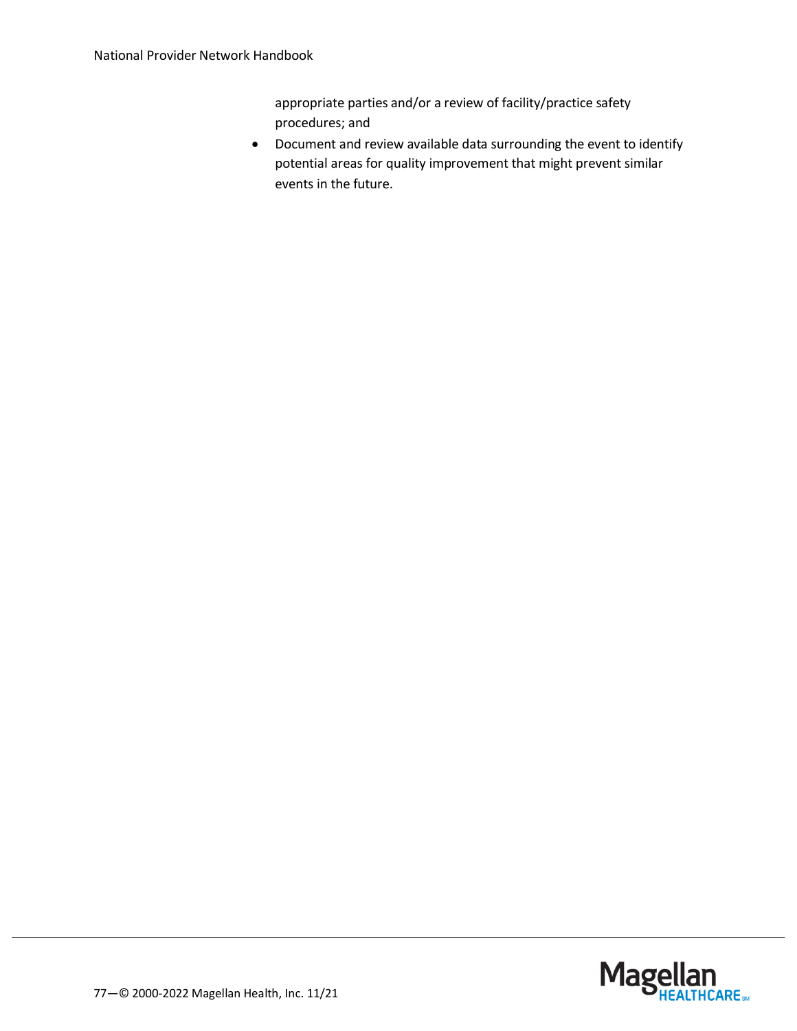appropriate parties and/or a review of facility/practice safety procedures; and

• Document and review available data surrounding the event to identify potential areas for quality improvement that might prevent similar events in the future.

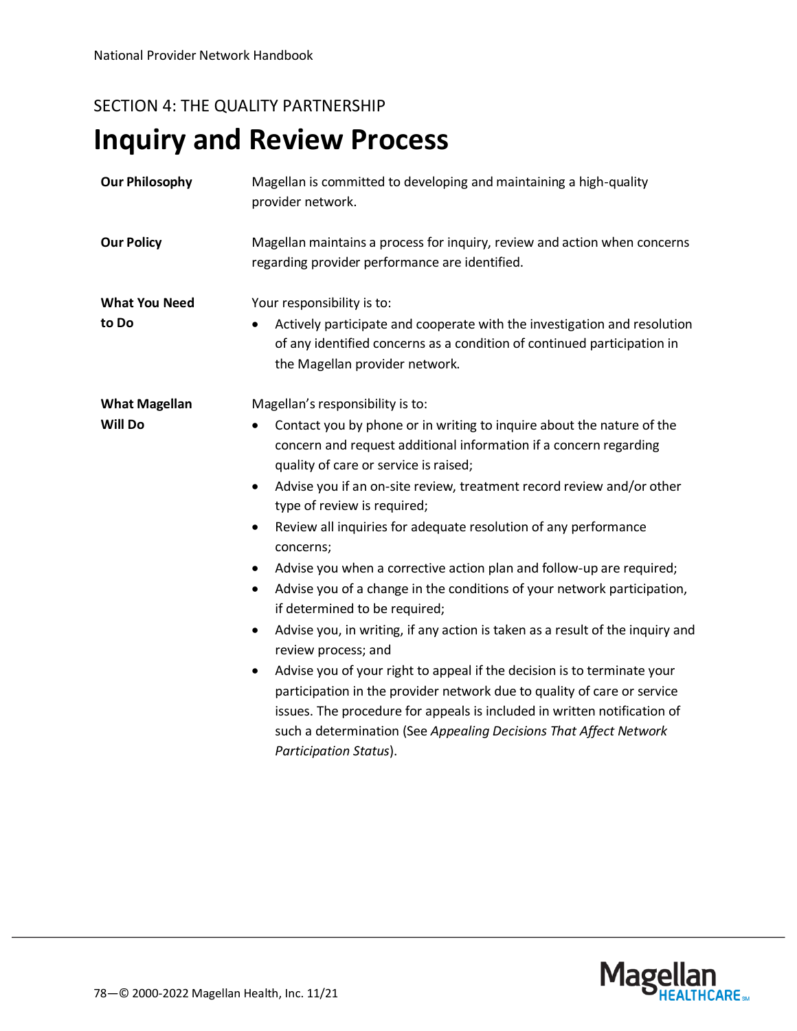#### SECTION 4: THE QUALITY PARTNERSHIP

# **Inquiry and Review Process**

| <b>Our Philosophy</b>         | Magellan is committed to developing and maintaining a high-quality<br>provider network.                                                                                                                                                                                                                                                    |
|-------------------------------|--------------------------------------------------------------------------------------------------------------------------------------------------------------------------------------------------------------------------------------------------------------------------------------------------------------------------------------------|
| <b>Our Policy</b>             | Magellan maintains a process for inquiry, review and action when concerns<br>regarding provider performance are identified.                                                                                                                                                                                                                |
| <b>What You Need</b><br>to Do | Your responsibility is to:<br>Actively participate and cooperate with the investigation and resolution<br>$\bullet$<br>of any identified concerns as a condition of continued participation in<br>the Magellan provider network.                                                                                                           |
| <b>What Magellan</b>          | Magellan's responsibility is to:                                                                                                                                                                                                                                                                                                           |
| <b>Will Do</b>                | Contact you by phone or in writing to inquire about the nature of the<br>concern and request additional information if a concern regarding<br>quality of care or service is raised;<br>Advise you if an on-site review, treatment record review and/or other<br>$\bullet$                                                                  |
|                               | type of review is required;<br>Review all inquiries for adequate resolution of any performance<br>$\bullet$<br>concerns;                                                                                                                                                                                                                   |
|                               | Advise you when a corrective action plan and follow-up are required;<br>$\bullet$<br>Advise you of a change in the conditions of your network participation,<br>$\bullet$<br>if determined to be required;                                                                                                                                 |
|                               | Advise you, in writing, if any action is taken as a result of the inquiry and<br>٠<br>review process; and                                                                                                                                                                                                                                  |
|                               | Advise you of your right to appeal if the decision is to terminate your<br>$\bullet$<br>participation in the provider network due to quality of care or service<br>issues. The procedure for appeals is included in written notification of<br>such a determination (See Appealing Decisions That Affect Network<br>Participation Status). |

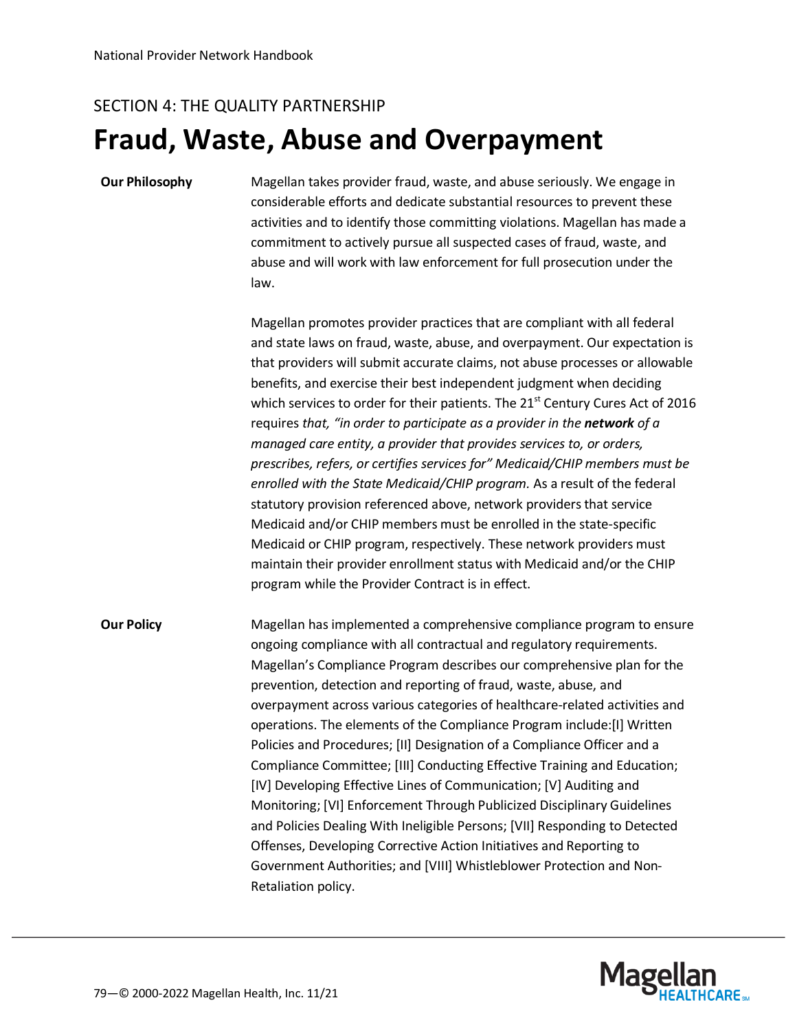#### SECTION 4: THE QUALITY PARTNERSHIP

#### **Fraud, Waste, Abuse and Overpayment**

**Our Philosophy** Magellan takes provider fraud, waste, and abuse seriously. We engage in considerable efforts and dedicate substantial resources to prevent these activities and to identify those committing violations. Magellan has made a commitment to actively pursue all suspected cases of fraud, waste, and abuse and will work with law enforcement for full prosecution under the law.

> Magellan promotes provider practices that are compliant with all federal and state laws on fraud, waste, abuse, and overpayment. Our expectation is that providers will submit accurate claims, not abuse processes or allowable benefits, and exercise their best independent judgment when deciding which services to order for their patients. The  $21<sup>st</sup>$  Century Cures Act of 2016 requires *that, "in order to participate as a provider in the network of a managed care entity, a provider that provides services to, or orders, prescribes, refers, or certifies services for" Medicaid/CHIP members must be enrolled with the State Medicaid/CHIP program.* As a result of the federal statutory provision referenced above, network providers that service Medicaid and/or CHIP members must be enrolled in the state-specific Medicaid or CHIP program, respectively. These network providers must maintain their provider enrollment status with Medicaid and/or the CHIP program while the Provider Contract is in effect.

**Our Policy** Magellan has implemented a comprehensive compliance program to ensure ongoing compliance with all contractual and regulatory requirements. Magellan's Compliance Program describes our comprehensive plan for the prevention, detection and reporting of fraud, waste, abuse, and overpayment across various categories of healthcare-related activities and operations. The elements of the Compliance Program include:[I] Written Policies and Procedures; [II] Designation of a Compliance Officer and a Compliance Committee; [III] Conducting Effective Training and Education; [IV] Developing Effective Lines of Communication; [V] Auditing and Monitoring; [VI] Enforcement Through Publicized Disciplinary Guidelines and Policies Dealing With Ineligible Persons; [VII] Responding to Detected Offenses, Developing Corrective Action Initiatives and Reporting to Government Authorities; and [VIII] Whistleblower Protection and Non-Retaliation policy.

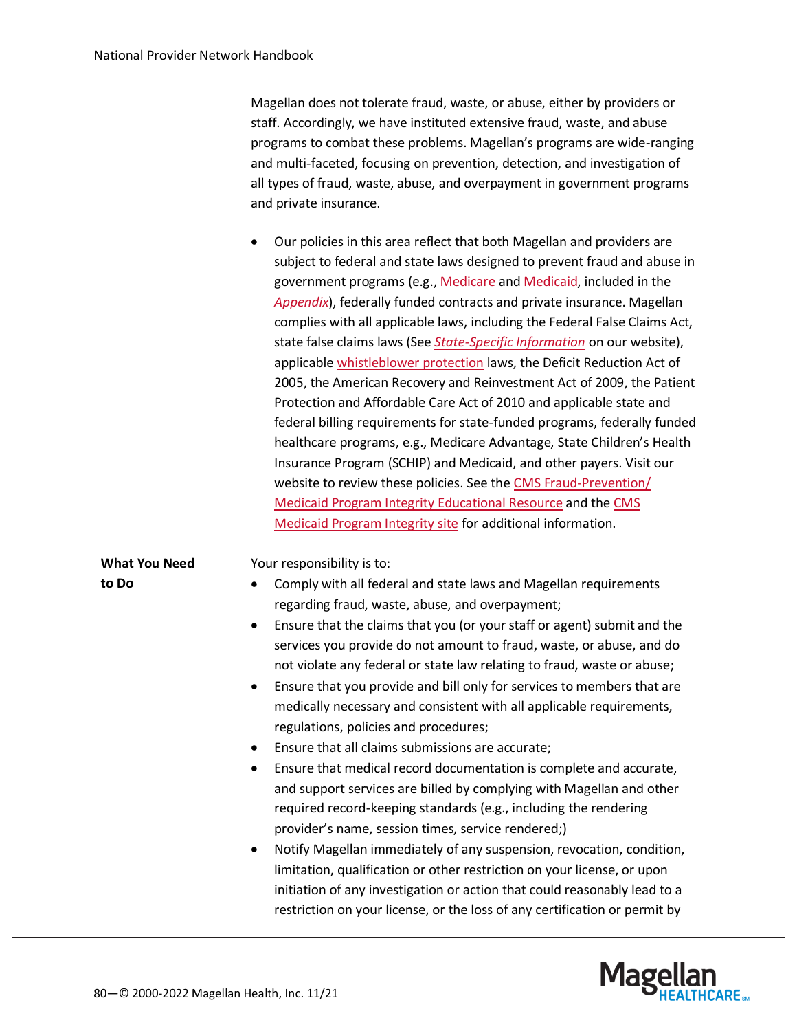Magellan does not tolerate fraud, waste, or abuse, either by providers or staff. Accordingly, we have instituted extensive fraud, waste, and abuse programs to combat these problems. Magellan's programs are wide-ranging and multi-faceted, focusing on prevention, detection, and investigation of all types of fraud, waste, abuse, and overpayment in government programs and private insurance.

- Our policies in this area reflect that both Magellan and providers are subject to federal and state laws designed to prevent fraud and abuse in government programs (e.g.[, Medicare](https://www.magellanprovider.com/media/121411/app_j_medicare_fraud_n_abuse_compliance_policy.pdf) an[d Medicaid,](https://www.magellanprovider.com/media/11903/app_j_medicaid_fraud_n_abuse_compliance_policy.pdf) included in the *[Appendix](http://www.magellanprovider.com/news-publications/handbooks/appendices.aspx)*), federally funded contracts and private insurance. Magellan complies with all applicable laws, including the Federal False Claims Act, state false claims laws (See *[State-Specific Information](https://www.magellanprovider.com/media/1702/state_false_claims_laws.pdf)* on our website), applicabl[e whistleblower protection](https://www.magellanprovider.com/media/11902/app_j_federal_false_claims_act.pdf) laws, the Deficit Reduction Act of 2005, the American Recovery and Reinvestment Act of 2009, the Patient Protection and Affordable Care Act of 2010 and applicable state and federal billing requirements for state-funded programs, federally funded healthcare programs, e.g., Medicare Advantage, State Children's Health Insurance Program (SCHIP) and Medicaid, and other payers. Visit our website to review these policies. See the [CMS Fraud-Prevention/](https://www.cms.gov/Medicare-Medicaid-Coordination/Fraud-Prevention/Medicaid-Integrity-Education/edmic-landing.html)  [Medicaid Program Integrity Educational Resource](https://www.cms.gov/Medicare-Medicaid-Coordination/Fraud-Prevention/Medicaid-Integrity-Education/edmic-landing.html) and th[e CMS](https://www.medicaid.gov/medicaid/program-integrity/index.html)  [Medicaid Program Integrity site](https://www.medicaid.gov/medicaid/program-integrity/index.html) for additional information. **What You Need**  Your responsibility is to: • Comply with all federal and state laws and Magellan requirements
	- regarding fraud, waste, abuse, and overpayment;
	- Ensure that the claims that you (or your staff or agent) submit and the services you provide do not amount to fraud, waste, or abuse, and do not violate any federal or state law relating to fraud, waste or abuse;
	- Ensure that you provide and bill only for services to members that are medically necessary and consistent with all applicable requirements, regulations, policies and procedures;
	- Ensure that all claims submissions are accurate;
	- Ensure that medical record documentation is complete and accurate, and support services are billed by complying with Magellan and other required record-keeping standards (e.g., including the rendering provider's name, session times, service rendered;)
	- Notify Magellan immediately of any suspension, revocation, condition, limitation, qualification or other restriction on your license, or upon initiation of any investigation or action that could reasonably lead to a restriction on your license, or the loss of any certification or permit by



**to Do**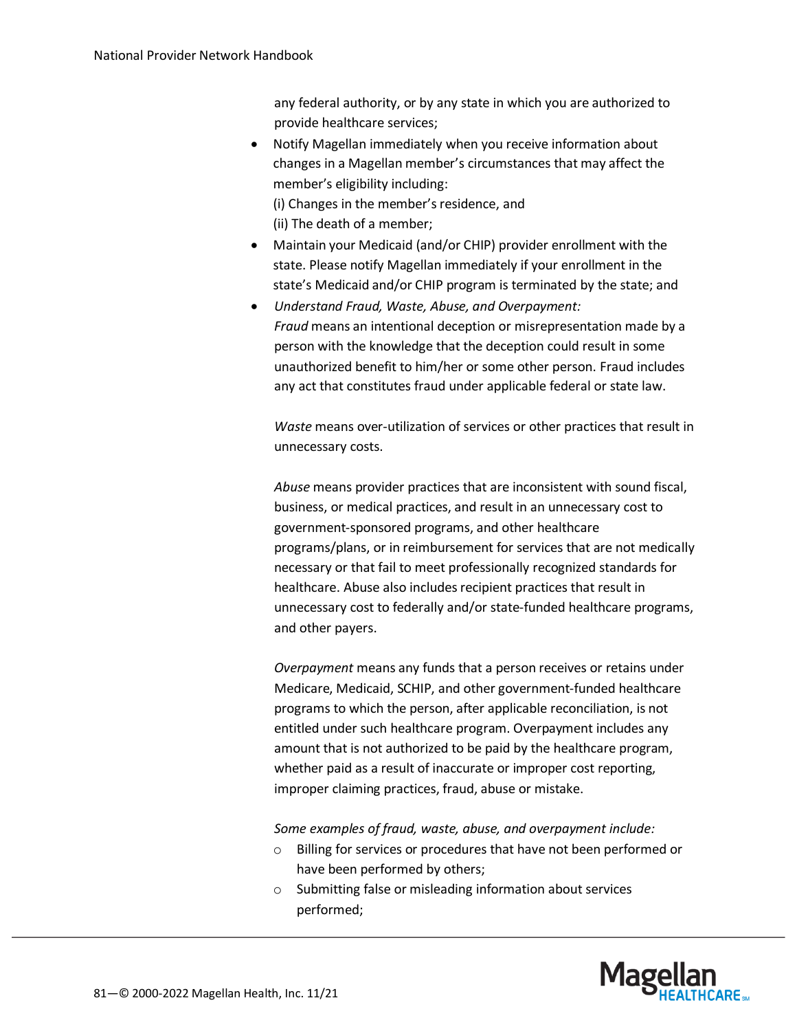any federal authority, or by any state in which you are authorized to provide healthcare services;

- Notify Magellan immediately when you receive information about changes in a Magellan member's circumstances that may affect the member's eligibility including: (i) Changes in the member's residence, and (ii) The death of a member;
- Maintain your Medicaid (and/or CHIP) provider enrollment with the state. Please notify Magellan immediately if your enrollment in the state's Medicaid and/or CHIP program is terminated by the state; and
- *Understand Fraud, Waste, Abuse, and Overpayment: Fraud* means an intentional deception or misrepresentation made by a person with the knowledge that the deception could result in some unauthorized benefit to him/her or some other person. Fraud includes any act that constitutes fraud under applicable federal or state law.

*Waste* means over-utilization of services or other practices that result in unnecessary costs.

*Abuse* means provider practices that are inconsistent with sound fiscal, business, or medical practices, and result in an unnecessary cost to government-sponsored programs, and other healthcare programs/plans, or in reimbursement for services that are not medically necessary or that fail to meet professionally recognized standards for healthcare. Abuse also includes recipient practices that result in unnecessary cost to federally and/or state-funded healthcare programs, and other payers.

*Overpayment* means any funds that a person receives or retains under Medicare, Medicaid, SCHIP, and other government-funded healthcare programs to which the person, after applicable reconciliation, is not entitled under such healthcare program. Overpayment includes any amount that is not authorized to be paid by the healthcare program, whether paid as a result of inaccurate or improper cost reporting, improper claiming practices, fraud, abuse or mistake.

*Some examples of fraud, waste, abuse, and overpayment include:*

- o Billing for services or procedures that have not been performed or have been performed by others;
- o Submitting false or misleading information about services performed;

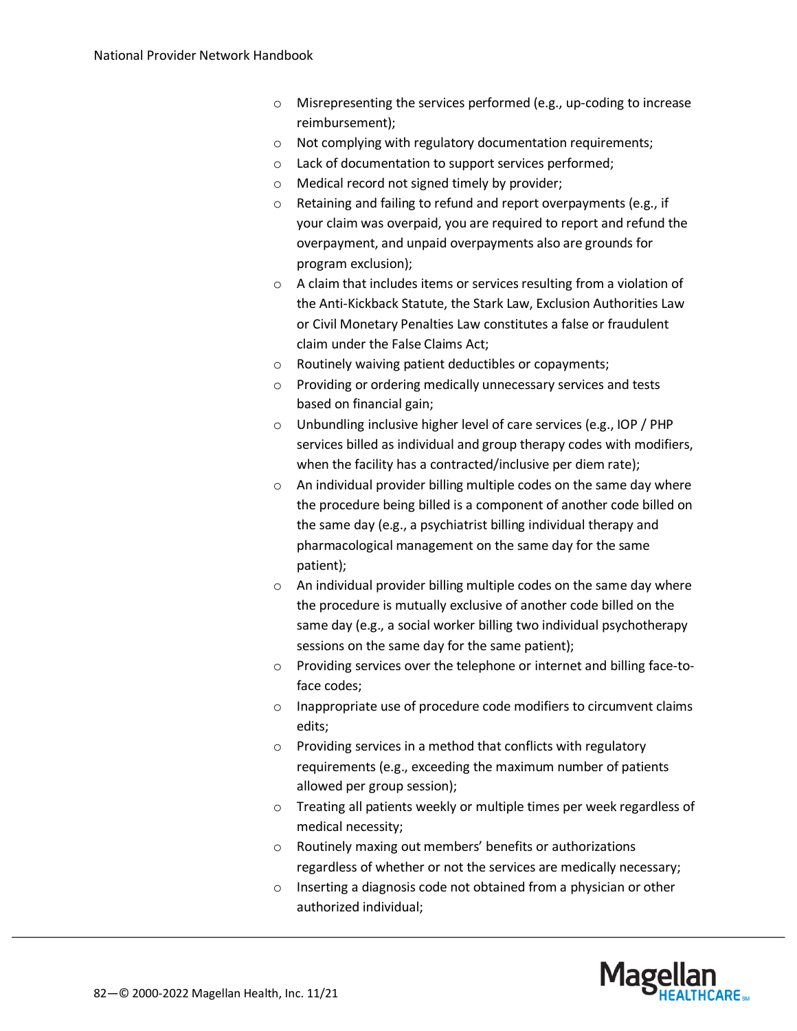- $\circ$  Misrepresenting the services performed (e.g., up-coding to increase reimbursement);
- o Not complying with regulatory documentation requirements;
- o Lack of documentation to support services performed;
- o Medical record not signed timely by provider;
- o Retaining and failing to refund and report overpayments (e.g., if your claim was overpaid, you are required to report and refund the overpayment, and unpaid overpayments also are grounds for program exclusion);
- o A claim that includes items or services resulting from a violation of the Anti-Kickback Statute, the Stark Law, Exclusion Authorities Law or Civil Monetary Penalties Law constitutes a false or fraudulent claim under the False Claims Act;
- o Routinely waiving patient deductibles or copayments;
- o Providing or ordering medically unnecessary services and tests based on financial gain;
- o Unbundling inclusive higher level of care services (e.g., IOP / PHP services billed as individual and group therapy codes with modifiers, when the facility has a contracted/inclusive per diem rate);
- $\circ$  An individual provider billing multiple codes on the same day where the procedure being billed is a component of another code billed on the same day (e.g., a psychiatrist billing individual therapy and pharmacological management on the same day for the same patient);
- o An individual provider billing multiple codes on the same day where the procedure is mutually exclusive of another code billed on the same day (e.g., a social worker billing two individual psychotherapy sessions on the same day for the same patient);
- o Providing services over the telephone or internet and billing face-toface codes;
- o Inappropriate use of procedure code modifiers to circumvent claims edits;
- o Providing services in a method that conflicts with regulatory requirements (e.g., exceeding the maximum number of patients allowed per group session);
- o Treating all patients weekly or multiple times per week regardless of medical necessity;
- o Routinely maxing out members' benefits or authorizations regardless of whether or not the services are medically necessary;
- o Inserting a diagnosis code not obtained from a physician or other authorized individual;

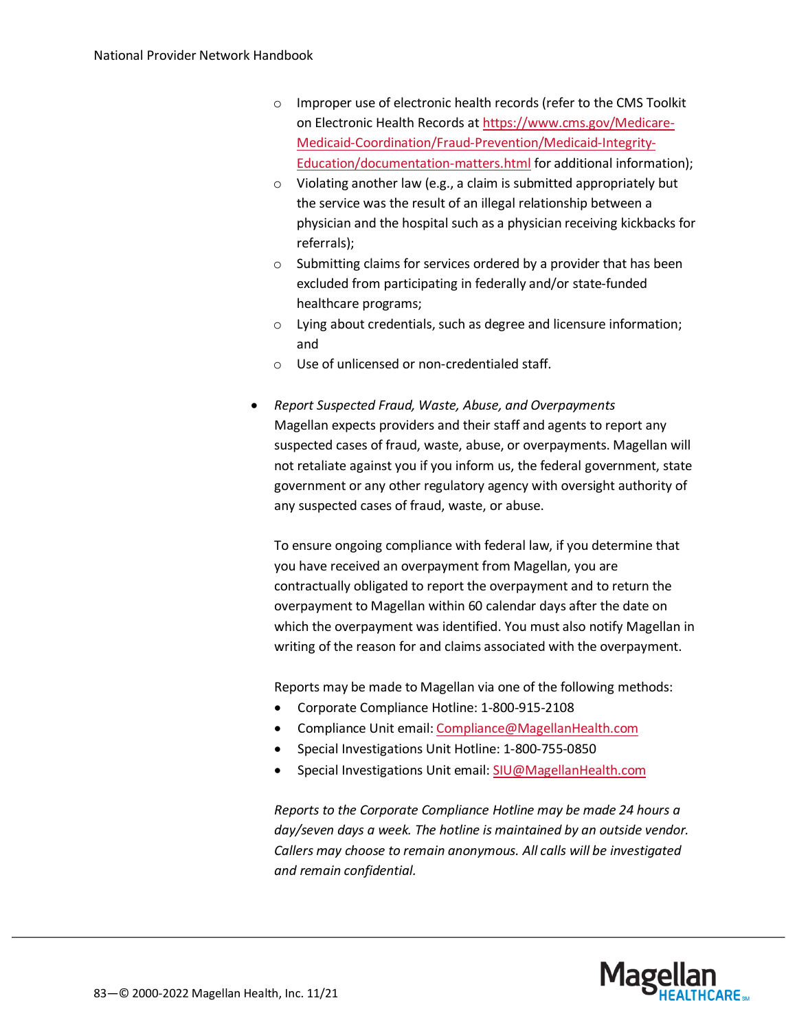- o Improper use of electronic health records (refer to the CMS Toolkit on Electronic Health Records a[t https://www.cms.gov/Medicare-](https://www.cms.gov/Medicare-Medicaid-Coordination/Fraud-Prevention/Medicaid-Integrity-Education/documentation-matters.html)[Medicaid-Coordination/Fraud-Prevention/Medicaid-Integrity-](https://www.cms.gov/Medicare-Medicaid-Coordination/Fraud-Prevention/Medicaid-Integrity-Education/documentation-matters.html)[Education/documentation-matters.html](https://www.cms.gov/Medicare-Medicaid-Coordination/Fraud-Prevention/Medicaid-Integrity-Education/documentation-matters.html) for additional information);
- $\circ$  Violating another law (e.g., a claim is submitted appropriately but the service was the result of an illegal relationship between a physician and the hospital such as a physician receiving kickbacks for referrals);
- o Submitting claims for services ordered by a provider that has been excluded from participating in federally and/or state-funded healthcare programs;
- o Lying about credentials, such as degree and licensure information; and
- o Use of unlicensed or non-credentialed staff.
- *Report Suspected Fraud, Waste, Abuse, and Overpayments* Magellan expects providers and their staff and agents to report any suspected cases of fraud, waste, abuse, or overpayments. Magellan will not retaliate against you if you inform us, the federal government, state government or any other regulatory agency with oversight authority of any suspected cases of fraud, waste, or abuse.

To ensure ongoing compliance with federal law, if you determine that you have received an overpayment from Magellan, you are contractually obligated to report the overpayment and to return the overpayment to Magellan within 60 calendar days after the date on which the overpayment was identified. You must also notify Magellan in writing of the reason for and claims associated with the overpayment.

Reports may be made to Magellan via one of the following methods:

- Corporate Compliance Hotline: 1-800-915-2108
- Compliance Unit email[: Compliance@MagellanHealth.com](mailto:Compliance@MagellanHealth.com)
- Special Investigations Unit Hotline: 1-800-755-0850
- Special Investigations Unit email[: SIU@MagellanHealth.com](mailto:SIU@MagellanHealth.com)

*Reports to the Corporate Compliance Hotline may be made 24 hours a day/seven days a week. The hotline is maintained by an outside vendor. Callers may choose to remain anonymous. All calls will be investigated and remain confidential.* 

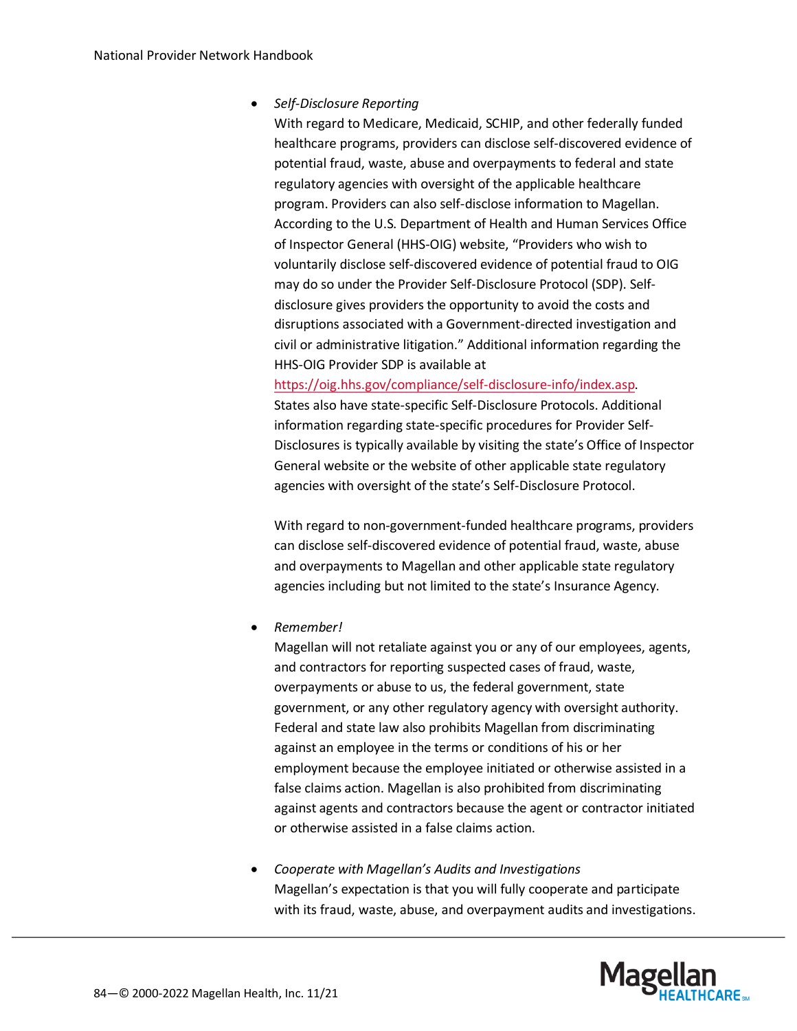#### • *Self-Disclosure Reporting*

With regard to Medicare, Medicaid, SCHIP, and other federally funded healthcare programs, providers can disclose self-discovered evidence of potential fraud, waste, abuse and overpayments to federal and state regulatory agencies with oversight of the applicable healthcare program. Providers can also self-disclose information to Magellan. According to the U.S. Department of Health and Human Services Office of Inspector General (HHS-OIG) website, "Providers who wish to voluntarily disclose self-discovered evidence of potential fraud to OIG may do so under the Provider Self-Disclosure Protocol (SDP). Selfdisclosure gives providers the opportunity to avoid the costs and disruptions associated with a Government-directed investigation and civil or administrative litigation." Additional information regarding the HHS-OIG Provider SDP is available at

[https://oig.hhs.gov/compliance/self-disclosure-info/index.asp.](https://oig.hhs.gov/compliance/self-disclosure-info/index.asp) States also have state-specific Self-Disclosure Protocols. Additional information regarding state-specific procedures for Provider Self-Disclosures is typically available by visiting the state's Office of Inspector General website or the website of other applicable state regulatory agencies with oversight of the state's Self-Disclosure Protocol.

With regard to non-government-funded healthcare programs, providers can disclose self-discovered evidence of potential fraud, waste, abuse and overpayments to Magellan and other applicable state regulatory agencies including but not limited to the state's Insurance Agency.

• *Remember!*

Magellan will not retaliate against you or any of our employees, agents, and contractors for reporting suspected cases of fraud, waste, overpayments or abuse to us, the federal government, state government, or any other regulatory agency with oversight authority. Federal and state law also prohibits Magellan from discriminating against an employee in the terms or conditions of his or her employment because the employee initiated or otherwise assisted in a false claims action. Magellan is also prohibited from discriminating against agents and contractors because the agent or contractor initiated or otherwise assisted in a false claims action.

• *Cooperate with Magellan's Audits and Investigations* Magellan's expectation is that you will fully cooperate and participate with its fraud, waste, abuse, and overpayment audits and investigations.

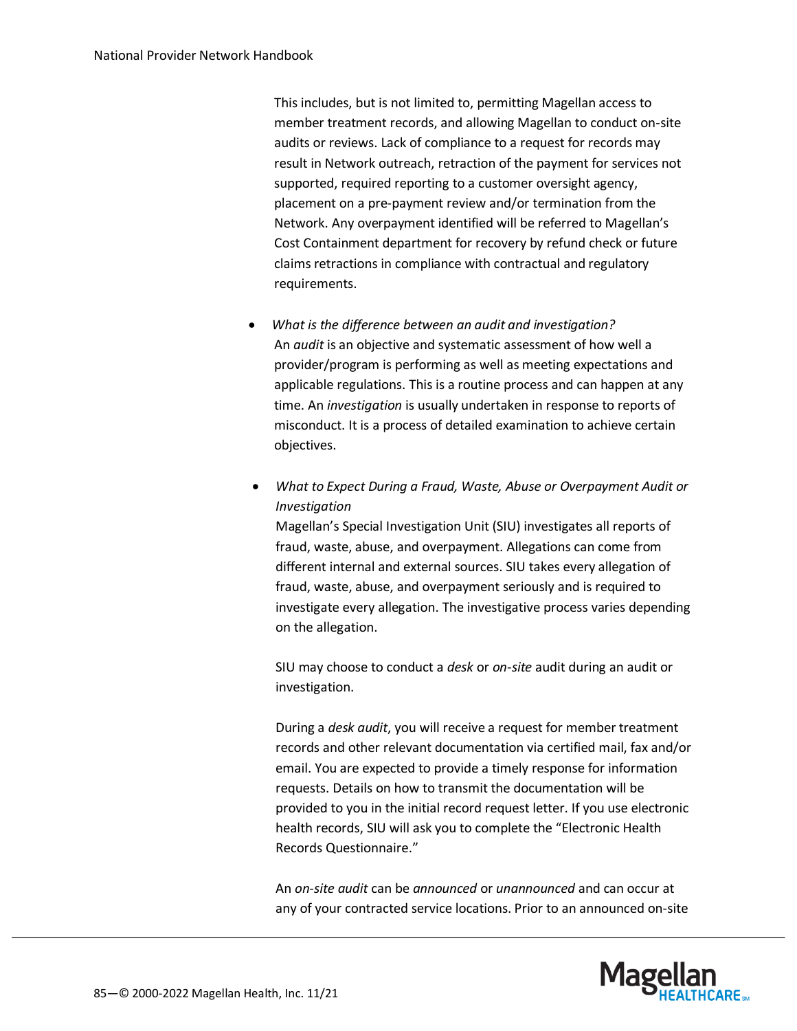This includes, but is not limited to, permitting Magellan access to member treatment records, and allowing Magellan to conduct on-site audits or reviews. Lack of compliance to a request for records may result in Network outreach, retraction of the payment for services not supported, required reporting to a customer oversight agency, placement on a pre-payment review and/or termination from the Network. Any overpayment identified will be referred to Magellan's Cost Containment department for recovery by refund check or future claims retractions in compliance with contractual and regulatory requirements.

- *What is the difference between an audit and investigation?* An *audit* is an objective and systematic assessment of how well a provider/program is performing as well as meeting expectations and applicable regulations. This is a routine process and can happen at any time. An *investigation* is usually undertaken in response to reports of misconduct. It is a process of detailed examination to achieve certain objectives.
- *What to Expect During a Fraud, Waste, Abuse or Overpayment Audit or Investigation*

Magellan's Special Investigation Unit (SIU) investigates all reports of fraud, waste, abuse, and overpayment. Allegations can come from different internal and external sources. SIU takes every allegation of fraud, waste, abuse, and overpayment seriously and is required to investigate every allegation. The investigative process varies depending on the allegation.

SIU may choose to conduct a *desk* or *on-site* audit during an audit or investigation.

During a *desk audit*, you will receive a request for member treatment records and other relevant documentation via certified mail, fax and/or email. You are expected to provide a timely response for information requests. Details on how to transmit the documentation will be provided to you in the initial record request letter. If you use electronic health records, SIU will ask you to complete the "Electronic Health Records Questionnaire."

An *on-site audit* can be *announced* or *unannounced* and can occur at any of your contracted service locations. Prior to an announced on-site

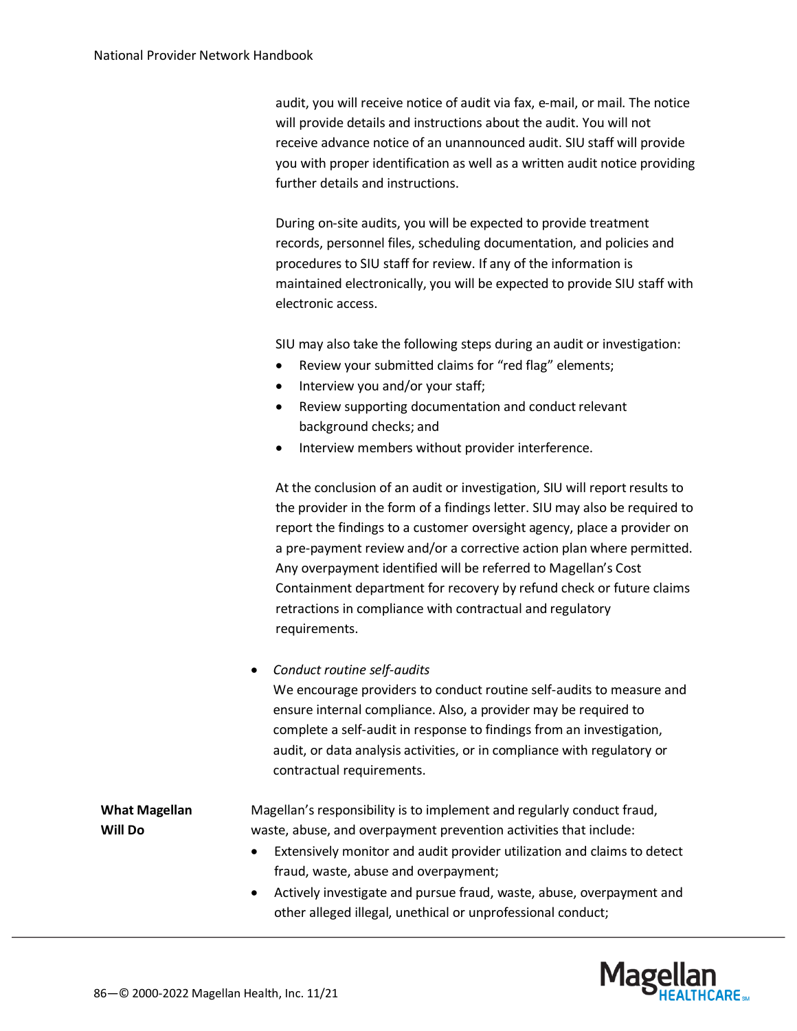audit, you will receive notice of audit via fax, e-mail, or mail. The notice will provide details and instructions about the audit. You will not receive advance notice of an unannounced audit. SIU staff will provide you with proper identification as well as a written audit notice providing further details and instructions.

During on-site audits, you will be expected to provide treatment records, personnel files, scheduling documentation, and policies and procedures to SIU staff for review. If any of the information is maintained electronically, you will be expected to provide SIU staff with electronic access.

SIU may also take the following steps during an audit or investigation:

- Review your submitted claims for "red flag" elements;
- Interview you and/or your staff;
- Review supporting documentation and conduct relevant background checks; and
- Interview members without provider interference.

At the conclusion of an audit or investigation, SIU will report results to the provider in the form of a findings letter. SIU may also be required to report the findings to a customer oversight agency, place a provider on a pre-payment review and/or a corrective action plan where permitted. Any overpayment identified will be referred to Magellan's Cost Containment department for recovery by refund check or future claims retractions in compliance with contractual and regulatory requirements.

• *Conduct routine self-audits*

We encourage providers to conduct routine self-audits to measure and ensure internal compliance. Also, a provider may be required to complete a self-audit in response to findings from an investigation, audit, or data analysis activities, or in compliance with regulatory or contractual requirements.

| <b>What Magellan</b> | Magellan's responsibility is to implement and regularly conduct fraud,                                       |
|----------------------|--------------------------------------------------------------------------------------------------------------|
| Will Do              | waste, abuse, and overpayment prevention activities that include:                                            |
|                      | والمقاولة المتقاد والمتحدث والمستقل والمتحدث والمتحدث والمتالي والمتحدث والمتحدث والمتناو والمستحدث المستحدث |

- Extensively monitor and audit provider utilization and claims to detect fraud, waste, abuse and overpayment;
- Actively investigate and pursue fraud, waste, abuse, overpayment and other alleged illegal, unethical or unprofessional conduct;

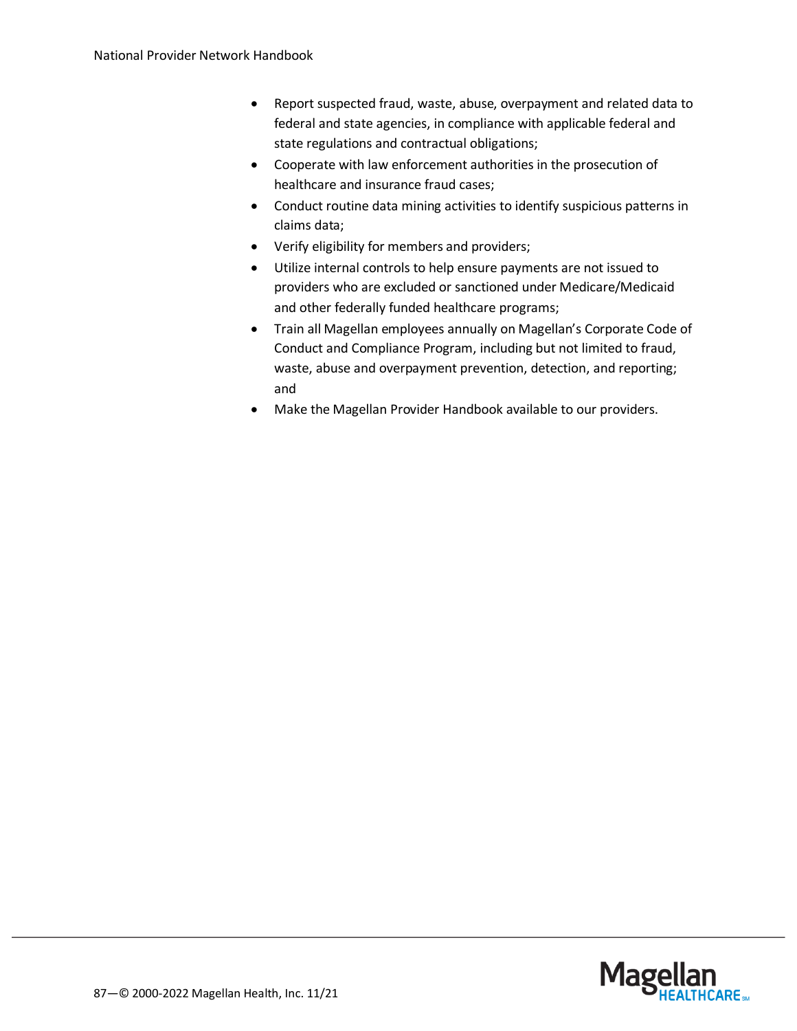- Report suspected fraud, waste, abuse, overpayment and related data to federal and state agencies, in compliance with applicable federal and state regulations and contractual obligations;
- Cooperate with law enforcement authorities in the prosecution of healthcare and insurance fraud cases;
- Conduct routine data mining activities to identify suspicious patterns in claims data;
- Verify eligibility for members and providers;
- Utilize internal controls to help ensure payments are not issued to providers who are excluded or sanctioned under Medicare/Medicaid and other federally funded healthcare programs;
- Train all Magellan employees annually on Magellan's Corporate Code of Conduct and Compliance Program, including but not limited to fraud, waste, abuse and overpayment prevention, detection, and reporting; and
- Make the Magellan Provider Handbook available to our providers.

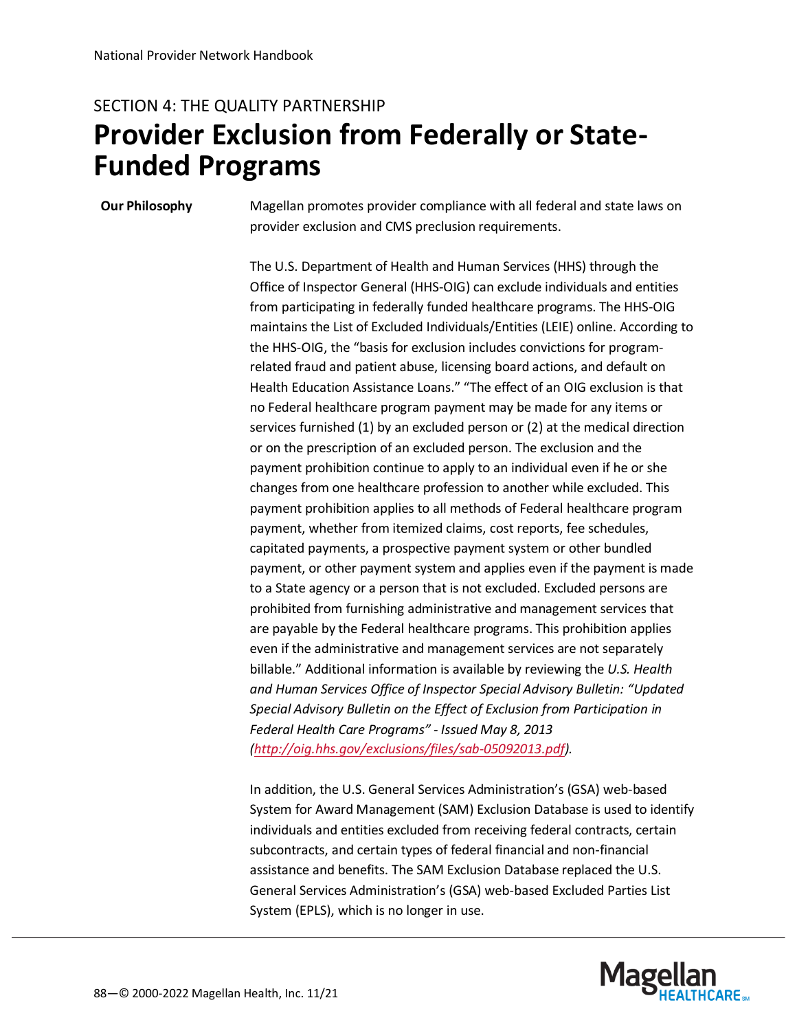#### SECTION 4: THE QUALITY PARTNERSHIP **Provider Exclusion from Federally or State-Funded Programs**

**Our Philosophy** Magellan promotes provider compliance with all federal and state laws on provider exclusion and CMS preclusion requirements.

> The U.S. Department of Health and Human Services (HHS) through the Office of Inspector General (HHS-OIG) can exclude individuals and entities from participating in federally funded healthcare programs. The HHS-OIG maintains the List of Excluded Individuals/Entities (LEIE) online. According to the HHS-OIG, the "basis for exclusion includes convictions for programrelated fraud and patient abuse, licensing board actions, and default on Health Education Assistance Loans." "The effect of an OIG exclusion is that no Federal healthcare program payment may be made for any items or services furnished (1) by an excluded person or (2) at the medical direction or on the prescription of an excluded person. The exclusion and the payment prohibition continue to apply to an individual even if he or she changes from one healthcare profession to another while excluded. This payment prohibition applies to all methods of Federal healthcare program payment, whether from itemized claims, cost reports, fee schedules, capitated payments, a prospective payment system or other bundled payment, or other payment system and applies even if the payment is made to a State agency or a person that is not excluded. Excluded persons are prohibited from furnishing administrative and management services that are payable by the Federal healthcare programs. This prohibition applies even if the administrative and management services are not separately billable." Additional information is available by reviewing the *U.S. Health and Human Services Office of Inspector Special Advisory Bulletin: "Updated Special Advisory Bulletin on the Effect of Exclusion from Participation in Federal Health Care Programs" - Issued May 8, 2013 [\(http://oig.hhs.gov/exclusions/files/sab-05092013.pdf\)](http://oig.hhs.gov/exclusions/files/sab-05092013.pdf).*

> In addition, the U.S. General Services Administration's (GSA) web-based System for Award Management (SAM) Exclusion Database is used to identify individuals and entities excluded from receiving federal contracts, certain subcontracts, and certain types of federal financial and non-financial assistance and benefits. The SAM Exclusion Database replaced the U.S. General Services Administration's (GSA) web-based Excluded Parties List System (EPLS), which is no longer in use.

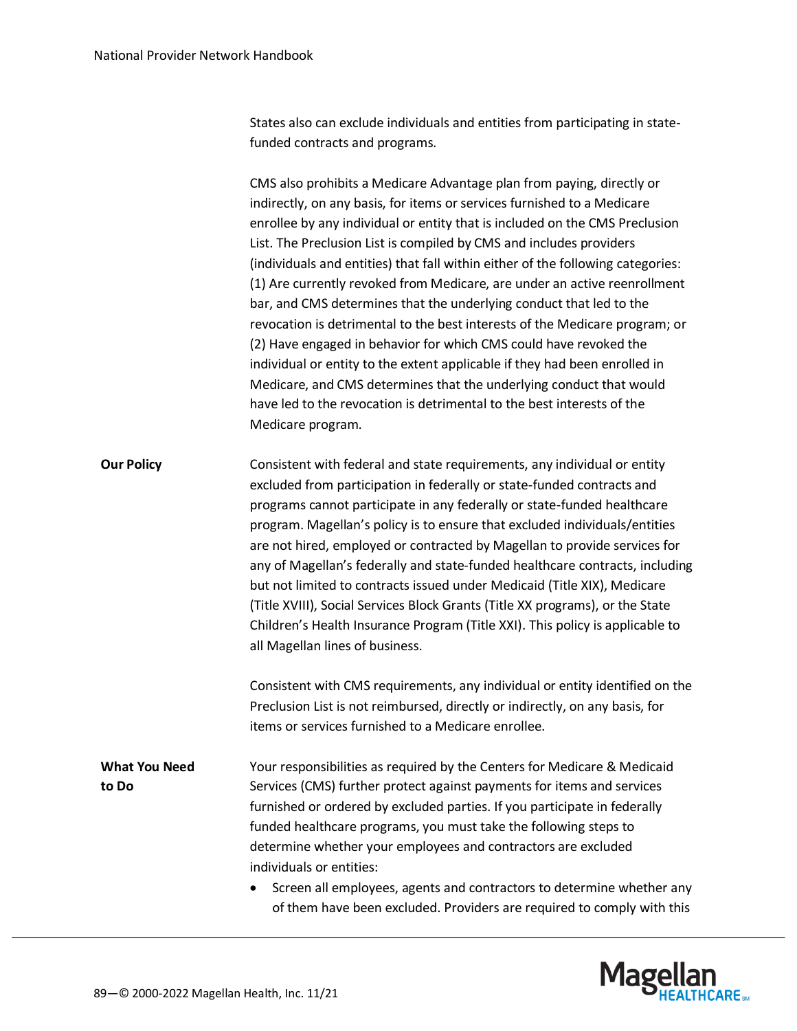States also can exclude individuals and entities from participating in statefunded contracts and programs.

CMS also prohibits a Medicare Advantage plan from paying, directly or indirectly, on any basis, for items or services furnished to a Medicare enrollee by any individual or entity that is included on the CMS Preclusion List. The Preclusion List is compiled by CMS and includes providers (individuals and entities) that fall within either of the following categories: (1) Are currently revoked from Medicare, are under an active reenrollment bar, and CMS determines that the underlying conduct that led to the revocation is detrimental to the best interests of the Medicare program; or (2) Have engaged in behavior for which CMS could have revoked the individual or entity to the extent applicable if they had been enrolled in Medicare, and CMS determines that the underlying conduct that would have led to the revocation is detrimental to the best interests of the Medicare program.

**Our Policy** Consistent with federal and state requirements, any individual or entity excluded from participation in federally or state-funded contracts and programs cannot participate in any federally or state-funded healthcare program. Magellan's policy is to ensure that excluded individuals/entities are not hired, employed or contracted by Magellan to provide services for any of Magellan's federally and state-funded healthcare contracts, including but not limited to contracts issued under Medicaid (Title XIX), Medicare (Title XVIII), Social Services Block Grants (Title XX programs), or the State Children's Health Insurance Program (Title XXI). This policy is applicable to all Magellan lines of business.

> Consistent with CMS requirements, any individual or entity identified on the Preclusion List is not reimbursed, directly or indirectly, on any basis, for items or services furnished to a Medicare enrollee.

- **What You Need to Do** Your responsibilities as required by the Centers for Medicare & Medicaid Services (CMS) further protect against payments for items and services furnished or ordered by excluded parties. If you participate in federally funded healthcare programs, you must take the following steps to determine whether your employees and contractors are excluded individuals or entities:
	- Screen all employees, agents and contractors to determine whether any of them have been excluded. Providers are required to comply with this

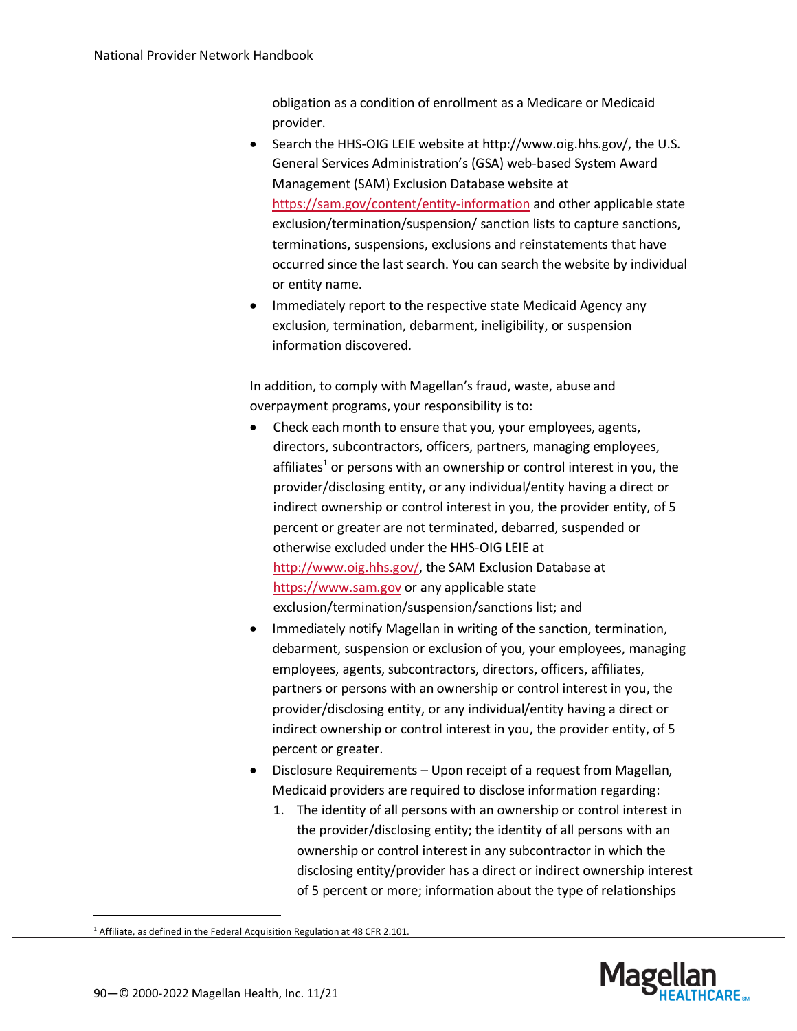obligation as a condition of enrollment as a Medicare or Medicaid provider.

- Search the HHS-OIG LEIE website a[t http://www.oig.hhs.gov/,](http://www.oig.hhs.gov/) the U.S. General Services Administration's (GSA) web-based System Award Management (SAM) Exclusion Database website at <https://sam.gov/content/entity-information> and other applicable state exclusion/termination/suspension/ sanction lists to capture sanctions, terminations, suspensions, exclusions and reinstatements that have occurred since the last search. You can search the website by individual or entity name.
- Immediately report to the respective state Medicaid Agency any exclusion, termination, debarment, ineligibility, or suspension information discovered.

In addition, to comply with Magellan's fraud, waste, abuse and overpayment programs, your responsibility is to:

- Check each month to ensure that you, your employees, agents, directors, subcontractors, officers, partners, managing employees, affiliates<sup>1</sup> or persons with an ownership or control interest in you, the provider/disclosing entity, or any individual/entity having a direct or indirect ownership or control interest in you, the provider entity, of 5 percent or greater are not terminated, debarred, suspended or otherwise excluded under the HHS-OIG LEIE at [http://www.oig.hhs.gov/,](http://www.oig.hhs.gov/) the SAM Exclusion Database at [https://www.sam.gov](https://www.sam.gov/) or any applicable state exclusion/termination/suspension/sanctions list; and
- Immediately notify Magellan in writing of the sanction, termination, debarment, suspension or exclusion of you, your employees, managing employees, agents, subcontractors, directors, officers, affiliates, partners or persons with an ownership or control interest in you, the provider/disclosing entity, or any individual/entity having a direct or indirect ownership or control interest in you, the provider entity, of 5 percent or greater.
- Disclosure Requirements Upon receipt of a request from Magellan, Medicaid providers are required to disclose information regarding:
	- 1. The identity of all persons with an ownership or control interest in the provider/disclosing entity; the identity of all persons with an ownership or control interest in any subcontractor in which the disclosing entity/provider has a direct or indirect ownership interest of 5 percent or more; information about the type of relationships



<sup>&</sup>lt;sup>1</sup> Affiliate, as defined in the Federal Acquisition Regulation a[t 48 CFR 2.101.](https://www.lexis.com/research/buttonTFLink?_m=2df1e7db65a69eb62e2d122ce1ad1e1e&_xfercite=%3ccite%20cc%3d%22USA%22%3e%3c%21%5bCDATA%5b42%20CFR%20438.610%5d%5d%3e%3c%2fcite%3e&_butType=4&_butStat=0&_butNum=2&_butInline=1&_butinfo=48%20CFR%202.101&_fmtstr=FULL&docnum=1&_startdoc=1&wchp=dGLzVzk-zSkAz&_md5=c287e3c3098d168303e996c29934b108)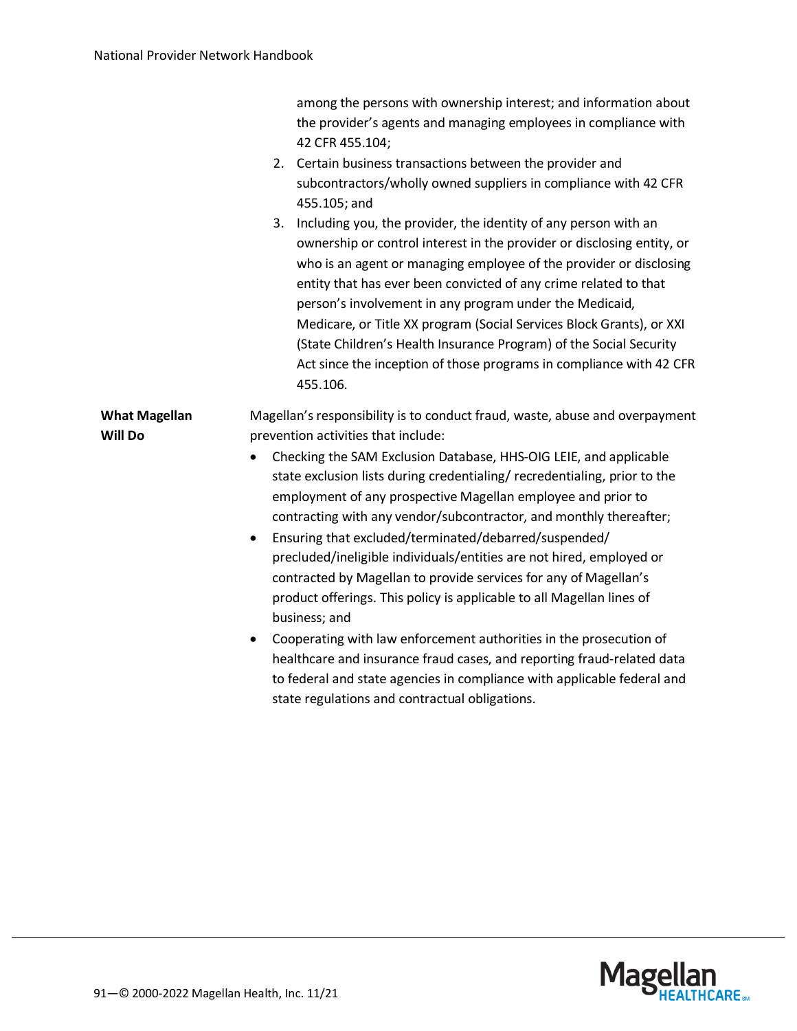|                                        | among the persons with ownership interest; and information about<br>the provider's agents and managing employees in compliance with<br>42 CFR 455.104;<br>2. Certain business transactions between the provider and<br>subcontractors/wholly owned suppliers in compliance with 42 CFR<br>455.105; and                                                                                                                                                                                                                                                                                                                                                                                                                                                                                                                                                                                                                                                                                              |
|----------------------------------------|-----------------------------------------------------------------------------------------------------------------------------------------------------------------------------------------------------------------------------------------------------------------------------------------------------------------------------------------------------------------------------------------------------------------------------------------------------------------------------------------------------------------------------------------------------------------------------------------------------------------------------------------------------------------------------------------------------------------------------------------------------------------------------------------------------------------------------------------------------------------------------------------------------------------------------------------------------------------------------------------------------|
|                                        | Including you, the provider, the identity of any person with an<br>3.<br>ownership or control interest in the provider or disclosing entity, or<br>who is an agent or managing employee of the provider or disclosing<br>entity that has ever been convicted of any crime related to that<br>person's involvement in any program under the Medicaid,<br>Medicare, or Title XX program (Social Services Block Grants), or XXI<br>(State Children's Health Insurance Program) of the Social Security<br>Act since the inception of those programs in compliance with 42 CFR<br>455.106.                                                                                                                                                                                                                                                                                                                                                                                                               |
| <b>What Magellan</b><br><b>Will Do</b> | Magellan's responsibility is to conduct fraud, waste, abuse and overpayment<br>prevention activities that include:<br>Checking the SAM Exclusion Database, HHS-OIG LEIE, and applicable<br>state exclusion lists during credentialing/ recredentialing, prior to the<br>employment of any prospective Magellan employee and prior to<br>contracting with any vendor/subcontractor, and monthly thereafter;<br>Ensuring that excluded/terminated/debarred/suspended/<br>$\bullet$<br>precluded/ineligible individuals/entities are not hired, employed or<br>contracted by Magellan to provide services for any of Magellan's<br>product offerings. This policy is applicable to all Magellan lines of<br>business; and<br>Cooperating with law enforcement authorities in the prosecution of<br>healthcare and insurance fraud cases, and reporting fraud-related data<br>to federal and state agencies in compliance with applicable federal and<br>state regulations and contractual obligations. |

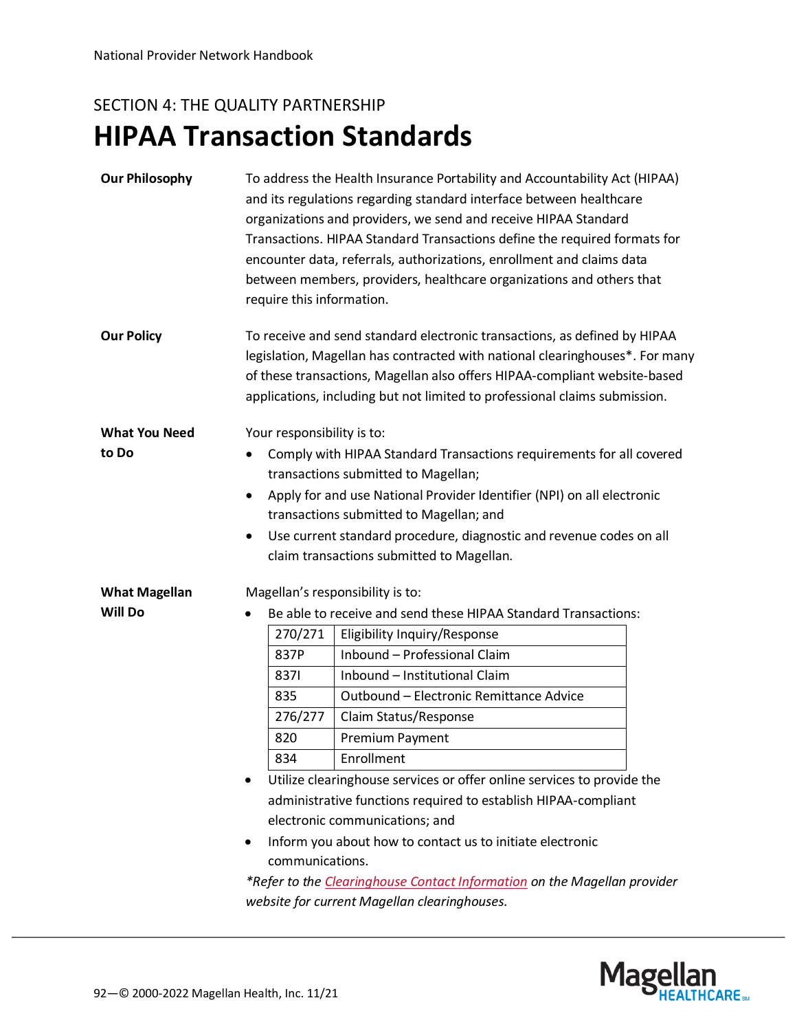## SECTION 4: THE QUALITY PARTNERSHIP **HIPAA Transaction Standards**

| <b>Our Philosophy</b> | require this information.        | To address the Health Insurance Portability and Accountability Act (HIPAA)<br>and its regulations regarding standard interface between healthcare<br>organizations and providers, we send and receive HIPAA Standard<br>Transactions. HIPAA Standard Transactions define the required formats for<br>encounter data, referrals, authorizations, enrollment and claims data<br>between members, providers, healthcare organizations and others that |
|-----------------------|----------------------------------|----------------------------------------------------------------------------------------------------------------------------------------------------------------------------------------------------------------------------------------------------------------------------------------------------------------------------------------------------------------------------------------------------------------------------------------------------|
| <b>Our Policy</b>     |                                  | To receive and send standard electronic transactions, as defined by HIPAA<br>legislation, Magellan has contracted with national clearinghouses*. For many<br>of these transactions, Magellan also offers HIPAA-compliant website-based<br>applications, including but not limited to professional claims submission.                                                                                                                               |
| <b>What You Need</b>  | Your responsibility is to:       |                                                                                                                                                                                                                                                                                                                                                                                                                                                    |
| to Do                 |                                  | Comply with HIPAA Standard Transactions requirements for all covered<br>transactions submitted to Magellan;                                                                                                                                                                                                                                                                                                                                        |
|                       | $\bullet$                        | Apply for and use National Provider Identifier (NPI) on all electronic<br>transactions submitted to Magellan; and                                                                                                                                                                                                                                                                                                                                  |
|                       | $\bullet$                        | Use current standard procedure, diagnostic and revenue codes on all                                                                                                                                                                                                                                                                                                                                                                                |
|                       |                                  | claim transactions submitted to Magellan.                                                                                                                                                                                                                                                                                                                                                                                                          |
| <b>What Magellan</b>  | Magellan's responsibility is to: |                                                                                                                                                                                                                                                                                                                                                                                                                                                    |
| <b>Will Do</b>        | $\bullet$                        | Be able to receive and send these HIPAA Standard Transactions:                                                                                                                                                                                                                                                                                                                                                                                     |
|                       | 270/271                          | <b>Eligibility Inquiry/Response</b>                                                                                                                                                                                                                                                                                                                                                                                                                |
|                       | 837P                             | Inbound - Professional Claim                                                                                                                                                                                                                                                                                                                                                                                                                       |
|                       | 8371                             | Inbound - Institutional Claim                                                                                                                                                                                                                                                                                                                                                                                                                      |
|                       | 835                              | Outbound - Electronic Remittance Advice                                                                                                                                                                                                                                                                                                                                                                                                            |
|                       | 276/277                          | Claim Status/Response                                                                                                                                                                                                                                                                                                                                                                                                                              |
|                       | 820                              | Premium Payment                                                                                                                                                                                                                                                                                                                                                                                                                                    |
|                       | 834                              | Enrollment                                                                                                                                                                                                                                                                                                                                                                                                                                         |
|                       |                                  | Utilize clearinghouse services or offer online services to provide the                                                                                                                                                                                                                                                                                                                                                                             |
|                       |                                  | administrative functions required to establish HIPAA-compliant                                                                                                                                                                                                                                                                                                                                                                                     |
|                       |                                  | electronic communications; and                                                                                                                                                                                                                                                                                                                                                                                                                     |
|                       | $\bullet$                        | Inform you about how to contact us to initiate electronic                                                                                                                                                                                                                                                                                                                                                                                          |
|                       | communications.                  |                                                                                                                                                                                                                                                                                                                                                                                                                                                    |
|                       |                                  | *Refer to the Clearinghouse Contact Information on the Magellan provider                                                                                                                                                                                                                                                                                                                                                                           |
|                       |                                  | website for current Magellan clearinghouses.                                                                                                                                                                                                                                                                                                                                                                                                       |

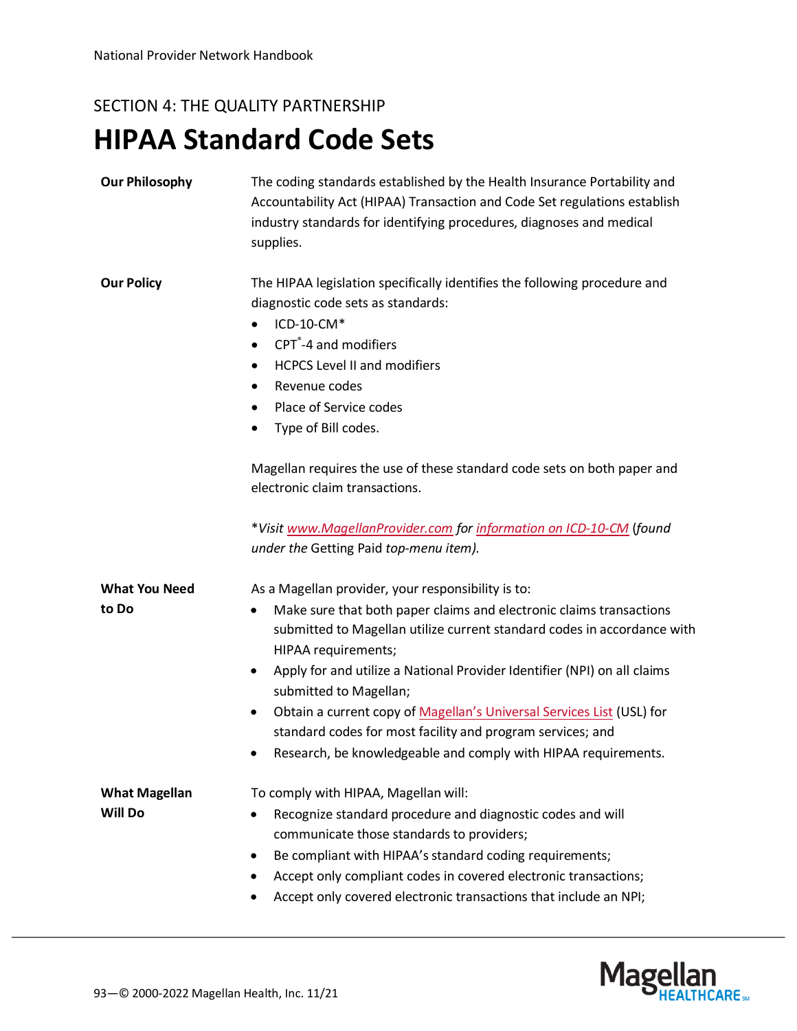#### SECTION 4: THE QUALITY PARTNERSHIP

# **HIPAA Standard Code Sets**

| <b>Our Philosophy</b>           | The coding standards established by the Health Insurance Portability and<br>Accountability Act (HIPAA) Transaction and Code Set regulations establish<br>industry standards for identifying procedures, diagnoses and medical<br>supplies.                                                                                                                                                                                                                                                                                                                           |
|---------------------------------|----------------------------------------------------------------------------------------------------------------------------------------------------------------------------------------------------------------------------------------------------------------------------------------------------------------------------------------------------------------------------------------------------------------------------------------------------------------------------------------------------------------------------------------------------------------------|
| <b>Our Policy</b>               | The HIPAA legislation specifically identifies the following procedure and<br>diagnostic code sets as standards:<br>$ICD-10-CM*$<br>$\bullet$<br>CPT <sup>®</sup> -4 and modifiers<br>$\bullet$<br><b>HCPCS Level II and modifiers</b><br>٠<br>Revenue codes<br>$\bullet$<br>Place of Service codes<br>$\bullet$<br>Type of Bill codes.<br>Magellan requires the use of these standard code sets on both paper and<br>electronic claim transactions.<br>*Visit www.MagellanProvider.com for information on ICD-10-CM (found<br>under the Getting Paid top-menu item). |
| <b>What You Need</b><br>to Do   | As a Magellan provider, your responsibility is to:<br>Make sure that both paper claims and electronic claims transactions<br>submitted to Magellan utilize current standard codes in accordance with<br>HIPAA requirements;<br>Apply for and utilize a National Provider Identifier (NPI) on all claims<br>٠<br>submitted to Magellan;<br>Obtain a current copy of Magellan's Universal Services List (USL) for<br>$\bullet$<br>standard codes for most facility and program services; and<br>Research, be knowledgeable and comply with HIPAA requirements.         |
| <b>What Magellan</b><br>Will Do | To comply with HIPAA, Magellan will:<br>Recognize standard procedure and diagnostic codes and will<br>communicate those standards to providers;<br>Be compliant with HIPAA's standard coding requirements;<br>$\bullet$<br>Accept only compliant codes in covered electronic transactions;<br>٠<br>Accept only covered electronic transactions that include an NPI;                                                                                                                                                                                                  |

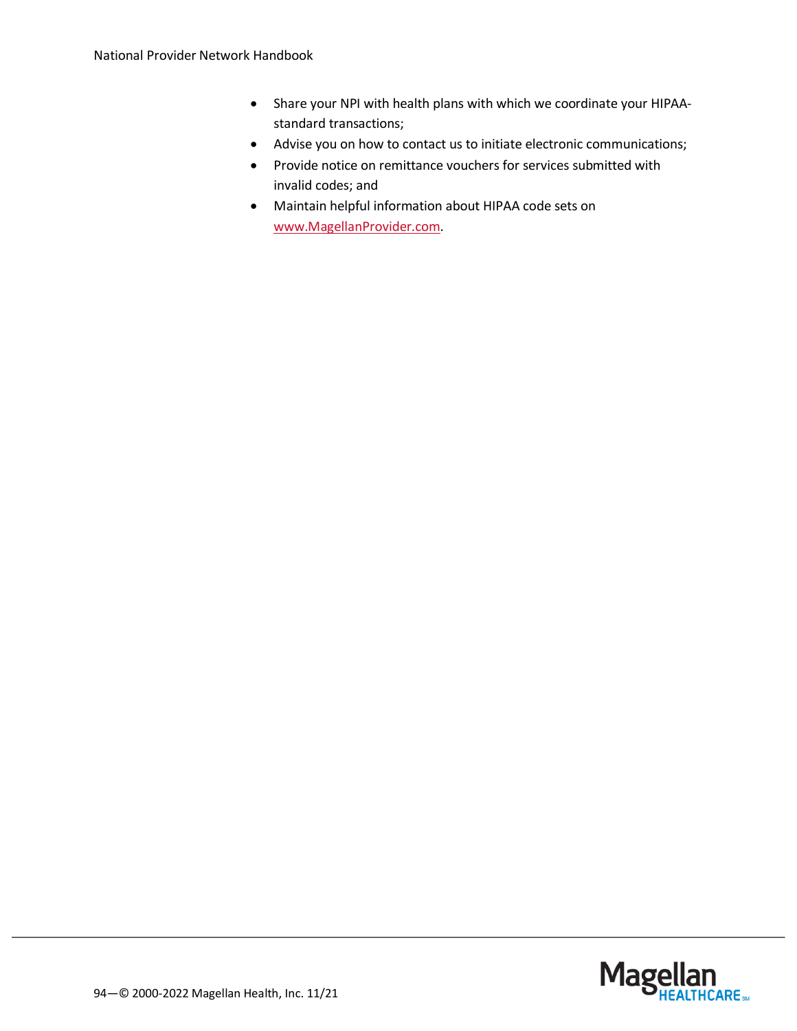- Share your NPI with health plans with which we coordinate your HIPAAstandard transactions;
- Advise you on how to contact us to initiate electronic communications;
- Provide notice on remittance vouchers for services submitted with invalid codes; and
- Maintain helpful information about HIPAA code sets on [www.MagellanProvider.com.](http://www.magellanprovider.com/)

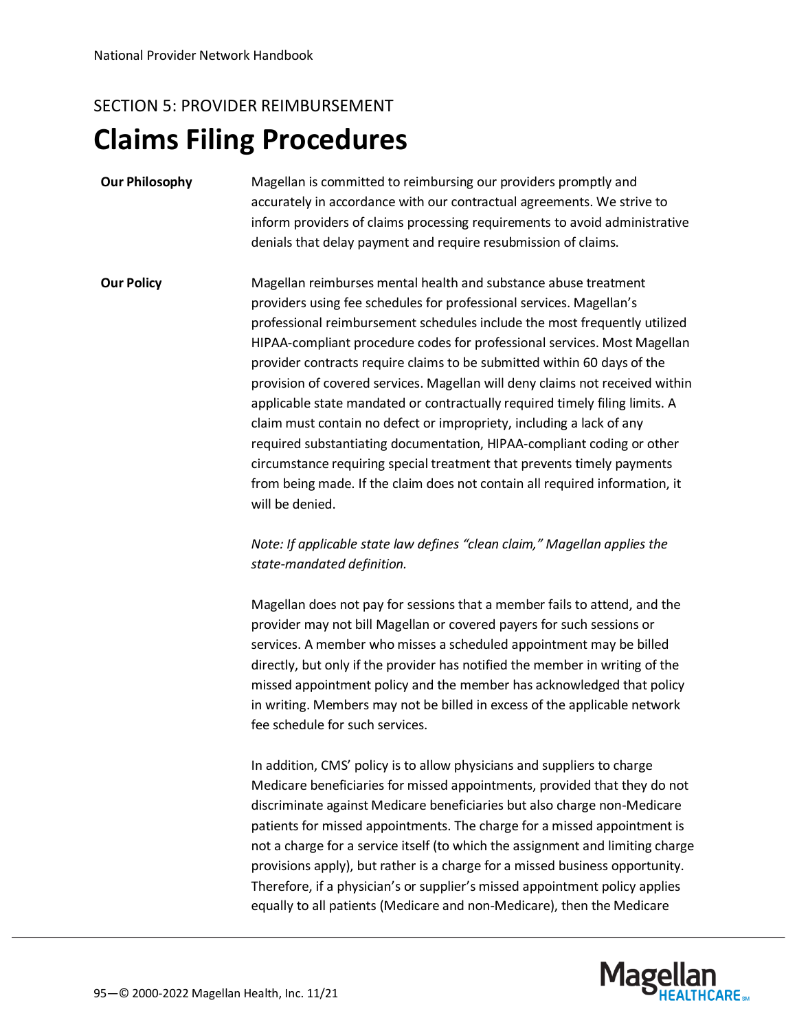# SECTION 5: PROVIDER REIMBURSEMENT **Claims Filing Procedures**

**Our Philosophy** Magellan is committed to reimbursing our providers promptly and accurately in accordance with our contractual agreements. We strive to inform providers of claims processing requirements to avoid administrative denials that delay payment and require resubmission of claims.

**Our Policy** Magellan reimburses mental health and substance abuse treatment providers using fee schedules for professional services. Magellan's professional reimbursement schedules include the most frequently utilized HIPAA-compliant procedure codes for professional services. Most Magellan provider contracts require claims to be submitted within 60 days of the provision of covered services. Magellan will deny claims not received within applicable state mandated or contractually required timely filing limits. A claim must contain no defect or impropriety, including a lack of any required substantiating documentation, HIPAA-compliant coding or other circumstance requiring special treatment that prevents timely payments from being made. If the claim does not contain all required information, it will be denied.

> *Note: If applicable state law defines "clean claim," Magellan applies the state-mandated definition.*

Magellan does not pay for sessions that a member fails to attend, and the provider may not bill Magellan or covered payers for such sessions or services. A member who misses a scheduled appointment may be billed directly, but only if the provider has notified the member in writing of the missed appointment policy and the member has acknowledged that policy in writing. Members may not be billed in excess of the applicable network fee schedule for such services.

In addition, CMS' policy is to allow physicians and suppliers to charge Medicare beneficiaries for missed appointments, provided that they do not discriminate against Medicare beneficiaries but also charge non-Medicare patients for missed appointments. The charge for a missed appointment is not a charge for a service itself (to which the assignment and limiting charge provisions apply), but rather is a charge for a missed business opportunity. Therefore, if a physician's or supplier's missed appointment policy applies equally to all patients (Medicare and non-Medicare), then the Medicare

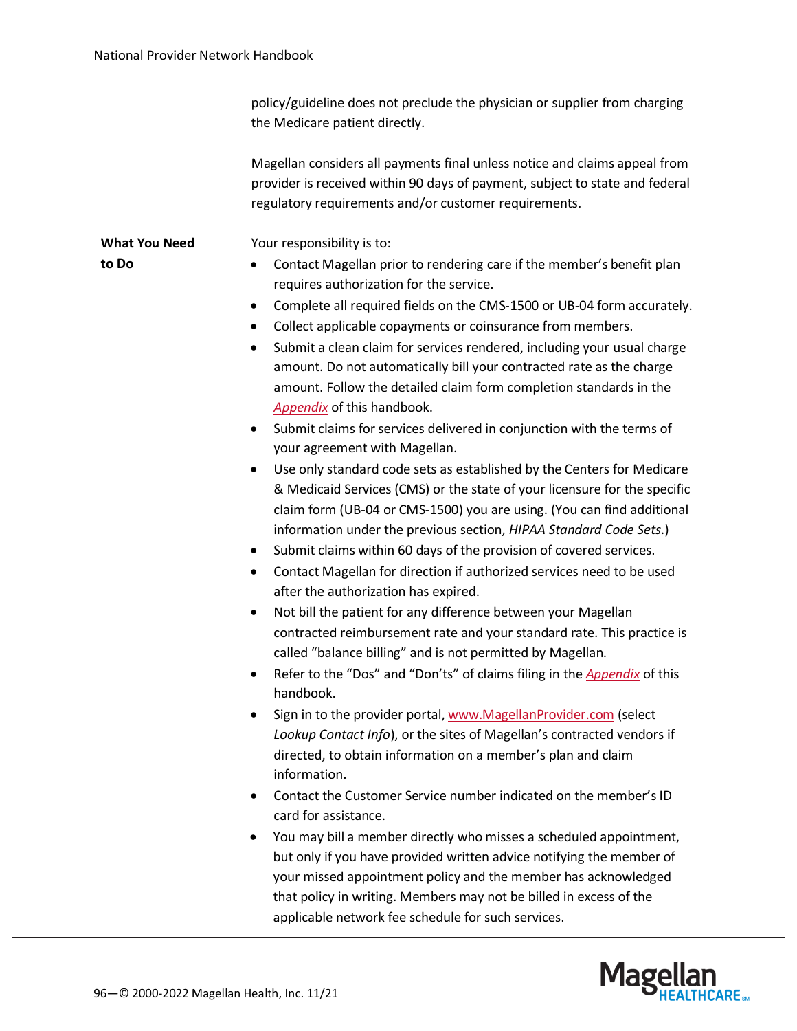policy/guideline does not preclude the physician or supplier from charging the Medicare patient directly.

Magellan considers all payments final unless notice and claims appeal from provider is received within 90 days of payment, subject to state and federal regulatory requirements and/or customer requirements.

**What You Need** 

**to Do**

Your responsibility is to:

- Contact Magellan prior to rendering care if the member's benefit plan requires authorization for the service.
- Complete all required fields on the CMS-1500 or UB-04 form accurately.
- Collect applicable copayments or coinsurance from members.
- Submit a clean claim for services rendered, including your usual charge amount. Do not automatically bill your contracted rate as the charge amount. Follow the detailed claim form completion standards in the *[Appendix](http://www.magellanprovider.com/news-publications/handbooks/appendices.aspx)* of this handbook.
- Submit claims for services delivered in conjunction with the terms of your agreement with Magellan.
- Use only standard code sets as established by the Centers for Medicare & Medicaid Services (CMS) or the state of your licensure for the specific claim form (UB-04 or CMS-1500) you are using. (You can find additional information under the previous section, *HIPAA Standard Code Sets*.)
- Submit claims within 60 days of the provision of covered services.
- Contact Magellan for direction if authorized services need to be used after the authorization has expired.
- Not bill the patient for any difference between your Magellan contracted reimbursement rate and your standard rate. This practice is called "balance billing" and is not permitted by Magellan.
- Refer to the "Dos" and "Don'ts" of claims filing in the *[Appendix](http://www.magellanprovider.com/news-publications/handbooks/appendices.aspx)* of this handbook.
- Sign in to the provider portal[, www.MagellanProvider.com](http://www.magellanprovider.com/) (select *Lookup Contact Info*), or the sites of Magellan's contracted vendors if directed, to obtain information on a member's plan and claim information.
- Contact the Customer Service number indicated on the member's ID card for assistance.
- You may bill a member directly who misses a scheduled appointment, but only if you have provided written advice notifying the member of your missed appointment policy and the member has acknowledged that policy in writing. Members may not be billed in excess of the applicable network fee schedule for such services.

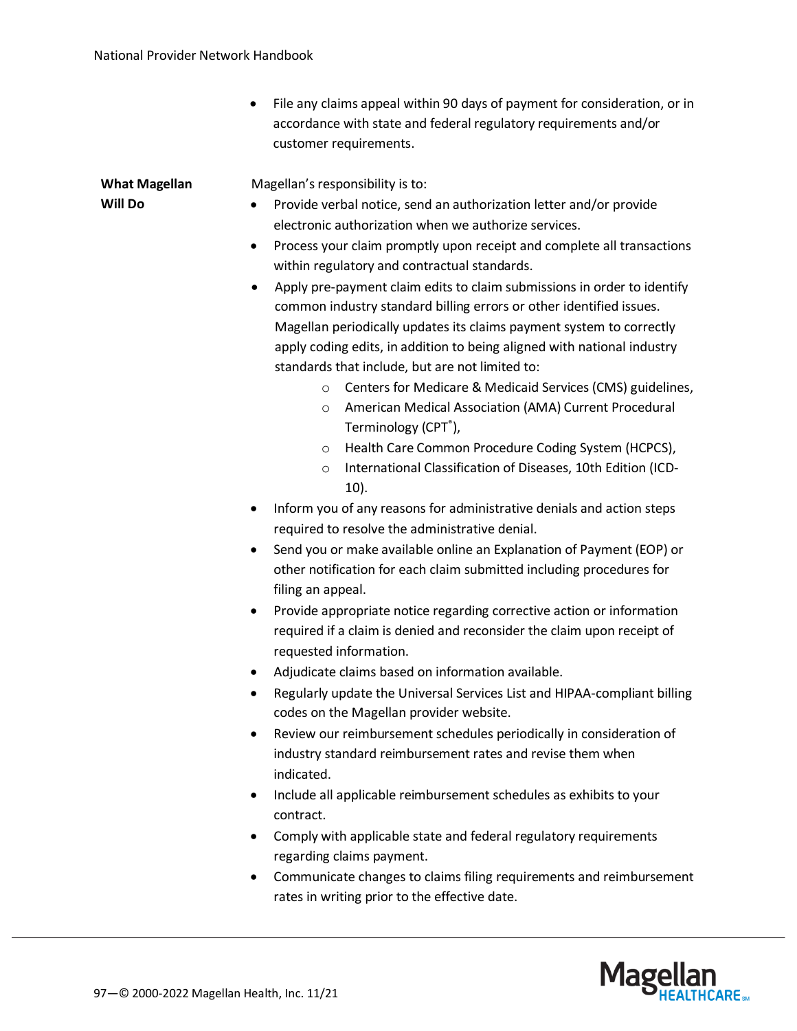| Magellan's responsibility is to:<br><b>What Magellan</b><br><b>Will Do</b><br>Provide verbal notice, send an authorization letter and/or provide<br>electronic authorization when we authorize services.<br>Process your claim promptly upon receipt and complete all transactions<br>٠<br>within regulatory and contractual standards.<br>Apply pre-payment claim edits to claim submissions in order to identify<br>٠<br>common industry standard billing errors or other identified issues.<br>Magellan periodically updates its claims payment system to correctly<br>apply coding edits, in addition to being aligned with national industry<br>standards that include, but are not limited to:<br>$\circ$<br>American Medical Association (AMA) Current Procedural<br>$\circ$<br>Terminology (CPT <sup>®</sup> ),<br>Health Care Common Procedure Coding System (HCPCS),<br>$\circ$<br>International Classification of Diseases, 10th Edition (ICD-<br>$\circ$<br>$10$ ).<br>Inform you of any reasons for administrative denials and action steps<br>required to resolve the administrative denial.<br>Send you or make available online an Explanation of Payment (EOP) or<br>٠<br>other notification for each claim submitted including procedures for<br>filing an appeal.<br>Provide appropriate notice regarding corrective action or information | File any claims appeal within 90 days of payment for consideration, or in<br>$\bullet$<br>accordance with state and federal regulatory requirements and/or<br>customer requirements. |
|---------------------------------------------------------------------------------------------------------------------------------------------------------------------------------------------------------------------------------------------------------------------------------------------------------------------------------------------------------------------------------------------------------------------------------------------------------------------------------------------------------------------------------------------------------------------------------------------------------------------------------------------------------------------------------------------------------------------------------------------------------------------------------------------------------------------------------------------------------------------------------------------------------------------------------------------------------------------------------------------------------------------------------------------------------------------------------------------------------------------------------------------------------------------------------------------------------------------------------------------------------------------------------------------------------------------------------------------------------------|--------------------------------------------------------------------------------------------------------------------------------------------------------------------------------------|
| required if a claim is denied and reconsider the claim upon receipt of<br>requested information.<br>Adjudicate claims based on information available.<br>codes on the Magellan provider website.<br>Review our reimbursement schedules periodically in consideration of<br>٠<br>industry standard reimbursement rates and revise them when                                                                                                                                                                                                                                                                                                                                                                                                                                                                                                                                                                                                                                                                                                                                                                                                                                                                                                                                                                                                                    | Centers for Medicare & Medicaid Services (CMS) guidelines,<br>Regularly update the Universal Services List and HIPAA-compliant billing                                               |
| indicated.<br>Include all applicable reimbursement schedules as exhibits to your<br>٠<br>contract.<br>Comply with applicable state and federal regulatory requirements<br>٠<br>regarding claims payment.<br>٠                                                                                                                                                                                                                                                                                                                                                                                                                                                                                                                                                                                                                                                                                                                                                                                                                                                                                                                                                                                                                                                                                                                                                 | Communicate changes to claims filing requirements and reimbursement                                                                                                                  |

rates in writing prior to the effective date.

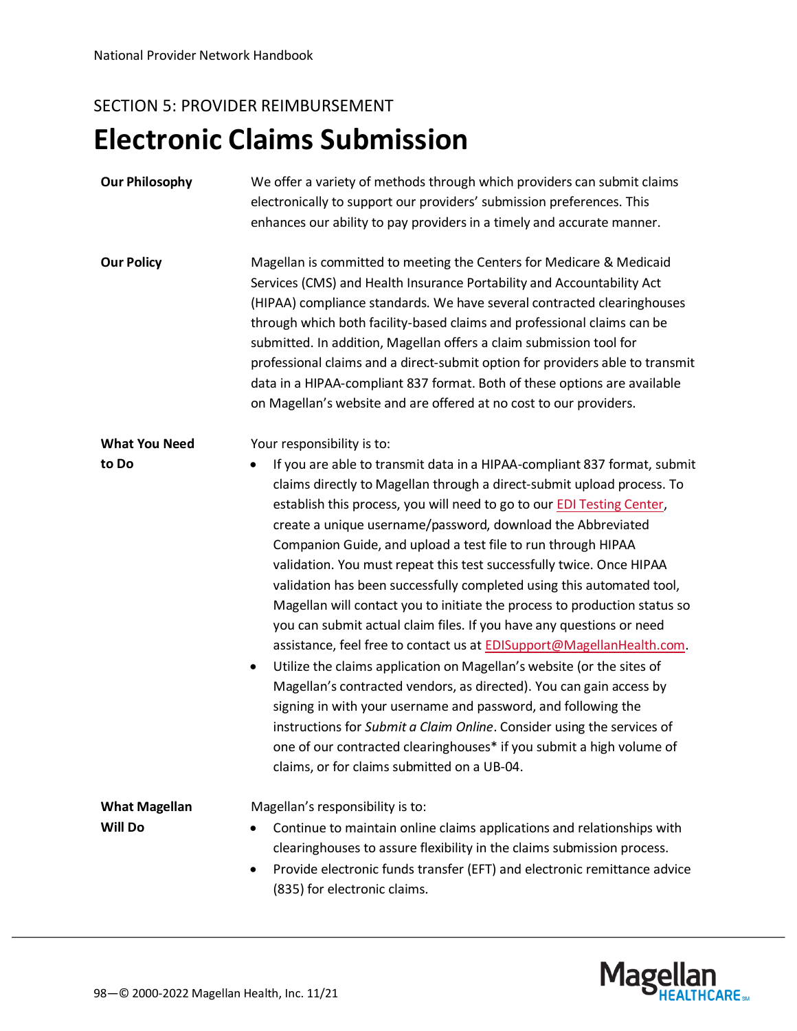## SECTION 5: PROVIDER REIMBURSEMENT **Electronic Claims Submission**

| <b>Our Philosophy</b>                  | We offer a variety of methods through which providers can submit claims<br>electronically to support our providers' submission preferences. This<br>enhances our ability to pay providers in a timely and accurate manner.                                                                                                                                                                                                                                                                                                                                                                                                                                                                                                                                                                                                                                                                                                                                                                                                                                                                                                                                                |
|----------------------------------------|---------------------------------------------------------------------------------------------------------------------------------------------------------------------------------------------------------------------------------------------------------------------------------------------------------------------------------------------------------------------------------------------------------------------------------------------------------------------------------------------------------------------------------------------------------------------------------------------------------------------------------------------------------------------------------------------------------------------------------------------------------------------------------------------------------------------------------------------------------------------------------------------------------------------------------------------------------------------------------------------------------------------------------------------------------------------------------------------------------------------------------------------------------------------------|
| <b>Our Policy</b>                      | Magellan is committed to meeting the Centers for Medicare & Medicaid<br>Services (CMS) and Health Insurance Portability and Accountability Act<br>(HIPAA) compliance standards. We have several contracted clearinghouses<br>through which both facility-based claims and professional claims can be<br>submitted. In addition, Magellan offers a claim submission tool for<br>professional claims and a direct-submit option for providers able to transmit<br>data in a HIPAA-compliant 837 format. Both of these options are available<br>on Magellan's website and are offered at no cost to our providers.                                                                                                                                                                                                                                                                                                                                                                                                                                                                                                                                                           |
| <b>What You Need</b>                   | Your responsibility is to:                                                                                                                                                                                                                                                                                                                                                                                                                                                                                                                                                                                                                                                                                                                                                                                                                                                                                                                                                                                                                                                                                                                                                |
| to Do                                  | If you are able to transmit data in a HIPAA-compliant 837 format, submit<br>claims directly to Magellan through a direct-submit upload process. To<br>establish this process, you will need to go to our EDI Testing Center,<br>create a unique username/password, download the Abbreviated<br>Companion Guide, and upload a test file to run through HIPAA<br>validation. You must repeat this test successfully twice. Once HIPAA<br>validation has been successfully completed using this automated tool,<br>Magellan will contact you to initiate the process to production status so<br>you can submit actual claim files. If you have any questions or need<br>assistance, feel free to contact us at <b>EDISupport@MagellanHealth.com</b> .<br>Utilize the claims application on Magellan's website (or the sites of<br>٠<br>Magellan's contracted vendors, as directed). You can gain access by<br>signing in with your username and password, and following the<br>instructions for Submit a Claim Online. Consider using the services of<br>one of our contracted clearinghouses* if you submit a high volume of<br>claims, or for claims submitted on a UB-04. |
| <b>What Magellan</b><br><b>Will Do</b> | Magellan's responsibility is to:<br>Continue to maintain online claims applications and relationships with<br>clearinghouses to assure flexibility in the claims submission process.<br>Provide electronic funds transfer (EFT) and electronic remittance advice<br>$\bullet$<br>(835) for electronic claims.                                                                                                                                                                                                                                                                                                                                                                                                                                                                                                                                                                                                                                                                                                                                                                                                                                                             |

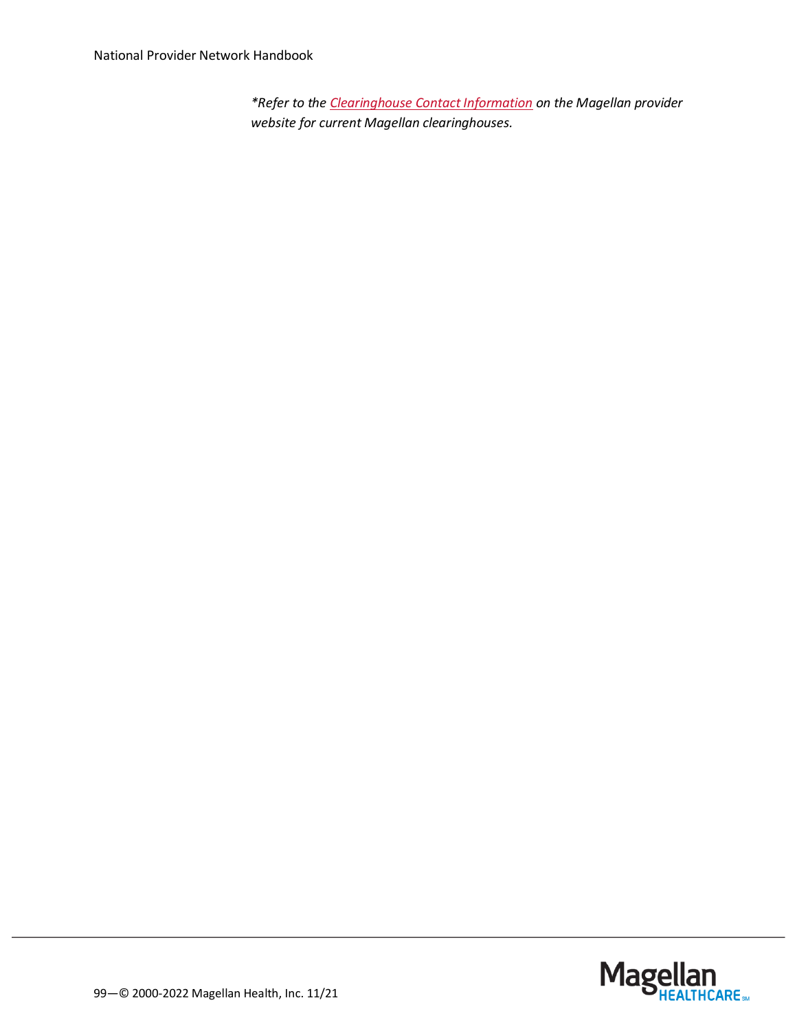*\*Refer to the [Clearinghouse Contact Information](https://www.magellanprovider.com/MHS/MGL/getpaid/exations/clearinghouse_info.asp) on the Magellan provider website for current Magellan clearinghouses.*

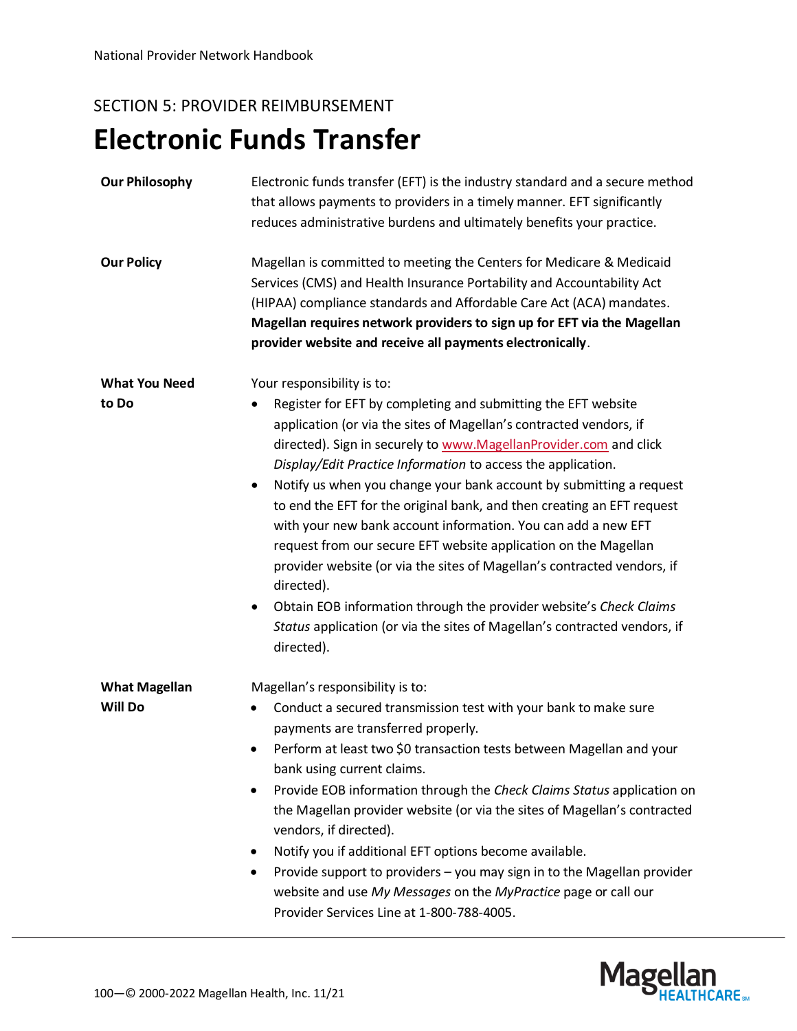## SECTION 5: PROVIDER REIMBURSEMENT **Electronic Funds Transfer**

| <b>Our Philosophy</b>                  | Electronic funds transfer (EFT) is the industry standard and a secure method<br>that allows payments to providers in a timely manner. EFT significantly<br>reduces administrative burdens and ultimately benefits your practice.                                                                                                                                                                                                                                                                                                                                                                                                                                                                                                                                                                                                                                             |
|----------------------------------------|------------------------------------------------------------------------------------------------------------------------------------------------------------------------------------------------------------------------------------------------------------------------------------------------------------------------------------------------------------------------------------------------------------------------------------------------------------------------------------------------------------------------------------------------------------------------------------------------------------------------------------------------------------------------------------------------------------------------------------------------------------------------------------------------------------------------------------------------------------------------------|
| <b>Our Policy</b>                      | Magellan is committed to meeting the Centers for Medicare & Medicaid<br>Services (CMS) and Health Insurance Portability and Accountability Act<br>(HIPAA) compliance standards and Affordable Care Act (ACA) mandates.<br>Magellan requires network providers to sign up for EFT via the Magellan<br>provider website and receive all payments electronically.                                                                                                                                                                                                                                                                                                                                                                                                                                                                                                               |
| <b>What You Need</b><br>to Do          | Your responsibility is to:<br>Register for EFT by completing and submitting the EFT website<br>٠<br>application (or via the sites of Magellan's contracted vendors, if<br>directed). Sign in securely to www.MagellanProvider.com and click<br>Display/Edit Practice Information to access the application.<br>Notify us when you change your bank account by submitting a request<br>٠<br>to end the EFT for the original bank, and then creating an EFT request<br>with your new bank account information. You can add a new EFT<br>request from our secure EFT website application on the Magellan<br>provider website (or via the sites of Magellan's contracted vendors, if<br>directed).<br>Obtain EOB information through the provider website's Check Claims<br>$\bullet$<br>Status application (or via the sites of Magellan's contracted vendors, if<br>directed). |
| <b>What Magellan</b><br><b>Will Do</b> | Magellan's responsibility is to:<br>Conduct a secured transmission test with your bank to make sure<br>٠<br>payments are transferred properly.<br>Perform at least two \$0 transaction tests between Magellan and your<br>٠<br>bank using current claims.<br>Provide EOB information through the Check Claims Status application on<br>the Magellan provider website (or via the sites of Magellan's contracted<br>vendors, if directed).<br>Notify you if additional EFT options become available.<br>Provide support to providers - you may sign in to the Magellan provider<br>٠<br>website and use My Messages on the MyPractice page or call our<br>Provider Services Line at 1-800-788-4005.                                                                                                                                                                           |

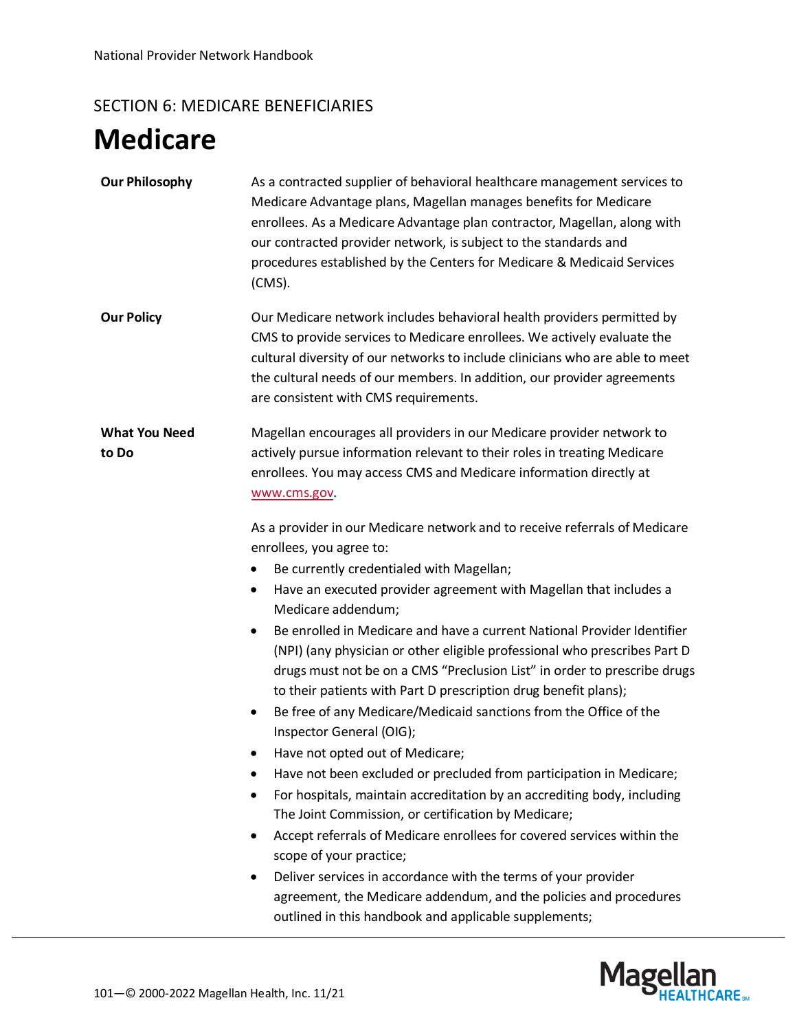#### SECTION 6: MEDICARE BENEFICIARIES

# **Medicare**

| <b>Our Philosophy</b>         | As a contracted supplier of behavioral healthcare management services to<br>Medicare Advantage plans, Magellan manages benefits for Medicare<br>enrollees. As a Medicare Advantage plan contractor, Magellan, along with<br>our contracted provider network, is subject to the standards and<br>procedures established by the Centers for Medicare & Medicaid Services<br>$(CMS)$ .                                                                                                                                                                                                                                                                                                                                                                                                                                                                                                                                                                                                                                                                                                                                                                                                                                                                                                |
|-------------------------------|------------------------------------------------------------------------------------------------------------------------------------------------------------------------------------------------------------------------------------------------------------------------------------------------------------------------------------------------------------------------------------------------------------------------------------------------------------------------------------------------------------------------------------------------------------------------------------------------------------------------------------------------------------------------------------------------------------------------------------------------------------------------------------------------------------------------------------------------------------------------------------------------------------------------------------------------------------------------------------------------------------------------------------------------------------------------------------------------------------------------------------------------------------------------------------------------------------------------------------------------------------------------------------|
| <b>Our Policy</b>             | Our Medicare network includes behavioral health providers permitted by<br>CMS to provide services to Medicare enrollees. We actively evaluate the<br>cultural diversity of our networks to include clinicians who are able to meet<br>the cultural needs of our members. In addition, our provider agreements<br>are consistent with CMS requirements.                                                                                                                                                                                                                                                                                                                                                                                                                                                                                                                                                                                                                                                                                                                                                                                                                                                                                                                             |
| <b>What You Need</b><br>to Do | Magellan encourages all providers in our Medicare provider network to<br>actively pursue information relevant to their roles in treating Medicare<br>enrollees. You may access CMS and Medicare information directly at<br>www.cms.gov.<br>As a provider in our Medicare network and to receive referrals of Medicare<br>enrollees, you agree to:<br>Be currently credentialed with Magellan;<br>٠<br>Have an executed provider agreement with Magellan that includes a<br>٠<br>Medicare addendum;<br>Be enrolled in Medicare and have a current National Provider Identifier<br>٠<br>(NPI) (any physician or other eligible professional who prescribes Part D<br>drugs must not be on a CMS "Preclusion List" in order to prescribe drugs<br>to their patients with Part D prescription drug benefit plans);<br>Be free of any Medicare/Medicaid sanctions from the Office of the<br>$\bullet$<br>Inspector General (OIG);<br>Have not opted out of Medicare;<br>Have not been excluded or precluded from participation in Medicare;<br>For hospitals, maintain accreditation by an accrediting body, including<br>The Joint Commission, or certification by Medicare;<br>Accept referrals of Medicare enrollees for covered services within the<br>٠<br>scope of your practice; |
|                               | Deliver services in accordance with the terms of your provider<br>٠<br>agreement, the Medicare addendum, and the policies and procedures<br>outlined in this handbook and applicable supplements;                                                                                                                                                                                                                                                                                                                                                                                                                                                                                                                                                                                                                                                                                                                                                                                                                                                                                                                                                                                                                                                                                  |

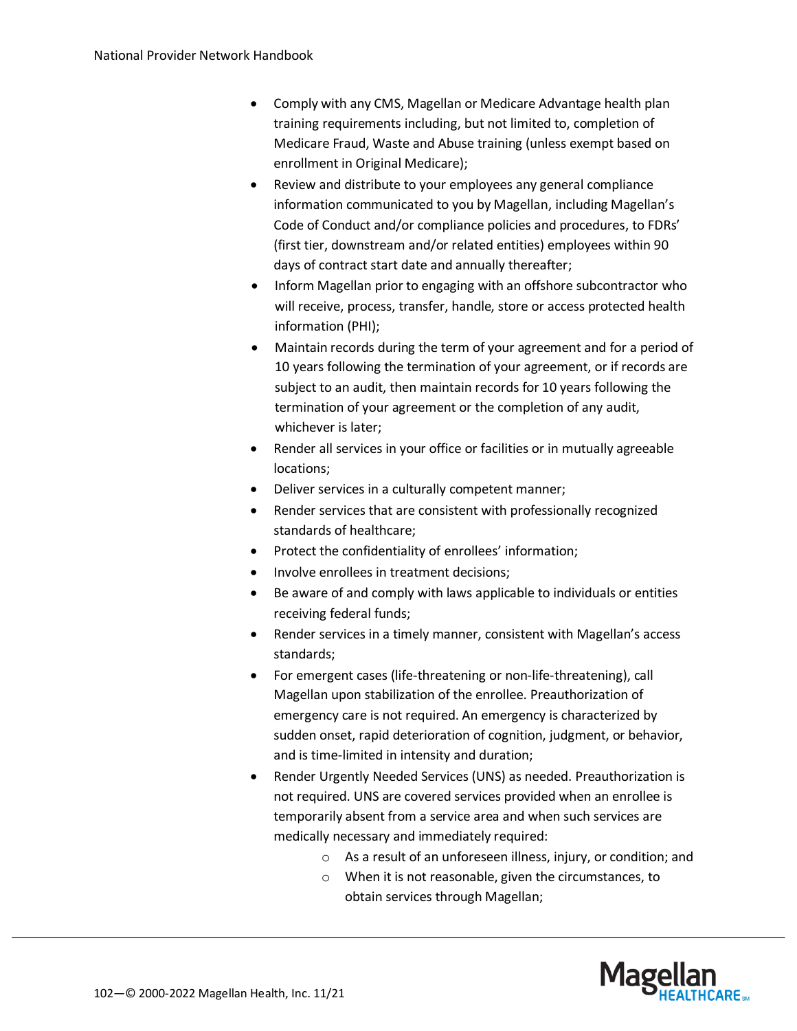- Comply with any CMS, Magellan or Medicare Advantage health plan training requirements including, but not limited to, completion of Medicare Fraud, Waste and Abuse training (unless exempt based on enrollment in Original Medicare);
- Review and distribute to your employees any general compliance information communicated to you by Magellan, including Magellan's Code of Conduct and/or compliance policies and procedures, to FDRs' (first tier, downstream and/or related entities) employees within 90 days of contract start date and annually thereafter;
- Inform Magellan prior to engaging with an offshore subcontractor who will receive, process, transfer, handle, store or access protected health information (PHI);
- Maintain records during the term of your agreement and for a period of 10 years following the termination of your agreement, or if records are subject to an audit, then maintain records for 10 years following the termination of your agreement or the completion of any audit, whichever is later;
- Render all services in your office or facilities or in mutually agreeable locations;
- Deliver services in a culturally competent manner;
- Render services that are consistent with professionally recognized standards of healthcare;
- Protect the confidentiality of enrollees' information;
- Involve enrollees in treatment decisions;
- Be aware of and comply with laws applicable to individuals or entities receiving federal funds;
- Render services in a timely manner, consistent with Magellan's access standards;
- For emergent cases (life-threatening or non-life-threatening), call Magellan upon stabilization of the enrollee. Preauthorization of emergency care is not required. An emergency is characterized by sudden onset, rapid deterioration of cognition, judgment, or behavior, and is time-limited in intensity and duration;
- Render Urgently Needed Services (UNS) as needed. Preauthorization is not required. UNS are covered services provided when an enrollee is temporarily absent from a service area and when such services are medically necessary and immediately required:
	- o As a result of an unforeseen illness, injury, or condition; and
	- o When it is not reasonable, given the circumstances, to obtain services through Magellan;

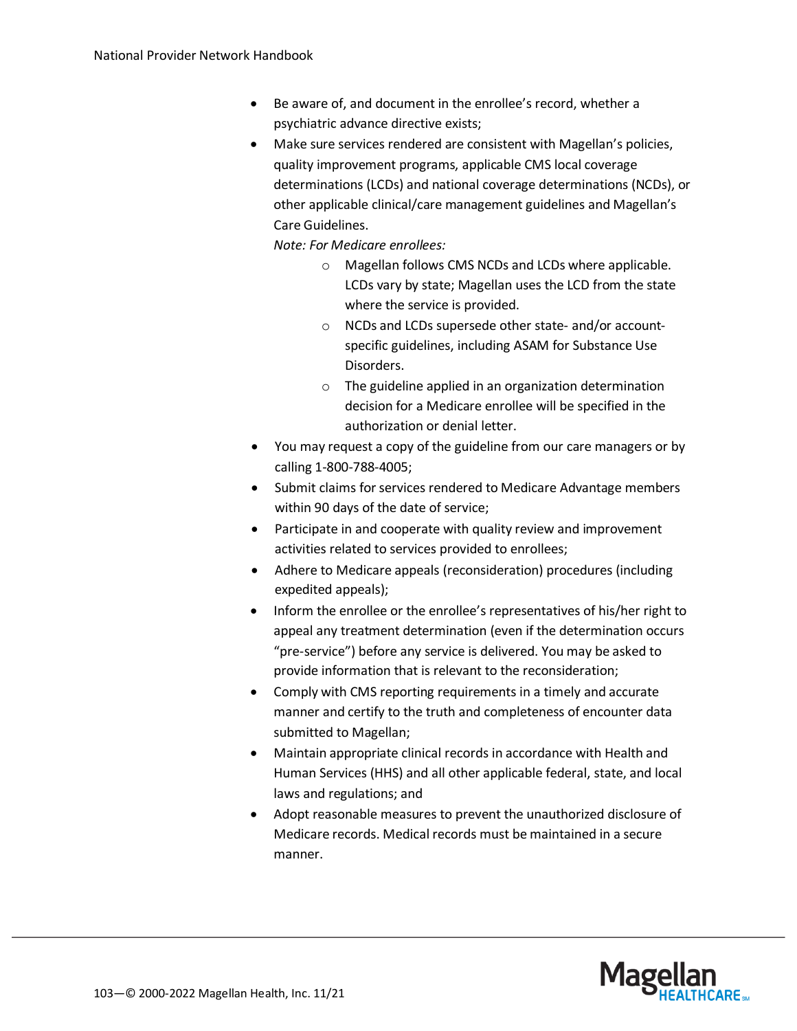- Be aware of, and document in the enrollee's record, whether a psychiatric advance directive exists;
- Make sure services rendered are consistent with Magellan's policies, quality improvement programs, applicable CMS local coverage determinations (LCDs) and national coverage determinations (NCDs), or other applicable clinical/care management guidelines and Magellan's Care Guidelines.

*Note: For Medicare enrollees:*

- o Magellan follows CMS NCDs and LCDs where applicable. LCDs vary by state; Magellan uses the LCD from the state where the service is provided.
- o NCDs and LCDs supersede other state- and/or accountspecific guidelines, including ASAM for Substance Use Disorders.
- o The guideline applied in an organization determination decision for a Medicare enrollee will be specified in the authorization or denial letter.
- You may request a copy of the guideline from our care managers or by calling 1-800-788-4005;
- Submit claims for services rendered to Medicare Advantage members within 90 days of the date of service;
- Participate in and cooperate with quality review and improvement activities related to services provided to enrollees;
- Adhere to Medicare appeals (reconsideration) procedures (including expedited appeals);
- Inform the enrollee or the enrollee's representatives of his/her right to appeal any treatment determination (even if the determination occurs "pre-service") before any service is delivered. You may be asked to provide information that is relevant to the reconsideration;
- Comply with CMS reporting requirements in a timely and accurate manner and certify to the truth and completeness of encounter data submitted to Magellan;
- Maintain appropriate clinical records in accordance with Health and Human Services (HHS) and all other applicable federal, state, and local laws and regulations; and
- Adopt reasonable measures to prevent the unauthorized disclosure of Medicare records. Medical records must be maintained in a secure manner.